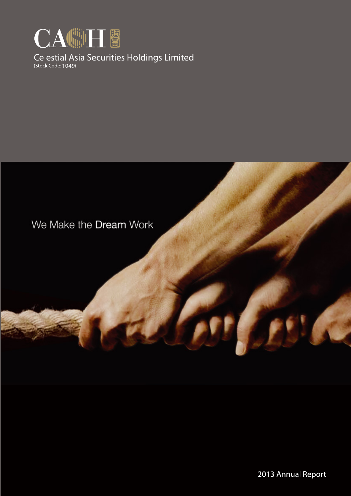

Celestial Asia Securities Holdings Limited

# We Make the Dream Work

2013 Annual Report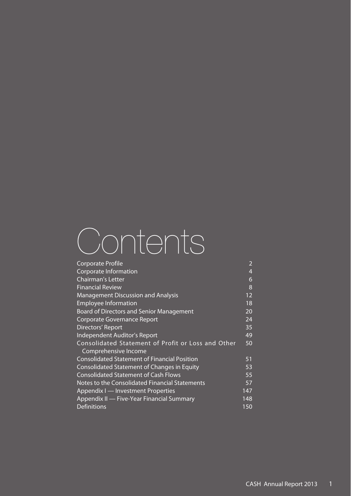# Conte Profile

| <b>Corporate Profile</b>                                                   | $\overline{2}$ |
|----------------------------------------------------------------------------|----------------|
| Corporate Information                                                      | 4              |
| Chairman's Letter                                                          | 6              |
| <b>Financial Review</b>                                                    | 8              |
| <b>Management Discussion and Analysis</b>                                  | 12             |
| <b>Employee Information</b>                                                | 18             |
| <b>Board of Directors and Senior Management</b>                            | 20             |
| Corporate Governance Report                                                | 24             |
| Directors' Report                                                          | 35             |
| Independent Auditor's Report                                               | 49             |
| Consolidated Statement of Profit or Loss and Other<br>Comprehensive Income | 50             |
| <b>Consolidated Statement of Financial Position</b>                        | 51             |
| Consolidated Statement of Changes in Equity                                | 53             |
| <b>Consolidated Statement of Cash Flows</b>                                | 55             |
| <b>Notes to the Consolidated Financial Statements</b>                      | 57             |
| Appendix I — Investment Properties                                         | 147            |
| Appendix II — Five-Year Financial Summary                                  | 148            |
| <b>Definitions</b>                                                         | 150            |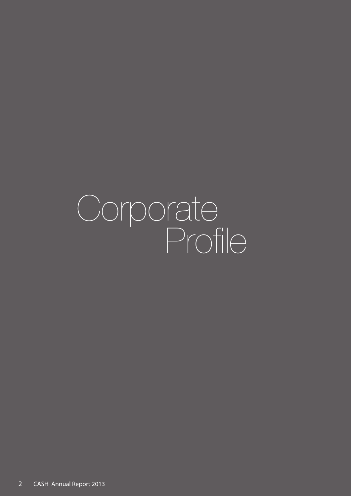# Corporate Profile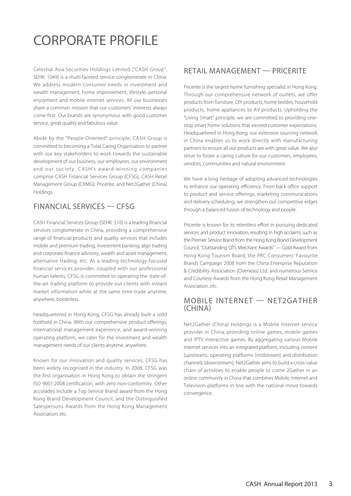# CORPORATE PROFILE

Celestial Asia Securities Holdings Limited ("CASH Group", SEHK: 1049) is a multi-faceted service conglomerate in China. We address modern consumer needs in investment and wealth management, home improvement, lifestyle, personal enjoyment and mobile internet services. All our businesses share a common mission that our customers' interests always come first. Our brands are synonymous with good customer service, great quality and fabulous value.

Abide by the "People-Oriented" principle, CASH Group is committed to becoming a Total Caring Organisation to partner with our key stakeholders to work towards the sustainable development of our business, our employees, our environment and our society. CASH's award-winning companies comprise CASH Financial Services Group (CFSG), CASH Retail Management Group (CRMG): Pricerite, and Net2Gather (China) Holdings.

# FINANCIAL SERVICES — CFSG

CASH Financial Services Group (SEHK: 510) is a leading financial services conglomerate in China, providing a comprehensive range of financial products and quality services that includes mobile and premium trading, investment banking, algo trading and corporate finance advisory, wealth and asset management, alternative trading, etc. As a leading technology-focused financial services provider, coupled with our professional human talents, CFSG is committed to operating the state-ofthe-art trading platform to provide our clients with instant market information while at the same time trade anytime, anywhere, borderless.

Headquartered in Hong Kong, CFSG has already built a solid foothold in China. With our comprehensive product offerings, international management experience, and award-winning operating platform, we cater for the investment and wealth management needs of our clients anytime, anywhere.

Known for our innovation and quality services, CFSG has been widely recognised in the industry. In 2008, CFSG was the first organisation in Hong Kong to obtain the stringent ISO 9001:2008 certification, with zero non-conformity. Other accolades include a Top Service Brand award from the Hong Kong Brand Development Council, and the Distinguished Salespersons Awards from the Hong Kong Management Association, etc.

## RETAIL MANAGEMENT — PRICERITE

Pricerite is the largest home furnishing specialist in Hong Kong. Through our comprehensive network of outlets, we offer products from furniture, DIY products, home textiles, household products, home appliances to AV products. Upholding the "Living Smart" principle, we are committed to providing onestop smart home solutions that exceed customer expectations. Headquartered in Hong Kong, our extensive sourcing network in China enables us to work directly with manufacturing partners to ensure all our products are with great value. We also strive to foster a caring culture for our customers, employees, vendors, communities and natural environment.

We have a long heritage of adopting advanced technologies to enhance our operating efficiency. From back office support to product and service offerings, marketing communications and delivery scheduling, we strengthen our competitive edges through a balanced fusion of technology and people.

Pricerite is known for its relentless effort in pursuing dedicated services and product innovation, resulting in high acclaims such as the Premier Service Brand from the Hong Kong Brand Development Council, "Outstanding QTS Merchant Awards" — Gold Award from Hong Kong Tourism Board, the PRC Consumers' Favourite Brands Campaign 2008 from the China Enterprise Reputation & Credibility Association (Overseas) Ltd. and numerous Service and Courtesy Awards from the Hong Kong Retail Management Association, etc.

### MOBILE INTERNET — NET2GATHER (CHINA)

Net2Gather (China) Holdings is a Mobile Internet service provider in China, providing online games, mobile games and IPTV interactive games. By aggregating various Mobile Internet services into an integrated platform, including content (upstream), operating platforms (midstream) and distribution channels (downstream), Net2Gather aims to build a cross-value chain of activities to enable people to come 2Gather in an online community in China that combines Mobile, Internet and Television platforms in line with the national move towards convergence.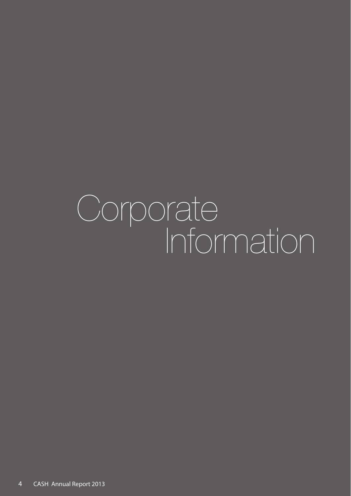# Corporate Information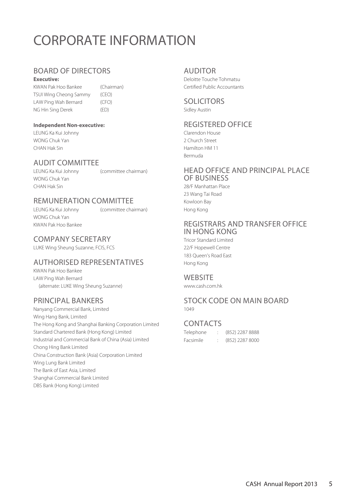# CORPORATE INFORMATION

# BOARD OF DIRECTORS

**Executive:**

KWAN Pak Hoo Bankee (Chairman) TSUI Wing Cheong Sammy (CEO) LAW Ping Wah Bernard (CFO) NG Hin Sing Derek (ED)

#### **Independent Non-executive:**

LEUNG Ka Kui Johnny WONG Chuk Yan CHAN Hak Sin

# **AUDIT COMMITTEE**<br>LEUNG Ka Kui Johnny

WONG Chuk Yan CHAN Hak Sin

(committee chairman)

# REMUNERATION COMMITTEE

WONG Chuk Yan KWAN Pak Hoo Bankee (committee chairman)

# COMPANY SECRETARY

LUKE Wing Sheung Suzanne, FCIS, FCS

## AUTHORISED REPRESENTATIVES

KWAN Pak Hoo Bankee LAW Ping Wah Bernard (alternate: LUKE Wing Sheung Suzanne)

## PRINCIPAL BANKERS

Nanyang Commercial Bank, Limited Wing Hang Bank, Limited The Hong Kong and Shanghai Banking Corporation Limited Standard Chartered Bank (Hong Kong) Limited Industrial and Commercial Bank of China (Asia) Limited Chong Hing Bank Limited China Construction Bank (Asia) Corporation Limited Wing Lung Bank Limited The Bank of East Asia, Limited Shanghai Commercial Bank Limited DBS Bank (Hong Kong) Limited

### AUDITOR

Deloitte Touche Tohmatsu Certified Public Accountants

## SOLICITORS

Sidley Austin

### REGISTERED OFFICE

Clarendon House 2 Church Street Hamilton HM 11 Bermuda

## HEAD OFFICE AND PRINCIPAL PLACE OF BUSINESS

28/F Manhattan Place 23 Wang Tai Road Kowloon Bay Hong Kong

### REGISTRARS AND TRANSFER OFFICE IN HONG KONG

Tricor Standard Limited 22/F Hopewell Centre 183 Queen's Road East Hong Kong

## **WEBSITE**

www.cash.com.hk

### STOCK CODE ON MAIN BOARD 1049

## CONTACTS

| Telephone | (852) 2287 8888 |
|-----------|-----------------|
| Facsimile | (852) 2287 8000 |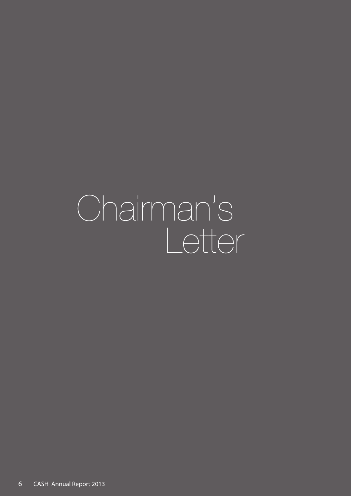# Chairman's Letter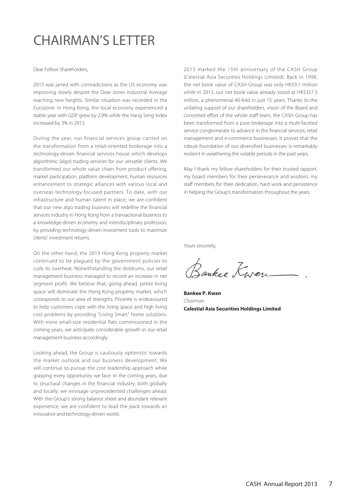# CHAIRMAN'S LETTER

Dear Fellow Shareholders,

2013 was jarred with contradictions as the US economy was improving slowly despite the Dow Jones Industrial Average reaching new heights. Similar situation was recorded in the Eurozone. In Hong Kong, the local economy experienced a stable year with GDP grew by 2.9% while the Hang Seng Index increased by 3% in 2013.

During the year, our financial services group carried on the transformation from a retail-oriented brokerage into a technology-driven financial services house which develops algorithmic (algo) trading services for our versatile clients. We transformed our whole value chain from product offering, market participation, platform development, human resources enhancement to strategic alliances with various local and overseas technology-focused partners. To date, with our infrastructure and human talent in place, we are confident that our new algo trading business will redefine the financial services industry in Hong Kong from a transactional business to a knowledge-driven economy and interdisciplinary profession, by providing technology-driven investment tools to maximize clients' investment returns.

On the other hand, the 2013 Hong Kong property market continued to be plagued by the government policies to curb its overheat. Notwithstanding the doldrums, our retail management business managed to record an increase in net segment profit. We believe that, going ahead, petite living space will dominate the Hong Kong property market, which corresponds to our area of strengths. Pricerite is endeavoured to help customers cope with the living space and high living cost problems by providing "Living Smart" home solutions. With more small-size residential flats commissioned in the coming years, we anticipate considerable growth in our retail management business accordingly.

Looking ahead, the Group is cautiously optimistic towards the market outlook and our business development. We will continue to pursue the cost leadership approach while grasping every opportunity we face. In the coming years, due to structural changes in the financial industry, both globally and locally, we envisage unprecedented challenges ahead. With the Group's strong balance sheet and abundant relevant experience, we are confident to lead the pack towards an innovative and technology-driven world.

2013 marked the 15th anniversary of the CASH Group (Celestial Asia Securities Holdings Limited). Back in 1998, the net book value of CASH Group was only HK\$9.1 million while in 2013, our net book value already stood at HK\$357.3 million, a phenomenal 40-fold in just 15 years. Thanks to the unfailing support of our shareholders, vision of the Board and concerted effort of the whole staff team, the CASH Group has been transformed from a pure brokerage into a multi-faceted service conglomerate to advance in the financial services, retail management and e-commerce businesses. It proves that the robust foundation of our diversified businesses is remarkably resilient in weathering the volatile periods in the past years.

May I thank my fellow shareholders for their trusted rapport, my board members for their perseverance and wisdom, my staff members for their dedication, hard work and persistence in helping the Group's transformation throughout the years.

Yours sincerely,

Bankee Kwan

**Bankee P. Kwan** Chairman **Celestial Asia Securities Holdings Limited**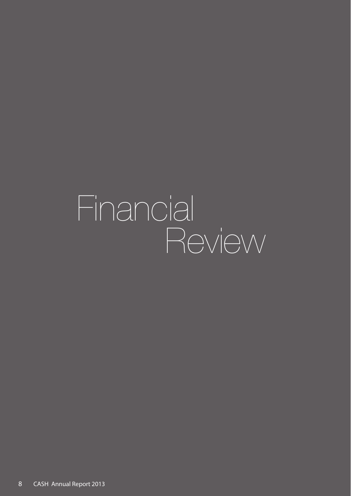# Financial Review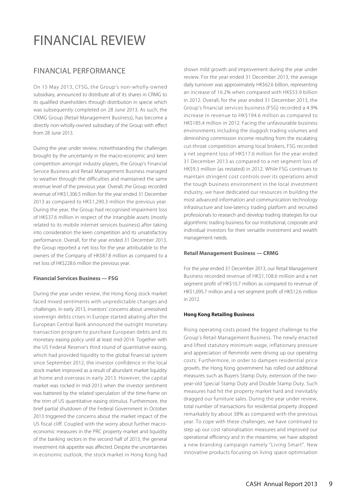# FINANCIAL REVIEW

## FINANCIAL PERFORMANCE

On 15 May 2013, CFSG, the Group's non-wholly-owned subsidiary, announced to distribute all of its shares in CRMG to its qualified shareholders through distribution in specie which was subsequently completed on 28 June 2013. As such, the CRMG Group (Retail Management Business), has become a directly non-wholly-owned subsidiary of the Group with effect from 28 June 2013.

During the year under review, notwithstanding the challenges brought by the uncertainty in the macro-economic and keen competition amongst industry players, the Group's Financial Service Business and Retail Management Business managed to weather through the difficulties and maintained the same revenue level of the previous year. Overall, the Group recorded revenue of HK\$1,306.5 million for the year ended 31 December 2013 as compared to HK\$1,290.3 million the previous year. During the year, the Group had recognised impairment loss of HK\$37.6 million in respect of the intangible assets (mostly related to its mobile internet services business) after taking into consideration the keen competition and its unsatisfactory performance. Overall, for the year ended 31 December 2013, the Group reported a net loss for the year attributable to the owners of the Company of HK\$87.8 million as compared to a net loss of HK\$228.6 million the previous year.

#### **Financial Services Business — FSG**

During the year under review, the Hong Kong stock market faced mixed sentiments with unpredictable changes and challenges. In early 2013, investors' concerns about unresolved sovereign debts crises in Europe started abating after the European Central Bank announced the outright monetary transaction program to purchase European debts and its monetary easing policy until at least mid-2014. Together with the US Federal Reserve's third round of quantitative easing, which had provided liquidity to the global financial system since September 2012, the investor confidence in the local stock market improved as a result of abundant market liquidity at home and overseas in early 2013. However, the capital market was rocked in mid-2013 when the investor sentiment was battered by the related speculation of the time-frame on the trim of US quantitative easing stimulus. Furthermore, the brief partial shutdown of the Federal Government in October 2013 triggered the concerns about the market impact of the US fiscal cliff. Coupled with the worry about further macroeconomic measures in the PRC property market and liquidity of the banking sectors in the second half of 2013, the general investment risk appetite was affected. Despite the uncertainties in economic outlook, the stock market in Hong Kong had

shown mild growth and improvement during the year under review. For the year ended 31 December 2013, the average daily turnover was approximately HK\$62.6 billion, representing an increase of 16.2% when compared with HK\$53.9 billion in 2012. Overall, for the year ended 31 December 2013, the Group's financial services business (FSG) recorded a 4.9% increase in revenue to HK\$194.6 million as compared to HK\$185.4 million in 2012. Facing the unfavourable business environments including the sluggish trading volumes and diminishing commission income resulting from the escalating cut-throat competition among local brokers, FSG recorded a net segment loss of HK\$17.6 million for the year ended 31 December 2013 as compared to a net segment loss of HK\$9.3 million (as restated) in 2012. While FSG continues to maintain stringent cost controls over its operations amid the tough business environment in the local investment industry, we have dedicated our resources in building the most advanced information and communication technology infrastructure and low-latency trading platform and recruited professionals to research and develop trading strategies for our algorithmic trading business for our institutional, corporate and individual investors for their versatile investment and wealth management needs.

#### **Retail Management Business — CRMG**

For the year ended 31 December 2013, our Retail Management Business recorded revenue of HK\$1,108.6 million and a net segment profit of HK\$10.7 million as compared to revenue of HK\$1,095.7 million and a net segment profit of HK\$12.6 million in 2012.

#### **Hong Kong Retailing Business**

Rising operating costs posed the biggest challenge to the Group's Retail Management Business. The newly enacted and lifted statutory minimum wage, inflationary pressure and appreciation of Renminbi were driving up our operating costs. Furthermore, in order to dampen residential price growth, the Hong Kong government has rolled out additional measures such as Buyers Stamp Duty, extension of the twoyear-old Special Stamp Duty and Double Stamp Duty. Such measures had hit the property market hard and inevitably dragged our furniture sales. During the year under review, total number of transactions for residential property dropped remarkably by about 38% as compared with the previous year. To cope with these challenges, we have continued to step up our cost rationalisation measures and improved our operational efficiency and in the meantime, we have adopted a new branding campaign namely "Living Smart". New innovative products focusing on living space optimisation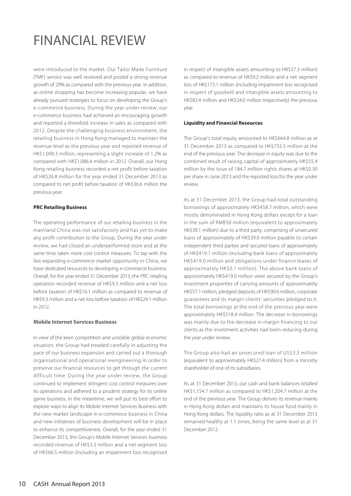# FINANCIAL REVIEW

were introduced to the market. Our Tailor Made Furniture (TMF) service was well received and posted a strong revenue growth of 29% as compared with the previous year. In addition, as online shopping has become increasing popular, we have already pursued strategies to focus on developing the Group's e-commerce business. During the year under review, our e-commerce business had achieved an encouraging growth and reported a threefold increase in sales as compared with 2012. Despite the challenging business environment, the retailing business in Hong Kong managed to maintain the revenue level as the previous year and reported revenue of HK\$1,099.3 million, representing a slight increase of 1.2% as compared with HK\$1,086.4 million in 2012. Overall, our Hong Kong retailing business recorded a net profit before taxation of HK\$26.8 million for the year ended 31 December 2013 as compared to net profit before taxation of HK\$36.6 million the previous year.

#### **PRC Retailing Business**

The operating performance of our retailing business in the mainland China was not satisfactory and has yet to make any profit contribution to the Group. During the year under review, we had closed an underperformed store and at the same time taken more cost control measures. To tap with the fast expanding e-commerce market opportunity in China, we have dedicated resources to developing e-commerce business. Overall, for the year ended 31 December 2013, the PRC retailing operation recorded revenue of HK\$9.3 million and a net loss before taxation of HK\$16.1 million as compared to revenue of HK\$9.3 million and a net loss before taxation of HK\$24.1 million in 2012.

#### **Mobile Internet Services Business**

In view of the keen competition and unstable global economic situation, the Group had treaded carefully in adjusting the pace of our business expansion and carried out a thorough organisational and operational reengineering in order to preserve our financial resources to get through the current difficult time. During the year under review, the Group continued to implement stringent cost control measures over its operations and adhered to a prudent strategy for its online game business. In the meantime, we will put its best effort to explore ways to align its Mobile Internet Services Business with the new market landscape in e-commerce business in China and new initiatives of business development will be in place to enhance its competitiveness. Overall, for the year ended 31 December 2013, the Group's Mobile Internet Services business recorded revenue of HK\$3.3 million and a net segment loss of HK\$66.5 million (including an impairment loss recognised

in respect of intangible assets amounting to HK\$37.3 million) as compared to revenue of HK\$9.2 million and a net segment loss of HK\$173.1 million (including impairment loss recognised in respect of goodwill and intangible assets amounting to HK\$83.4 million and HK\$24.0 million respectively) the previous year.

#### **Liquidity and Financial Resources**

The Group's total equity amounted to HK\$664.8 million as at 31 December 2013 as compared to HK\$755.5 million at the end of the previous year. The decrease in equity was due to the combined result of raising capital of approximately HK\$55.4 million by the issue of 184.7 million rights shares at HK\$0.30 per share in June 2013 and the reported loss for the year under review.

As at 31 December 2013, the Group had total outstanding borrowings of approximately HK\$458.7 million, which were mostly denominated in Hong Kong dollars except for a loan in the sum of RMB30 million (equivalent to approximately HK\$38.1 million) due to a third party, comprising of unsecured loans of approximately of HK\$39.6 million payable to certain independent third parties and secured loans of approximately of HK\$419.1 million (including bank loans of approximately HK\$419.0 million and obligations under finance leases of approximately HK\$0.1 million). The above bank loans of approximately HK\$419.0 million were secured by the Group's investment properties of carrying amounts of approximately HK\$57.1 million, pledged deposits of HK\$90.6 million, corporate guarantees and its margin clients' securities pledged to it. The total borrowings at the end of the previous year were approximately HK\$518.4 million. The decrease in borrowings was mainly due to the decrease in margin financing to our clients as the investment activities had been reducing during the year under review.

The Group also had an unsecured loan of US\$3.5 million (equivalent to approximately HK\$27.4 million) from a minority shareholder of one of its subsidiaries.

As at 31 December 2013, our cash and bank balances totalled HK\$1,154.7 million as compared to HK\$1,204.7 million at the end of the previous year. The Group derives its revenue mainly in Hong Kong dollars and maintains its house fund mainly in Hong Kong dollars. The liquidity ratio as at 31 December 2013 remained healthy at 1.1 times, being the same level as at 31 December 2012.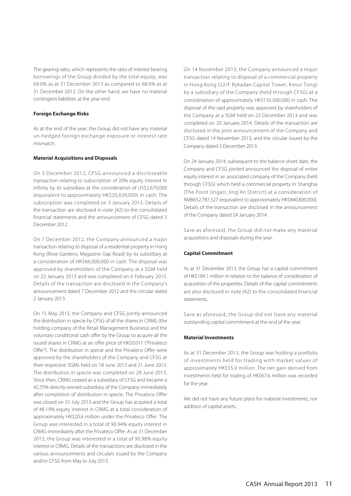The gearing ratio, which represents the ratio of interest bearing borrowings of the Group divided by the total equity, was 69.0% as at 31 December 2013 as compared to 68.6% as at 31 December 2012. On the other hand, we have no material contingent liabilities at the year-end.

#### **Foreign Exchange Risks**

As at the end of the year, the Group did not have any material un-hedged foreign exchange exposure or interest rate mismatch.

#### **Material Acquisitions and Disposals**

On 3 December 2012, CFSG announced a discloseable transaction relating to subscription of 20% equity interest in Infinity by its subsidiary at the consideration of US\$2,670,000 (equivalent to approximately HK\$20,639,000) in cash. The subscription was completed on 3 January 2013. Details of the transaction are disclosed in note (42) to the consolidated financial statements and the announcement of CFSG dated 3 December 2012.

On 7 December 2012, the Company announced a major transaction relating to disposal of a residential property in Hong Kong (Rose Gardens, Magazine Gap Road) by its subsidiary at a consideration of HK\$66,000,000 in cash. The disposal was approved by shareholders of the Company at a SGM held on 22 January 2013 and was completed on 6 February 2013. Details of the transaction are disclosed in the Company's announcement dated 7 December 2012 and the circular dated 2 January 2013.

On 15 May 2013, the Company and CFSG jointly announced the distribution in specie by CFSG of all the shares in CRMG (the holding company of the Retail Management Business) and the voluntary conditional cash offer by the Group to acquire all the issued shares in CRMG at an offer price of HK\$0.011 ("Privateco Offer"). The distribution in specie and the Privateco Offer were approved by the shareholders of the Company and CFSG at their respective SGMs held on 18 June 2013 and 21 June 2013. The distribution in specie was completed on 28 June 2013. Since then, CRMG ceased as a subsidiary of CFSG and became a 42.75% directly-owned subsidiary of the Company immediately after completion of distribution in specie. The Privateco Offer was closed on 31 July 2013 and the Group has acquired a total of 48.19% equity interest in CRMG at a total consideration of approximately HK\$20.6 million under the Privateco Offer. The Group was interested in a total of 90.94% equity interest in CRMG immediately after the Privateco Offer. As at 31 December 2013, the Group was interested in a total of 90.98% equity interest in CRMG. Details of the transactions are disclosed in the various announcements and circulars issued by the Company and/or CFSG from May to July 2013.

On 14 November 2013, the Company announced a major transaction relating to disposal of a commercial property in Hong Kong (22/F Rykadan Capital Tower, Kwun Tong) by a subsidiary of the Company (held through CFSG) at a consideration of approximately HK\$135,000,000 in cash. The disposal of the said property was approved by shareholders of the Company at a SGM held on 23 December 2013 and was completed on 20 January 2014. Details of the transaction are disclosed in the joint announcement of the Company and CFSG dated 14 November 2013, and the circular issued by the Company dated 5 December 2013.

On 24 January 2014, subsequent to the balance sheet date, the Company and CFSG jointed announced the disposal of entire equity interest in an associated company of the Company (held through CFSG) which held a commercial property in Shanghai (The Point Jingan, Jing'An District) at a consideration of RMB652,787,527 (equivalent to approximately HK\$840,800,000). Details of the transaction are disclosed in the announcement of the Company dated 24 January 2014.

Save as aforesaid, the Group did not make any material acquisitions and disposals during the year.

#### **Capital Commitment**

As at 31 December 2013, the Group has a capital commitment of HK\$184.1 million in relation to the balance of consideration of acquisition of the properties. Details of the capital commitments are also disclosed in note (42) to the consolidated financial statements.

Save as aforesaid, the Group did not have any material outstanding capital commitment at the end of the year.

#### **Material Investments**

As at 31 December 2013, the Group was holding a portfolio of investments held for trading with market values of approximately HK\$55.0 million. The net gain derived from investments held for trading of HK\$67.6 million was recorded for the year.

We did not have any future plans for material investments, nor addition of capital assets.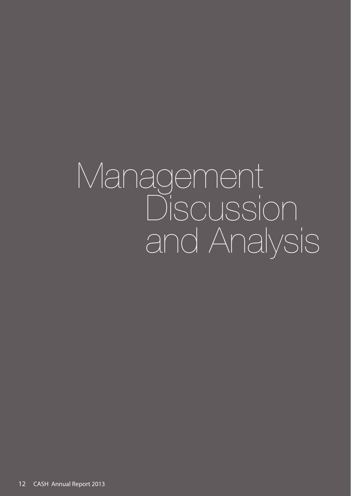# Management Discussion and Analysis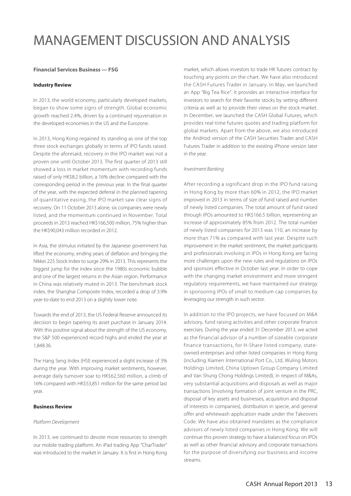# MANAGEMENT DISCUSSION AND ANALYSIS

#### **Financial Services Business — FSG**

#### **Industry Review**

In 2013, the world economy, particularly developed markets, began to show some signs of strength. Global economic growth reached 2.4%, driven by a continued rejuvenation in the developed economies in the US and the Eurozone.

In 2013, Hong Kong regained its standing as one of the top three stock exchanges globally in terms of IPO funds raised. Despite the aforesaid, recovery in the IPO market was not a proven one until October 2013. The first quarter of 2013 still showed a loss in market momentum with recording funds raised of only HK\$8.2 billion, a 16% decline compared with the corresponding period in the previous year. In the final quarter of the year, with the expected deferral in the planned tapering of quantitative easing, the IPO market saw clear signs of recovery. On 11 October 2013 alone, six companies were newly listed, and the momentum continued in November. Total proceeds in 2013 reached HK\$166,500 million, 75% higher than the HK\$90,043 million recorded in 2012.

In Asia, the stimulus initiated by the Japanese government has lifted the economy, ending years of deflation and bringing the Nikkei 225 Stock Index to surge 29% in 2013. This represents the biggest jump for the index since the 1980s economic bubble and one of the largest returns in the Asian region. Performance in China was relatively muted in 2013. The benchmark stock index, the Shanghai Composite Index, recorded a drop of 3.9% year-to-date to end 2013 on a slightly lower note.

Towards the end of 2013, the US Federal Reserve announced its decision to begin tapering its asset purchase in January 2014. With this positive signal about the strength of the US economy, the S&P 500 experienced record highs and ended the year at 1,848.36.

The Hang Seng Index (HSI) experienced a slight increase of 3% during the year. With improving market sentiments, however, average daily turnover soar to HK\$62,560 million, a climb of 16% compared with HK\$53,851 million for the same period last year.

#### **Business Review**

#### Platform Development

In 2013, we continued to devote more resources to strength our mobile trading platform. An iPad trading App "CharTrader" was introduced to the market in January. It is first in Hong Kong

market, which allows investors to trade HK futures contract by touching any points on the chart. We have also introduced the CASH Futures Trader in January. In May, we launched an App "Big Tea Rice". It provides an interactive interface for investors to search for their favorite stocks by setting different criteria as well as to provide their views on the stock market. In December, we launched the CASH Global Futures, which provides real-time futures quotes and trading platform for global markets. Apart from the above, we also introduced the Andriod version of the CASH Securities Trader and CASH Futures Trader in addition to the existing iPhone version later in the year.

#### Investment Banking

After recording a significant drop in the IPO fund raising in Hong Kong by more than 60% in 2012, the IPO market improved in 2013 in terms of size of fund raised and number of newly listed companies. The total amount of fund raised through IPOs amounted to HK\$166.5 billion, representing an increase of approximately 85% from 2012. The total number of newly listed companies for 2013 was 110, an increase by more than 71% as compared with last year. Despite such improvement in the market sentiment, the market participants and professionals involving in IPOs in Hong Kong are facing more challenges upon the new rules and regulations on IPOs and sponsors effective in October last year. In order to cope with the changing market environment and more stringent regulatory requirements, we have maintained our strategy in sponsoring IPOs of small to medium cap companies by leveraging our strength in such sector.

In addition to the IPO projects, we have focused on M&A advisory, fund raising activities and other corporate finance exercises. During the year ended 31 December 2013, we acted as the financial advisor of a number of sizeable corporate finance transactions, for H-Share listed company, stateowned enterprises and other listed companies in Hong Kong (including Xiamen International Port Co., Ltd, Wuling Motors Holdings Limited, China Uptown Group Company Limited and Van Shung Chong Holdings Limited), in respect of M&As, very substantial acquisitions and disposals as well as major transactions (involving formation of joint venture in the PRC, disposal of key assets and businesses, acquisition and disposal of interests in companies), distribution in specie, and general offer and whitewash application made under the Takeovers Code. We have also obtained mandates as the compliance advisors of newly listed companies in Hong Kong. We will continue this proven strategy to have a balanced focus on IPOs as well as other financial advisory and corporate transactions for the purpose of diversifying our business and income streams.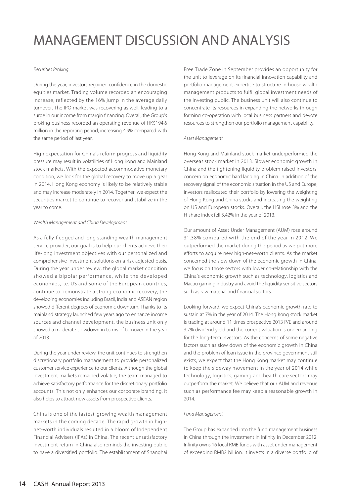# MANAGEMENT DISCUSSION AND ANALYSIS

#### Securities Broking

During the year, investors regained confidence in the domestic equities market. Trading volume recorded an encouraging increase, reflected by the 16% jump in the average daily turnover. The IPO market was recovering as well, leading to a surge in our income from margin financing. Overall, the Group's broking business recorded an operating revenue of HK\$194.6 million in the reporting period, increasing 4.9% compared with the same period of last year.

High expectation for China's reform progress and liquidity pressure may result in volatilities of Hong Kong and Mainland stock markets. With the expected accommodative monetary condition, we look for the global recovery to move up a gear in 2014. Hong Kong economy is likely to be relatively stable and may increase moderately in 2014. Together, we expect the securities market to continue to recover and stabilize in the year to come.

#### Wealth Management and China Development

As a fully-fledged and long standing wealth management service provider, our goal is to help our clients achieve their life-long investment objectives with our personalized and comprehensive investment solutions on a risk-adjusted basis. During the year under review, the global market condition showed a bipolar performance, while the developed economies, i.e. US and some of the European countries, continue to demonstrate a strong economic recovery, the developing economies including Brazil, India and ASEAN region showed different degrees of economic downturn. Thanks to its mainland strategy launched few years ago to enhance income sources and channel development, the business unit only showed a moderate slowdown in terms of turnover in the year of 2013.

During the year under review, the unit continues to strengthen discretionary portfolio management to provide personalized customer service experience to our clients. Although the global investment markets remained volatile, the team managed to achieve satisfactory performance for the discretionary portfolio accounts. This not only enhances our corporate branding, it also helps to attract new assets from prospective clients.

China is one of the fastest-growing wealth management markets in the coming decade. The rapid growth in highnet-worth individuals resulted in a bloom of Independent Financial Advisers (IFAs) in China. The recent unsatisfactory investment return in China also reminds the investing public to have a diversified portfolio. The establishment of Shanghai

Free Trade Zone in September provides an opportunity for the unit to leverage on its financial innovation capability and portfolio management expertise to structure in-house wealth management products to fulfil global investment needs of the investing public. The business unit will also continue to concentrate its resources in expanding the networks through forming co-operation with local business partners and devote resources to strengthen our portfolio management capability.

#### Asset Management

Hong Kong and Mainland stock market underperformed the overseas stock market in 2013. Slower economic growth in China and the tightening liquidity problem raised investors' concern on economic hard landing in China. In addition of the recovery signal of the economic situation in the US and Europe, investors reallocated their portfolio by lowering the weighting of Hong Kong and China stocks and increasing the weighting on US and European stocks. Overall, the HSI rose 3% and the H-share index fell 5.42% in the year of 2013.

Our amount of Asset Under Management (AUM) rose around 31.38% compared with the end of the year in 2012. We outperformed the market during the period as we put more efforts to acquire new high-net-worth clients. As the market concerned the slow down of the economic growth in China, we focus on those sectors with lower co-relationship with the China's economic growth such as technology, logistics and Macau gaming industry and avoid the liquidity sensitive sectors such as raw material and financial sectors.

Looking forward, we expect China's economic growth rate to sustain at 7% in the year of 2014. The Hong Kong stock market is trading at around 11 times prospective 2013 P/E and around 3.2% dividend yield and the current valuation is undemanding for the long-term investors. As the concerns of some negative factors such as slow down of the economic growth in China and the problem of loan issue in the province government still exists, we expect that the Hong Kong market may continue to keep the sideway movement in the year of 2014 while technology, logistics, gaming and health care sectors may outperform the market. We believe that our AUM and revenue such as performance fee may keep a reasonable growth in 2014.

#### Fund Management

The Group has expanded into the fund management business in China through the investment in Infinity in December 2012. Infinity owns 16 local RMB funds with asset under management of exceeding RMB2 billion. It invests in a diverse portfolio of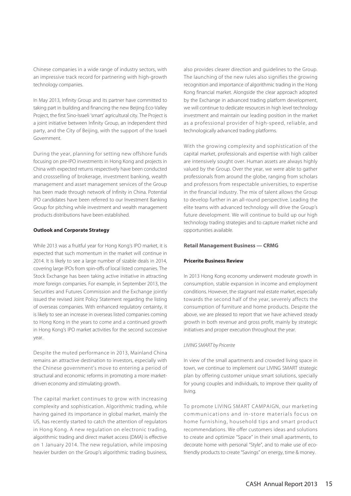Chinese companies in a wide range of industry sectors, with an impressive track record for partnering with high-growth technology companies.

In May 2013, Infinity Group and its partner have committed to taking part in building and financing the new Beijing Eco-Valley Project, the first Sino-Israeli 'smart' agricultural city. The Project is a joint initiative between Infinity Group, an independent third party, and the City of Beijing, with the support of the Israeli Government.

During the year, planning for setting new offshore funds focusing on pre-IPO investments in Hong Kong and projects in China with expected returns respectively have been conducted and crossselling of brokerage, investment banking, wealth management and asset management services of the Group has been made through network of Infinity in China. Potential IPO candidates have been referred to our Investment Banking Group for pitching while investment and wealth management products distributions have been established.

#### **Outlook and Corporate Strategy**

While 2013 was a fruitful year for Hong Kong's IPO market, it is expected that such momentum in the market will continue in 2014. It is likely to see a large number of sizable deals in 2014, covering large IPOs from spin-offs of local listed companies. The Stock Exchange has been taking active initiative in attracting more foreign companies. For example, in September 2013, the Securities and Futures Commission and the Exchange jointly issued the revised Joint Policy Statement regarding the listing of overseas companies. With enhanced regulatory certainty, it is likely to see an increase in overseas listed companies coming to Hong Kong in the years to come and a continued growth in Hong Kong's IPO market activities for the second successive year.

Despite the muted performance in 2013, Mainland China remains an attractive destination to investors, especially with the Chinese government's move to entering a period of structural and economic reforms in promoting a more marketdriven economy and stimulating growth.

The capital market continues to grow with increasing complexity and sophistication. Algorithmic trading, while having gained its importance in global market, mainly the US, has recently started to catch the attention of regulators in Hong Kong. A new regulation on electronic trading, algorithmic trading and direct market access (DMA) is effective on 1 January 2014. The new regulation, while imposing heavier burden on the Group's algorithmic trading business, also provides clearer direction and guidelines to the Group. The launching of the new rules also signifies the growing recognition and importance of algorithmic trading in the Hong Kong financial market. Alongside the clear approach adopted by the Exchange in advanced trading platform development, we will continue to dedicate resources in high level technology investment and maintain our leading position in the market as a professional provider of high-speed, reliable, and technologically advanced trading platforms.

With the growing complexity and sophistication of the capital market, professionals and expertise with high caliber are intensively sought over. Human assets are always highly valued by the Group. Over the year, we were able to gather professionals from around the globe, ranging from scholars and professors from respectable universities, to expertise in the financial industry. The mix of talent allows the Group to develop further in an all-round perspective. Leading the elite teams with advanced technology will drive the Group's future development. We will continue to build up our high technology trading strategies and to capture market niche and opportunities available.

#### **Retail Management Business — CRMG**

#### **Pricerite Business Review**

In 2013 Hong Kong economy underwent moderate growth in consumption, stable expansion in income and employment conditions. However, the stagnant real estate market, especially towards the second half of the year, severely affects the consumption of furniture and home products. Despite the above, we are pleased to report that we have achieved steady growth in both revenue and gross profit, mainly by strategic initiatives and proper execution throughout the year.

#### LIVING SMART by Pricerite

In view of the small apartments and crowded living space in town, we continue to implement our LIVING SMART strategic plan by offering customer unique smart solutions, specially for young couples and individuals, to improve their quality of living.

To promote LIVING SMART CAMPAIGN, our marketing communications and in-store materials focus on home furnishing, household tips and smart product recommendations. We offer customers ideas and solutions to create and optimize "Space" in their small apartments, to decorate home with personal "Style", and to make use of ecofriendly products to create "Savings" on energy, time & money.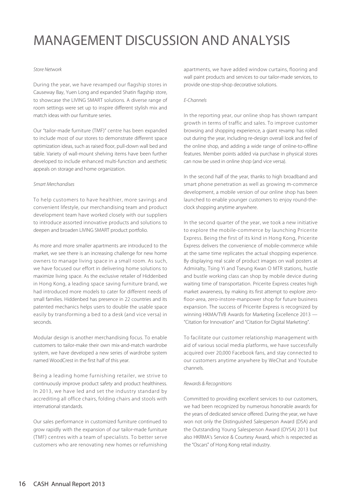# MANAGEMENT DISCUSSION AND ANALYSIS

#### Store Network

During the year, we have revamped our flagship stores in Causeway Bay, Yuen Long and expanded Shatin flagship store, to showcase the LIVING SMART solutions. A diverse range of room settings were set up to inspire different stylish mix and match ideas with our furniture series.

Our "tailor-made furniture (TMF)" centre has been expanded to include most of our stores to demonstrate different space optimization ideas, such as raised floor, pull-down wall bed and table. Variety of wall-mount shelving items have been further developed to include enhanced multi-function and aesthetic appeals on storage and home organization.

#### Smart Merchandises

To help customers to have healthier, more savings and convenient lifestyle, our merchandising team and product development team have worked closely with our suppliers to introduce assorted innovative products and solutions to deepen and broaden LIVING SMART product portfolio.

As more and more smaller apartments are introduced to the market, we see there is an increasing challenge for new home owners to manage living space in a small room. As such, we have focused our effort in delivering home solutions to maximize living space. As the exclusive retailer of Hiddenbed in Hong Kong, a leading space saving furniture brand, we had introduced more models to cater for different needs of small families. Hiddenbed has presence in 22 countries and its patented mechanics helps users to double the usable space easily by transforming a bed to a desk (and vice versa) in seconds.

Modular design is another merchandising focus. To enable customers to tailor-make their own mix-and-match wardrobe system, we have developed a new series of wardrobe system named WoodCrest in the first half of this year.

Being a leading home furnishing retailer, we strive to continuously improve product safety and product healthiness. In 2013, we have led and set the industry standard by accrediting all office chairs, folding chairs and stools with international standards.

Our sales performance in customized furniture continued to grow rapidly with the expansion of our tailor-made furniture (TMF) centres with a team of specialists. To better serve customers who are renovating new homes or refurnishing

apartments, we have added window curtains, flooring and wall paint products and services to our tailor-made services, to provide one-stop-shop decorative solutions.

#### E-Channels

In the reporting year, our online shop has shown rampant growth in terms of traffic and sales. To improve customer browsing and shopping experience, a giant revamp has rolled out during the year, including re-design overall look and feel of the online shop, and adding a wide range of online-to-offline features. Member points added via purchase in physical stores can now be used in online shop (and vice versa).

In the second half of the year, thanks to high broadband and smart phone penetration as well as growing m-commerce development, a mobile version of our online shop has been launched to enable younger customers to enjoy round-theclock shopping anytime anywhere.

In the second quarter of the year, we took a new initiative to explore the mobile-commerce by launching Pricerite Express. Being the first of its kind in Hong Kong, Pricerite Express delivers the convenience of mobile-commerce while at the same time replicates the actual shopping experience. By displaying real scale of product images on wall posters at Admiralty, Tsing Yi and Tseung Kwan O MTR stations, hustle and bustle working class can shop by mobile device during waiting time of transportation. Pricerite Express creates high market awareness, by making its first attempt to explore zerofloor-area, zero-instore-manpower shop for future business expansion. The success of Pricerite Express is recognized by winning HKMA/TVB Awards for Marketing Excellence 2013 — "Citation for Innovation" and "Citation for Digital Marketing".

To facilitate our customer relationship management with aid of various social media platforms, we have successfully acquired over 20,000 Facebook fans, and stay connected to our customers anytime anywhere by WeChat and Youtube channels.

#### Rewards & Recognitions

Committed to providing excellent services to our customers, we had been recognized by numerous honorable awards for the years of dedicated service offered. During the year, we have won not only the Distinguished Salesperson Award (DSA) and the Outstanding Young Salesperson Award (OYSA) 2013 but also HKRMA's Service & Courtesy Award, which is respected as the "Oscars" of Hong Kong retail industry.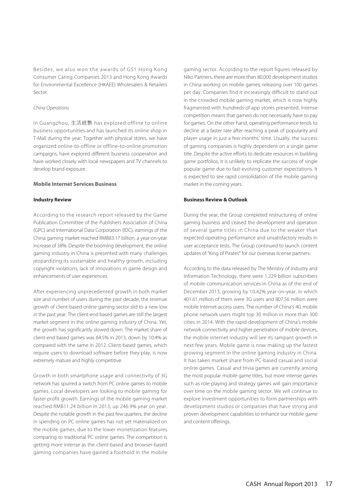Besides, we also won the awards of GS1 Hong Kong Consumer Caring Companies 2013 and Hong Kong Awards for Environmental Excellence (HKAEE) Wholesalers & Retailers Sector.

#### China Operations

In Guangzhou, 生活經艷 has explored offline to online business opportunities and has launched its online shop in T-Mall during the year. Together with physical stores, we have organized online-to-offline or offline-to-online promotion campaigns, have explored different business cooperation and have worked closely with local newspapers and TV channels to develop brand exposure.

#### **Mobile Internet Services Business**

#### **Industry Review**

According to the research report released by the Game Publication Committee of the Publishers Association of China (GPC) and International Data Corporation (IDC), earnings of the China gaming market reached RMB83.17 billion, a year-on-year increase of 38%. Despite the booming development, the online gaming industry in China is presented with many challenges jeopardizing its sustainable and healthy growth, including copyright violations, lack of innovations in game design and enhancements of user experiences.

After experiencing unprecedented growth in both market size and number of users during the past decade, the revenue growth of client-based online gaming sector slid to a new low in the past year. The client-end based games are still the largest market segment in the online gaming industry of China. Yet, the growth has significantly slowed down. The market share of client-end based games was 64.5% in 2013, down by 10.4% as compared with the same in 2012. Client-based games, which require users to download software before they play, is now extremely mature and highly competitive.

Growth in both smartphone usage and connectivity of 3G network has spurred a switch from PC online games to mobile games. Local developers are looking to mobile gaming for faster profit growth. Earnings of the mobile gaming market reached RMB11.24 billion in 2013, up 246.9% year on year. Despite the notable growth in the past few quarters, the decline in spending on PC online games has not yet materialized on the mobile games, due to the lower monetization features comparing to traditional PC online games. The competition is getting more intense as the client-based and browser-based gaming companies have gained a foothold in the mobile

gaming sector. According to the report figures released by Niko Partners, there are more than 80,000 development studios in China working on mobile games, releasing over 100 games per day. Companies find it increasingly difficult to stand out in the crowded mobile gaming market, which is now highly fragmented with hundreds of app stores presented. Intense competition means that gamers do not necessarily have to pay for games. On the other hand, operating performance tends to decline at a faster rate after reaching a peak of popularity and player usage in just a few months' time. Usually, the success of gaming companies is highly dependent on a single game title. Despite the active efforts to dedicate resources in building game portfolios, it is unlikely to replicate the success of single popular game due to fast-evolving customer expectations. It is expected to see rapid consolidation of the mobile gaming market in the coming years.

#### **Business Review & Outlook**

During the year, the Group completed restructuring of online gaming business and ceased the development and operation of several game titles in China due to the weaker than expected operating performance and unsatisfactory results in user acceptance tests. The Group continued to launch content updates of "King of Pirates" for our overseas license partners.

According to the data released by The Ministry of Industry and Information Technology, there were 1.229 billion subscribers of mobile communication services in China as of the end of December 2013, growing by 10.42% year-on-year, in which 401.61 million of them were 3G users and 807.56 million were mobile Internet-access users. The number of China's 4G mobile phone network users might top 30 million in more than 300 cities in 2014. With the rapid development of China's mobile network connectivity and higher penetration of mobile devices, the mobile internet industry will see its rampant growth in next few years. Mobile game is now making up the fastest growing segment in the online gaming industry in China. It has taken market share from PC-based casual and social online games. Casual and trivia games are currently among the most popular mobile game titles, but more intense games such as role-playing and strategy games will gain importance over time on the mobile gaming sector. We will continue to explore investment opportunities to form partnerships with development studios or companies that have strong and proven development capabilities to enhance our mobile game and content offerings.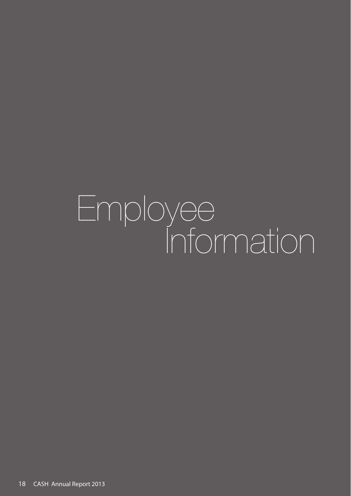# Employee Information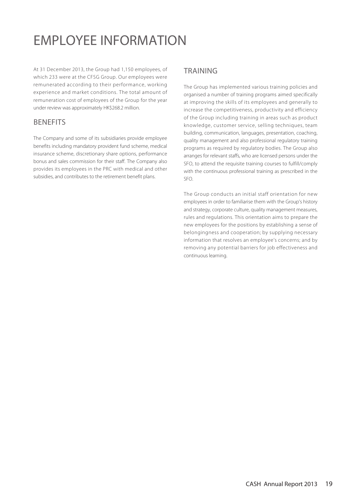# EMPLOYEE INFORMATION

At 31 December 2013, the Group had 1,150 employees, of which 233 were at the CFSG Group. Our employees were remunerated according to their performance, working experience and market conditions. The total amount of remuneration cost of employees of the Group for the year under review was approximately HK\$268.2 million.

## **BENEFITS**

The Company and some of its subsidiaries provide employee benefits including mandatory provident fund scheme, medical insurance scheme, discretionary share options, performance bonus and sales commission for their staff. The Company also provides its employees in the PRC with medical and other subsidies, and contributes to the retirement benefit plans.

## TRAINING

The Group has implemented various training policies and organised a number of training programs aimed specifically at improving the skills of its employees and generally to increase the competitiveness, productivity and efficiency of the Group including training in areas such as product knowledge, customer service, selling techniques, team building, communication, languages, presentation, coaching, quality management and also professional regulatory training programs as required by regulatory bodies. The Group also arranges for relevant staffs, who are licensed persons under the SFO, to attend the requisite training courses to fulfill/comply with the continuous professional training as prescribed in the SFO.

The Group conducts an initial staff orientation for new employees in order to familiarise them with the Group's history and strategy, corporate culture, quality management measures, rules and regulations. This orientation aims to prepare the new employees for the positions by establishing a sense of belongingness and cooperation; by supplying necessary information that resolves an employee's concerns; and by removing any potential barriers for job effectiveness and continuous learning.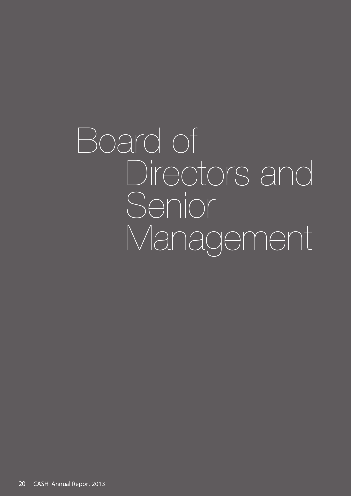# Board of Directors and Senior Management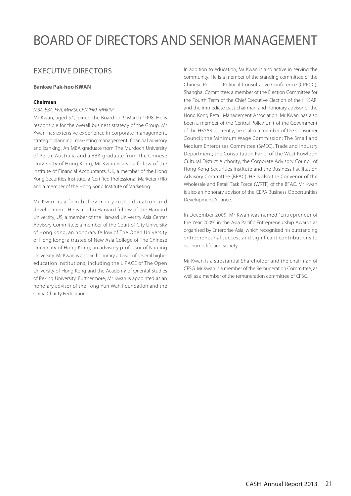# BOARD OF DIRECTORS AND SENIOR MANAGEMENT

# EXECUTIVE DIRECTORS

#### **Bankee Pak-hoo KWAN**

#### **Chairman**

#### MBA, BBA, FFA, MHKSI, CPM(HK), MHKIM

Mr Kwan, aged 54, joined the Board on 9 March 1998. He is responsible for the overall business strategy of the Group. Mr Kwan has extensive experience in corporate management, strategic planning, marketing management, financial advisory and banking. An MBA graduate from The Murdoch University of Perth, Australia and a BBA graduate from The Chinese University of Hong Kong, Mr Kwan is also a fellow of the Institute of Financial Accountants, UK, a member of the Hong Kong Securities Institute, a Certified Professional Marketer (HK) and a member of the Hong Kong Institute of Marketing.

Mr Kwan is a firm believer in youth education and development. He is a John Harvard fellow of the Harvard University, US; a member of the Harvard University Asia Center Advisory Committee; a member of the Court of City University of Hong Kong; an honorary fellow of The Open University of Hong Kong; a trustee of New Asia College of The Chinese University of Hong Kong; an advisory professor of Nanjing University. Mr Kwan is also an honorary advisor of several higher education institutions, including the LiPACE of The Open University of Hong Kong and the Academy of Oriental Studies of Peking University. Furthermore, Mr Kwan is appointed as an honorary advisor of the Fong Yun Wah Foundation and the China Charity Federation.

In addition to education, Mr Kwan is also active in serving the community. He is a member of the standing committee of the Chinese People's Political Consultative Conference (CPPCC), Shanghai Committee; a member of the Election Committee for the Fourth Term of the Chief Executive Election of the HKSAR; and the immediate past chairman and honorary advisor of the Hong Kong Retail Management Association. Mr Kwan has also been a member of the Central Policy Unit of the Government of the HKSAR. Currently, he is also a member of the Consumer Council; the Minimum Wage Commission; The Small and Medium Enterprises Committee (SMEC), Trade and Industry Department; the Consultation Panel of the West Kowloon Cultural District Authority; the Corporate Advisory Council of Hong Kong Securities Institute and the Business Facilitation Advisory Committee (BFAC). He is also the Convenor of the Wholesale and Retail Task Force (WRTF) of the BFAC. Mr Kwan is also an honorary advisor of the CEPA Business Opportunities Development Alliance.

In December 2009, Mr Kwan was named "Entrepreneur of the Year 2009" in the Asia Pacific Entrepreneurship Awards as organised by Enterprise Asia, which recognised his outstanding entrepreneurial success and significant contributions to economic life and society.

Mr Kwan is a substantial Shareholder and the chairman of CFSG. Mr Kwan is a member of the Remuneration Committee, as well as a member of the remuneration committee of CFSG.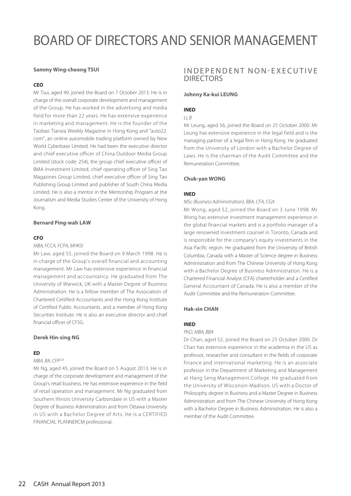# BOARD OF DIRECTORS AND SENIOR MANAGEMENT

#### **Sammy Wing-cheong TSUI**

#### **CEO**

Mr Tsui, aged 49, joined the Board on 7 October 2013. He is in charge of the overall corporate development and management of the Group. He has worked in the advertising and media field for more than 22 years. He has extensive experience in marketing and management. He is the founder of the Taobao Tianxia Weekly Magazine in Hong Kong and "auto22. com", an online automobile trading platform owned by New World Cyberbase Limited. He had been the executive director and chief executive officer of China Outdoor Media Group Limited (stock code: 254), the group chief executive officer of BMA Investment Limited, chief operating officer of Sing Tao Magazines Group Limited, chief executive officer of Sing Tao Publishing Group Limited and publisher of South China Media Limited. He is also a mentor in the Mentorship Program at the Journalism and Media Studies Center of the University of Hong Kong.

#### **Bernard Ping-wah LAW**

#### **CFO**

#### MBA, FCCA, FCPA, MHKSI

Mr Law, aged 55, joined the Board on 9 March 1998. He is in charge of the Group's overall financial and accounting management. Mr Law has extensive experience in financial management and accountancy. He graduated from The University of Warwick, UK with a Master Degree of Business Administration. He is a fellow member of The Association of Chartered Certified Accountants and the Hong Kong Institute of Certified Public Accountants, and a member of Hong Kong Securities Institute. He is also an executive director and chief financial officer of CFSG.

#### **Derek Hin-sing NG**

#### **ED**

#### MBA, BA, CFPCM

Mr Ng, aged 45, joined the Board on 5 August 2013. He is in charge of the corporate development and management of the Group's retail business. He has extensive experience in the field of retail operation and management. Mr Ng graduated from Southern Illinois University Carbondale in US with a Master Degree of Business Administration and from Ottawa University in US with a Bachelor Degree of Arts. He is a CERTIFIED FINANCIAL PLANNERCM professional.

### I N D E P E N D E N T N O N - E X E C U T I V E DIRECTORS

#### **Johnny Ka-kui LEUNG**

#### **INED**

 $II \, B$ 

Mr Leung, aged 56, joined the Board on 25 October 2000. Mr Leung has extensive experience in the legal field and is the managing partner of a legal firm in Hong Kong. He graduated from the University of London with a Bachelor Degree of Laws. He is the chairman of the Audit Committee and the Remuneration Committee.

#### **Chuk-yan WONG**

#### **INED**

MSc (Business Administration), BBA, CFA, CGA

Mr Wong, aged 52, joined the Board on 3 June 1998. Mr Wong has extensive investment management experience in the global financial markets and is a portfolio manager of a large renowned investment counsel in Toronto, Canada and is responsible for the company's equity investments in the Asia Pacific region. He graduated from the University of British Columbia, Canada with a Master of Science degree in Business Administration and from The Chinese University of Hong Kong with a Bachelor Degree of Business Administration. He is a Chartered Financial Analyst (CFA) charterholder and a Certified General Accountant of Canada. He is also a member of the Audit Committee and the Remuneration Committee.

#### **Hak-sin CHAN**

#### **INED**

#### PhD, MBA, BBA

Dr Chan, aged 52, joined the Board on 25 October 2000. Dr Chan has extensive experience in the academia in the US as professor, researcher and consultant in the fields of corporate finance and international marketing. He is an associate professor in the Department of Marketing and Management at Hang Seng Management College. He graduated from the University of Wisconsin-Madison, US with a Doctor of Philosophy degree in Business and a Master Degree in Business Administration and from The Chinese University of Hong Kong with a Bachelor Degree in Business Administration. He is also a member of the Audit Committee.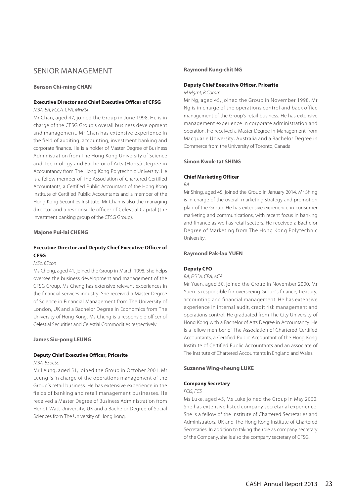### SENIOR MANAGEMENT

#### **Benson Chi-ming CHAN**

#### **Executive Director and Chief Executive Officer of CFSG**

MBA, BA, FCCA, CPA, MHKSI

Mr Chan, aged 47, joined the Group in June 1998. He is in charge of the CFSG Group's overall business development and management. Mr Chan has extensive experience in the field of auditing, accounting, investment banking and corporate finance. He is a holder of Master Degree of Business Administration from The Hong Kong University of Science and Technology and Bachelor of Arts (Hons.) Degree in Accountancy from The Hong Kong Polytechnic University. He is a fellow member of The Association of Chartered Certified Accountants, a Certified Public Accountant of the Hong Kong Institute of Certified Public Accountants and a member of the Hong Kong Securities Institute. Mr Chan is also the managing director and a responsible officer of Celestial Capital (the investment banking group of the CFSG Group).

#### **Majone Pui-lai CHENG**

#### **Executive Director and Deputy Chief Executive Officer of CFSG**

MSc, BEcon

Ms Cheng, aged 41, joined the Group in March 1998. She helps oversee the business development and management of the CFSG Group. Ms Cheng has extensive relevant experiences in the financial services industry. She received a Master Degree of Science in Financial Management from The University of London, UK and a Bachelor Degree in Economics from The University of Hong Kong. Ms Cheng is a responsible officer of Celestial Securities and Celestial Commodities respectively.

#### **James Siu-pong LEUNG**

#### **Deputy Chief Executive Officer, Pricerite**

MBA, BSocSc

Mr Leung, aged 51, joined the Group in October 2001. Mr Leung is in charge of the operations management of the Group's retail business. He has extensive experience in the fields of banking and retail management businesses. He received a Master Degree of Business Administration from Heriot-Watt University, UK and a Bachelor Degree of Social Sciences from The University of Hong Kong.

#### **Raymond Kung-chit NG**

#### **Deputy Chief Executive Officer, Pricerite**

M Mgmt, B Comm

Mr Ng, aged 45, joined the Group in November 1998. Mr Ng is in charge of the operations control and back office management of the Group's retail business. He has extensive management experience in corporate administration and operation. He received a Master Degree in Management from Macquarie University, Australia and a Bachelor Degree in Commerce from the University of Toronto, Canada.

#### **Simon Kwok-tat SHING**

#### **Chief Marketing Officer**

BA

Mr Shing, aged 45, joined the Group in January 2014. Mr Shing is in charge of the overall marketing strategy and promotion plan of the Group. He has extensive experience in consumer marketing and communications, with recent focus in banking and finance as well as retail sectors. He received a Bachelor Degree of Marketing from The Hong Kong Polytechnic University.

#### **Raymond Pak-lau YUEN**

#### **Deputy CFO**

BA, FCCA, CPA, ACA

Mr Yuen, aged 50, joined the Group in November 2000. Mr Yuen is responsible for overseeing Group's finance, treasury, accounting and financial management. He has extensive experience in internal audit, credit risk management and operations control. He graduated from The City University of Hong Kong with a Bachelor of Arts Degree in Accountancy. He is a fellow member of The Association of Chartered Certified Accountants, a Certified Public Accountant of the Hong Kong Institute of Certified Public Accountants and an associate of The Institute of Chartered Accountants in England and Wales.

#### **Suzanne Wing-sheung LUKE**

#### **Company Secretary**

#### FCIS, FCS

Ms Luke, aged 45, Ms Luke joined the Group in May 2000. She has extensive listed company secretarial experience. She is a fellow of the Institute of Chartered Secretaries and Administrators, UK and The Hong Kong Institute of Chartered Secretaries. In addition to taking the role as company secretary of the Company, she is also the company secretary of CFSG.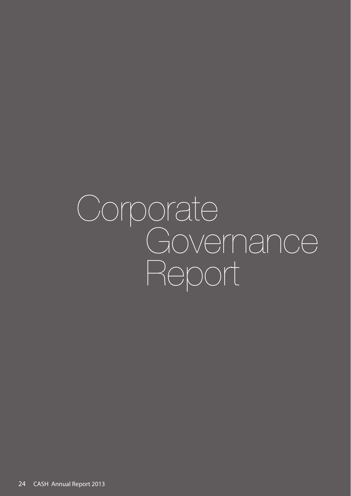# Corporate Governance Report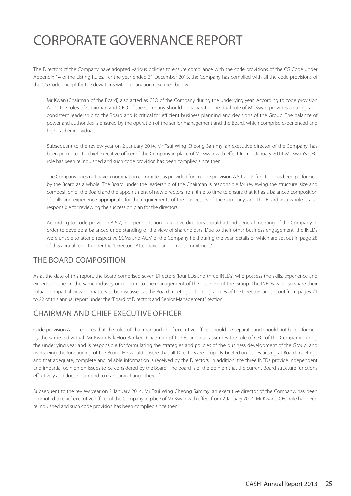# CORPORATE GOVERNANCE REPORT

The Directors of the Company have adopted various policies to ensure compliance with the code provisions of the CG Code under Appendix 14 of the Listing Rules. For the year ended 31 December 2013, the Company has complied with all the code provisions of the CG Code, except for the deviations with explanation described below:

i. Mr Kwan (Chairman of the Board) also acted as CEO of the Company during the underlying year. According to code provision A.2.1, the roles of Chairman and CEO of the Company should be separate. The dual role of Mr Kwan provides a strong and consistent leadership to the Board and is critical for efficient business planning and decisions of the Group. The balance of power and authorities is ensured by the operation of the senior management and the Board, which comprise experienced and high caliber individuals.

Subsequent to the review year on 2 January 2014, Mr Tsui Wing Cheong Sammy, an executive director of the Company, has been promoted to chief executive officer of the Company in place of Mr Kwan with effect from 2 January 2014. Mr Kwan's CEO role has been relinquished and such code provision has been complied since then.

- ii. The Company does not have a nomination committee as provided for in code provision A.5.1 as its function has been performed by the Board as a whole. The Board under the leadership of the Chairman is responsible for reviewing the structure, size and composition of the Board and the appointment of new directors from time to time to ensure that it has a balanced composition of skills and experience appropriate for the requirements of the businesses of the Company, and the Board as a whole is also responsible for reviewing the succession plan for the directors.
- iii. According to code provision A.6.7, independent non-executive directors should attend general meeting of the Company in order to develop a balanced understanding of the view of shareholders. Due to their other business engagement, the INEDs were unable to attend respective SGMs and AGM of the Company held during the year, details of which are set out in page 28 of this annual report under the "Directors' Attendance and Time Commitment".

# THE BOARD COMPOSITION

As at the date of this report, the Board comprised seven Directors (four EDs and three INEDs) who possess the skills, experience and expertise either in the same industry or relevant to the management of the business of the Group. The INEDs will also share their valuable impartial view on matters to be discussed at the Board meetings. The biographies of the Directors are set out from pages 21 to 22 of this annual report under the "Board of Directors and Senior Management" section.

# CHAIRMAN AND CHIEF EXECUTIVE OFFICER

Code provision A.2.1 requires that the roles of chairman and chief executive officer should be separate and should not be performed by the same individual. Mr Kwan Pak Hoo Bankee, Chairman of the Board, also assumes the role of CEO of the Company during the underlying year and is responsible for formulating the strategies and policies of the business development of the Group, and overseeing the functioning of the Board. He would ensure that all Directors are properly briefed on issues arising at Board meetings and that adequate, complete and reliable information is received by the Directors. In addition, the three INEDs provide independent and impartial opinion on issues to be considered by the Board. The board is of the opinion that the current Board structure functions effectively and does not intend to make any change thereof.

Subsequent to the review year on 2 January 2014, Mr Tsui Wing Cheong Sammy, an executive director of the Company, has been promoted to chief executive officer of the Company in place of Mr Kwan with effect from 2 January 2014. Mr Kwan's CEO role has been relinquished and such code provision has been complied since then.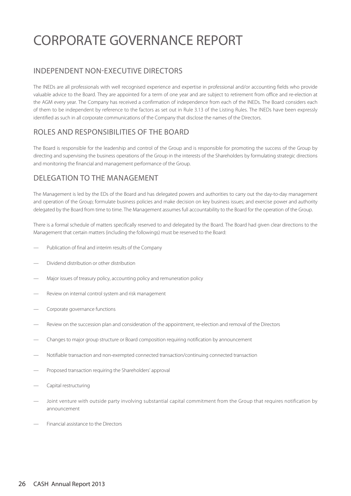# CORPORATE GOVERNANCE REPORT

# INDEPENDENT NON-EXECUTIVE DIRECTORS

The INEDs are all professionals with well recognised experience and expertise in professional and/or accounting fields who provide valuable advice to the Board. They are appointed for a term of one year and are subject to retirement from office and re-election at the AGM every year. The Company has received a confirmation of independence from each of the INEDs. The Board considers each of them to be independent by reference to the factors as set out in Rule 3.13 of the Listing Rules. The INEDs have been expressly identified as such in all corporate communications of the Company that disclose the names of the Directors.

## ROLES AND RESPONSIBILITIES OF THE BOARD

The Board is responsible for the leadership and control of the Group and is responsible for promoting the success of the Group by directing and supervising the business operations of the Group in the interests of the Shareholders by formulating strategic directions and monitoring the financial and management performance of the Group.

# DELEGATION TO THE MANAGEMENT

The Management is led by the EDs of the Board and has delegated powers and authorities to carry out the day-to-day management and operation of the Group; formulate business policies and make decision on key business issues; and exercise power and authority delegated by the Board from time to time. The Management assumes full accountability to the Board for the operation of the Group.

There is a formal schedule of matters specifically reserved to and delegated by the Board. The Board had given clear directions to the Management that certain matters (including the followings) must be reserved to the Board:

- Publication of final and interim results of the Company
- Dividend distribution or other distribution
- Major issues of treasury policy, accounting policy and remuneration policy
- Review on internal control system and risk management
- Corporate governance functions
- Review on the succession plan and consideration of the appointment, re-election and removal of the Directors
- Changes to major group structure or Board composition requiring notification by announcement
- Notifiable transaction and non-exempted connected transaction/continuing connected transaction
- Proposed transaction requiring the Shareholders' approval
- Capital restructuring
- Joint venture with outside party involving substantial capital commitment from the Group that requires notification by announcement
- Financial assistance to the Directors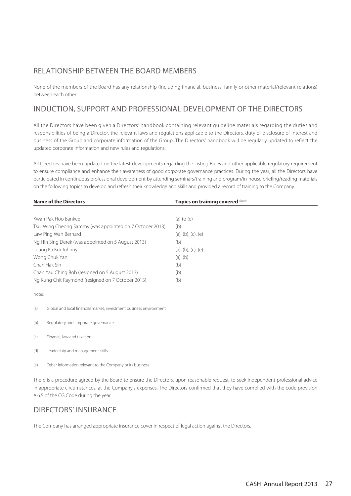# RELATIONSHIP BETWEEN THE BOARD MEMBERS

None of the members of the Board has any relationship (including financial, business, family or other material/relevant relations) between each other.

## INDUCTION, SUPPORT AND PROFESSIONAL DEVELOPMENT OF THE DIRECTORS

All the Directors have been given a Directors' handbook containing relevant guideline materials regarding the duties and responsibilities of being a Director, the relevant laws and regulations applicable to the Directors, duty of disclosure of interest and business of the Group and corporate information of the Group. The Directors' handbook will be regularly updated to reflect the updated corporate information and new rules and regulations.

All Directors have been updated on the latest developments regarding the Listing Rules and other applicable regulatory requirement to ensure compliance and enhance their awareness of good corporate governance practices. During the year, all the Directors have participated in continuous professional development by attending seminars/training and program/in-house briefing/reading materials on the following topics to develop and refresh their knowledge and skills and provided a record of training to the Company.

| <b>Name of the Directors</b>                             | <b>Topics on training covered (Note)</b> |  |  |
|----------------------------------------------------------|------------------------------------------|--|--|
|                                                          |                                          |  |  |
| Kwan Pak Hoo Bankee                                      | (a) to $(e)$                             |  |  |
| Tsui Wing Cheong Sammy (was appointed on 7 October 2013) | (b)                                      |  |  |
| Law Ping Wah Bernard                                     | $(a)$ , $(b)$ , $(c)$ , $(e)$            |  |  |
| Ng Hin Sing Derek (was appointed on 5 August 2013)       | (b)                                      |  |  |
| Leung Ka Kui Johnny                                      | $(a)$ , $(b)$ , $(c)$ , $(e)$            |  |  |
| Wong Chuk Yan                                            | $(a)$ , $(b)$                            |  |  |
| Chan Hak Sin                                             | (b)                                      |  |  |
| Chan Yau Ching Bob (resigned on 5 August 2013)           | (b)                                      |  |  |
| Ng Kung Chit Raymond (resigned on 7 October 2013)        | (b)                                      |  |  |

Notes:

- (a) Global and local financial market, investment business environment
- (b) Regulatory and corporate governance
- (c) Finance, law and taxation
- (d) Leadership and management skills
- (e) Other information relevant to the Company or its business

There is a procedure agreed by the Board to ensure the Directors, upon reasonable request, to seek independent professional advice in appropriate circumstances, at the Company's expenses. The Directors confirmed that they have complied with the code provision A.6.5 of the CG Code during the year.

## DIRECTORS' INSURANCE

The Company has arranged appropriate insurance cover in respect of legal action against the Directors.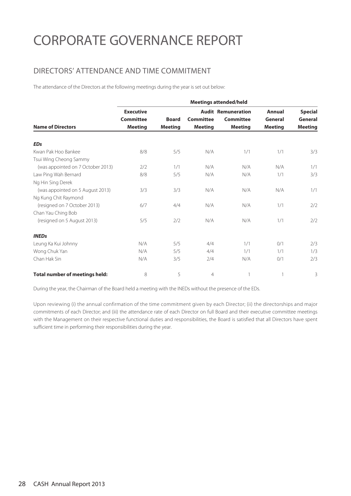# CORPORATE GOVERNANCE REPORT

# DIRECTORS' ATTENDANCE AND TIME COMMITMENT

The attendance of the Directors at the following meetings during the year is set out below:

|                                       | <b>Meetings attended/held</b> |                |                  |                           |                |                |
|---------------------------------------|-------------------------------|----------------|------------------|---------------------------|----------------|----------------|
|                                       | <b>Executive</b>              |                |                  | <b>Audit Remuneration</b> | <b>Annual</b>  | <b>Special</b> |
|                                       | <b>Committee</b>              | <b>Board</b>   | <b>Committee</b> | <b>Committee</b>          | <b>General</b> | General        |
| <b>Name of Directors</b>              | <b>Meeting</b>                | <b>Meeting</b> | <b>Meeting</b>   | <b>Meeting</b>            | <b>Meeting</b> | <b>Meeting</b> |
| <b>EDs</b>                            |                               |                |                  |                           |                |                |
| Kwan Pak Hoo Bankee                   | 8/8                           | 5/5            | N/A              | 1/1                       | 1/1            | 3/3            |
| Tsui Wing Cheong Sammy                |                               |                |                  |                           |                |                |
| (was appointed on 7 October 2013)     | 2/2                           | 1/1            | N/A              | N/A                       | N/A            | 1/1            |
| Law Ping Wah Bernard                  | 8/8                           | 5/5            | N/A              | N/A                       | 1/1            | 3/3            |
| Ng Hin Sing Derek                     |                               |                |                  |                           |                |                |
| (was appointed on 5 August 2013)      | 3/3                           | 3/3            | N/A              | N/A                       | N/A            | 1/1            |
| Ng Kung Chit Raymond                  |                               |                |                  |                           |                |                |
| (resigned on 7 October 2013)          | 6/7                           | 4/4            | N/A              | N/A                       | 1/1            | 2/2            |
| Chan Yau Ching Bob                    |                               |                |                  |                           |                |                |
| (resigned on 5 August 2013)           | 5/5                           | 7/2            | N/A              | N/A                       | 1/1            | 2/2            |
| <b>INEDs</b>                          |                               |                |                  |                           |                |                |
| Leung Ka Kui Johnny                   | N/A                           | 5/5            | 4/4              | 1/1                       | 0/1            | 2/3            |
| Wong Chuk Yan                         | N/A                           | 5/5            | 4/4              | 1/1                       | 1/1            | 1/3            |
| Chan Hak Sin                          | N/A                           | 3/5            | 2/4              | N/A                       | 0/1            | 2/3            |
| <b>Total number of meetings held:</b> | 8                             | 5              | $\overline{4}$   |                           |                | 3              |

During the year, the Chairman of the Board held a meeting with the INEDs without the presence of the EDs.

Upon reviewing (i) the annual confirmation of the time commitment given by each Director; (ii) the directorships and major commitments of each Director; and (iii) the attendance rate of each Director on full Board and their executive committee meetings with the Management on their respective functional duties and responsibilities, the Board is satisfied that all Directors have spent sufficient time in performing their responsibilities during the year.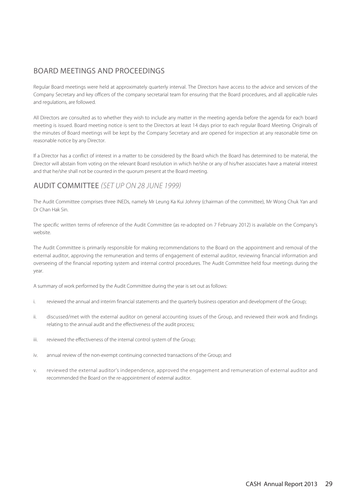# BOARD MEETINGS AND PROCEEDINGS

Regular Board meetings were held at approximately quarterly interval. The Directors have access to the advice and services of the Company Secretary and key officers of the company secretarial team for ensuring that the Board procedures, and all applicable rules and regulations, are followed.

All Directors are consulted as to whether they wish to include any matter in the meeting agenda before the agenda for each board meeting is issued. Board meeting notice is sent to the Directors at least 14 days prior to each regular Board Meeting. Originals of the minutes of Board meetings will be kept by the Company Secretary and are opened for inspection at any reasonable time on reasonable notice by any Director.

If a Director has a conflict of interest in a matter to be considered by the Board which the Board has determined to be material, the Director will abstain from voting on the relevant Board resolution in which he/she or any of his/her associates have a material interest and that he/she shall not be counted in the quorum present at the Board meeting.

## AUDIT COMMITTEE (SET UP ON 28 JUNE 1999)

The Audit Committee comprises three INEDs, namely Mr Leung Ka Kui Johnny (chairman of the committee), Mr Wong Chuk Yan and Dr Chan Hak Sin.

The specific written terms of reference of the Audit Committee (as re-adopted on 7 February 2012) is available on the Company's website.

The Audit Committee is primarily responsible for making recommendations to the Board on the appointment and removal of the external auditor, approving the remuneration and terms of engagement of external auditor, reviewing financial information and overseeing of the financial reporting system and internal control procedures. The Audit Committee held four meetings during the year.

A summary of work performed by the Audit Committee during the year is set out as follows:

- i. reviewed the annual and interim financial statements and the quarterly business operation and development of the Group;
- ii. discussed/met with the external auditor on general accounting issues of the Group, and reviewed their work and findings relating to the annual audit and the effectiveness of the audit process;
- iii. reviewed the effectiveness of the internal control system of the Group;
- iv. annual review of the non-exempt continuing connected transactions of the Group; and
- v. reviewed the external auditor's independence, approved the engagement and remuneration of external auditor and recommended the Board on the re-appointment of external auditor.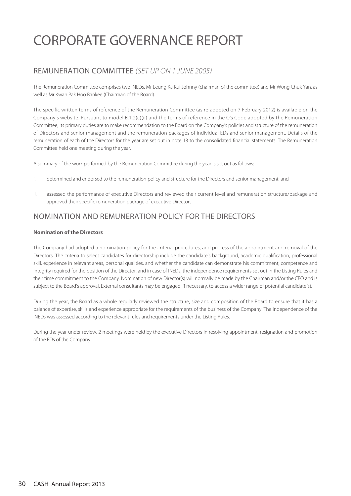# CORPORATE GOVERNANCE REPORT

# REMUNERATION COMMITTEE (SET UP ON 1 JUNE 2005)

The Remuneration Committee comprises two INEDs, Mr Leung Ka Kui Johnny (chairman of the committee) and Mr Wong Chuk Yan, as well as Mr Kwan Pak Hoo Bankee (Chairman of the Board).

The specific written terms of reference of the Remuneration Committee (as re-adopted on 7 February 2012) is available on the Company's website. Pursuant to model B.1.2(c)(ii) and the terms of reference in the CG Code adopted by the Remuneration Committee, its primary duties are to make recommendation to the Board on the Company's policies and structure of the remuneration of Directors and senior management and the remuneration packages of individual EDs and senior management. Details of the remuneration of each of the Directors for the year are set out in note 13 to the consolidated financial statements. The Remuneration Committee held one meeting during the year.

A summary of the work performed by the Remuneration Committee during the year is set out as follows:

- i. determined and endorsed to the remuneration policy and structure for the Directors and senior management; and
- ii. assessed the performance of executive Directors and reviewed their current level and remuneration structure/package and approved their specific remuneration package of executive Directors.

## NOMINATION AND REMUNERATION POLICY FOR THE DIRECTORS

#### **Nomination of the Directors**

The Company had adopted a nomination policy for the criteria, procedures, and process of the appointment and removal of the Directors. The criteria to select candidates for directorship include the candidate's background, academic qualification, professional skill, experience in relevant areas, personal qualities, and whether the candidate can demonstrate his commitment, competence and integrity required for the position of the Director, and in case of INEDs, the independence requirements set out in the Listing Rules and their time commitment to the Company. Nomination of new Director(s) will normally be made by the Chairman and/or the CEO and is subject to the Board's approval. External consultants may be engaged, if necessary, to access a wider range of potential candidate(s).

During the year, the Board as a whole regularly reviewed the structure, size and composition of the Board to ensure that it has a balance of expertise, skills and experience appropriate for the requirements of the business of the Company. The independence of the INEDs was assessed according to the relevant rules and requirements under the Listing Rules.

During the year under review, 2 meetings were held by the executive Directors in resolving appointment, resignation and promotion of the EDs of the Company.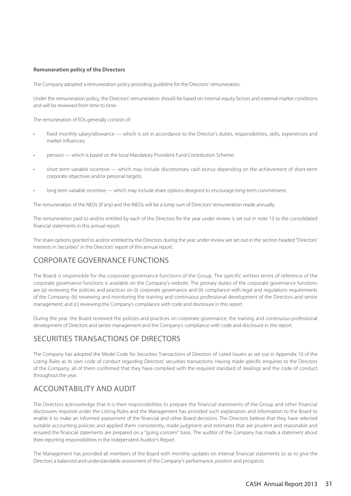#### **Remuneration policy of the Directors**

The Company adopted a remuneration policy providing guideline for the Directors' remuneration.

Under the remuneration policy, the Directors' remuneration should be based on internal equity factors and external market conditions and will be reviewed from time to time.

The remuneration of EDs generally consists of:

- fixed monthly salary/allowance which is set in accordance to the Director's duties, responsibilities, skills, experiences and market influences;
- pension which is based on the local Mandatory Provident Fund Contribution Scheme;
- short term variable incentive which may include discretionary cash bonus depending on the achievement of short-term corporate objectives and/or personal targets;
- long term variable incentive which may include share options designed to encourage long-term commitment.

The remuneration of the NEDs (if any) and the INEDs will be a lump sum of Directors' remuneration made annually.

The remuneration paid to and/or entitled by each of the Directors for the year under review is set out in note 13 to the consolidated financial statements in this annual report.

The share options granted to and/or entitled by the Directors during the year under review are set out in the section headed "Directors' Interests in Securities" in the Directors' report of this annual report.

### CORPORATE GOVERNANCE FUNCTIONS

The Board is responsible for the corporate governance functions of the Group. The specific written terms of reference of the corporate governance functions is available on the Company's website. The primary duties of the corporate governance functions are (a) reviewing the policies and practices on (i) corporate governance and (ii) compliance with legal and regulations requirements of the Company; (b) reviewing and monitoring the training and continuous professional development of the Directors and senior management; and (c) reviewing the Company's compliance with code and disclosure in this report.

During the year, the Board reviewed the policies and practices on corporate governance, the training and continuous professional development of Directors and senior management and the Company's compliance with code and disclosure in this report.

### SECURITIES TRANSACTIONS OF DIRECTORS

The Company has adopted the Model Code for Securities Transactions of Directors of Listed Issuers as set out in Appendix 10 of the Listing Rules as its own code of conduct regarding Directors' securities transactions. Having made specific enquiries to the Directors of the Company, all of them confirmed that they have complied with the required standard of dealings and the code of conduct throughout the year.

## ACCOUNTABILITY AND AUDIT

The Directors acknowledge that it is their responsibilities to prepare the financial statements of the Group and other financial disclosures required under the Listing Rules and the Management has provided such explanation and information to the Board to enable it to make an informed assessment of the financial and other Board decisions. The Directors believe that they have selected suitable accounting policies and applied them consistently, made judgment and estimates that are prudent and reasonable and ensured the financial statements are prepared on a "going concern" basis. The auditor of the Company has made a statement about their reporting responsibilities in the Independent Auditor's Report.

The Management has provided all members of the Board with monthly updates on internal financial statements so as to give the Directors a balanced and understandable assessment of the Company's performance, position and prospects.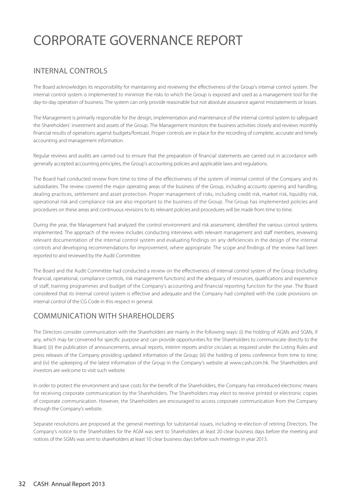# CORPORATE GOVERNANCE REPORT

## INTERNAL CONTROLS

The Board acknowledges its responsibility for maintaining and reviewing the effectiveness of the Group's internal control system. The internal control system is implemented to minimize the risks to which the Group is exposed and used as a management tool for the day-to-day operation of business. The system can only provide reasonable but not absolute assurance against misstatements or losses.

The Management is primarily responsible for the design, implementation and maintenance of the internal control system to safeguard the Shareholders' investment and assets of the Group. The Management monitors the business activities closely and reviews monthly financial results of operations against budgets/forecast. Proper controls are in place for the recording of complete, accurate and timely accounting and management information.

Regular reviews and audits are carried out to ensure that the preparation of financial statements are carried out in accordance with generally accepted accounting principles, the Group's accounting policies and applicable laws and regulations.

The Board had conducted review from time to time of the effectiveness of the system of internal control of the Company and its subsidiaries. The review covered the major operating areas of the business of the Group, including accounts opening and handling, dealing practices, settlement and asset protection. Proper management of risks, including credit risk, market risk, liquidity risk, operational risk and compliance risk are also important to the business of the Group. The Group has implemented policies and procedures on these areas and continuous revisions to its relevant policies and procedures will be made from time to time.

During the year, the Management had analyzed the control environment and risk assessment, identified the various control systems implemented. The approach of the review includes conducting interviews with relevant management and staff members, reviewing relevant documentation of the internal control system and evaluating findings on any deficiencies in the design of the internal controls and developing recommendations for improvement, where appropriate. The scope and findings of the review had been reported to and reviewed by the Audit Committee.

The Board and the Audit Committee had conducted a review on the effectiveness of internal control system of the Group (including financial, operational, compliance controls, risk management functions) and the adequacy of resources, qualifications and experience of staff, training programmes and budget of the Company's accounting and financial reporting function for the year. The Board considered that its internal control system is effective and adequate and the Company had complied with the code provisions on internal control of the CG Code in this respect in general.

## COMMUNICATION WITH SHAREHOLDERS

The Directors consider communication with the Shareholders are mainly in the following ways: (i) the holding of AGMs and SGMs, if any, which may be convened for specific purpose and can provide opportunities for the Shareholders to communicate directly to the Board; (ii) the publication of announcements, annual reports, interim reports and/or circulars as required under the Listing Rules and press releases of the Company providing updated information of the Group; (iii) the holding of press conference from time to time; and (iv) the upkeeping of the latest information of the Group in the Company's website at www.cash.com.hk. The Shareholders and investors are welcome to visit such website.

In order to protect the environment and save costs for the benefit of the Shareholders, the Company has introduced electronic means for receiving corporate communication by the Shareholders. The Shareholders may elect to receive printed or electronic copies of corporate communication. However, the Shareholders are encouraged to access corporate communication from the Company through the Company's website.

Separate resolutions are proposed at the general meetings for substantial issues, including re-election of retiring Directors. The Company's notice to the Shareholders for the AGM was sent to Shareholders at least 20 clear business days before the meeting and notices of the SGMs was sent to shareholders at least 10 clear business days before such meetings in year 2013.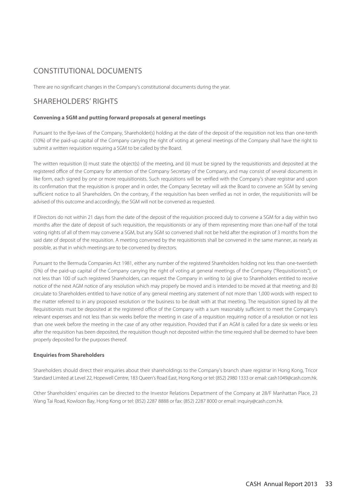# CONSTITUTIONAL DOCUMENTS

There are no significant changes in the Company's constitutional documents during the year.

## SHAREHOLDERS' RIGHTS

#### **Convening a SGM and putting forward proposals at general meetings**

Pursuant to the Bye-laws of the Company, Shareholder(s) holding at the date of the deposit of the requisition not less than one-tenth (10%) of the paid-up capital of the Company carrying the right of voting at general meetings of the Company shall have the right to submit a written requisition requiring a SGM to be called by the Board.

The written requisition (i) must state the object(s) of the meeting, and (ii) must be signed by the requisitionists and deposited at the registered office of the Company for attention of the Company Secretary of the Company, and may consist of several documents in like form, each signed by one or more requisitionists. Such requisitions will be verified with the Company's share registrar and upon its confirmation that the requisition is proper and in order, the Company Secretary will ask the Board to convene an SGM by serving sufficient notice to all Shareholders. On the contrary, if the requisition has been verified as not in order, the requisitionists will be advised of this outcome and accordingly, the SGM will not be convened as requested.

If Directors do not within 21 days from the date of the deposit of the requisition proceed duly to convene a SGM for a day within two months after the date of deposit of such requisition, the requisitionists or any of them representing more than one-half of the total voting rights of all of them may convene a SGM, but any SGM so convened shall not be held after the expiration of 3 months from the said date of deposit of the requisition. A meeting convened by the requisitionists shall be convened in the same manner, as nearly as possible, as that in which meetings are to be convened by directors.

Pursuant to the Bermuda Companies Act 1981, either any number of the registered Shareholders holding not less than one-twentieth (5%) of the paid-up capital of the Company carrying the right of voting at general meetings of the Company ("Requisitionists"), or not less than 100 of such registered Shareholders, can request the Company in writing to (a) give to Shareholders entitled to receive notice of the next AGM notice of any resolution which may properly be moved and is intended to be moved at that meeting; and (b) circulate to Shareholders entitled to have notice of any general meeting any statement of not more than 1,000 words with respect to the matter referred to in any proposed resolution or the business to be dealt with at that meeting. The requisition signed by all the Requisitionists must be deposited at the registered office of the Company with a sum reasonably sufficient to meet the Company's relevant expenses and not less than six weeks before the meeting in case of a requisition requiring notice of a resolution or not less than one week before the meeting in the case of any other requisition. Provided that if an AGM is called for a date six weeks or less after the requisition has been deposited, the requisition though not deposited within the time required shall be deemed to have been properly deposited for the purposes thereof.

#### **Enquiries from Shareholders**

Shareholders should direct their enquiries about their shareholdings to the Company's branch share registrar in Hong Kong, Tricor Standard Limited at Level 22, Hopewell Centre, 183 Queen's Road East, Hong Kong or tel: (852) 2980 1333 or email: cash1049@cash.com.hk.

Other Shareholders' enquiries can be directed to the Investor Relations Department of the Company at 28/F Manhattan Place, 23 Wang Tai Road, Kowloon Bay, Hong Kong or tel: (852) 2287 8888 or fax: (852) 2287 8000 or email: inquiry@cash.com.hk.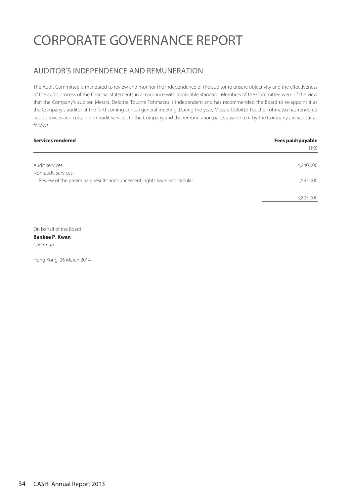# CORPORATE GOVERNANCE REPORT

# AUDITOR'S INDEPENDENCE AND REMUNERATION

The Audit Committee is mandated to review and monitor the independence of the auditor to ensure objectivity and the effectiveness of the audit process of the financial statements in accordance with applicable standard. Members of the Committee were of the view that the Company's auditor, Messrs. Deloitte Touche Tohmatsu is independent and has recommended the Board to re-appoint it as the Company's auditor at the forthcoming annual general meeting. During the year, Messrs. Deloitte Touche Tohmatsu has rendered audit services and certain non-audit services to the Company and the remuneration paid/payable to it by the Company are set out as follows:

| <b>Services rendered</b>                                                  | Fees paid/payable |
|---------------------------------------------------------------------------|-------------------|
|                                                                           | HK\$              |
|                                                                           |                   |
| Audit services                                                            | 4,240,000         |
| Non-audit services:                                                       |                   |
| Review of the preliminary results announcement, rights issue and circular | 1,565,000         |
|                                                                           | 5,805,000         |

On behalf of the Board

**Bankee P. Kwan** Chairman

Hong Kong, 26 March 2014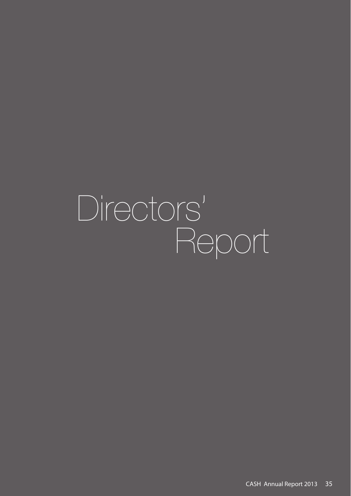# Directors' Report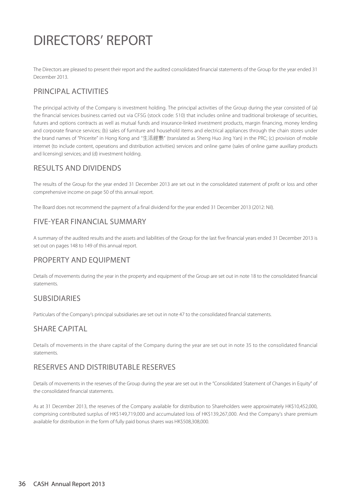# DIRECTORS' REPORT

The Directors are pleased to present their report and the audited consolidated financial statements of the Group for the year ended 31 December 2013.

# PRINCIPAL ACTIVITIES

The principal activity of the Company is investment holding. The principal activities of the Group during the year consisted of (a) the financial services business carried out via CFSG (stock code: 510) that includes online and traditional brokerage of securities, futures and options contracts as well as mutual funds and insurance-linked investment products, margin financing, money lending and corporate finance services; (b) sales of furniture and household items and electrical appliances through the chain stores under the brand names of "Pricerite" in Hong Kong and "生活經艷" (translated as Sheng Huo Jing Yan) in the PRC; (c) provision of mobile internet (to include content, operations and distribution activities) services and online game (sales of online game auxillary products and licensing) services; and (d) investment holding.

# RESULTS AND DIVIDENDS

The results of the Group for the year ended 31 December 2013 are set out in the consolidated statement of profit or loss and other comprehensive income on page 50 of this annual report.

The Board does not recommend the payment of a final dividend for the year ended 31 December 2013 (2012: Nil).

# FIVE-YEAR FINANCIAL SUMMARY

A summary of the audited results and the assets and liabilities of the Group for the last five financial years ended 31 December 2013 is set out on pages 148 to 149 of this annual report.

# PROPERTY AND EQUIPMENT

Details of movements during the year in the property and equipment of the Group are set out in note 18 to the consolidated financial statements.

# SUBSIDIARIES

Particulars of the Company's principal subsidiaries are set out in note 47 to the consolidated financial statements.

# SHARE CAPITAL

Details of movements in the share capital of the Company during the year are set out in note 35 to the consolidated financial statements.

### RESERVES AND DISTRIBUTABLE RESERVES

Details of movements in the reserves of the Group during the year are set out in the "Consolidated Statement of Changes in Equity" of the consolidated financial statements.

As at 31 December 2013, the reserves of the Company available for distribution to Shareholders were approximately HK\$10,452,000, comprising contributed surplus of HK\$149,719,000 and accumulated loss of HK\$139,267,000. And the Company's share premium available for distribution in the form of fully paid bonus shares was HK\$508,308,000.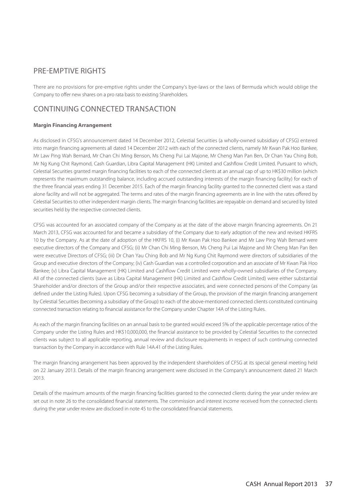### PRE-EMPTIVE RIGHTS

There are no provisions for pre-emptive rights under the Company's bye-laws or the laws of Bermuda which would oblige the Company to offer new shares on a pro rata basis to existing Shareholders.

# CONTINUING CONNECTED TRANSACTION

### **Margin Financing Arrangement**

As disclosed in CFSG's announcement dated 14 December 2012, Celestial Securities (a wholly-owned subsidiary of CFSG) entered into margin financing agreements all dated 14 December 2012 with each of the connected clients, namely Mr Kwan Pak Hoo Bankee, Mr Law Ping Wah Bernard, Mr Chan Chi Ming Benson, Ms Cheng Pui Lai Majone, Mr Cheng Man Pan Ben, Dr Chan Yau Ching Bob, Mr Ng Kung Chit Raymond, Cash Guardian, Libra Capital Management (HK) Limited and Cashflow Credit Limited. Pursuant to which, Celestial Securities granted margin financing facilities to each of the connected clients at an annual cap of up to HK\$30 million (which represents the maximum outstanding balance, including accrued outstanding interests of the margin financing facility) for each of the three financial years ending 31 December 2015. Each of the margin financing facility granted to the connected client was a stand alone facility and will not be aggregated. The terms and rates of the margin financing agreements are in line with the rates offered by Celestial Securities to other independent margin clients. The margin financing facilities are repayable on demand and secured by listed securities held by the respective connected clients.

CFSG was accounted for an associated company of the Company as at the date of the above margin financing agreements. On 21 March 2013, CFSG was accounted for and became a subsidiary of the Company due to early adoption of the new and revised HKFRS 10 by the Company. As at the date of adoption of the HKFRS 10, (i) Mr Kwan Pak Hoo Bankee and Mr Law Ping Wah Bernard were executive directors of the Company and CFSG; (ii) Mr Chan Chi Ming Benson, Ms Cheng Pui Lai Majone and Mr Cheng Man Pan Ben were executive Directors of CFSG; (iii) Dr Chan Yau Ching Bob and Mr Ng Kung Chit Raymond were directors of subsidiaries of the Group and executive directors of the Company; (iv) Cash Guardian was a controlled corporation and an associate of Mr Kwan Pak Hoo Bankee; (v) Libra Capital Management (HK) Limited and Cashflow Credit Limited were wholly-owned subsidiaries of the Company. All of the connected clients (save as Libra Capital Management (HK) Limited and Cashflow Credit Limited) were either substantial Shareholder and/or directors of the Group and/or their respective associates, and were connected persons of the Company (as defined under the Listing Rules). Upon CFSG becoming a subsidiary of the Group, the provision of the margin financing arrangement by Celestial Securities (becoming a subsidiary of the Group) to each of the above-mentioned connected clients constituted continuing connected transaction relating to financial assistance for the Company under Chapter 14A of the Listing Rules.

As each of the margin financing facilities on an annual basis to be granted would exceed 5% of the applicable percentage ratios of the Company under the Listing Rules and HK\$10,000,000, the financial assistance to be provided by Celestial Securities to the connected clients was subject to all applicable reporting, annual review and disclosure requirements in respect of such continuing connected transaction by the Company in accordance with Rule 14A.41 of the Listing Rules.

The margin financing arrangement has been approved by the independent shareholders of CFSG at its special general meeting held on 22 January 2013. Details of the margin financing arrangement were disclosed in the Company's announcement dated 21 March 2013.

Details of the maximum amounts of the margin financing facilities granted to the connected clients during the year under review are set out in note 26 to the consolidated financial statements. The commission and interest income received from the connected clients during the year under review are disclosed in note 45 to the consolidated financial statements.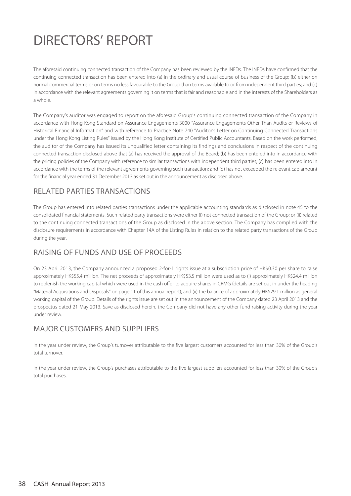# DIRECTORS' REPORT

The aforesaid continuing connected transaction of the Company has been reviewed by the INEDs. The INEDs have confirmed that the continuing connected transaction has been entered into (a) in the ordinary and usual course of business of the Group; (b) either on normal commercial terms or on terms no less favourable to the Group than terms available to or from independent third parties; and (c) in accordance with the relevant agreements governing it on terms that is fair and reasonable and in the interests of the Shareholders as a whole.

The Company's auditor was engaged to report on the aforesaid Group's continuing connected transaction of the Company in accordance with Hong Kong Standard on Assurance Engagements 3000 "Assurance Engagements Other Than Audits or Reviews of Historical Financial Information" and with reference to Practice Note 740 "Auditor's Letter on Continuing Connected Transactions under the Hong Kong Listing Rules" issued by the Hong Kong Institute of Certified Public Accountants. Based on the work performed, the auditor of the Company has issued its unqualified letter containing its findings and conclusions in respect of the continuing connected transaction disclosed above that (a) has received the approval of the Board; (b) has been entered into in accordance with the pricing policies of the Company with reference to similar transactions with independent third parties; (c) has been entered into in accordance with the terms of the relevant agreements governing such transaction; and (d) has not exceeded the relevant cap amount for the financial year ended 31 December 2013 as set out in the announcement as disclosed above.

# RELATED PARTIES TRANSACTIONS

The Group has entered into related parties transactions under the applicable accounting standards as disclosed in note 45 to the consolidated financial statements. Such related party transactions were either (i) not connected transaction of the Group; or (ii) related to the continuing connected transactions of the Group as disclosed in the above section. The Company has complied with the disclosure requirements in accordance with Chapter 14A of the Listing Rules in relation to the related party transactions of the Group during the year.

# RAISING OF FUNDS AND USE OF PROCEEDS

On 23 April 2013, the Company announced a proposed 2-for-1 rights issue at a subscription price of HK\$0.30 per share to raise approximately HK\$55.4 million. The net proceeds of approximately HK\$53.5 million were used as to (i) approximately HK\$24.4 million to replenish the working capital which were used in the cash offer to acquire shares in CRMG (details are set out in under the heading "Material Acquisitions and Disposals" on page 11 of this annual report); and (ii) the balance of approximately HK\$29.1 million as general working capital of the Group. Details of the rights issue are set out in the announcement of the Company dated 23 April 2013 and the prospectus dated 21 May 2013. Save as disclosed herein, the Company did not have any other fund raising activity during the year under review.

# MAJOR CUSTOMERS AND SUPPLIERS

In the year under review, the Group's turnover attributable to the five largest customers accounted for less than 30% of the Group's total turnover.

In the year under review, the Group's purchases attributable to the five largest suppliers accounted for less than 30% of the Group's total purchases.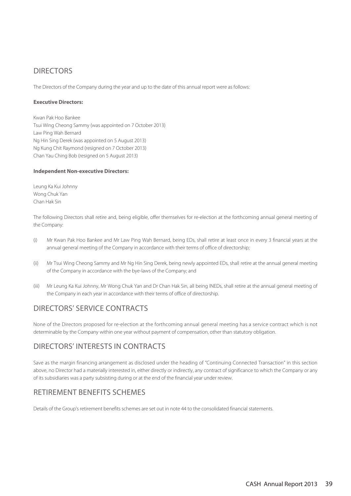# **DIRECTORS**

The Directors of the Company during the year and up to the date of this annual report were as follows:

### **Executive Directors:**

Kwan Pak Hoo Bankee Tsui Wing Cheong Sammy (was appointed on 7 October 2013) Law Ping Wah Bernard Ng Hin Sing Derek (was appointed on 5 August 2013) Ng Kung Chit Raymond (resigned on 7 October 2013) Chan Yau Ching Bob (resigned on 5 August 2013)

### **Independent Non-executive Directors:**

Leung Ka Kui Johnny Wong Chuk Yan Chan Hak Sin

The following Directors shall retire and, being eligible, offer themselves for re-election at the forthcoming annual general meeting of the Company:

- (i) Mr Kwan Pak Hoo Bankee and Mr Law Ping Wah Bernard, being EDs, shall retire at least once in every 3 financial years at the annual general meeting of the Company in accordance with their terms of office of directorship;
- (ii) Mr Tsui Wing Cheong Sammy and Mr Ng Hin Sing Derek, being newly appointed EDs, shall retire at the annual general meeting of the Company in accordance with the bye-laws of the Company; and
- (iii) Mr Leung Ka Kui Johnny, Mr Wong Chuk Yan and Dr Chan Hak Sin, all being INEDs, shall retire at the annual general meeting of the Company in each year in accordance with their terms of office of directorship.

# DIRECTORS' SERVICE CONTRACTS

None of the Directors proposed for re-election at the forthcoming annual general meeting has a service contract which is not determinable by the Company within one year without payment of compensation, other than statutory obligation.

# DIRECTORS' INTERESTS IN CONTRACTS

Save as the margin financing arrangement as disclosed under the heading of "Continuing Connected Transaction" in this section above, no Director had a materially interested in, either directly or indirectly, any contract of significance to which the Company or any of its subsidiaries was a party subsisting during or at the end of the financial year under review.

### RETIREMENT BENEFITS SCHEMES

Details of the Group's retirement benefits schemes are set out in note 44 to the consolidated financial statements.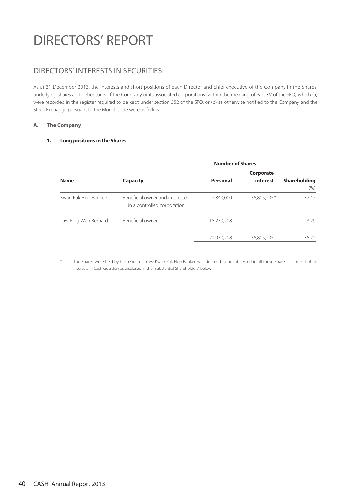# DIRECTORS' REPORT

# DIRECTORS' INTERESTS IN SECURITIES

As at 31 December 2013, the interests and short positions of each Director and chief executive of the Company in the Shares, underlying shares and debentures of the Company or its associated corporations (within the meaning of Part XV of the SFO) which (a) were recorded in the register required to be kept under section 352 of the SFO; or (b) as otherwise notified to the Company and the Stock Exchange pursuant to the Model Code were as follows:

### **A. The Company**

### **1. Long positions in the Shares**

|                      |                                                                | <b>Number of Shares</b> |                       |                             |  |
|----------------------|----------------------------------------------------------------|-------------------------|-----------------------|-----------------------------|--|
| <b>Name</b>          | <b>Capacity</b>                                                | Personal                | Corporate<br>interest | <b>Shareholding</b><br>(% ) |  |
| Kwan Pak Hoo Bankee  | Beneficial owner and interested<br>in a controlled corporation | 2,840,000               | 176,805,205*          | 32.42                       |  |
| Law Ping Wah Bernard | Beneficial owner                                               | 18,230,208              |                       | 3.29                        |  |
|                      |                                                                | 21.070.208              | 176,805,205           | 35.71                       |  |

The Shares were held by Cash Guardian. Mr Kwan Pak Hoo Bankee was deemed to be interested in all these Shares as a result of his interests in Cash Guardian as disclosed in the "Substantial Shareholders" below.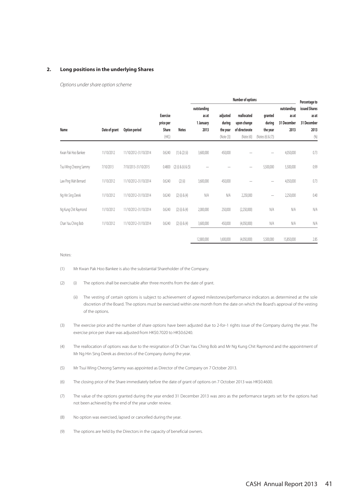#### **2. Long positions in the underlying Shares**

Options under share option scheme

|                        |               |                       |                 |                        | <b>Number of options</b> |            |                |                   |             |                                |
|------------------------|---------------|-----------------------|-----------------|------------------------|--------------------------|------------|----------------|-------------------|-------------|--------------------------------|
|                        |               |                       |                 |                        | outstanding              |            |                |                   | outstanding | Percentage to<br>issued Shares |
|                        |               |                       | <b>Exercise</b> |                        | as at                    | adjusted   | reallocated    | granted           | as at       | as at                          |
|                        |               |                       | price per       |                        | 1 January                | during     | upon change    | during            | 31 December | 31 December                    |
| Name                   | Date of grant | Option period         | Share           | <b>Notes</b>           | 2013                     | the year   | of directorate | the year          | 2013        | 2013                           |
|                        |               |                       | $(HK\$          |                        |                          | (Note (3)) | (Note (4))     | (Notes (6) & (7)) |             | (96)                           |
|                        |               |                       |                 |                        |                          |            |                |                   |             |                                |
| Kwan Pak Hoo Bankee    | 11/10/2012    | 11/10/2012-31/10/2014 | 0.6240          | $(1) & (2)$ (ii)       | 3,600,000                | 450,000    |                | —                 | 4,050,000   | 0.73                           |
|                        |               |                       |                 |                        |                          |            |                |                   |             |                                |
| Tsui Wing Cheong Sammy | 7/10/2013     | 7/10/2013-31/10/2015  | 0.4800          | $(2)$ (i) & (ii) & (5) |                          |            |                | 5,500,000         | 5,500,000   | 0.99                           |
|                        |               |                       |                 |                        |                          |            |                |                   |             |                                |
| Law Ping Wah Bernard   | 11/10/2012    | 11/10/2012-31/10/2014 | 0.6240          | $(2)$ (ii)             | 3,600,000                | 450,000    |                |                   | 4,050,000   | 0.73                           |
|                        |               |                       |                 |                        |                          |            |                |                   |             |                                |
| Ng Hin Sing Derek      | 11/10/2012    | 11/10/2012-31/10/2014 | 0.6240          | $(2)$ (ii) & $(4)$     | N/A                      | N/A        | 2,250,000      | —                 | 2,250,000   | 0.40                           |
|                        |               |                       |                 |                        |                          |            |                |                   |             |                                |
| Ng Kung Chit Raymond   | 11/10/2012    | 11/10/2012-31/10/2014 | 0.6240          | $(2)$ (ii) & $(4)$     | 2,000,000                | 250,000    | (2,250,000)    | N/A               | N/A         | N/A                            |
|                        |               |                       |                 |                        |                          |            |                |                   |             |                                |
| Chan Yau Ching Bob     | 11/10/2012    | 11/10/2012-31/10/2014 | 0.6240          | $(2)$ (ii) & $(4)$     | 3,600,000                | 450,000    | (4,050,000)    | N/A               | N/A         | N/A                            |
|                        |               |                       |                 |                        |                          |            |                |                   |             |                                |
|                        |               |                       |                 |                        | 12,800,000               | 1,600,000  | (4,050,000)    | 5,500,000         | 15,850,000  | 2.85                           |

Notes:

(1) Mr Kwan Pak Hoo Bankee is also the substantial Shareholder of the Company.

(2) (i) The options shall be exercisable after three months from the date of grant.

- (ii) The vesting of certain options is subject to achievement of agreed milestones/performance indicators as determined at the sole discretion of the Board. The options must be exercised within one month from the date on which the Board's approval of the vesting of the options.
- (3) The exercise price and the number of share options have been adjusted due to 2-for-1 rights issue of the Company during the year. The exercise price per share was adjusted from HK\$0.7020 to HK\$0.6240.
- (4) The reallocation of options was due to the resignation of Dr Chan Yau Ching Bob and Mr Ng Kung Chit Raymond and the appointment of Mr Ng Hin Sing Derek as directors of the Company during the year.
- (5) Mr Tsui Wing Cheong Sammy was appointed as Director of the Company on 7 October 2013.
- (6) The closing price of the Share immediately before the date of grant of options on 7 October 2013 was HK\$0.4600.
- (7) The value of the options granted during the year ended 31 December 2013 was zero as the performance targets set for the options had not been achieved by the end of the year under review.
- (8) No option was exercised, lapsed or cancelled during the year.
- (9) The options are held by the Directors in the capacity of beneficial owners.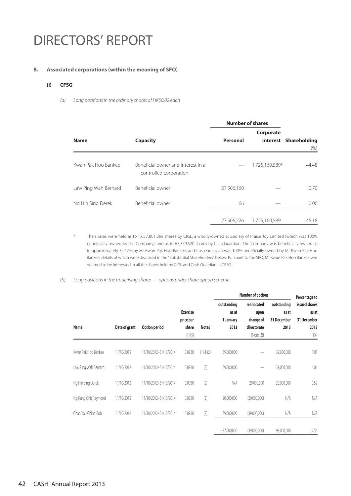# DIRECTORS' REPORT

### **B. Associated corporations (within the meaning of SFO)**

### **(i) CFSG**

(a) Long positions in the ordinary shares of HK\$0.02 each

|                      |                                                              | <b>Number of shares</b> |                |                               |  |
|----------------------|--------------------------------------------------------------|-------------------------|----------------|-------------------------------|--|
| <b>Name</b>          | <b>Capacity</b>                                              | Personal                | Corporate      | interest Shareholding<br>(% ) |  |
| Kwan Pak Hoo Bankee  | Beneficial owner and interest in a<br>controlled corporation |                         | 1,725,160,589* | 44.48                         |  |
| Law Ping Wah Bernard | Beneficial owner                                             | 27,506,160              |                | 0.70                          |  |
| Ng Hin Sing Derek    | Beneficial owner                                             | 66                      |                | 0.00                          |  |
|                      |                                                              | 27,506,226              | 1,725,160,589  | 45.18                         |  |

\* The shares were held as to 1,657,801,069 shares by CIGL, a wholly-owned subsidiary of Praise Joy Limited (which was 100% beneficially owned by the Company), and as to 67,359,520 shares by Cash Guardian. The Company was beneficially owned as to approximately 32.42% by Mr Kwan Pak Hoo Bankee, and Cash Guardian was 100% beneficially owned by Mr Kwan Pak Hoo Bankee, details of which were disclosed in the "Substantial Shareholders" below. Pursuant to the SFO, Mr Kwan Pak Hoo Bankee was deemed to be interested in all the shares held by CIGL and Cash Guardian in CFSG.

(b) Long positions in the underlying shares — options under share option scheme

|                      |               |                       |                 |              |             | <b>Number of options</b> |             | Percentage to |
|----------------------|---------------|-----------------------|-----------------|--------------|-------------|--------------------------|-------------|---------------|
|                      |               |                       |                 |              | outstanding | reallocated              | outstanding | issued shares |
|                      |               |                       | <b>Exercise</b> |              | as at       | upon                     | as at       | as at         |
|                      |               |                       | price per       |              | 1 January   | change of                | 31 December | 31 December   |
| <b>Name</b>          | Date of grant | Option period         | share           | <b>Notes</b> | 2013        | directorate              | 2013        | 2013          |
|                      |               |                       | $(HK\zeta)$     |              |             | (Note (3))               |             | (%)           |
| Kwan Pak Hoo Bankee  | 11/10/2012    | 11/10/2012-31/10/2014 | 0.0930          | (1) & (2)    | 39,000,000  |                          | 39,000,000  | 1.01          |
| Law Ping Wah Bernard | 11/10/2012    | 11/10/2012-31/10/2014 | 0.0930          | (2)          | 39,000,000  |                          | 39,000,000  | 1.01          |
| Ng Hin Sing Derek    | 11/10/2012    | 11/10/2012-31/10/2014 | 0.0930          | (2)          | N/A         | 20,000,000               | 20,000,000  | 0.52          |
| Ng Kung Chit Raymond | 11/10/2012    | 11/10/2012-31/10/2014 | 0.0930          | (2)          | 20,000,000  | (20,000,000)             | N/A         | N/A           |
| Chan Yau Ching Bob   | 11/10/2012    | 11/10/2012-31/10/2014 | 0.0930          | (2)          | 39,000,000  | (39,000,000)             | N/A         | N/A           |
|                      |               |                       |                 |              | 137,000,000 | (39,000,000)             | 98,000,000  | 2.54          |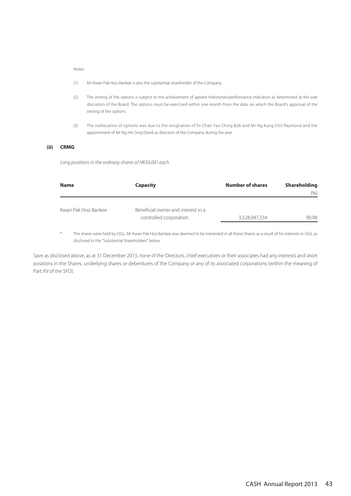#### Notes:

- (1) Mr Kwan Pak Hoo Bankee is also the substantial shareholder of the Company.
- (2) The vesting of the options is subject to the achievement of agreed milestones/performance indicators as determined at the sole discretion of the Board. The options must be exercised within one month from the date on which the Board's approval of the vesting of the options.
- (3) The reallocation of options was due to the resignation of Dr Chan Yau Ching Bob and Mr Ng Kung Chit Raymond and the appointment of Mr Ng Hin Sing Derek as directors of the Company during the year.

### **(ii) CRMG**

Long positions in the ordinary shares of HK\$0.001 each

| <b>Capacity</b>                                              | <b>Number of shares</b> | <b>Shareholding</b><br>(% ) |
|--------------------------------------------------------------|-------------------------|-----------------------------|
| Beneficial owner and interest in a<br>controlled corporation | 3,528,047,334           | 90.98                       |
|                                                              |                         |                             |

The shares were held by CIGL. Mr Kwan Pak Hoo Bankee was deemed to be interested in all these Shares as a result of his interests in CIGL as disclosed in the "Substantial Shareholders" below.

Save as disclosed above, as at 31 December 2013, none of the Directors, chief executives or their associates had any interests and short positions in the Shares, underlying shares or debentures of the Company or any of its associated corporations (within the meaning of Part XV of the SFO).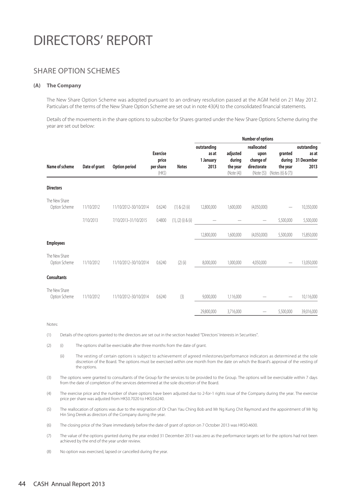# DIRECTORS' REPORT

### SHARE OPTION SCHEMES

#### **(A) The Company**

The New Share Option Scheme was adopted pursuant to an ordinary resolution passed at the AGM held on 21 May 2012. Particulars of the terms of the New Share Option Scheme are set out in note 43(A) to the consolidated financial statements.

Details of the movements in the share options to subscribe for Shares granted under the New Share Options Scheme during the year are set out below:

|                                |               |                                                                                                                                | <b>Number of options</b>                        |                              |                                           |                                             |                                                               |                                                    |                                             |  |  |
|--------------------------------|---------------|--------------------------------------------------------------------------------------------------------------------------------|-------------------------------------------------|------------------------------|-------------------------------------------|---------------------------------------------|---------------------------------------------------------------|----------------------------------------------------|---------------------------------------------|--|--|
| Name of scheme                 | Date of grant | <b>Option period</b>                                                                                                           | <b>Exercise</b><br>price<br>per share<br>$(HK\$ | <b>Notes</b>                 | outstanding<br>as at<br>1 January<br>2013 | adjusted<br>during<br>the year<br>(Note(4)) | reallocated<br>upon<br>change of<br>directorate<br>(Note (5)) | granted<br>during<br>the year<br>(Notes (6) & (7)) | outstanding<br>as at<br>31 December<br>2013 |  |  |
| <b>Directors</b>               |               |                                                                                                                                |                                                 |                              |                                           |                                             |                                                               |                                                    |                                             |  |  |
| The New Share<br>Option Scheme | 11/10/2012    | 11/10/2012-30/10/2014                                                                                                          | 0.6240                                          | $(1) & (2)$ (ii)             | 12,800,000                                | 1,600,000                                   | (4,050,000)                                                   |                                                    | 10,350,000                                  |  |  |
|                                | 7/10/2013     | 7/10/2013-31/10/2015                                                                                                           | 0.4800                                          | $(1)$ , $(2)$ $(i)$ & $(ii)$ |                                           |                                             |                                                               | 5,500,000                                          | 5,500,000                                   |  |  |
|                                |               |                                                                                                                                |                                                 |                              | 12,800,000                                | 1,600,000                                   | (4,050,000)                                                   | 5,500,000                                          | 15,850,000                                  |  |  |
| <b>Employees</b>               |               |                                                                                                                                |                                                 |                              |                                           |                                             |                                                               |                                                    |                                             |  |  |
| The New Share<br>Option Scheme | 11/10/2012    | 11/10/2012-30/10/2014                                                                                                          | 0.6240                                          | $(2)$ (ii)                   | 8,000,000                                 | 1,000,000                                   | 4,050,000                                                     |                                                    | 13,050,000                                  |  |  |
| <b>Consultants</b>             |               |                                                                                                                                |                                                 |                              |                                           |                                             |                                                               |                                                    |                                             |  |  |
| The New Share<br>Option Scheme | 11/10/2012    | 11/10/2012-30/10/2014                                                                                                          | 0.6240                                          | (3)                          | 9,000,000                                 | 1,116,000                                   |                                                               |                                                    | 10,116,000                                  |  |  |
|                                |               |                                                                                                                                |                                                 |                              | 29,800,000                                | 3,716,000                                   |                                                               | 5,500,000                                          | 39,016,000                                  |  |  |
| Notes:                         |               |                                                                                                                                |                                                 |                              |                                           |                                             |                                                               |                                                    |                                             |  |  |
| (1)                            |               | Details of the options granted to the directors are set out in the section headed "Directors' Interests in Securities".        |                                                 |                              |                                           |                                             |                                                               |                                                    |                                             |  |  |
| (2)<br>(i)                     |               | The options shall be exercisable after three months from the date of grant.                                                    |                                                 |                              |                                           |                                             |                                                               |                                                    |                                             |  |  |
| (ii)                           |               | The vesting of certain options is subject to achievement of agreed milestones/performance indicators as determined at the sole |                                                 |                              |                                           |                                             |                                                               |                                                    |                                             |  |  |

discretion of the Board. The options must be exercised within one month from the date on which the Board's approval of the vesting of the options.

(3) The options were granted to consultants of the Group for the services to be provided to the Group. The options will be exercisable within 7 days from the date of completion of the services determined at the sole discretion of the Board.

(4) The exercise price and the number of share options have been adjusted due to 2-for-1 rights issue of the Company during the year. The exercise price per share was adjusted from HK\$0.7020 to HK\$0.6240.

(5) The reallocation of options was due to the resignation of Dr Chan Yau Ching Bob and Mr Ng Kung Chit Raymond and the appointment of Mr Ng Hin Sing Derek as directors of the Company during the year.

(6) The closing price of the Share immediately before the date of grant of option on 7 October 2013 was HK\$0.4600.

(7) The value of the options granted during the year ended 31 December 2013 was zero as the performance targets set for the options had not been achieved by the end of the year under review.

(8) No option was exercised, lapsed or cancelled during the year.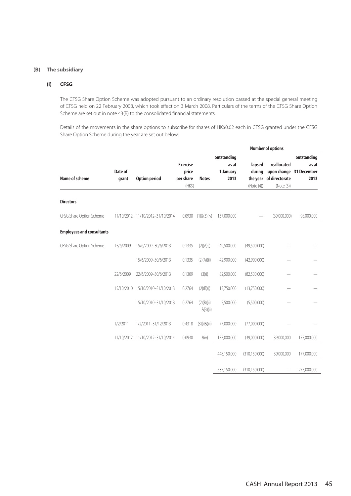### **(B) The subsidiary**

#### **(i) CFSG**

The CFSG Share Option Scheme was adopted pursuant to an ordinary resolution passed at the special general meeting of CFSG held on 22 February 2008, which took effect on 3 March 2008. Particulars of the terms of the CFSG Share Option Scheme are set out in note 43(B) to the consolidated financial statements.

Details of the movements in the share options to subscribe for shares of HK\$0.02 each in CFSG granted under the CFSG Share Option Scheme during the year are set out below:

|                                  |                  |                                  |                                                 |                        | <b>Number of options</b>                  |                               |                                                      |                                                         |
|----------------------------------|------------------|----------------------------------|-------------------------------------------------|------------------------|-------------------------------------------|-------------------------------|------------------------------------------------------|---------------------------------------------------------|
| Name of scheme                   | Date of<br>grant | <b>Option period</b>             | <b>Exercise</b><br>price<br>per share<br>$(HK\$ | <b>Notes</b>           | outstanding<br>as at<br>1 January<br>2013 | lapsed<br>during<br>(Note(4)) | reallocated<br>the year of directorate<br>(Note (5)) | outstanding<br>as at<br>upon change 31 December<br>2013 |
| <b>Directors</b>                 |                  |                                  |                                                 |                        |                                           |                               |                                                      |                                                         |
| CFSG Share Option Scheme         |                  | 11/10/2012 11/10/2012-31/10/2014 | 0.0930                                          | $(1)$ & $(3)$ (iv)     | 137,000,000                               |                               | (39,000,000)                                         | 98,000,000                                              |
| <b>Employees and consultants</b> |                  |                                  |                                                 |                        |                                           |                               |                                                      |                                                         |
| CFSG Share Option Scheme         | 15/6/2009        | 15/6/2009-30/6/2013              | 0.1335                                          | (2)(A)(i)              | 49,500,000                                | (49,500,000)                  |                                                      |                                                         |
|                                  |                  | 15/6/2009-30/6/2013              | 0.1335                                          | (2)(A)(ii)             | 42,900,000                                | (42,900,000)                  |                                                      |                                                         |
|                                  | 22/6/2009        | 22/6/2009-30/6/2013              | 0.1309                                          | (3)(i)                 | 82,500,000                                | (82,500,000)                  |                                                      |                                                         |
|                                  | 15/10/2010       | 15/10/2010-31/10/2013            | 0.2764                                          | (2)(B)(i)              | 13,750,000                                | (13,750,000)                  |                                                      |                                                         |
|                                  |                  | 15/10/2010-31/10/2013            | 0.2764                                          | (2)(B)(ii)<br>&(3)(ii) | 5,500,000                                 | (5,500,000)                   |                                                      |                                                         |
|                                  | 1/2/2011         | 1/2/2011-31/12/2013              | 0.4318                                          | $(3)(i)$ &(iii)        | 77,000,000                                | (77,000,000)                  |                                                      |                                                         |
|                                  |                  | 11/10/2012 11/10/2012-31/10/2014 | 0.0930                                          | 3(iv)                  | 177,000,000                               | (39,000,000)                  | 39,000,000                                           | 177,000,000                                             |
|                                  |                  |                                  |                                                 |                        | 448,150,000                               | (310, 150, 000)               | 39,000,000                                           | 177,000,000                                             |
|                                  |                  |                                  |                                                 |                        | 585,150,000                               | (310, 150, 000)               |                                                      | 275,000,000                                             |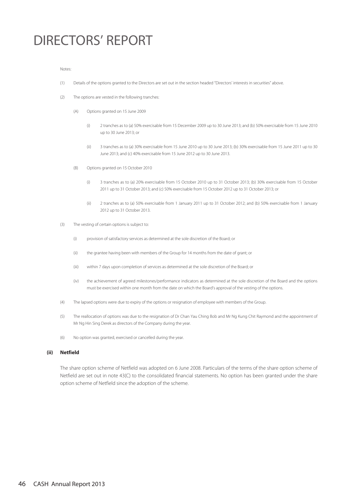# DIRECTORS' REPORT

#### Notes:

- (1) Details of the options granted to the Directors are set out in the section headed "Directors' interests in securities" above.
- (2) The options are vested in the following tranches:
	- (A) Options granted on 15 June 2009
		- (i) 2 tranches as to (a) 50% exercisable from 15 December 2009 up to 30 June 2013; and (b) 50% exercisable from 15 June 2010 up to 30 June 2013; or
		- (ii) 3 tranches as to (a) 30% exercisable from 15 June 2010 up to 30 June 2013; (b) 30% exercisable from 15 June 2011 up to 30 June 2013; and (c) 40% exercisable from 15 June 2012 up to 30 June 2013.
	- (B) Options granted on 15 October 2010
		- (i) 3 tranches as to (a) 20% exercisable from 15 October 2010 up to 31 October 2013; (b) 30% exercisable from 15 October 2011 up to 31 October 2013; and (c) 50% exercisable from 15 October 2012 up to 31 October 2013; or
		- (ii) 2 tranches as to (a) 50% exercisable from 1 January 2011 up to 31 October 2012; and (b) 50% exercisable from 1 January 2012 up to 31 October 2013.
- (3) The vesting of certain options is subject to:
	- (i) provision of satisfactory services as determined at the sole discretion of the Board; or
	- (ii) the grantee having been with members of the Group for 14 months from the date of grant; or
	- (iii) within 7 days upon completion of services as determined at the sole discretion of the Board; or
	- (iv) the achievement of agreed milestones/performance indicators as determined at the sole discretion of the Board and the options must be exercised within one month from the date on which the Board's approval of the vesting of the options.
- (4) The lapsed options were due to expiry of the options or resignation of employee with members of the Group.
- (5) The reallocation of options was due to the resignation of Dr Chan Yau Ching Bob and Mr Ng Kung Chit Raymond and the appointment of Mr Ng Hin Sing Derek as directors of the Company during the year.
- (6) No option was granted, exercised or cancelled during the year.

#### **(ii) Netfield**

The share option scheme of Netfield was adopted on 6 June 2008. Particulars of the terms of the share option scheme of Netfield are set out in note 43(C) to the consolidated financial statements. No option has been granted under the share option scheme of Netfield since the adoption of the scheme.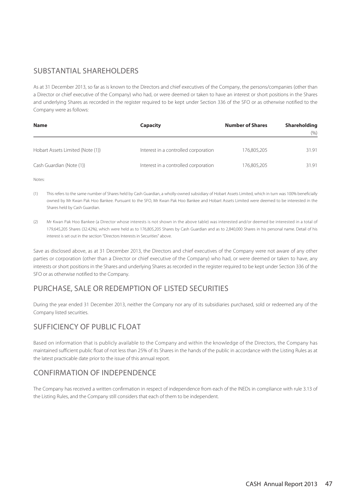# SUBSTANTIAL SHARFHOLDERS

As at 31 December 2013, so far as is known to the Directors and chief executives of the Company, the persons/companies (other than a Director or chief executive of the Company) who had, or were deemed or taken to have an interest or short positions in the Shares and underlying Shares as recorded in the register required to be kept under Section 336 of the SFO or as otherwise notified to the Company were as follows:

| <b>Name</b>                      | Capacity                             | <b>Number of Shares</b> | <b>Shareholding</b><br>(% ) |
|----------------------------------|--------------------------------------|-------------------------|-----------------------------|
| Hobart Assets Limited (Note (1)) | Interest in a controlled corporation | 176,805,205             | 31.91                       |
| Cash Guardian (Note (1))         | Interest in a controlled corporation | 176,805,205             | 31.91                       |

Notes:

- (1) This refers to the same number of Shares held by Cash Guardian, a wholly-owned subsidiary of Hobart Assets Limited, which in turn was 100% beneficially owned by Mr Kwan Pak Hoo Bankee. Pursuant to the SFO, Mr Kwan Pak Hoo Bankee and Hobart Assets Limited were deemed to be interested in the Shares held by Cash Guardian.
- (2) Mr Kwan Pak Hoo Bankee (a Director whose interests is not shown in the above table) was interested and/or deemed be interested in a total of 179,645,205 Shares (32.42%), which were held as to 176,805,205 Shares by Cash Guardian and as to 2,840,000 Shares in his personal name. Detail of his interest is set out in the section "Directors Interests in Securities" above.

Save as disclosed above, as at 31 December 2013, the Directors and chief executives of the Company were not aware of any other parties or corporation (other than a Director or chief executive of the Company) who had, or were deemed or taken to have, any interests or short positions in the Shares and underlying Shares as recorded in the register required to be kept under Section 336 of the SFO or as otherwise notified to the Company.

# PURCHASE, SALE OR REDEMPTION OF LISTED SECURITIES

During the year ended 31 December 2013, neither the Company nor any of its subsidiaries purchased, sold or redeemed any of the Company listed securities.

# SUFFICIENCY OF PUBLIC FLOAT

Based on information that is publicly available to the Company and within the knowledge of the Directors, the Company has maintained sufficient public float of not less than 25% of its Shares in the hands of the public in accordance with the Listing Rules as at the latest practicable date prior to the issue of this annual report.

# CONFIRMATION OF INDEPENDENCE

The Company has received a written confirmation in respect of independence from each of the INEDs in compliance with rule 3.13 of the Listing Rules, and the Company still considers that each of them to be independent.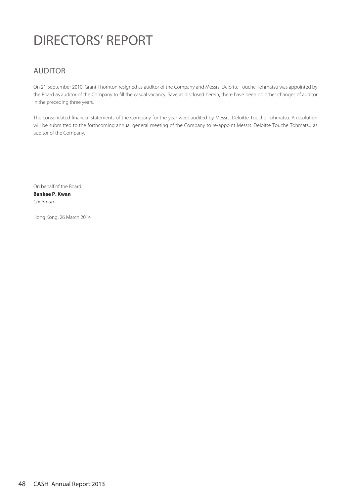# DIRECTORS' REPORT

# AUDITOR

On 21 September 2010, Grant Thornton resigned as auditor of the Company and Messrs. Deloitte Touche Tohmatsu was appointed by the Board as auditor of the Company to fill the casual vacancy. Save as disclosed herein, there have been no other changes of auditor in the preceding three years.

The consolidated financial statements of the Company for the year were audited by Messrs. Deloitte Touche Tohmatsu. A resolution will be submitted to the forthcoming annual general meeting of the Company to re-appoint Messrs. Deloitte Touche Tohmatsu as auditor of the Company.

On behalf of the Board **Bankee P. Kwan** Chairman

Hong Kong, 26 March 2014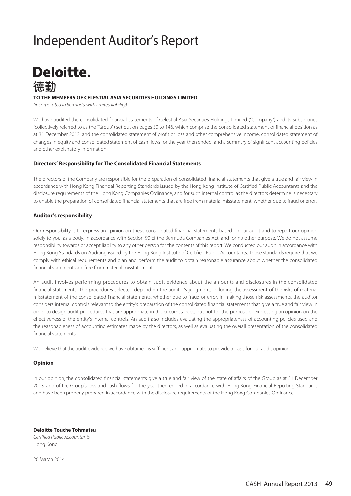# Independent Auditor's Report



#### **TO THE MEMBERS OF CELESTIAL ASIA SECURITIES HOLDINGS LIMITED**

(incorporated in Bermuda with limited liability)

We have audited the consolidated financial statements of Celestial Asia Securities Holdings Limited ("Company") and its subsidiaries (collectively referred to as the "Group") set out on pages 50 to 146, which comprise the consolidated statement of financial position as at 31 December 2013, and the consolidated statement of profit or loss and other comprehensive income, consolidated statement of changes in equity and consolidated statement of cash flows for the year then ended, and a summary of significant accounting policies and other explanatory information.

#### **Directors' Responsibility for The Consolidated Financial Statements**

The directors of the Company are responsible for the preparation of consolidated financial statements that give a true and fair view in accordance with Hong Kong Financial Reporting Standards issued by the Hong Kong Institute of Certified Public Accountants and the disclosure requirements of the Hong Kong Companies Ordinance, and for such internal control as the directors determine is necessary to enable the preparation of consolidated financial statements that are free from material misstatement, whether due to fraud or error.

#### **Auditor's responsibility**

Our responsibility is to express an opinion on these consolidated financial statements based on our audit and to report our opinion solely to you, as a body, in accordance with Section 90 of the Bermuda Companies Act, and for no other purpose. We do not assume responsibility towards or accept liability to any other person for the contents of this report. We conducted our audit in accordance with Hong Kong Standards on Auditing issued by the Hong Kong Institute of Certified Public Accountants. Those standards require that we comply with ethical requirements and plan and perform the audit to obtain reasonable assurance about whether the consolidated financial statements are free from material misstatement.

An audit involves performing procedures to obtain audit evidence about the amounts and disclosures in the consolidated financial statements. The procedures selected depend on the auditor's judgment, including the assessment of the risks of material misstatement of the consolidated financial statements, whether due to fraud or error. In making those risk assessments, the auditor considers internal controls relevant to the entity's preparation of the consolidated financial statements that give a true and fair view in order to design audit procedures that are appropriate in the circumstances, but not for the purpose of expressing an opinion on the effectiveness of the entity's internal controls. An audit also includes evaluating the appropriateness of accounting policies used and the reasonableness of accounting estimates made by the directors, as well as evaluating the overall presentation of the consolidated financial statements.

We believe that the audit evidence we have obtained is sufficient and appropriate to provide a basis for our audit opinion.

#### **Opinion**

In our opinion, the consolidated financial statements give a true and fair view of the state of affairs of the Group as at 31 December 2013, and of the Group's loss and cash flows for the year then ended in accordance with Hong Kong Financial Reporting Standards and have been properly prepared in accordance with the disclosure requirements of the Hong Kong Companies Ordinance.

**Deloitte Touche Tohmatsu** Certified Public Accountants

Hong Kong

26 March 2014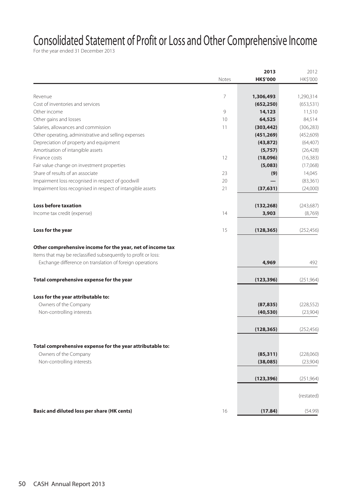# Consolidated Statement of Profit or Loss and Other Comprehensive Income

For the year ended 31 December 2013

|                                                                |       | 2013            | 2012       |
|----------------------------------------------------------------|-------|-----------------|------------|
|                                                                | Notes | <b>HK\$'000</b> | HK\$'000   |
|                                                                |       |                 |            |
| Revenue                                                        | 7     | 1,306,493       | 1,290,314  |
| Cost of inventories and services                               |       | (652, 250)      | (653, 531) |
| Other income                                                   | 9     | 14,123          | 11,510     |
| Other gains and losses                                         | 10    | 64,525          | 84,514     |
| Salaries, allowances and commission                            | 11    | (303, 442)      | (306, 283) |
| Other operating, administrative and selling expenses           |       | (451, 269)      | (452, 609) |
| Depreciation of property and equipment                         |       | (43, 872)       | (64, 407)  |
| Amortisation of intangible assets                              |       | (5,757)         | (26, 428)  |
| Finance costs                                                  | 12    | (18,096)        | (16, 383)  |
| Fair value change on investment properties                     |       | (5,083)         | (17,068)   |
| Share of results of an associate                               | 23    | (9)             | 14,045     |
| Impairment loss recognised in respect of goodwill              | 20    |                 | (83, 361)  |
| Impairment loss recognised in respect of intangible assets     | 21    | (37, 631)       | (24,000)   |
| <b>Loss before taxation</b>                                    |       | (132, 268)      | (243, 687) |
| Income tax credit (expense)                                    | 14    | 3,903           | (8,769)    |
|                                                                |       |                 |            |
| Loss for the year                                              | 15    | (128, 365)      | (252, 456) |
| Other comprehensive income for the year, net of income tax     |       |                 |            |
| Items that may be reclassified subsequently to profit or loss: |       |                 |            |
| Exchange difference on translation of foreign operations       |       | 4,969           | 492        |
|                                                                |       |                 |            |
| Total comprehensive expense for the year                       |       | (123, 396)      | (251,964)  |
| Loss for the year attributable to:                             |       |                 |            |
| Owners of the Company                                          |       | (87, 835)       | (228, 552) |
| Non-controlling interests                                      |       | (40, 530)       | (23,904)   |
|                                                                |       |                 |            |
|                                                                |       | (128, 365)      | (252, 456) |
|                                                                |       |                 |            |
| Total comprehensive expense for the year attributable to:      |       |                 |            |
| Owners of the Company                                          |       | (85, 311)       | (228,060)  |
| Non-controlling interests                                      |       | (38,085)        | (23,904)   |
|                                                                |       | (123, 396)      | (251,964)  |
|                                                                |       |                 | (restated) |
|                                                                |       |                 |            |
| <b>Basic and diluted loss per share (HK cents)</b>             | 16    | (17.84)         | (54.99)    |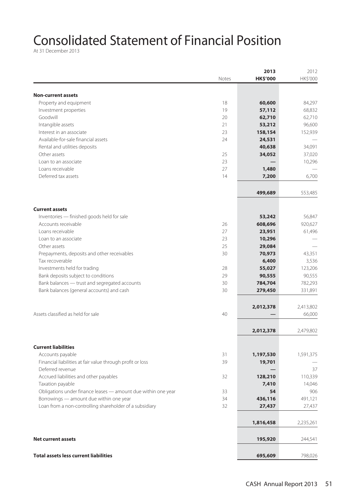# Consolidated Statement of Financial Position

At 31 December 2013

|                                                               |       | 2013            | 2012      |
|---------------------------------------------------------------|-------|-----------------|-----------|
|                                                               | Notes | <b>HK\$'000</b> | HK\$'000  |
|                                                               |       |                 |           |
| <b>Non-current assets</b>                                     |       |                 |           |
| Property and equipment                                        | 18    | 60,600          | 84,297    |
| Investment properties                                         | 19    | 57,112          | 68,832    |
| Goodwill                                                      | 20    | 62,710          | 62,710    |
| Intangible assets                                             | 21    | 53,212          | 96,600    |
| Interest in an associate                                      | 23    | 158,154         | 152,939   |
| Available-for-sale financial assets                           | 24    | 24,531          |           |
| Rental and utilities deposits                                 |       | 40,638          | 34,091    |
| Other assets                                                  | 25    | 34,052          | 37,020    |
| Loan to an associate                                          | 23    |                 | 10,296    |
| Loans receivable                                              | 27    | 1,480           |           |
| Deferred tax assets                                           | 14    | 7,200           | 6,700     |
|                                                               |       | 499,689         | 553,485   |
|                                                               |       |                 |           |
| <b>Current assets</b>                                         |       |                 |           |
| Inventories - finished goods held for sale                    |       | 53,242          | 56,847    |
| Accounts receivable                                           | 26    | 608,696         | 920,627   |
| Loans receivable                                              | 27    | 23,951          | 61,496    |
| Loan to an associate                                          | 23    | 10,296          |           |
| Other assets                                                  | 25    | 29,084          |           |
| Prepayments, deposits and other receivables                   | 30    | 70,973          | 43,351    |
| Tax recoverable                                               |       | 6,400           | 3,536     |
| Investments held for trading                                  | 28    | 55,027          | 123,206   |
| Bank deposits subject to conditions                           | 29    | 90,555          | 90,555    |
| Bank balances - trust and segregated accounts                 | 30    | 784,704         | 782,293   |
| Bank balances (general accounts) and cash                     | 30    | 279,450         | 331,891   |
|                                                               |       | 2,012,378       | 2,413,802 |
| Assets classified as held for sale                            | 40    |                 | 66,000    |
|                                                               |       |                 |           |
|                                                               |       | 2,012,378       | 2,479,802 |
| <b>Current liabilities</b>                                    |       |                 |           |
| Accounts payable                                              | 31    | 1,197,530       | 1,591,375 |
| Financial liabilities at fair value through profit or loss    | 39    | 19,701          |           |
| Deferred revenue                                              |       |                 | 37        |
| Accrued liabilities and other payables                        | 32    | 128,210         | 110,339   |
| Taxation payable                                              |       | 7,410           | 14,046    |
| Obligations under finance leases - amount due within one year | 33    | 54              | 906       |
| Borrowings - amount due within one year                       | 34    | 436,116         | 491,121   |
| Loan from a non-controlling shareholder of a subsidiary       | 32    | 27,437          | 27,437    |
|                                                               |       |                 |           |
|                                                               |       | 1,816,458       | 2,235,261 |
| <b>Net current assets</b>                                     |       | 195,920         | 244,541   |
| <b>Total assets less current liabilities</b>                  |       | 695,609         | 798,026   |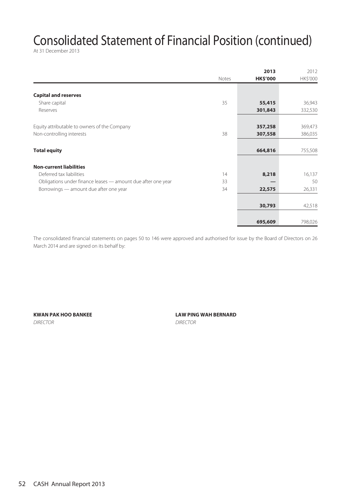# Consolidated Statement of Financial Position (continued)

At 31 December 2013

|                                                              |       | 2013            | 2012     |
|--------------------------------------------------------------|-------|-----------------|----------|
|                                                              | Notes | <b>HK\$'000</b> | HK\$'000 |
|                                                              |       |                 |          |
| <b>Capital and reserves</b>                                  |       |                 |          |
| Share capital                                                | 35    | 55,415          | 36,943   |
| Reserves                                                     |       | 301,843         | 332,530  |
| Equity attributable to owners of the Company                 |       | 357,258         | 369,473  |
|                                                              |       |                 |          |
| Non-controlling interests                                    | 38    | 307,558         | 386,035  |
| <b>Total equity</b>                                          |       | 664,816         | 755,508  |
| <b>Non-current liabilities</b>                               |       |                 |          |
| Deferred tax liabilities                                     | 14    | 8,218           | 16,137   |
| Obligations under finance leases - amount due after one year | 33    |                 | 50       |
| Borrowings - amount due after one year                       | 34    | 22,575          | 26,331   |
|                                                              |       |                 |          |
|                                                              |       | 30,793          | 42,518   |
|                                                              |       | 695,609         | 798,026  |

The consolidated financial statements on pages 50 to 146 were approved and authorised for issue by the Board of Directors on 26 March 2014 and are signed on its behalf by:

DIRECTOR DIRECTOR

KWAN PAK HOO BANKEE **LAW PING WAH BERNARD**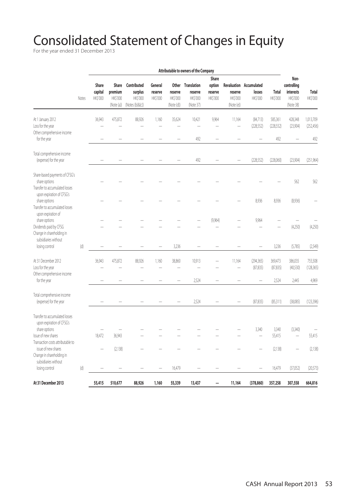# Consolidated Statement of Changes in Equity

For the year ended 31 December 2013

|                                                                                                    |       |                                     |                                            |                                                       |                                |                                            | Attributable to owners of the Company                  |                                        |                                    |                                               |                          |                                                           |                          |
|----------------------------------------------------------------------------------------------------|-------|-------------------------------------|--------------------------------------------|-------------------------------------------------------|--------------------------------|--------------------------------------------|--------------------------------------------------------|----------------------------------------|------------------------------------|-----------------------------------------------|--------------------------|-----------------------------------------------------------|--------------------------|
|                                                                                                    | Notes | <b>Share</b><br>capital<br>HK\$'000 | Share<br>premium<br>HK\$'000<br>(Note (a)) | Contributed<br>surplus<br>HK\$'000<br>(Notes (b)&(c)) | General<br>reserve<br>HK\$'000 | Other<br>reserve<br>HK\$'000<br>(Note (d)) | <b>Translation</b><br>reserve<br>HK\$'000<br>(Note 37) | Share<br>option<br>reserve<br>HK\$'000 | reserve<br>HK\$'000<br>(Note (e))  | Revaluation Accumulated<br>losses<br>HK\$'000 | <b>Total</b><br>HK\$'000 | Non-<br>controlling<br>interests<br>HK\$'000<br>(Note 38) | <b>Total</b><br>HK\$'000 |
| At 1 January 2012<br>Loss for the year                                                             |       | 36,943                              | 475,872                                    | 88,926                                                | 1,160                          | 35,624                                     | 10,421                                                 | 9,964                                  | 11,164<br>$\overline{\phantom{0}}$ | (84, 713)<br>(228, 552)                       | 585,361<br>(228, 552)    | 428,348<br>(23,904)                                       | 1,013,709<br>(252, 456)  |
| Other comprehensive income<br>for the year                                                         |       |                                     |                                            |                                                       |                                |                                            | 492                                                    |                                        |                                    |                                               | 492                      |                                                           | 492                      |
| Total comprehensive income<br>(expense) for the year                                               |       |                                     |                                            |                                                       |                                |                                            | 492                                                    |                                        |                                    | (228, 552)                                    | (228,060)                | (23,904)                                                  | (251, 964)               |
| Share-based payments of CFSG's<br>share options<br>Transfer to accumulated losses                  |       |                                     |                                            |                                                       |                                |                                            |                                                        |                                        |                                    |                                               |                          | 562                                                       | 562                      |
| upon expiration of CFSG's<br>share options<br>Transfer to accumulated losses<br>upon expiration of |       |                                     |                                            |                                                       |                                |                                            |                                                        |                                        |                                    | 8,936                                         | 8,936                    | (8,936)                                                   |                          |
| share options<br>Dividends paid by CFSG<br>Change in shareholding in                               |       |                                     |                                            |                                                       |                                |                                            |                                                        | (9,964)                                |                                    | 9,964                                         |                          | (4,250)                                                   | (4,250)                  |
| subsidiaries without<br>losing control                                                             | (d)   |                                     |                                            |                                                       |                                | 3,236                                      |                                                        |                                        |                                    |                                               | 3,236                    | (5,785)                                                   | (2, 549)                 |
| At 31 December 2012<br>Loss for the year<br>Other comprehensive income                             |       | 36,943                              | 475,872                                    | 88,926                                                | 1,160                          | 38,860                                     | 10,913                                                 |                                        | 11,164                             | (294, 365)<br>(87, 835)                       | 369,473<br>(87, 835)     | 386,035<br>(40,530)                                       | 755,508<br>(128, 365)    |
| for the year                                                                                       |       |                                     |                                            |                                                       |                                |                                            | 2,524                                                  |                                        |                                    |                                               | 2,524                    | 2,445                                                     | 4,969                    |
| Total comprehensive income<br>(expense) for the year                                               |       |                                     |                                            |                                                       |                                |                                            | 2,524                                                  |                                        |                                    | (87, 835)                                     | (85,311)                 | (38,085)                                                  | (123, 396)               |
| Transfer to accumulated losses<br>upon expiration of CFSG's<br>share options                       |       |                                     |                                            |                                                       |                                |                                            |                                                        |                                        |                                    | 3,340                                         | 3,340                    | (3,340)                                                   |                          |
| Issue of new shares<br>Transaction costs attributable to                                           |       | 18,472                              | 36,943                                     |                                                       |                                |                                            |                                                        |                                        |                                    |                                               | 55,415                   |                                                           | 55,415                   |
| issue of new shares<br>Change in shareholding in<br>subsidiaries without                           |       |                                     | (2, 138)                                   |                                                       |                                |                                            |                                                        |                                        |                                    |                                               | (2, 138)                 |                                                           | (2, 138)                 |
| losing control                                                                                     | $(d)$ |                                     |                                            |                                                       |                                | 16,479                                     |                                                        |                                        |                                    |                                               | 16,479                   | (37,052)                                                  | (20, 573)                |
| At 31 December 2013                                                                                |       | 55,415                              | 510,677                                    | 88,926                                                | 1,160                          | 55,339                                     | 13,437                                                 | —                                      | 11,164                             | (378, 860)                                    | 357,258                  | 307,558                                                   | 664,816                  |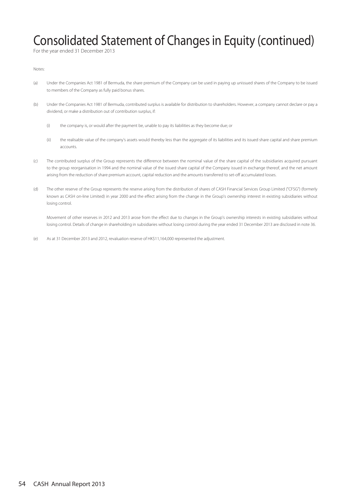# Consolidated Statement of Changes in Equity (continued)

For the year ended 31 December 2013

Notes:

- (a) Under the Companies Act 1981 of Bermuda, the share premium of the Company can be used in paying up unissued shares of the Company to be issued to members of the Company as fully paid bonus shares.
- (b) Under the Companies Act 1981 of Bermuda, contributed surplus is available for distribution to shareholders. However, a company cannot declare or pay a dividend, or make a distribution out of contribution surplus, if:
	- (i) the company is, or would after the payment be, unable to pay its liabilities as they become due; or
	- (ii) the realisable value of the company's assets would thereby less than the aggregate of its liabilities and its issued share capital and share premium accounts.
- (c) The contributed surplus of the Group represents the difference between the nominal value of the share capital of the subsidiaries acquired pursuant to the group reorganisation in 1994 and the nominal value of the issued share capital of the Company issued in exchange thereof, and the net amount arising from the reduction of share premium account, capital reduction and the amounts transferred to set-off accumulated losses.
- (d) The other reserve of the Group represents the reserve arising from the distribution of shares of CASH Financial Services Group Limited ("CFSG") (formerly known as CASH on-line Limited) in year 2000 and the effect arising from the change in the Group's ownership interest in existing subsidiaries without losing control.

Movement of other reserves in 2012 and 2013 arose from the effect due to changes in the Group's ownership interests in existing subsidiaries without losing control. Details of change in shareholding in subsidiaries without losing control during the year ended 31 December 2013 are disclosed in note 36.

(e) As at 31 December 2013 and 2012, revaluation reserve of HK\$11,164,000 represented the adjustment.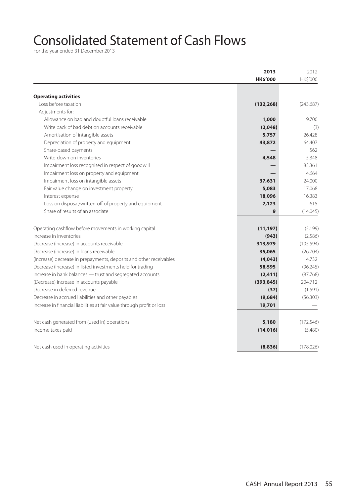# Consolidated Statement of Cash Flows

For the year ended 31 December 2013

|                                                                        | 2013            | 2012                  |
|------------------------------------------------------------------------|-----------------|-----------------------|
|                                                                        | <b>HK\$'000</b> | HK\$'000              |
|                                                                        |                 |                       |
| <b>Operating activities</b>                                            |                 |                       |
| Loss before taxation                                                   | (132, 268)      | (243, 687)            |
| Adjustments for:                                                       |                 |                       |
| Allowance on bad and doubtful loans receivable                         | 1,000           | 9,700                 |
| Write back of bad debt on accounts receivable                          | (2,048)         | (3)                   |
| Amortisation of intangible assets                                      | 5,757           | 26,428                |
| Depreciation of property and equipment                                 | 43,872          | 64,407                |
| Share-based payments                                                   |                 | 562                   |
| Write-down on inventories                                              | 4,548           | 5,348                 |
| Impairment loss recognised in respect of goodwill                      |                 | 83,361                |
| Impairment loss on property and equipment                              |                 | 4,664                 |
| Impairment loss on intangible assets                                   | 37,631          | 24,000                |
| Fair value change on investment property                               | 5,083           | 17,068                |
| Interest expense                                                       | 18,096          | 16,383                |
| Loss on disposal/written-off of property and equipment                 | 7,123           | 615                   |
| Share of results of an associate                                       | 9               | (14,045)              |
| Operating cashflow before movements in working capital                 | (11, 197)       | (5, 199)              |
| Increase in inventories                                                | (943)           |                       |
| Decrease (increase) in accounts receivable                             | 313,979         | (2,586)<br>(105, 594) |
| Decrease (increase) in loans receivable                                | 35,065          | (26, 704)             |
| (Increase) decrease in prepayments, deposits and other receivables     | (4,043)         | 4,732                 |
| Decrease (increase) in listed investments held for trading             | 58,595          | (96, 245)             |
| Increase in bank balances - trust and segregated accounts              | (2, 411)        | (87,768)              |
| (Decrease) increase in accounts payable                                | (393, 845)      | 204,712               |
| Decrease in deferred revenue                                           | (37)            | (1, 591)              |
|                                                                        |                 |                       |
| Decrease in accrued liabilities and other payables                     | (9,684)         | (56, 303)             |
| Increase in financial liabilities at fair value through profit or loss | 19,701          |                       |
| Net cash generated from (used in) operations                           | 5,180           | (172, 546)            |
| Income taxes paid                                                      | (14, 016)       | (5,480)               |
| Net cash used in operating activities                                  | (8,836)         | (178,026)             |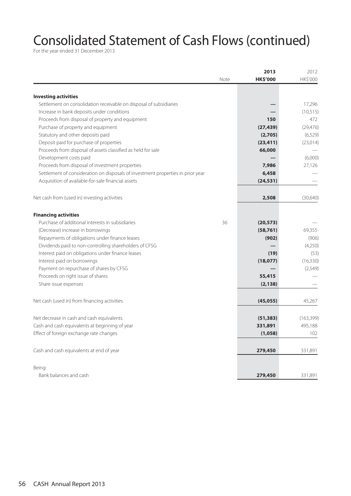# Consolidated Statement of Cash Flows (continued)

For the year ended 31 December 2013

|                                                                                 |      |                 | 2012       |
|---------------------------------------------------------------------------------|------|-----------------|------------|
|                                                                                 | Note | <b>HK\$'000</b> | HK\$'000   |
|                                                                                 |      |                 |            |
| <b>Investing activities</b>                                                     |      |                 |            |
| Settlement on consolidation receivable on disposal of subsidiaries              |      |                 | 17,296     |
| Increase in bank deposits under conditions                                      |      |                 | (10,515)   |
| Proceeds from disposal of property and equipment                                |      | 150             | 472        |
| Purchase of property and equipment                                              |      | (27, 439)       | (29, 476)  |
| Statutory and other deposits paid                                               |      | (2,705)         | (6, 529)   |
| Deposit paid for purchase of properties                                         |      | (23, 411)       | (23,014)   |
| Proceeds from disposal of assets classified as held for sale                    |      | 66,000          |            |
| Development costs paid                                                          |      |                 | (6,000)    |
| Proceeds from disposal of investment properties                                 |      | 7,986           | 27,126     |
| Settlement of consideration on disposals of investment properties in prior year |      | 6,458           |            |
| Acquisition of available-for-sale financial assets                              |      | (24, 531)       |            |
|                                                                                 |      |                 |            |
| Net cash from (used in) investing activities                                    |      | 2,508           | (30,640)   |
|                                                                                 |      |                 |            |
| <b>Financing activities</b>                                                     |      |                 |            |
| Purchase of additional interests in subsidiaries                                | 36   | (20, 573)       |            |
| (Decrease) increase in borrowings                                               |      | (58, 761)       | 69,355     |
| Repayments of obligations under finance leases                                  |      | (902)           | (906)      |
| Dividends paid to non-controlling shareholders of CFSG                          |      |                 | (4,250)    |
| Interest paid on obligations under finance leases                               |      | (19)            | (53)       |
| Interest paid on borrowings                                                     |      | (18, 077)       | (16, 330)  |
| Payment on repurchase of shares by CFSG                                         |      |                 | (2,549)    |
| Proceeds on right issue of shares                                               |      | 55,415          |            |
| Share issue expenses                                                            |      | (2, 138)        |            |
|                                                                                 |      |                 |            |
| Net cash (used in) from financing activities                                    |      | (45, 055)       | 45,267     |
|                                                                                 |      |                 |            |
| Net decrease in cash and cash equivalents                                       |      | (51, 383)       | (163, 399) |
| Cash and cash equivalents at beginning of year                                  |      | 331,891         | 495,188    |
| Effect of foreign exchange rate changes                                         |      | (1,058)         | 102        |
|                                                                                 |      |                 |            |
| Cash and cash equivalents at end of year                                        |      | 279,450         | 331,891    |
| Being:                                                                          |      |                 |            |
| Bank balances and cash                                                          |      | 279,450         | 331,891    |
|                                                                                 |      |                 |            |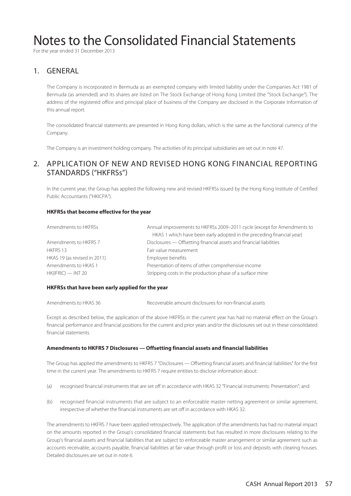# Notes to the Consolidated Financial Statements

For the year ended 31 December 2013

### 1. GENERAL

The Company is incorporated in Bermuda as an exempted company with limited liability under the Companies Act 1981 of Bermuda (as amended) and its shares are listed on The Stock Exchange of Hong Kong Limited (the "Stock Exchange"). The address of the registered office and principal place of business of the Company are disclosed in the Corporate Information of this annual report.

The consolidated financial statements are presented in Hong Kong dollars, which is the same as the functional currency of the Company.

The Company is an investment holding company. The activities of its principal subsidiaries are set out in note 47.

### 2. APPLICATION OF NEW AND REVISED HONG KONG FINANCIAL REPORTING STANDARDS ("HKFRSs")

In the current year, the Group has applied the following new and revised HKFRSs issued by the Hong Kong Institute of Certified Public Accountants ("HKICPA").

### **HKFRSs that become effective for the year**

| Amendments to HKFRSs         | Annual improvements to HKFRSs 2009-2011 cycle (except for Amendments to |
|------------------------------|-------------------------------------------------------------------------|
|                              | HKAS 1 which have been early adopted in the preceding financial year)   |
| Amendments to HKFRS 7        | Disclosures - Offsetting financial assets and financial liabilities     |
| <b>HKFRS 13</b>              | Fair value measurement                                                  |
| HKAS 19 (as revised in 2011) | Employee benefits                                                       |
| Amendments to HKAS 1         | Presentation of items of other comprehensive income                     |
| $HK(IFRIC)$ — INT 20         | Stripping costs in the production phase of a surface mine               |
|                              |                                                                         |

#### **HKFRSs that have been early applied for the year**

Except as described below, the application of the above HKFRSs in the current year has had no material effect on the Group's financial performance and financial positions for the current and prior years and/or the disclosures set out in these consolidated financial statements.

#### **Amendments to HKFRS 7 Disclosures — Offsetting financial assets and financial liabilities**

The Group has applied the amendments to HKFRS 7 "Disclosures — Offsetting financial assets and financial liabilities" for the first time in the current year. The amendments to HKFRS 7 require entities to disclose information about:

- (a) recognised financial instruments that are set off in accordance with HKAS 32 "Financial instruments: Presentation"; and
- (b) recognised financial instruments that are subject to an enforceable master netting agreement or similar agreement, irrespective of whether the financial instruments are set off in accordance with HKAS 32.

The amendments to HKFRS 7 have been applied retrospectively. The application of the amendments has had no material impact on the amounts reported in the Group's consolidated financial statements but has resulted in more disclosures relating to the Group's financial assets and financial liabilities that are subject to enforceable master arrangement or similar agreement such as accounts receivable, accounts payable, financial liabilities at fair value through profit or loss and deposits with clearing houses. Detailed disclosures are set out in note 6.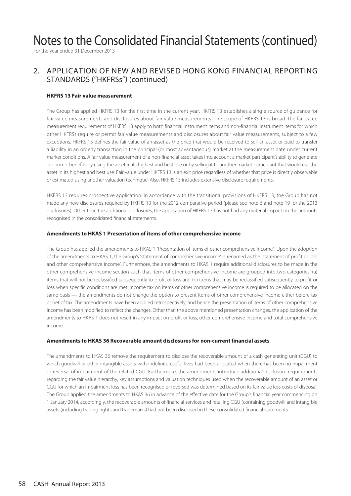For the year ended 31 December 2013

## 2. APPLICATION OF NEW AND REVISED HONG KONG FINANCIAL REPORTING STANDARDS ("HKFRSs") (continued)

#### **HKFRS 13 Fair value measurement**

The Group has applied HKFRS 13 for the first time in the current year. HKFRS 13 establishes a single source of guidance for fair value measurements and disclosures about fair value measurements. The scope of HKFRS 13 is broad: the fair value measurement requirements of HKFRS 13 apply to both financial instrument items and non-financial instrument items for which other HKFRSs require or permit fair value measurements and disclosures about fair value measurements, subject to a few exceptions. HKFRS 13 defines the fair value of an asset as the price that would be received to sell an asset or paid to transfer a liability in an orderly transaction in the principal (or most advantageous) market at the measurement date under current market conditions. A fair value measurement of a non-financial asset takes into account a market participant's ability to generate economic benefits by using the asset in its highest and best use or by selling it to another market participant that would use the asset in its highest and best use. Fair value under HKFRS 13 is an exit price regardless of whether that price is directly observable or estimated using another valuation technique. Also, HKFRS 13 includes extensive disclosure requirements.

HKFRS 13 requires prospective application. In accordance with the transitional provisions of HKFRS 13, the Group has not made any new disclosures required by HKFRS 13 for the 2012 comparative period (please see note 6 and note 19 for the 2013 disclosures). Other than the additional disclosures, the application of HKFRS 13 has not had any material impact on the amounts recognised in the consolidated financial statements.

#### **Amendments to HKAS 1 Presentation of items of other comprehensive income**

The Group has applied the amendments to HKAS 1 "Presentation of items of other comprehensive income". Upon the adoption of the amendments to HKAS 1, the Group's 'statement of comprehensive income' is renamed as the 'statement of profit or loss and other comprehensive income'. Furthermore, the amendments to HKAS 1 require additional disclosures to be made in the other comprehensive income section such that items of other comprehensive income are grouped into two categories: (a) items that will not be reclassified subsequently to profit or loss and (b) items that may be reclassified subsequently to profit or loss when specific conditions are met. Income tax on items of other comprehensive income is required to be allocated on the same basis — the amendments do not change the option to present items of other comprehensive income either before tax or net of tax. The amendments have been applied retrospectively, and hence the presentation of items of other comprehensive income has been modified to reflect the changes. Other than the above mentioned presentation changes, the application of the amendments to HKAS 1 does not result in any impact on profit or loss, other comprehensive income and total comprehensive income.

### **Amendments to HKAS 36 Recoverable amount disclosures for non-current financial assets**

The amendments to HKAS 36 remove the requirement to disclose the recoverable amount of a cash generating unit (CGU) to which goodwill or other intangible assets with indefinite useful lives had been allocated when there has been no impairment or reversal of impairment of the related CGU. Furthermore, the amendments introduce additional disclosure requirements regarding the fair value hierarchy, key assumptions and valuation techniques used when the recoverable amount of an asset or CGU for which an impairment loss has been recognised or reversed was determined based on its fair value less costs of disposal. The Group applied the amendments to HKAS 36 in advance of the effective date for the Group's financial year commencing on 1 January 2014, accordingly, the recoverable amounts of financial services and retailing CGU (containing goodwill and intangible assets (including trading rights and trademarks) had not been disclosed in these consolidated financial statements.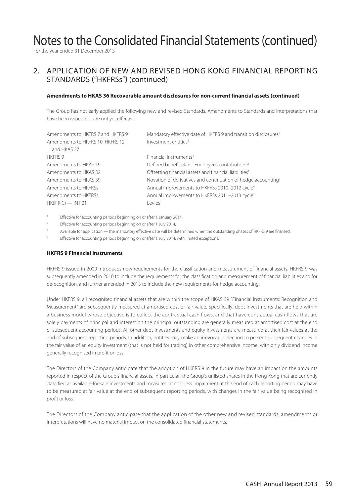For the year ended 31 December 2013

# 2. APPLICATION OF NEW AND REVISED HONG KONG FINANCIAL REPORTING STANDARDS ("HKFRSs") (continued)

#### **Amendments to HKAS 36 Recoverable amount disclosures for non-current financial assets (continued)**

The Group has not early applied the following new and revised Standards, Amendments to Standards and Interpretations that have been issued but are not yet effective.

| Amendments to HKFRS 7 and HKFRS 9 | Mandatory effective date of HKFRS 9 and transition disclosures <sup>3</sup> |
|-----------------------------------|-----------------------------------------------------------------------------|
| Amendments to HKFRS 10, HKFRS 12  | Investment entities <sup>1</sup>                                            |
| and HKAS 27                       |                                                                             |
| <b>HKFRS 9</b>                    | Financial instruments <sup>3</sup>                                          |
| Amendments to HKAS 19             | Defined benefit plans: Employees contributions <sup>2</sup>                 |
| Amendments to HKAS 32             | Offsetting financial assets and financial liabilities <sup>1</sup>          |
| Amendments to HKAS 39             | Novation of derivatives and continuation of hedge accounting <sup>1</sup>   |
| Amendments to HKFRSs              | Annual improvements to HKFRSs 2010-2012 cycle <sup>4</sup>                  |
| Amendments to HKFRSs              | Annual improvements to HKFRSs 2011-2013 cycle <sup>2</sup>                  |
| $HK(IFRIC)$ - INT 21              | Levies <sup>1</sup>                                                         |
|                                   |                                                                             |

1 Effective for accounting periods beginning on or after 1 January 2014.

- Effective for accounting periods beginning on or after 1 July 2014.
- 3 Available for application — the mandatory effective date will be determined when the outstanding phases of HKFRS 9 are finalised.
- 4 Effective for accounting periods beginning on or after 1 July 2014, with limited exceptions.

#### **HKFRS 9 Financial instruments**

HKFRS 9 issued in 2009 introduces new requirements for the classification and measurement of financial assets. HKFRS 9 was subsequently amended in 2010 to include the requirements for the classification and measurement of financial liabilities and for derecognition, and further amended in 2013 to include the new requirements for hedge accounting.

Under HKFRS 9, all recognised financial assets that are within the scope of HKAS 39 "Financial Instruments: Recognition and Measurement" are subsequently measured at amortised cost or fair value. Specifically, debt investments that are held within a business model whose objective is to collect the contractual cash flows, and that have contractual cash flows that are solely payments of principal and interest on the principal outstanding are generally measured at amortised cost at the end of subsequent accounting periods. All other debt investments and equity investments are measured at their fair values at the end of subsequent reporting periods. In addition, entities may make an irrevocable election to present subsequent changes in the fair value of an equity investment (that is not held for trading) in other comprehensive income, with only dividend income generally recognised in profit or loss.

The Directors of the Company anticipate that the adoption of HKFRS 9 in the future may have an impact on the amounts reported in respect of the Group's financial assets, in particular, the Group's unlisted shares in the Hong Kong that are currently classified as available-for-sale investments and measured at cost less impairment at the end of each reporting period may have to be measured at fair value at the end of subsequent reporting periods, with changes in the fair value being recognised in profit or loss.

The Directors of the Company anticipate that the application of the other new and revised standards, amendments or interpretations will have no material impact on the consolidated financial statements.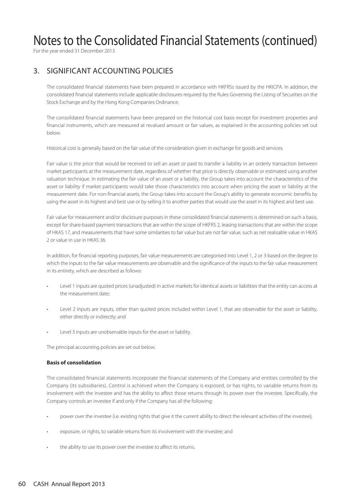For the year ended 31 December 2013

# 3. SIGNIFICANT ACCOUNTING POLICIES

The consolidated financial statements have been prepared in accordance with HKFRSs issued by the HKICPA. In addition, the consolidated financial statements include applicable disclosures required by the Rules Governing the Listing of Securities on the Stock Exchange and by the Hong Kong Companies Ordinance.

The consolidated financial statements have been prepared on the historical cost basis except for investment properties and financial instruments, which are measured at revalued amount or fair values, as explained in the accounting policies set out below.

Historical cost is generally based on the fair value of the consideration given in exchange for goods and services.

Fair value is the price that would be received to sell an asset or paid to transfer a liability in an orderly transaction between market participants at the measurement date, regardless of whether that price is directly observable or estimated using another valuation technique. In estimating the fair value of an asset or a liability, the Group takes into account the characteristics of the asset or liability if market participants would take those characteristics into account when pricing the asset or liability at the measurement date. For non-financial assets, the Group takes into account the Group's ability to generate economic benefits by using the asset in its highest and best use or by selling it to another parties that would use the asset in its highest and best use.

Fair value for measurement and/or disclosure purposes in these consolidated financial statements is determined on such a basis, except for share-based payment transactions that are within the scope of HKFRS 2, leasing transactions that are within the scope of HKAS 17, and measurements that have some similarities to fair value but are not fair value, such as net realisable value in HKAS 2 or value in use in HKAS 36.

In addition, for financial reporting purposes, fair value measurements are categorised into Level 1, 2 or 3 based on the degree to which the inputs to the fair value measurements are observable and the significance of the inputs to the fair value measurement in its entirety, which are described as follows:

- Level 1 inputs are quoted prices (unadjusted) in active markets for identical assets or liabilities that the entity can access at the measurement date;
- Level 2 inputs are inputs, other than quoted prices included within Level 1, that are observable for the asset or liability, either directly or indirectly; and
- Level 3 inputs are unobservable inputs for the asset or liability.

The principal accounting policies are set out below.

### **Basis of consolidation**

The consolidated financial statements incorporate the financial statements of the Company and entities controlled by the Company (its subsidiaries). Control is achieved when the Company is exposed, or has rights, to variable returns from its involvement with the investee and has the ability to affect those returns through its power over the investee. Specifically, the Company controls an investee if and only if the Company has all the following:

- power over the investee (i.e. existing rights that give it the current ability to direct the relevant activities of the investee);
- exposure, or rights, to variable returns from its involvement with the investee; and
- the ability to use its power over the investee to affect its returns.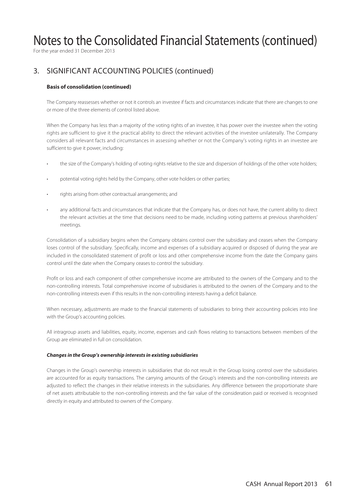For the year ended 31 December 2013

# 3. SIGNIFICANT ACCOUNTING POLICIES (continued)

### **Basis of consolidation (continued)**

The Company reassesses whether or not it controls an investee if facts and circumstances indicate that there are changes to one or more of the three elements of control listed above.

When the Company has less than a majority of the voting rights of an investee, it has power over the investee when the voting rights are sufficient to give it the practical ability to direct the relevant activities of the investee unilaterally. The Company considers all relevant facts and circumstances in assessing whether or not the Company's voting rights in an investee are sufficient to give it power, including:

- the size of the Company's holding of voting rights relative to the size and dispersion of holdings of the other vote holders;
- potential voting rights held by the Company, other vote holders or other parties;
- rights arising from other contractual arrangements; and
- any additional facts and circumstances that indicate that the Company has, or does not have, the current ability to direct the relevant activities at the time that decisions need to be made, including voting patterns at previous shareholders' meetings.

Consolidation of a subsidiary begins when the Company obtains control over the subsidiary and ceases when the Company loses control of the subsidiary. Specifically, income and expenses of a subsidiary acquired or disposed of during the year are included in the consolidated statement of profit or loss and other comprehensive income from the date the Company gains control until the date when the Company ceases to control the subsidiary.

Profit or loss and each component of other comprehensive income are attributed to the owners of the Company and to the non-controlling interests. Total comprehensive income of subsidiaries is attributed to the owners of the Company and to the non-controlling interests even if this results in the non-controlling interests having a deficit balance.

When necessary, adjustments are made to the financial statements of subsidiaries to bring their accounting policies into line with the Group's accounting policies.

All intragroup assets and liabilities, equity, income, expenses and cash flows relating to transactions between members of the Group are eliminated in full on consolidation.

### *Changes in the Group's ownership interests in existing subsidiaries*

Changes in the Group's ownership interests in subsidiaries that do not result in the Group losing control over the subsidiaries are accounted for as equity transactions. The carrying amounts of the Group's interests and the non-controlling interests are adjusted to reflect the changes in their relative interests in the subsidiaries. Any difference between the proportionate share of net assets attributable to the non-controlling interests and the fair value of the consideration paid or received is recognised directly in equity and attributed to owners of the Company.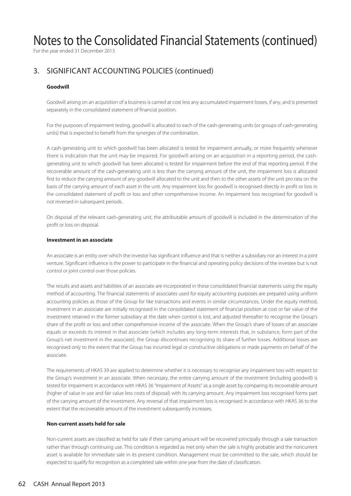For the year ended 31 December 2013

# 3. SIGNIFICANT ACCOUNTING POLICIES (continued)

### **Goodwill**

Goodwill arising on an acquisition of a business is carried at cost less any accumulated impairment losses, if any, and is presented separately in the consolidated statement of financial position.

For the purposes of impairment testing, goodwill is allocated to each of the cash-generating units (or groups of cash-generating units) that is expected to benefit from the synergies of the combination.

A cash-generating unit to which goodwill has been allocated is tested for impairment annually, or more frequently whenever there is indication that the unit may be impaired. For goodwill arising on an acquisition in a reporting period, the cashgenerating unit to which goodwill has been allocated is tested for impairment before the end of that reporting period. If the recoverable amount of the cash-generating unit is less than the carrying amount of the unit, the impairment loss is allocated first to reduce the carrying amount of any goodwill allocated to the unit and then to the other assets of the unit pro rata on the basis of the carrying amount of each asset in the unit. Any impairment loss for goodwill is recognised directly in profit or loss in the consolidated statement of profit or loss and other comprehensive income. An impairment loss recognised for goodwill is not reversed in subsequent periods.

On disposal of the relevant cash-generating unit, the attributable amount of goodwill is included in the determination of the profit or loss on disposal.

#### **Investment in an associate**

An associate is an entity over which the investor has significant influence and that is neither a subsidiary nor an interest in a joint venture. Significant influence is the power to participate in the financial and operating policy decisions of the investee but is not control or joint control over those policies.

The results and assets and liabilities of an associate are incorporated in these consolidated financial statements using the equity method of accounting. The financial statements of associates used for equity accounting purposes are prepared using uniform accounting policies as those of the Group for like transactions and events in similar circumstances. Under the equity method, investment in an associate are initially recognised in the consolidated statement of financial position at cost or fair value of the investment retained in the former subsidiary at the date when control is lost, and adjusted thereafter to recognise the Group's share of the profit or loss and other comprehensive income of the associate. When the Group's share of losses of an associate equals or exceeds its interest in that associate (which includes any long-term interests that, in substance, form part of the Group's net investment in the associate), the Group discontinues recognising its share of further losses. Additional losses are recognised only to the extent that the Group has incurred legal or constructive obligations or made payments on behalf of the associate.

The requirements of HKAS 39 are applied to determine whether it is necessary to recognise any impairment loss with respect to the Group's investment in an associate. When necessary, the entire carrying amount of the investment (including goodwill) is tested for impairment in accordance with HKAS 36 "Impairment of Assets" as a single asset by comparing its recoverable amount (higher of value in use and fair value less costs of disposal) with its carrying amount. Any impairment loss recognised forms part of the carrying amount of the investment. Any reversal of that impairment loss is recognised in accordance with HKAS 36 to the extent that the recoverable amount of the investment subsequently increases.

#### **Non-current assets held for sale**

Non-current assets are classified as held for sale if their carrying amount will be recovered principally through a sale transaction rather than through continuing use. This condition is regarded as met only when the sale is highly probable and the noncurrent asset is available for immediate sale in its present condition. Management must be committed to the sale, which should be expected to qualify for recognition as a completed sale within one year from the date of classification.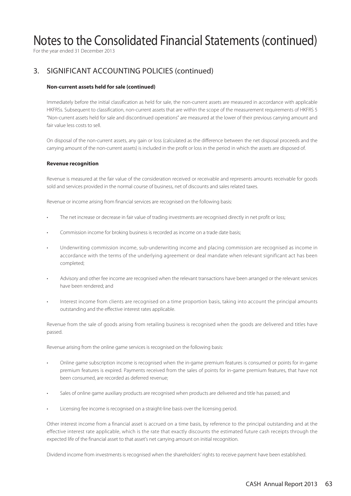For the year ended 31 December 2013

# 3. SIGNIFICANT ACCOUNTING POLICIES (continued)

### **Non-current assets held for sale (continued)**

Immediately before the initial classification as held for sale, the non-current assets are measured in accordance with applicable HKFRSs. Subsequent to classification, non-current assets that are within the scope of the measurement requirements of HKFRS 5 "Non-current assets held for sale and discontinued operations" are measured at the lower of their previous carrying amount and fair value less costs to sell.

On disposal of the non-current assets, any gain or loss (calculated as the difference between the net disposal proceeds and the carrying amount of the non-current assets) is included in the profit or loss in the period in which the assets are disposed of.

### **Revenue recognition**

Revenue is measured at the fair value of the consideration received or receivable and represents amounts receivable for goods sold and services provided in the normal course of business, net of discounts and sales related taxes.

Revenue or income arising from financial services are recognised on the following basis:

- The net increase or decrease in fair value of trading investments are recognised directly in net profit or loss;
- Commission income for broking business is recorded as income on a trade date basis;
- Underwriting commission income, sub-underwriting income and placing commission are recognised as income in accordance with the terms of the underlying agreement or deal mandate when relevant significant act has been completed;
- Advisory and other fee income are recognised when the relevant transactions have been arranged or the relevant services have been rendered; and
- Interest income from clients are recognised on a time proportion basis, taking into account the principal amounts outstanding and the effective interest rates applicable.

Revenue from the sale of goods arising from retailing business is recognised when the goods are delivered and titles have passed.

Revenue arising from the online game services is recognised on the following basis:

- Online game subscription income is recognised when the in-game premium features is consumed or points for in-game premium features is expired. Payments received from the sales of points for in-game premium features, that have not been consumed, are recorded as deferred revenue;
- Sales of online game auxiliary products are recognised when products are delivered and title has passed; and
- Licensing fee income is recognised on a straight-line basis over the licensing period.

Other interest income from a financial asset is accrued on a time basis, by reference to the principal outstanding and at the effective interest rate applicable, which is the rate that exactly discounts the estimated future cash receipts through the expected life of the financial asset to that asset's net carrying amount on initial recognition.

Dividend income from investments is recognised when the shareholders' rights to receive payment have been established.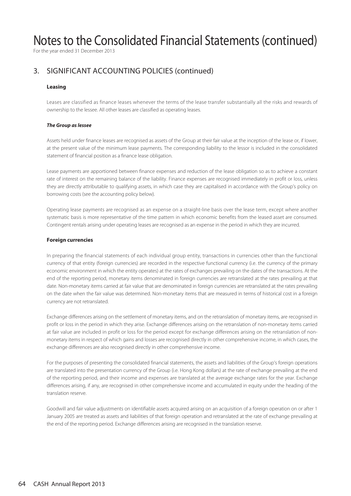For the year ended 31 December 2013

# 3. SIGNIFICANT ACCOUNTING POLICIES (continued)

### **Leasing**

Leases are classified as finance leases whenever the terms of the lease transfer substantially all the risks and rewards of ownership to the lessee. All other leases are classified as operating leases.

### *The Group as lessee*

Assets held under finance leases are recognised as assets of the Group at their fair value at the inception of the lease or, if lower, at the present value of the minimum lease payments. The corresponding liability to the lessor is included in the consolidated statement of financial position as a finance lease obligation.

Lease payments are apportioned between finance expenses and reduction of the lease obligation so as to achieve a constant rate of interest on the remaining balance of the liability. Finance expenses are recognised immediately in profit or loss, unless they are directly attributable to qualifying assets, in which case they are capitalised in accordance with the Group's policy on borrowing costs (see the accounting policy below).

Operating lease payments are recognised as an expense on a straight-line basis over the lease term, except where another systematic basis is more representative of the time pattern in which economic benefits from the leased asset are consumed. Contingent rentals arising under operating leases are recognised as an expense in the period in which they are incurred.

### **Foreign currencies**

In preparing the financial statements of each individual group entity, transactions in currencies other than the functional currency of that entity (foreign currencies) are recorded in the respective functional currency (i.e. the currency of the primary economic environment in which the entity operates) at the rates of exchanges prevailing on the dates of the transactions. At the end of the reporting period, monetary items denominated in foreign currencies are retranslated at the rates prevailing at that date. Non-monetary items carried at fair value that are denominated in foreign currencies are retranslated at the rates prevailing on the date when the fair value was determined. Non-monetary items that are measured in terms of historical cost in a foreign currency are not retranslated.

Exchange differences arising on the settlement of monetary items, and on the retranslation of monetary items, are recognised in profit or loss in the period in which they arise. Exchange differences arising on the retranslation of non-monetary items carried at fair value are included in profit or loss for the period except for exchange differences arising on the retranslation of nonmonetary items in respect of which gains and losses are recognised directly in other comprehensive income, in which cases, the exchange differences are also recognised directly in other comprehensive income.

For the purposes of presenting the consolidated financial statements, the assets and liabilities of the Group's foreign operations are translated into the presentation currency of the Group (i.e. Hong Kong dollars) at the rate of exchange prevailing at the end of the reporting period, and their income and expenses are translated at the average exchange rates for the year. Exchange differences arising, if any, are recognised in other comprehensive income and accumulated in equity under the heading of the translation reserve.

Goodwill and fair value adjustments on identifiable assets acquired arising on an acquisition of a foreign operation on or after 1 January 2005 are treated as assets and liabilities of that foreign operation and retranslated at the rate of exchange prevailing at the end of the reporting period. Exchange differences arising are recognised in the translation reserve.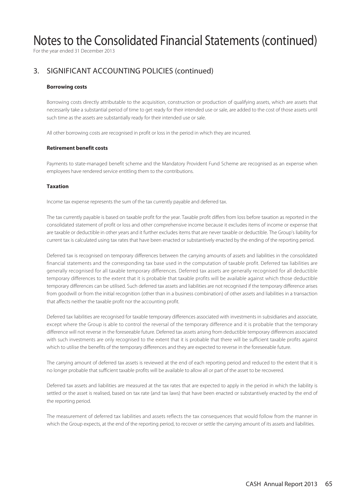For the year ended 31 December 2013

# 3. SIGNIFICANT ACCOUNTING POLICIES (continued)

### **Borrowing costs**

Borrowing costs directly attributable to the acquisition, construction or production of qualifying assets, which are assets that necessarily take a substantial period of time to get ready for their intended use or sale, are added to the cost of those assets until such time as the assets are substantially ready for their intended use or sale.

All other borrowing costs are recognised in profit or loss in the period in which they are incurred.

#### **Retirement benefit costs**

Payments to state-managed benefit scheme and the Mandatory Provident Fund Scheme are recognised as an expense when employees have rendered service entitling them to the contributions.

#### **Taxation**

Income tax expense represents the sum of the tax currently payable and deferred tax.

The tax currently payable is based on taxable profit for the year. Taxable profit differs from loss before taxation as reported in the consolidated statement of profit or loss and other comprehensive income because it excludes items of income or expense that are taxable or deductible in other years and it further excludes items that are never taxable or deductible. The Group's liability for current tax is calculated using tax rates that have been enacted or substantively enacted by the ending of the reporting period.

Deferred tax is recognised on temporary differences between the carrying amounts of assets and liabilities in the consolidated financial statements and the corresponding tax base used in the computation of taxable profit. Deferred tax liabilities are generally recognised for all taxable temporary differences. Deferred tax assets are generally recognised for all deductible temporary differences to the extent that it is probable that taxable profits will be available against which those deductible temporary differences can be utilised. Such deferred tax assets and liabilities are not recognised if the temporary difference arises from goodwill or from the initial recognition (other than in a business combination) of other assets and liabilities in a transaction that affects neither the taxable profit nor the accounting profit.

Deferred tax liabilities are recognised for taxable temporary differences associated with investments in subsidiaries and associate, except where the Group is able to control the reversal of the temporary difference and it is probable that the temporary difference will not reverse in the foreseeable future. Deferred tax assets arising from deductible temporary differences associated with such investments are only recognised to the extent that it is probable that there will be sufficient taxable profits against which to utilise the benefits of the temporary differences and they are expected to reverse in the foreseeable future.

The carrying amount of deferred tax assets is reviewed at the end of each reporting period and reduced to the extent that it is no longer probable that sufficient taxable profits will be available to allow all or part of the asset to be recovered.

Deferred tax assets and liabilities are measured at the tax rates that are expected to apply in the period in which the liability is settled or the asset is realised, based on tax rate (and tax laws) that have been enacted or substantively enacted by the end of the reporting period.

The measurement of deferred tax liabilities and assets reflects the tax consequences that would follow from the manner in which the Group expects, at the end of the reporting period, to recover or settle the carrying amount of its assets and liabilities.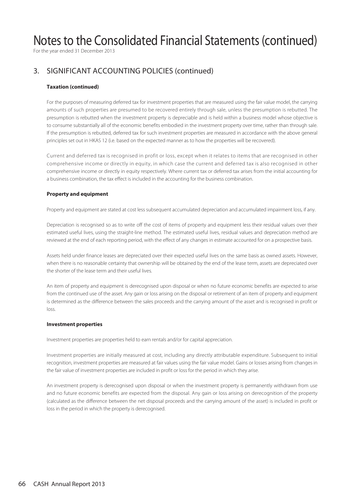For the year ended 31 December 2013

# 3. SIGNIFICANT ACCOUNTING POLICIES (continued)

### **Taxation (continued)**

For the purposes of measuring deferred tax for investment properties that are measured using the fair value model, the carrying amounts of such properties are presumed to be recovered entirely through sale, unless the presumption is rebutted. The presumption is rebutted when the investment property is depreciable and is held within a business model whose objective is to consume substantially all of the economic benefits embodied in the investment property over time, rather than through sale. If the presumption is rebutted, deferred tax for such investment properties are measured in accordance with the above general principles set out in HKAS 12 (i.e. based on the expected manner as to how the properties will be recovered).

Current and deferred tax is recognised in profit or loss, except when it relates to items that are recognised in other comprehensive income or directly in equity, in which case the current and deferred tax is also recognised in other comprehensive income or directly in equity respectively. Where current tax or deferred tax arises from the initial accounting for a business combination, the tax effect is included in the accounting for the business combination.

### **Property and equipment**

Property and equipment are stated at cost less subsequent accumulated depreciation and accumulated impairment loss, if any.

Depreciation is recognised so as to write off the cost of items of property and equipment less their residual values over their estimated useful lives, using the straight-line method. The estimated useful lives, residual values and depreciation method are reviewed at the end of each reporting period, with the effect of any changes in estimate accounted for on a prospective basis.

Assets held under finance leases are depreciated over their expected useful lives on the same basis as owned assets. However, when there is no reasonable certainty that ownership will be obtained by the end of the lease term, assets are depreciated over the shorter of the lease term and their useful lives.

An item of property and equipment is derecognised upon disposal or when no future economic benefits are expected to arise from the continued use of the asset. Any gain or loss arising on the disposal or retirement of an item of property and equipment is determined as the difference between the sales proceeds and the carrying amount of the asset and is recognised in profit or loss.

### **Investment properties**

Investment properties are properties held to earn rentals and/or for capital appreciation.

Investment properties are initially measured at cost, including any directly attributable expenditure. Subsequent to initial recognition, investment properties are measured at fair values using the fair value model. Gains or losses arising from changes in the fair value of investment properties are included in profit or loss for the period in which they arise.

An investment property is derecognised upon disposal or when the investment property is permanently withdrawn from use and no future economic benefits are expected from the disposal. Any gain or loss arising on derecognition of the property (calculated as the difference between the net disposal proceeds and the carrying amount of the asset) is included in profit or loss in the period in which the property is derecognised.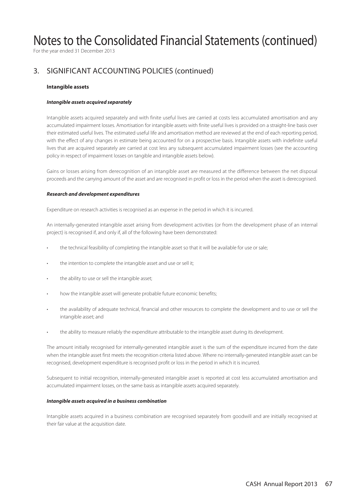For the year ended 31 December 2013

# 3. SIGNIFICANT ACCOUNTING POLICIES (continued)

### **Intangible assets**

### *Intangible assets acquired separately*

Intangible assets acquired separately and with finite useful lives are carried at costs less accumulated amortisation and any accumulated impairment losses. Amortisation for intangible assets with finite useful lives is provided on a straight-line basis over their estimated useful lives. The estimated useful life and amortisation method are reviewed at the end of each reporting period, with the effect of any changes in estimate being accounted for on a prospective basis. Intangible assets with indefinite useful lives that are acquired separately are carried at cost less any subsequent accumulated impairment losses (see the accounting policy in respect of impairment losses on tangible and intangible assets below).

Gains or losses arising from derecognition of an intangible asset are measured at the difference between the net disposal proceeds and the carrying amount of the asset and are recognised in profit or loss in the period when the asset is derecognised.

#### *Research and development expenditures*

Expenditure on research activities is recognised as an expense in the period in which it is incurred.

An internally-generated intangible asset arising from development activities (or from the development phase of an internal project) is recognised if, and only if, all of the following have been demonstrated:

- the technical feasibility of completing the intangible asset so that it will be available for use or sale;
- the intention to complete the intangible asset and use or sell it;
- the ability to use or sell the intangible asset;
- how the intangible asset will generate probable future economic benefits;
- the availability of adequate technical, financial and other resources to complete the development and to use or sell the intangible asset; and
- the ability to measure reliably the expenditure attributable to the intangible asset during its development.

The amount initially recognised for internally-generated intangible asset is the sum of the expenditure incurred from the date when the intangible asset first meets the recognition criteria listed above. Where no internally-generated intangible asset can be recognised, development expenditure is recognised profit or loss in the period in which it is incurred.

Subsequent to initial recognition, internally-generated intangible asset is reported at cost less accumulated amortisation and accumulated impairment losses, on the same basis as intangible assets acquired separately.

#### *Intangible assets acquired in a business combination*

Intangible assets acquired in a business combination are recognised separately from goodwill and are initially recognised at their fair value at the acquisition date.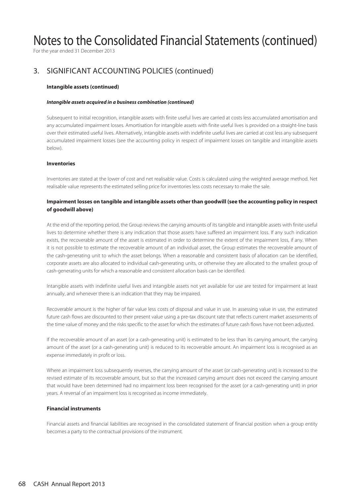For the year ended 31 December 2013

# 3. SIGNIFICANT ACCOUNTING POLICIES (continued)

### **Intangible assets (continued)**

#### *Intangible assets acquired in a business combination (continued)*

Subsequent to initial recognition, intangible assets with finite useful lives are carried at costs less accumulated amortisation and any accumulated impairment losses. Amortisation for intangible assets with finite useful lives is provided on a straight-line basis over their estimated useful lives. Alternatively, intangible assets with indefinite useful lives are carried at cost less any subsequent accumulated impairment losses (see the accounting policy in respect of impairment losses on tangible and intangible assets below).

#### **Inventories**

Inventories are stated at the lower of cost and net realisable value. Costs is calculated using the weighted average method. Net realisable value represents the estimated selling price for inventories less costs necessary to make the sale.

### **Impairment losses on tangible and intangible assets other than goodwill (see the accounting policy in respect of goodwill above)**

At the end of the reporting period, the Group reviews the carrying amounts of its tangible and intangible assets with finite useful lives to determine whether there is any indication that those assets have suffered an impairment loss. If any such indication exists, the recoverable amount of the asset is estimated in order to determine the extent of the impairment loss, if any. When it is not possible to estimate the recoverable amount of an individual asset, the Group estimates the recoverable amount of the cash-generating unit to which the asset belongs. When a reasonable and consistent basis of allocation can be identified, corporate assets are also allocated to individual cash-generating units, or otherwise they are allocated to the smallest group of cash-generating units for which a reasonable and consistent allocation basis can be identified.

Intangible assets with indefinite useful lives and intangible assets not yet available for use are tested for impairment at least annually, and whenever there is an indication that they may be impaired.

Recoverable amount is the higher of fair value less costs of disposal and value in use. In assessing value in use, the estimated future cash flows are discounted to their present value using a pre-tax discount rate that reflects current market assessments of the time value of money and the risks specific to the asset for which the estimates of future cash flows have not been adjusted.

If the recoverable amount of an asset (or a cash-generating unit) is estimated to be less than its carrying amount, the carrying amount of the asset (or a cash-generating unit) is reduced to its recoverable amount. An impairment loss is recognised as an expense immediately in profit or loss.

Where an impairment loss subsequently reverses, the carrying amount of the asset (or cash-generating unit) is increased to the revised estimate of its recoverable amount, but so that the increased carrying amount does not exceed the carrying amount that would have been determined had no impairment loss been recognised for the asset (or a cash-generating unit) in prior years. A reversal of an impairment loss is recognised as income immediately.

### **Financial instruments**

Financial assets and financial liabilities are recognised in the consolidated statement of financial position when a group entity becomes a party to the contractual provisions of the instrument.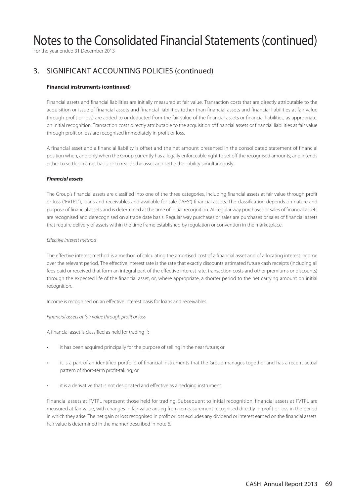For the year ended 31 December 2013

# 3. SIGNIFICANT ACCOUNTING POLICIES (continued)

### **Financial instruments (continued)**

Financial assets and financial liabilities are initially measured at fair value. Transaction costs that are directly attributable to the acquisition or issue of financial assets and financial liabilities (other than financial assets and financial liabilities at fair value through profit or loss) are added to or deducted from the fair value of the financial assets or financial liabilities, as appropriate, on initial recognition. Transaction costs directly attributable to the acquisition of financial assets or financial liabilities at fair value through profit or loss are recognised immediately in profit or loss.

A financial asset and a financial liability is offset and the net amount presented in the consolidated statement of financial position when, and only when the Group currently has a legally enforceable right to set off the recognised amounts; and intends either to settle on a net basis, or to realise the asset and settle the liability simultaneously.

#### *Financial assets*

The Group's financial assets are classified into one of the three categories, including financial assets at fair value through profit or loss ("FVTPL"), loans and receivables and available-for-sale ("AFS") financial assets. The classification depends on nature and purpose of financial assets and is determined at the time of initial recognition. All regular way purchases or sales of financial assets are recognised and derecognised on a trade date basis. Regular way purchases or sales are purchases or sales of financial assets that require delivery of assets within the time frame established by regulation or convention in the marketplace.

#### Effective interest method

The effective interest method is a method of calculating the amortised cost of a financial asset and of allocating interest income over the relevant period. The effective interest rate is the rate that exactly discounts estimated future cash receipts (including all fees paid or received that form an integral part of the effective interest rate, transaction costs and other premiums or discounts) through the expected life of the financial asset, or, where appropriate, a shorter period to the net carrying amount on initial recognition.

Income is recognised on an effective interest basis for loans and receivables.

Financial assets at fair value through profit or loss

A financial asset is classified as held for trading if:

- it has been acquired principally for the purpose of selling in the near future; or
- it is a part of an identified portfolio of financial instruments that the Group manages together and has a recent actual pattern of short-term profit-taking; or
- it is a derivative that is not designated and effective as a hedging instrument.

Financial assets at FVTPL represent those held for trading. Subsequent to initial recognition, financial assets at FVTPL are measured at fair value, with changes in fair value arising from remeasurement recognised directly in profit or loss in the period in which they arise. The net gain or loss recognised in profit or loss excludes any dividend or interest earned on the financial assets. Fair value is determined in the manner described in note 6.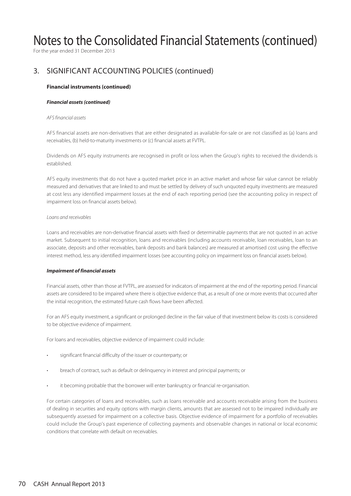For the year ended 31 December 2013

# 3. SIGNIFICANT ACCOUNTING POLICIES (continued)

### **Financial instruments (continued)**

#### *Financial assets (continued)*

#### AFS financial assets

AFS financial assets are non-derivatives that are either designated as available-for-sale or are not classified as (a) loans and receivables, (b) held-to-maturity investments or (c) financial assets at FVTPL.

Dividends on AFS equity instruments are recognised in profit or loss when the Group's rights to received the dividends is established.

AFS equity investments that do not have a quoted market price in an active market and whose fair value cannot be reliably measured and derivatives that are linked to and must be settled by delivery of such unquoted equity investments are measured at cost less any identified impairment losses at the end of each reporting period (see the accounting policy in respect of impairment loss on financial assets below).

#### Loans and receivables

Loans and receivables are non-derivative financial assets with fixed or determinable payments that are not quoted in an active market. Subsequent to initial recognition, loans and receivables (including accounts receivable, loan receivables, loan to an associate, deposits and other receivables, bank deposits and bank balances) are measured at amortised cost using the effective interest method, less any identified impairment losses (see accounting policy on impairment loss on financial assets below).

#### *Impairment of financial assets*

Financial assets, other than those at FVTPL, are assessed for indicators of impairment at the end of the reporting period. Financial assets are considered to be impaired where there is objective evidence that, as a result of one or more events that occurred after the initial recognition, the estimated future cash flows have been affected.

For an AFS equity investment, a significant or prolonged decline in the fair value of that investment below its costs is considered to be objective evidence of impairment.

For loans and receivables, objective evidence of impairment could include:

- significant financial difficulty of the issuer or counterparty; or
- breach of contract, such as default or delinquency in interest and principal payments; or
- it becoming probable that the borrower will enter bankruptcy or financial re-organisation.

For certain categories of loans and receivables, such as loans receivable and accounts receivable arising from the business of dealing in securities and equity options with margin clients, amounts that are assessed not to be impaired individually are subsequently assessed for impairment on a collective basis. Objective evidence of impairment for a portfolio of receivables could include the Group's past experience of collecting payments and observable changes in national or local economic conditions that correlate with default on receivables.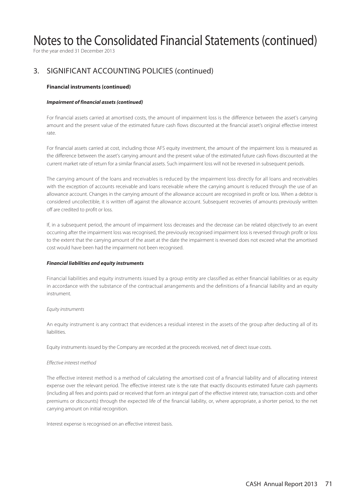For the year ended 31 December 2013

## 3. SIGNIFICANT ACCOUNTING POLICIES (continued)

### **Financial instruments (continued)**

#### *Impairment of financial assets (continued)*

For financial assets carried at amortised costs, the amount of impairment loss is the difference between the asset's carrying amount and the present value of the estimated future cash flows discounted at the financial asset's original effective interest rate.

For financial assets carried at cost, including those AFS equity investment, the amount of the impairment loss is measured as the difference between the asset's carrying amount and the present value of the estimated future cash flows discounted at the current market rate of return for a similar financial assets. Such impairment loss will not be reversed in subsequent periods.

The carrying amount of the loans and receivables is reduced by the impairment loss directly for all loans and receivables with the exception of accounts receivable and loans receivable where the carrying amount is reduced through the use of an allowance account. Changes in the carrying amount of the allowance account are recognised in profit or loss. When a debtor is considered uncollectible, it is written off against the allowance account. Subsequent recoveries of amounts previously written off are credited to profit or loss.

If, in a subsequent period, the amount of impairment loss decreases and the decrease can be related objectively to an event occurring after the impairment loss was recognised, the previously recognised impairment loss is reversed through profit or loss to the extent that the carrying amount of the asset at the date the impairment is reversed does not exceed what the amortised cost would have been had the impairment not been recognised.

#### *Financial liabilities and equity instruments*

Financial liabilities and equity instruments issued by a group entity are classified as either financial liabilities or as equity in accordance with the substance of the contractual arrangements and the definitions of a financial liability and an equity instrument.

#### Equity instruments

An equity instrument is any contract that evidences a residual interest in the assets of the group after deducting all of its liabilities.

Equity instruments issued by the Company are recorded at the proceeds received, net of direct issue costs.

#### Effective interest method

The effective interest method is a method of calculating the amortised cost of a financial liability and of allocating interest expense over the relevant period. The effective interest rate is the rate that exactly discounts estimated future cash payments (including all fees and points paid or received that form an integral part of the effective interest rate, transaction costs and other premiums or discounts) through the expected life of the financial liability, or, where appropriate, a shorter period, to the net carrying amount on initial recognition.

Interest expense is recognised on an effective interest basis.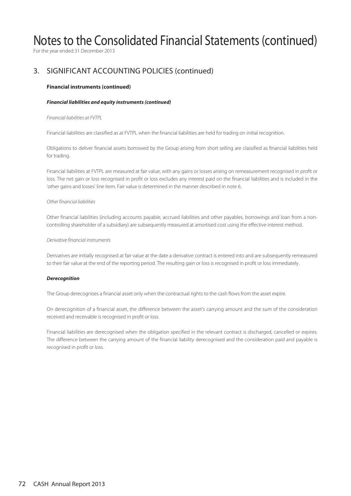For the year ended 31 December 2013

## 3. SIGNIFICANT ACCOUNTING POLICIES (continued)

### **Financial instruments (continued)**

#### *Financial liabilities and equity instruments (continued)*

#### Financial liabilities at FVTPL

Financial liabilities are classified as at FVTPL when the financial liabilities are held for trading on initial recognition.

Obligations to deliver financial assets borrowed by the Group arising from short selling are classified as financial liabilities held for trading.

Financial liabilities at FVTPL are measured at fair value, with any gains or losses arising on remeasurement recognised in profit or loss. The net gain or loss recognised in profit or loss excludes any interest paid on the financial liabilities and is included in the 'other gains and losses' line item. Fair value is determined in the manner described in note 6.

#### Other financial liabilities

Other financial liabilities (including accounts payable, accrued liabilities and other payables, borrowings and loan from a noncontrolling shareholder of a subsidiary) are subsequently measured at amortised cost using the effective interest method.

#### Derivative financial instruments

Derivatives are initially recognised at fair value at the date a derivative contract is entered into and are subsequently remeasured to their fair value at the end of the reporting period. The resulting gain or loss is recognised in profit or loss immediately.

#### *Derecognition*

The Group derecognises a financial asset only when the contractual rights to the cash flows from the asset expire.

On derecognition of a financial asset, the difference between the asset's carrying amount and the sum of the consideration received and receivable is recognised in profit or loss.

Financial liabilities are derecognised when the obligation specified in the relevant contract is discharged, cancelled or expires. The difference between the carrying amount of the financial liability derecognised and the consideration paid and payable is recognised in profit or loss.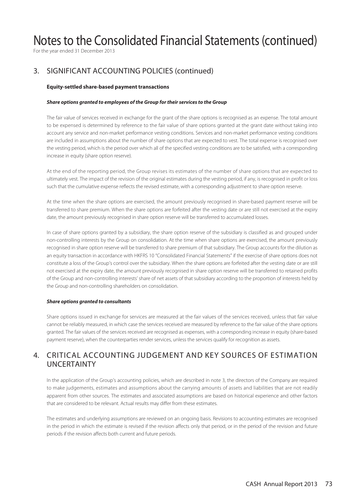For the year ended 31 December 2013

## 3. SIGNIFICANT ACCOUNTING POLICIES (continued)

### **Equity-settled share-based payment transactions**

#### *Share options granted to employees of the Group for their services to the Group*

The fair value of services received in exchange for the grant of the share options is recognised as an expense. The total amount to be expensed is determined by reference to the fair value of share options granted at the grant date without taking into account any service and non-market performance vesting conditions. Services and non-market performance vesting conditions are included in assumptions about the number of share options that are expected to vest. The total expense is recognised over the vesting period, which is the period over which all of the specified vesting conditions are to be satisfied, with a corresponding increase in equity (share option reserve).

At the end of the reporting period, the Group revises its estimates of the number of share options that are expected to ultimately vest. The impact of the revision of the original estimates during the vesting period, if any, is recognised in profit or loss such that the cumulative expense reflects the revised estimate, with a corresponding adjustment to share option reserve.

At the time when the share options are exercised, the amount previously recognised in share-based payment reserve will be transferred to share premium. When the share options are forfeited after the vesting date or are still not exercised at the expiry date, the amount previously recognised in share option reserve will be transferred to accumulated losses.

In case of share options granted by a subsidiary, the share option reserve of the subsidiary is classified as and grouped under non-controlling interests by the Group on consolidation. At the time when share options are exercised, the amount previously recognised in share option reserve will be transferred to share premium of that subsidiary. The Group accounts for the dilution as an equity transaction in accordance with HKFRS 10 "Consolidated Financial Statements" if the exercise of share options does not constitute a loss of the Group's control over the subsidiary. When the share options are forfeited after the vesting date or are still not exercised at the expiry date, the amount previously recognised in share option reserve will be transferred to retained profits of the Group and non-controlling interests' share of net assets of that subsidiary according to the proportion of interests held by the Group and non-controlling shareholders on consolidation.

#### *Share options granted to consultants*

Share options issued in exchange for services are measured at the fair values of the services received, unless that fair value cannot be reliably measured, in which case the services received are measured by reference to the fair value of the share options granted. The fair values of the services received are recognised as expenses, with a corresponding increase in equity (share-based payment reserve), when the counterparties render services, unless the services qualify for recognition as assets.

### 4. CRITICAL ACCOUNTING JUDGEMENT AND KEY SOURCES OF ESTIMATION UNCERTAINTY

In the application of the Group's accounting policies, which are described in note 3, the directors of the Company are required to make judgements, estimates and assumptions about the carrying amounts of assets and liabilities that are not readily apparent from other sources. The estimates and associated assumptions are based on historical experience and other factors that are considered to be relevant. Actual results may differ from these estimates.

The estimates and underlying assumptions are reviewed on an ongoing basis. Revisions to accounting estimates are recognised in the period in which the estimate is revised if the revision affects only that period, or in the period of the revision and future periods if the revision affects both current and future periods.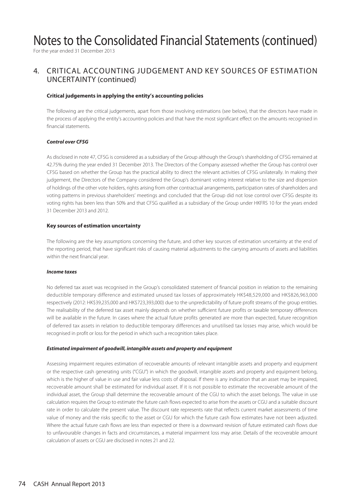For the year ended 31 December 2013

### 4. CRITICAL ACCOUNTING JUDGEMENT AND KEY SOURCES OF ESTIMATION UNCERTAINTY (continued)

#### **Critical judgements in applying the entity's accounting policies**

The following are the critical judgements, apart from those involving estimations (see below), that the directors have made in the process of applying the entity's accounting policies and that have the most significant effect on the amounts recognised in financial statements.

#### *Control over CFSG*

As disclosed in note 47, CFSG is considered as a subsidiary of the Group although the Group's shareholding of CFSG remained at 42.75% during the year ended 31 December 2013. The Directors of the Company assessed whether the Group has control over CFSG based on whether the Group has the practical ability to direct the relevant activities of CFSG unilaterally. In making their judgement, the Directors of the Company considered the Group's dominant voting interest relative to the size and dispersion of holdings of the other vote holders, rights arising from other contractual arrangements, participation rates of shareholders and voting patterns in previous shareholders' meetings and concluded that the Group did not lose control over CFSG despite its voting rights has been less than 50% and that CFSG qualified as a subsidiary of the Group under HKFRS 10 for the years ended 31 December 2013 and 2012.

#### **Key sources of estimation uncertainty**

The following are the key assumptions concerning the future, and other key sources of estimation uncertainty at the end of the reporting period, that have significant risks of causing material adjustments to the carrying amounts of assets and liabilities within the next financial year.

#### *Income taxes*

No deferred tax asset was recognised in the Group's consolidated statement of financial position in relation to the remaining deductible temporary difference and estimated unused tax losses of approximately HK\$48,529,000 and HK\$826,963,000 respectively (2012: HK\$39,235,000 and HK\$723,393,000) due to the unpredictability of future profit streams of the group entities. The realisability of the deferred tax asset mainly depends on whether sufficient future profits or taxable temporary differences will be available in the future. In cases where the actual future profits generated are more than expected, future recognition of deferred tax assets in relation to deductible temporary differences and unutilised tax losses may arise, which would be recognised in profit or loss for the period in which such a recognition takes place.

#### *Estimated impairment of goodwill, intangible assets and property and equipment*

Assessing impairment requires estimation of recoverable amounts of relevant intangible assets and property and equipment or the respective cash generating units ("CGU") in which the goodwill, intangible assets and property and equipment belong, which is the higher of value in use and fair value less costs of disposal. If there is any indication that an asset may be impaired, recoverable amount shall be estimated for individual asset. If it is not possible to estimate the recoverable amount of the individual asset, the Group shall determine the recoverable amount of the CGU to which the asset belongs. The value in use calculation requires the Group to estimate the future cash flows expected to arise from the assets or CGU and a suitable discount rate in order to calculate the present value. The discount rate represents rate that reflects current market assessments of time value of money and the risks specific to the asset or CGU for which the future cash flow estimates have not been adjusted. Where the actual future cash flows are less than expected or there is a downward revision of future estimated cash flows due to unfavourable changes in facts and circumstances, a material impairment loss may arise. Details of the recoverable amount calculation of assets or CGU are disclosed in notes 21 and 22.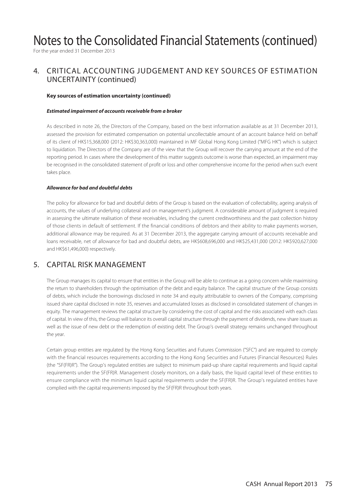For the year ended 31 December 2013

### 4. CRITICAL ACCOUNTING JUDGEMENT AND KEY SOURCES OF ESTIMATION UNCERTAINTY (continued)

#### **Key sources of estimation uncertainty (continued)**

#### *Estimated impairment of accounts receivable from a broker*

As described in note 26, the Directors of the Company, based on the best information available as at 31 December 2013, assessed the provision for estimated compensation on potential uncollectable amount of an account balance held on behalf of its client of HK\$15,368,000 (2012: HK\$30,363,000) maintained in MF Global Hong Kong Limited ("MFG HK") which is subject to liquidation. The Directors of the Company are of the view that the Group will recover the carrying amount at the end of the reporting period. In cases where the development of this matter suggests outcome is worse than expected, an impairment may be recognised in the consolidated statement of profit or loss and other comprehensive income for the period when such event takes place.

#### *Allowance for bad and doubtful debts*

The policy for allowance for bad and doubtful debts of the Group is based on the evaluation of collectability, ageing analysis of accounts, the values of underlying collateral and on management's judgment. A considerable amount of judgment is required in assessing the ultimate realisation of these receivables, including the current creditworthiness and the past collection history of those clients in default of settlement. If the financial conditions of debtors and their ability to make payments worsen, additional allowance may be required. As at 31 December 2013, the aggregate carrying amount of accounts receivable and loans receivable, net of allowance for bad and doubtful debts, are HK\$608,696,000 and HK\$25,431,000 (2012: HK\$920,627,000 and HK\$61,496,000) respectively.

### 5. CAPITAL RISK MANAGEMENT

The Group manages its capital to ensure that entities in the Group will be able to continue as a going concern while maximising the return to shareholders through the optimisation of the debt and equity balance. The capital structure of the Group consists of debts, which include the borrowings disclosed in note 34 and equity attributable to owners of the Company, comprising issued share capital disclosed in note 35, reserves and accumulated losses as disclosed in consolidated statement of changes in equity. The management reviews the capital structure by considering the cost of capital and the risks associated with each class of capital. In view of this, the Group will balance its overall capital structure through the payment of dividends, new share issues as well as the issue of new debt or the redemption of existing debt. The Group's overall strategy remains unchanged throughout the year.

Certain group entities are regulated by the Hong Kong Securities and Futures Commission ("SFC") and are required to comply with the financial resources requirements according to the Hong Kong Securities and Futures (Financial Resources) Rules (the "SF(FR)R"). The Group's regulated entities are subject to minimum paid-up share capital requirements and liquid capital requirements under the SF(FR)R. Management closely monitors, on a daily basis, the liquid capital level of these entities to ensure compliance with the minimum liquid capital requirements under the SF(FR)R. The Group's regulated entities have complied with the capital requirements imposed by the SF(FR)R throughout both years.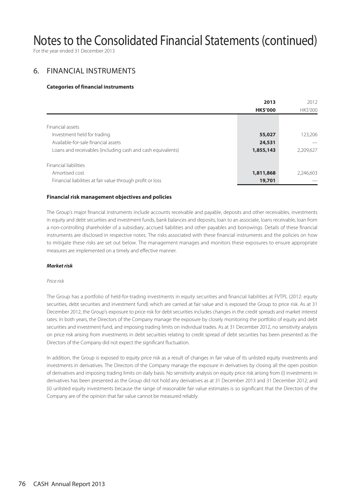For the year ended 31 December 2013

### 6. FINANCIAL INSTRUMENTS

### **Categories of financial instruments**

|                                                             | 2013           | 2012           |
|-------------------------------------------------------------|----------------|----------------|
|                                                             | <b>HKS'000</b> | <b>HKS'000</b> |
|                                                             |                |                |
| Financial assets                                            |                |                |
| Investment held for trading                                 | 55,027         | 123,206        |
| Available-for-sale financial assets                         | 24,531         |                |
| Loans and receivables (including cash and cash equivalents) | 1,855,143      | 2,209,627      |
|                                                             |                |                |
| <b>Financial liabilities</b>                                |                |                |
| Amortised cost                                              | 1,811,868      | 2,246,603      |
| Financial liabilities at fair value through profit or loss  | 19,701         |                |

### **Financial risk management objectives and policies**

The Group's major financial instruments include accounts receivable and payable, deposits and other receivables, investments in equity and debt securities and investment funds, bank balances and deposits, loan to an associate, loans receivable, loan from a non-controlling shareholder of a subsidiary, accrued liabilities and other payables and borrowings. Details of these financial instruments are disclosed in respective notes. The risks associated with these financial instruments and the policies on how to mitigate these risks are set out below. The management manages and monitors these exposures to ensure appropriate measures are implemented on a timely and effective manner.

#### *Market risk*

#### Price risk

The Group has a portfolio of held-for-trading investments in equity securities and financial liabilities at FVTPL (2012: equity securities, debt securities and investment fund) which are carried at fair value and is exposed the Group to price risk. As at 31 December 2012, the Group's exposure to price risk for debt securities includes changes in the credit spreads and market interest rates. In both years, the Directors of the Company manage the exposure by closely monitoring the portfolio of equity and debt securities and investment fund, and imposing trading limits on individual trades. As at 31 December 2012, no sensitivity analysis on price risk arising from investments in debt securities relating to credit spread of debt securities has been presented as the Directors of the Company did not expect the significant fluctuation.

In addition, the Group is exposed to equity price risk as a result of changes in fair value of its unlisted equity investments and investments in derivatives. The Directors of the Company manage the exposure in derivatives by closing all the open position of derivatives and imposing trading limits on daily basis. No sensitivity analysis on equity price risk arising from (i) investments in derivatives has been presented as the Group did not hold any derivatives as at 31 December 2013 and 31 December 2012; and (ii) unlisted equity investments because the range of reasonable fair value estimates is so significant that the Directors of the Company are of the opinion that fair value cannot be measured reliably.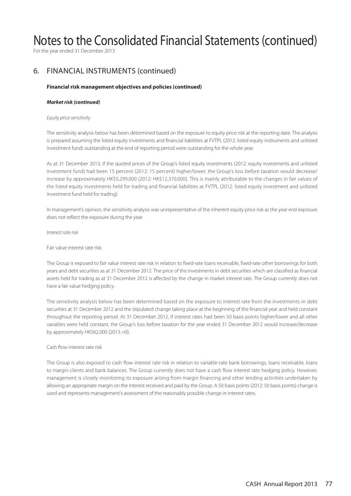For the year ended 31 December 2013

## 6. FINANCIAL INSTRUMENTS (continued)

### **Financial risk management objectives and policies (continued)**

#### *Market risk (continued)*

#### Equity price sensitivity

The sensitivity analysis below has been determined based on the exposure to equity price risk at the reporting date. The analysis is prepared assuming the listed equity investments and financial liabilities at FVTPL (2012: listed equity instruments and unlisted investment fund) outstanding at the end of reporting period were outstanding for the whole year.

As at 31 December 2013, if the quoted prices of the Group's listed equity investments (2012: equity investments and unlisted investment fund) had been 15 percent (2012: 15 percent) higher/lower, the Group's loss before taxation would decrease/ increase by approximately HK\$5,299,000 (2012: HK\$12,370,000). This is mainly attributable to the changes in fair values of the listed equity investments held for trading and financial liabilities at FVTPL (2012: listed equity investment and unlisted investment fund held for trading).

In management's opinion, the sensitivity analysis was unrepresentative of the inherent equity price risk as the year end exposure does not reflect the exposure during the year.

Interest rate risk

#### Fair value interest rate risk

The Group is exposed to fair value interest rate risk in relation to fixed-rate loans receivable, fixed-rate other borrowings for both years and debt securities as at 31 December 2012. The price of the investments in debt securities which are classified as financial assets held for trading as at 31 December 2012 is affected by the change in market interest rate. The Group currently does not have a fair value hedging policy.

The sensitivity analysis below has been determined based on the exposure to interest rate from the investments in debt securities at 31 December 2012 and the stipulated change taking place at the beginning of the financial year and held constant throughout the reporting period. At 31 December 2012, if interest rates had been 50 basis points higher/lower and all other variables were held constant, the Group's loss before taxation for the year ended 31 December 2012 would increase/decrease by approximately HK562,000 (2013: nil).

#### Cash flow interest rate risk

The Group is also exposed to cash flow interest rate risk in relation to variable-rate bank borrowings, loans receivable, loans to margin clients and bank balances. The Group currently does not have a cash flow interest rate hedging policy. However, management is closely monitoring its exposure arising from margin financing and other lending activities undertaken by allowing an appropriate margin on the interest received and paid by the Group. A 50 basis points (2012: 50 basis points) change is used and represents management's assessment of the reasonably possible change in interest rates.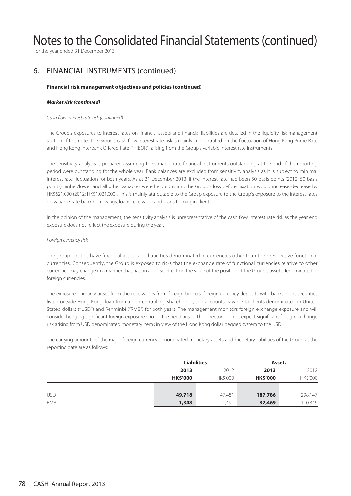For the year ended 31 December 2013

## 6. FINANCIAL INSTRUMENTS (continued)

### **Financial risk management objectives and policies (continued)**

#### *Market risk (continued)*

#### Cash flow interest rate risk (continued)

The Group's exposures to interest rates on financial assets and financial liabilities are detailed in the liquidity risk management section of this note. The Group's cash flow interest rate risk is mainly concentrated on the fluctuation of Hong Kong Prime Rate and Hong Kong Interbank Offered Rate ("HIBOR") arising from the Group's variable interest rate instruments.

The sensitivity analysis is prepared assuming the variable-rate financial instruments outstanding at the end of the reporting period were outstanding for the whole year. Bank balances are excluded from sensitivity analysis as it is subject to minimal interest rate fluctuation for both years. As at 31 December 2013, if the interest rate had been 50 basis points (2012: 50 basis points) higher/lower and all other variables were held constant, the Group's loss before taxation would increase/decrease by HK\$621,000 (2012: HK\$1,021,000). This is mainly attributable to the Group exposure to the Group's exposure to the interest rates on variable-rate bank borrowings, loans receivable and loans to margin clients.

In the opinion of the management, the sensitivity analysis is unrepresentative of the cash flow interest rate risk as the year end exposure does not reflect the exposure during the year.

#### Foreign currency risk

The group entities have financial assets and liabilities denominated in currencies other than their respective functional currencies. Consequently, the Group is exposed to risks that the exchange rate of functional currencies relative to other currencies may change in a manner that has an adverse effect on the value of the position of the Group's assets denominated in foreign currencies.

The exposure primarily arises from the receivables from foreign brokers, foreign currency deposits with banks, debt securities listed outside Hong Kong, loan from a non-controlling shareholder, and accounts payable to clients denominated in United Stated dollars (''USD'') and Renminbi ("RMB") for both years. The management monitors foreign exchange exposure and will consider hedging significant foreign exposure should the need arises. The directors do not expect significant foreign exchange risk arising from USD denominated monetary items in view of the Hong Kong dollar pegged system to the USD.

The carrying amounts of the major foreign currency denominated monetary assets and monetary liabilities of the Group at the reporting date are as follows:

|            |                 | <b>Liabilities</b> |                 | <b>Assets</b> |  |
|------------|-----------------|--------------------|-----------------|---------------|--|
|            | 2013            | 2012               | 2013            | 2012          |  |
|            | <b>HK\$'000</b> | <b>HK\$'000</b>    | <b>HK\$'000</b> | HK\$'000      |  |
|            |                 |                    |                 |               |  |
| <b>USD</b> | 49,718          | 47,481             | 187,786         | 298,147       |  |
| <b>RMB</b> | 1,348           | ,491               | 32,469          | 110,349       |  |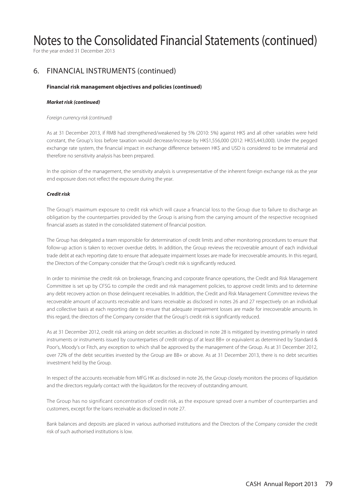For the year ended 31 December 2013

## 6. FINANCIAL INSTRUMENTS (continued)

### **Financial risk management objectives and policies (continued)**

#### *Market risk (continued)*

#### Foreign currency risk (continued)

As at 31 December 2013, if RMB had strengthened/weakened by 5% (2010: 5%) against HK\$ and all other variables were held constant, the Group's loss before taxation would decrease/increase by HK\$1,556,000 (2012: HK\$5,443,000). Under the pegged exchange rate system, the financial impact in exchange difference between HK\$ and USD is considered to be immaterial and therefore no sensitivity analysis has been prepared.

In the opinion of the management, the sensitivity analysis is unrepresentative of the inherent foreign exchange risk as the year end exposure does not reflect the exposure during the year.

#### *Credit risk*

The Group's maximum exposure to credit risk which will cause a financial loss to the Group due to failure to discharge an obligation by the counterparties provided by the Group is arising from the carrying amount of the respective recognised financial assets as stated in the consolidated statement of financial position.

The Group has delegated a team responsible for determination of credit limits and other monitoring procedures to ensure that follow-up action is taken to recover overdue debts. In addition, the Group reviews the recoverable amount of each individual trade debt at each reporting date to ensure that adequate impairment losses are made for irrecoverable amounts. In this regard, the Directors of the Company consider that the Group's credit risk is significantly reduced.

In order to minimise the credit risk on brokerage, financing and corporate finance operations, the Credit and Risk Management Committee is set up by CFSG to compile the credit and risk management policies, to approve credit limits and to determine any debt recovery action on those delinquent receivables. In addition, the Credit and Risk Management Committee reviews the recoverable amount of accounts receivable and loans receivable as disclosed in notes 26 and 27 respectively on an individual and collective basis at each reporting date to ensure that adequate impairment losses are made for irrecoverable amounts. In this regard, the directors of the Company consider that the Group's credit risk is significantly reduced.

As at 31 December 2012, credit risk arising on debt securities as disclosed in note 28 is mitigated by investing primarily in rated instruments or instruments issued by counterparties of credit ratings of at least BB+ or equivalent as determined by Standard & Poor's, Moody's or Fitch, any exception to which shall be approved by the management of the Group. As at 31 December 2012, over 72% of the debt securities invested by the Group are BB+ or above. As at 31 December 2013, there is no debt securities investment held by the Group.

In respect of the accounts receivable from MFG HK as disclosed in note 26, the Group closely monitors the process of liquidation and the directors regularly contact with the liquidators for the recovery of outstanding amount.

The Group has no significant concentration of credit risk, as the exposure spread over a number of counterparties and customers, except for the loans receivable as disclosed in note 27.

Bank balances and deposits are placed in various authorised institutions and the Directors of the Company consider the credit risk of such authorised institutions is low.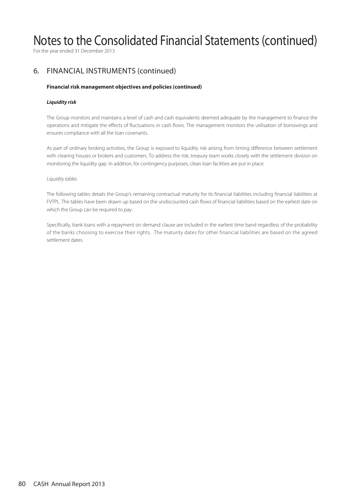For the year ended 31 December 2013

## 6. FINANCIAL INSTRUMENTS (continued)

### **Financial risk management objectives and policies (continued)**

### *Liquidity risk*

The Group monitors and maintains a level of cash and cash equivalents deemed adequate by the management to finance the operations and mitigate the effects of fluctuations in cash flows. The management monitors the utilisation of borrowings and ensures compliance with all the loan covenants.

As part of ordinary broking activities, the Group is exposed to liquidity risk arising from timing difference between settlement with clearing houses or brokers and customers. To address the risk, treasury team works closely with the settlement division on monitoring the liquidity gap. In addition, for contingency purposes, clean loan facilities are put in place.

#### Liquidity tables

The following tables details the Group's remaining contractual maturity for its financial liabilities including financial liabilities at FVTPL. The tables have been drawn up based on the undiscounted cash flows of financial liabilities based on the earliest date on which the Group can be required to pay.

Specifically, bank loans with a repayment on demand clause are included in the earliest time band regardless of the probability of the banks choosing to exercise their rights. The maturity dates for other financial liabilities are based on the agreed settlement dates.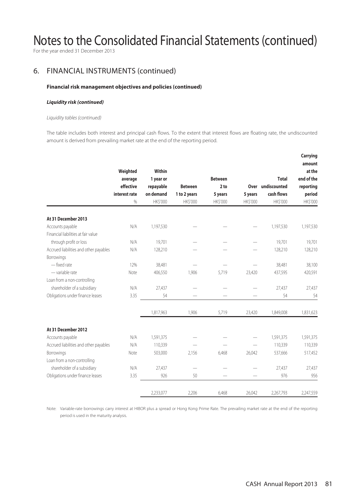For the year ended 31 December 2013

## 6. FINANCIAL INSTRUMENTS (continued)

### **Financial risk management objectives and policies (continued)**

#### *Liquidity risk (continued)*

#### Liquidity tables (continued)

The table includes both interest and principal cash flows. To the extent that interest flows are floating rate, the undiscounted amount is derived from prevailing market rate at the end of the reporting period.

|                                        | Weighted<br>average<br>effective<br>interest rate<br>$\%$ | Within<br>1 year or<br>repayable<br>on demand<br>HK\$'000 | <b>Between</b><br>1 to 2 years<br>HK\$'000 | <b>Between</b><br>2 to<br>5 years<br>HK\$'000 | 5 years<br>HK\$'000 | <b>Total</b><br>Over undiscounted<br>cash flows<br>HK\$'000 | <b>Carrying</b><br>amount<br>at the<br>end of the<br>reporting<br>period<br>HK\$'000 |
|----------------------------------------|-----------------------------------------------------------|-----------------------------------------------------------|--------------------------------------------|-----------------------------------------------|---------------------|-------------------------------------------------------------|--------------------------------------------------------------------------------------|
| At 31 December 2013                    |                                                           |                                                           |                                            |                                               |                     |                                                             |                                                                                      |
| Accounts payable                       | N/A                                                       | 1,197,530                                                 |                                            |                                               |                     | 1,197,530                                                   | 1,197,530                                                                            |
| Financial liabilities at fair value    |                                                           |                                                           |                                            |                                               |                     |                                                             |                                                                                      |
| through profit or loss                 | N/A                                                       | 19,701                                                    |                                            |                                               |                     | 19,701                                                      | 19,701                                                                               |
| Accrued liabilities and other payables | N/A                                                       | 128,210                                                   |                                            |                                               |                     | 128,210                                                     | 128,210                                                                              |
| Borrowings                             |                                                           |                                                           |                                            |                                               |                     |                                                             |                                                                                      |
| - fixed rate                           | 12%                                                       | 38,481                                                    |                                            |                                               |                     | 38,481                                                      | 38,100                                                                               |
| - variable rate                        | Note                                                      | 406,550                                                   | 1,906                                      | 5,719                                         | 23,420              | 437,595                                                     | 420,591                                                                              |
| Loan from a non-controlling            |                                                           |                                                           |                                            |                                               |                     |                                                             |                                                                                      |
| shareholder of a subsidiary            | N/A                                                       | 27,437                                                    |                                            |                                               |                     | 27,437                                                      | 27,437                                                                               |
| Obligations under finance leases       | 3.35                                                      | 54                                                        |                                            |                                               |                     | 54                                                          | 54                                                                                   |
|                                        |                                                           | 1,817,963                                                 | 1,906                                      | 5,719                                         | 23,420              | 1,849,008                                                   | 1,831,623                                                                            |
| At 31 December 2012                    |                                                           |                                                           |                                            |                                               |                     |                                                             |                                                                                      |
| Accounts payable                       | N/A                                                       | 1,591,375                                                 |                                            |                                               | —                   | 1,591,375                                                   | 1,591,375                                                                            |
| Accrued liabilities and other payables | N/A                                                       | 110,339                                                   |                                            |                                               |                     | 110,339                                                     | 110,339                                                                              |
| Borrowings                             | Note                                                      | 503,000                                                   | 2,156                                      | 6,468                                         | 26,042              | 537,666                                                     | 517,452                                                                              |
| Loan from a non-controlling            |                                                           |                                                           |                                            |                                               |                     |                                                             |                                                                                      |
| shareholder of a subsidiary            | N/A                                                       | 27,437                                                    |                                            |                                               |                     | 27,437                                                      | 27,437                                                                               |
| Obligations under finance leases       | 3.35                                                      | 926                                                       | 50                                         |                                               |                     | 976                                                         | 956                                                                                  |
|                                        |                                                           | 2,233,077                                                 | 2,206                                      | 6,468                                         | 26,042              | 2,267,793                                                   | 2,247,559                                                                            |

Note: Variable-rate borrowings carry interest at HIBOR plus a spread or Hong Kong Prime Rate. The prevailing market rate at the end of the reporting period is used in the maturity analysis.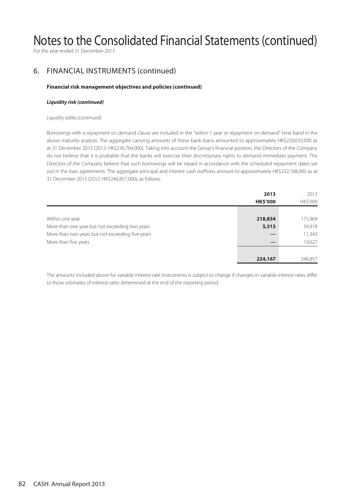For the year ended 31 December 2013

## 6. FINANCIAL INSTRUMENTS (continued)

### **Financial risk management objectives and policies (continued)**

### *Liquidity risk (continued)*

#### Liquidity tables (continued)

Borrowings with a repayment on demand clause are included in the "within 1 year or repayment on demand" time band in the above maturity analysis. The aggregate carrying amounts of these bank loans amounted to approximately HK\$220,633,000 as at 31 December 2013 (2012: HK\$236,764,000). Taking into account the Group's financial position, the Directors of the Company do not believe that it is probable that the banks will exercise their discretionary rights to demand immediate payment. The Directors of the Company believe that such borrowings will be repaid in accordance with the scheduled repayment dates set out in the loan agreements. The aggregate principal and interest cash outflows amount to approximately HK\$222,168,000 as at 31 December 2013 (2012: HK\$246,857,000), as follows:

|                                                  | 2013            | 2012     |
|--------------------------------------------------|-----------------|----------|
|                                                  | <b>HK\$'000</b> | HK\$'000 |
|                                                  |                 |          |
| Within one year                                  | 218,854         | 175,969  |
| More than one year but not exceeding two years   | 5,313           | 39,918   |
| More than two years but not exceeding five years |                 | 11,343   |
| More than five years                             |                 | 19,627   |
|                                                  |                 |          |
|                                                  | 224,167         | 246,857  |

The amounts included above for variable interest rate instruments is subject to change if changes in variable interest rates differ to those estimates of interest rates determined at the end of the reporting period.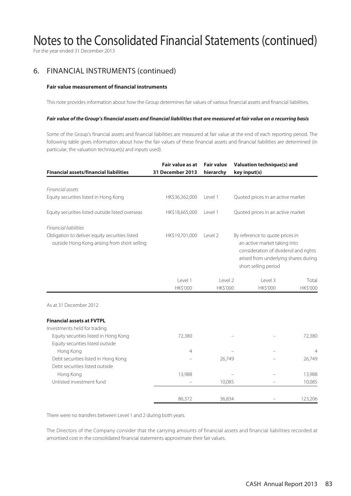For the year ended 31 December 2013

## 6. FINANCIAL INSTRUMENTS (continued)

### **Fair value measurement of financial instruments**

This note provides information about how the Group determines fair values of various financial assets and financial liabilities.

#### *Fair value of the Group's financial assets and financial liabilities that are measured at fair value on a recurring basis*

Some of the Group's financial assets and financial liabilities are measured at fair value at the end of each reporting period. The following table gives information about how the fair values of these financial assets and financial liabilities are determined (in particular, the valuation technique(s) and inputs used).

|                                                  | <b>Fair value as at</b> | <b>Fair value</b>                            | Valuation technique(s) and           |                |
|--------------------------------------------------|-------------------------|----------------------------------------------|--------------------------------------|----------------|
| <b>Financial assets/financial liabilities</b>    | 31 December 2013        | hierarchy                                    | key input(s)                         |                |
|                                                  |                         |                                              |                                      |                |
| Financial assets                                 |                         |                                              |                                      |                |
| Equity securities listed in Hong Kong            | HK\$36,362,000          | Level 1<br>Quoted prices in an active market |                                      |                |
| Equity securities listed outside listed overseas | HK\$18,665,000          | Level 1                                      | Quoted prices in an active market    |                |
| <b>Financial liabilities</b>                     |                         |                                              |                                      |                |
| Obligation to deliver equity securities listed   | HK\$19,701,000          | Level 2                                      | By reference to quote prices in      |                |
| outside Hong Kong arising from short selling     |                         |                                              | an active market taking into         |                |
|                                                  |                         |                                              | consideration of dividend and rights |                |
|                                                  |                         |                                              | arised from underlying shares during |                |
|                                                  |                         |                                              | short selling period                 |                |
|                                                  | Level 1                 | Level 2                                      | Level 3                              | Total          |
|                                                  | HK\$'000                | HK\$'000                                     | HK\$'000                             | HK\$'000       |
| As at 31 December 2012                           |                         |                                              |                                      |                |
| <b>Financial assets at FVTPL</b>                 |                         |                                              |                                      |                |
| Investments held for trading                     |                         |                                              |                                      |                |
| Equity securities listed in Hong Kong            | 72,380                  |                                              |                                      | 72,380         |
| Equity securities listed outside                 |                         |                                              |                                      |                |
| Hong Kong                                        | 4                       |                                              |                                      | $\overline{4}$ |
| Debt securities listed in Hong Kong              |                         | 26,749                                       |                                      | 26,749         |
| Debt securities listed outside                   |                         |                                              |                                      |                |
| Hong Kong                                        | 13,988                  |                                              |                                      | 13,988         |
| Unlisted investment fund                         |                         | 10,085                                       |                                      | 10,085         |
|                                                  | 86,372                  | 36,834                                       |                                      | 123,206        |
|                                                  |                         |                                              |                                      |                |

There were no transfers between Level 1 and 2 during both years.

The Directors of the Company consider that the carrying amounts of financial assets and financial liabilities recorded at amortised cost in the consolidated financial statements approximate their fair values.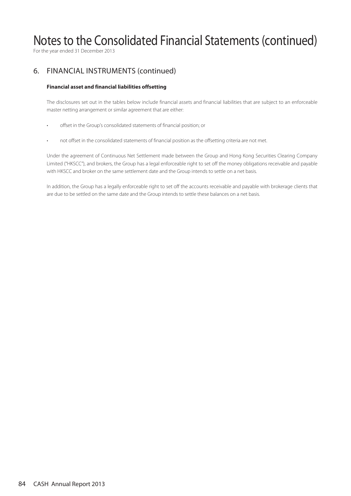For the year ended 31 December 2013

## 6. FINANCIAL INSTRUMENTS (continued)

### **Financial asset and financial liabilities offsetting**

The disclosures set out in the tables below include financial assets and financial liabilities that are subject to an enforceable master netting arrangement or similar agreement that are either:

- offset in the Group's consolidated statements of financial position; or
- not offset in the consolidated statements of financial position as the offsetting criteria are not met.

Under the agreement of Continuous Net Settlement made between the Group and Hong Kong Securities Clearing Company Limited ("HKSCC"), and brokers, the Group has a legal enforceable right to set off the money obligations receivable and payable with HKSCC and broker on the same settlement date and the Group intends to settle on a net basis.

In addition, the Group has a legally enforceable right to set off the accounts receivable and payable with brokerage clients that are due to be settled on the same date and the Group intends to settle these balances on a net basis.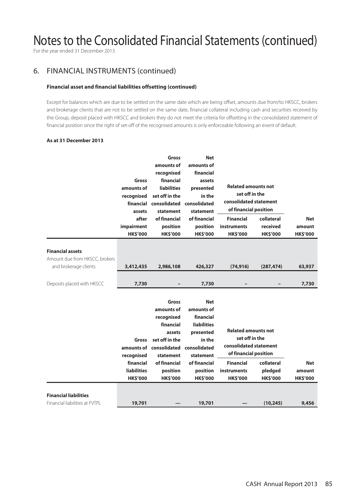For the year ended 31 December 2013

### 6. FINANCIAL INSTRUMENTS (continued)

### **Financial asset and financial liabilities offsetting (continued)**

Except for balances which are due to be settled on the same date which are being offset, amounts due from/to HKSCC, brokers and brokerage clients that are not to be settled on the same date, financial collateral including cash and securities received by the Group, deposit placed with HKSCC and brokers they do not meet the criteria for offsetting in the consolidated statement of financial position since the right of set-off of the recognised amounts is only enforceable following an event of default.

#### **As at 31 December 2013**

|                                |                    | Gross                   | <b>Net</b>         |                                                 |                 |                 |  |
|--------------------------------|--------------------|-------------------------|--------------------|-------------------------------------------------|-----------------|-----------------|--|
|                                |                    | amounts of              | amounts of         |                                                 |                 |                 |  |
|                                |                    | recognised              | financial          |                                                 |                 |                 |  |
|                                | Gross              | financial               | assets             |                                                 |                 |                 |  |
|                                | amounts of         | <b>liabilities</b>      | presented          | <b>Related amounts not</b>                      |                 |                 |  |
|                                | recognised         | set off in the          | in the             | set off in the                                  |                 |                 |  |
|                                | financial          | consolidated            | consolidated       | consolidated statement<br>of financial position |                 |                 |  |
|                                | assets             | statement               | statement          |                                                 |                 |                 |  |
|                                | after              | of financial            | of financial       | <b>Financial</b>                                | collateral      | <b>Net</b>      |  |
|                                | impairment         | position                | position           | instruments                                     | received        | amount          |  |
|                                | <b>HK\$'000</b>    | <b>HK\$'000</b>         | <b>HK\$'000</b>    | <b>HK\$'000</b>                                 | <b>HK\$'000</b> | <b>HK\$'000</b> |  |
|                                |                    |                         |                    |                                                 |                 |                 |  |
| <b>Financial assets</b>        |                    |                         |                    |                                                 |                 |                 |  |
| Amount due from HKSCC, brokers |                    |                         |                    |                                                 |                 |                 |  |
| and brokerage clients          | 3,412,435          | 2,986,108               | 426,327            | (74, 916)                                       | (287, 474)      | 63,937          |  |
|                                |                    |                         |                    |                                                 |                 |                 |  |
| Deposits placed with HKSCC     | 7,730              |                         | 7,730              |                                                 |                 | 7,730           |  |
|                                |                    |                         |                    |                                                 |                 |                 |  |
|                                |                    | Gross                   | <b>Net</b>         |                                                 |                 |                 |  |
|                                |                    | amounts of              | amounts of         |                                                 |                 |                 |  |
|                                |                    | recognised              | financial          |                                                 |                 |                 |  |
|                                |                    | financial               | <b>liabilities</b> |                                                 |                 |                 |  |
|                                |                    | assets                  | presented          | <b>Related amounts not</b>                      |                 |                 |  |
|                                | Gross              | set off in the          | in the             | set off in the                                  |                 |                 |  |
|                                |                    | amounts of consolidated | consolidated       | consolidated statement                          |                 |                 |  |
|                                | recognised         | statement               | statement          | of financial position                           |                 |                 |  |
|                                | financial          | of financial            | of financial       | <b>Financial</b>                                | collateral      | <b>Net</b>      |  |
|                                | <b>liabilities</b> | position                | position           | instruments                                     | pledged         | amount          |  |
|                                | <b>HK\$'000</b>    | <b>HK\$'000</b>         | <b>HK\$'000</b>    | <b>HK\$'000</b>                                 | <b>HK\$'000</b> | <b>HK\$'000</b> |  |
|                                |                    |                         |                    |                                                 |                 |                 |  |
| <b>Financial liabilities</b>   |                    |                         |                    |                                                 |                 |                 |  |
| Financial liabilities at FVTPL | 19,701             |                         | 19,701             |                                                 | (10, 245)       | 9,456           |  |
|                                |                    |                         |                    |                                                 |                 |                 |  |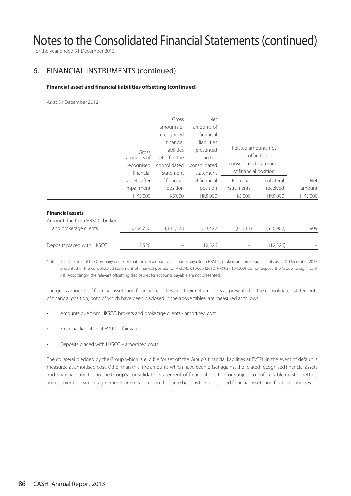For the year ended 31 December 2013

### 6. FINANCIAL INSTRUMENTS (continued)

### **Financial asset and financial liabilities offsetting (continued)**

As at 31 December 2012

|                                                                                    | Gross<br>amounts of<br>recognised<br>financial | Gross<br>amounts of<br>recognised<br>financial<br>liabilities<br>set off in the<br>consolidated<br>statement | Net<br>amounts of<br>financial<br>liabilities<br>presented<br>in the<br>consolidated<br>statement | Related amounts not<br>set off in the<br>consolidated statement<br>of financial position |            |          |
|------------------------------------------------------------------------------------|------------------------------------------------|--------------------------------------------------------------------------------------------------------------|---------------------------------------------------------------------------------------------------|------------------------------------------------------------------------------------------|------------|----------|
|                                                                                    | assets after                                   | of financial                                                                                                 | of financial                                                                                      | Financial                                                                                | collateral | Net      |
|                                                                                    | impairment                                     | position                                                                                                     | position                                                                                          | instruments                                                                              | received   | amount   |
|                                                                                    | <b>HK\$'000</b>                                | HK\$'000                                                                                                     | HK\$'000                                                                                          | HK\$'000                                                                                 | HK\$'000   | HK\$'000 |
| <b>Financial assets</b><br>Amount due from HKSCC, brokers<br>and brokerage clients | 3,764,750                                      | 3,141,328                                                                                                    | 623,422                                                                                           | (85,611)                                                                                 | (536,902)  | 909      |
| Deposits placed with HKSCC                                                         | 12,526                                         |                                                                                                              | 12,526                                                                                            |                                                                                          | (12,526)   |          |

Note: The Directors of the Company consider that the net amount of accounts payable to HKSCC, brokers and brokerage clients as at 31 December 2013 presented in the consolidated statement of financial position of HK\$742,010,000 (2012: HK\$937,104,000) do not expose the Group to significant risk. Accordingly, the relevant offsetting disclosures for accounts payable are not presented.

The gross amounts of financial assets and financial liabilities and their net amounts as presented in the consolidated statements of financial position, both of which have been disclosed in the above tables, are measured as follows:

- Amounts due from HKSCC, brokers and brokerage clients amortised cost
- Financial liabilities at FVTPL fair value
- Deposits placed with HKSCC amortised costs

The collateral pledged by the Group which is eligible for set off the Group's financial liabilities at FVTPL in the event of default is measured at amortised cost. Other than this, the amounts which have been offset against the related recognised financial assets and financial liabilities in the Group's consolidated statement of financial position or subject to enforceable master netting arrangements or similar agreements are measured on the same basis as the recognised financial assets and financial liabilities.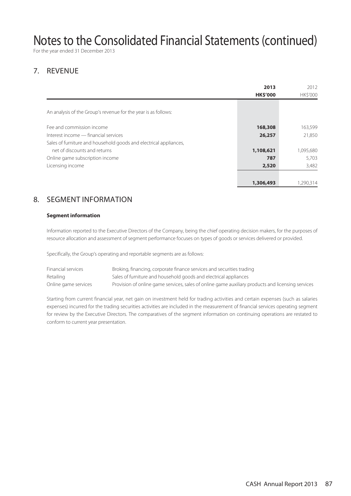For the year ended 31 December 2013

## 7. REVENUE

|                                                                   | 2013<br><b>HK\$'000</b> | 2012<br>HK\$'000 |
|-------------------------------------------------------------------|-------------------------|------------------|
|                                                                   |                         |                  |
| An analysis of the Group's revenue for the year is as follows:    |                         |                  |
| Fee and commission income                                         | 168,308                 | 163,599          |
| Interest income — financial services                              | 26,257                  | 21,850           |
| Sales of furniture and household goods and electrical appliances, |                         |                  |
| net of discounts and returns                                      | 1,108,621               | 1,095,680        |
| Online game subscription income                                   | 787                     | 5,703            |
| Licensing income                                                  | 2,520                   | 3,482            |
|                                                                   |                         |                  |
|                                                                   | 1,306,493               | 1.290.314        |

### 8. SEGMENT INFORMATION

### **Segment information**

Information reported to the Executive Directors of the Company, being the chief operating decision makers, for the purposes of resource allocation and assessment of segment performance focuses on types of goods or services delivered or provided.

Specifically, the Group's operating and reportable segments are as follows:

| Financial services   | Broking, financing, corporate finance services and securities trading                             |
|----------------------|---------------------------------------------------------------------------------------------------|
| Retailing            | Sales of furniture and household goods and electrical appliances                                  |
| Online game services | Provision of online game services, sales of online game auxiliary products and licensing services |

Starting from current financial year, net gain on investment held for trading activities and certain expenses (such as salaries expenses) incurred for the trading securities activities are included in the measurement of financial services operating segment for review by the Executive Directors. The comparatives of the segment information on continuing operations are restated to conform to current year presentation.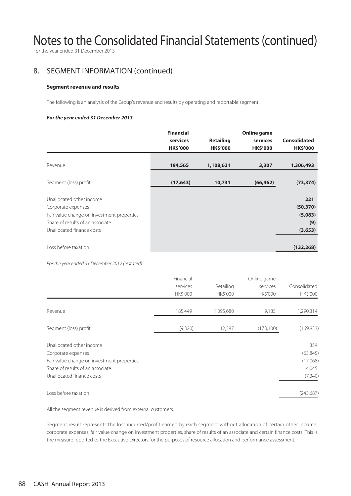For the year ended 31 December 2013

## 8. SEGMENT INFORMATION (continued)

### **Segment revenue and results**

The following is an analysis of the Group's revenue and results by operating and reportable segment:

#### *For the year ended 31 December 2013*

|                                            | <b>Financial</b> |                  | <b>Online game</b> |                     |
|--------------------------------------------|------------------|------------------|--------------------|---------------------|
|                                            | services         | <b>Retailing</b> | services           | <b>Consolidated</b> |
|                                            | <b>HK\$'000</b>  | <b>HK\$'000</b>  | <b>HK\$'000</b>    | <b>HK\$'000</b>     |
|                                            |                  |                  |                    |                     |
| Revenue                                    | 194,565          | 1,108,621        | 3,307              | 1,306,493           |
|                                            |                  |                  |                    |                     |
| Segment (loss) profit                      | (17, 643)        | 10,731           | (66, 462)          | (73, 374)           |
|                                            |                  |                  |                    |                     |
| Unallocated other income                   |                  |                  |                    | 221                 |
| Corporate expenses                         |                  |                  |                    | (50, 370)           |
| Fair value change on investment properties |                  |                  |                    | (5,083)             |
| Share of results of an associate           |                  |                  |                    | (9)                 |
| Unallocated finance costs                  |                  |                  |                    | (3, 653)            |
|                                            |                  |                  |                    |                     |
| Loss before taxation                       |                  |                  |                    | (132, 268)          |

For the year ended 31 December 2012 (restated)

|                                            | Financial |           | Online game |              |
|--------------------------------------------|-----------|-----------|-------------|--------------|
|                                            | services  | Retailing | services    | Consolidated |
|                                            | HK\$'000  | HK\$'000  | HK\$'000    | HK\$'000     |
|                                            |           |           |             |              |
| Revenue                                    | 185,449   | 1,095,680 | 9,185       | 1,290,314    |
|                                            |           |           |             |              |
| Segment (loss) profit                      | (9,320)   | 12,587    | (173, 100)  | (169, 833)   |
|                                            |           |           |             |              |
| Unallocated other income                   |           |           |             | 354          |
| Corporate expenses                         |           |           |             | (63,845)     |
| Fair value change on investment properties |           |           |             | (17,068)     |
| Share of results of an associate           |           |           |             | 14,045       |
| Unallocated finance costs                  |           |           |             | (7, 340)     |
| Loss before taxation                       |           |           |             | (243, 687)   |

All the segment revenue is derived from external customers.

Segment result represents the loss incurred/profit earned by each segment without allocation of certain other income, corporate expenses, fair value change on investment properties, share of results of an associate and certain finance costs. This is the measure reported to the Executive Directors for the purposes of resource allocation and performance assessment.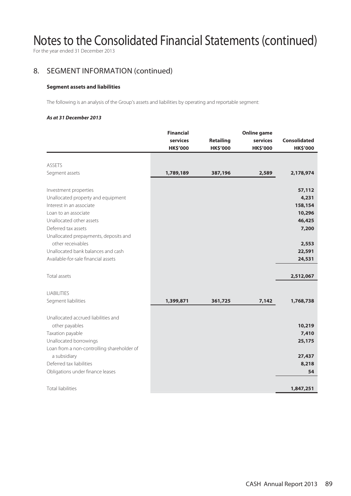For the year ended 31 December 2013

## 8. SEGMENT INFORMATION (continued)

### **Segment assets and liabilities**

The following is an analysis of the Group's assets and liabilities by operating and reportable segment:

### *As at 31 December 2013*

|                                            | <b>Financial</b> |                  | <b>Online game</b> |                     |
|--------------------------------------------|------------------|------------------|--------------------|---------------------|
|                                            | services         | <b>Retailing</b> | services           | <b>Consolidated</b> |
|                                            | <b>HK\$'000</b>  | <b>HK\$'000</b>  | <b>HK\$'000</b>    | <b>HK\$'000</b>     |
|                                            |                  |                  |                    |                     |
| <b>ASSETS</b>                              |                  |                  |                    |                     |
| Segment assets                             | 1,789,189        | 387,196          | 2,589              | 2,178,974           |
|                                            |                  |                  |                    |                     |
| Investment properties                      |                  |                  |                    | 57,112              |
| Unallocated property and equipment         |                  |                  |                    | 4,231               |
| Interest in an associate                   |                  |                  |                    | 158,154             |
| Loan to an associate                       |                  |                  |                    | 10,296              |
| Unallocated other assets                   |                  |                  |                    | 46,425              |
| Deferred tax assets                        |                  |                  |                    | 7,200               |
| Unallocated prepayments, deposits and      |                  |                  |                    |                     |
| other receivables                          |                  |                  |                    | 2,553               |
| Unallocated bank balances and cash         |                  |                  |                    | 22,591              |
| Available-for-sale financial assets        |                  |                  |                    | 24,531              |
|                                            |                  |                  |                    |                     |
| Total assets                               |                  |                  |                    | 2,512,067           |
|                                            |                  |                  |                    |                     |
| <b>LIABILITIES</b>                         |                  |                  |                    |                     |
| Segment liabilities                        | 1,399,871        | 361,725          | 7,142              | 1,768,738           |
|                                            |                  |                  |                    |                     |
| Unallocated accrued liabilities and        |                  |                  |                    |                     |
| other payables                             |                  |                  |                    | 10,219              |
| Taxation payable                           |                  |                  |                    | 7,410               |
| Unallocated borrowings                     |                  |                  |                    | 25,175              |
| Loan from a non-controlling shareholder of |                  |                  |                    |                     |
| a subsidiary                               |                  |                  |                    | 27,437              |
| Deferred tax liabilities                   |                  |                  |                    | 8,218               |
| Obligations under finance leases           |                  |                  |                    | 54                  |
|                                            |                  |                  |                    |                     |
| <b>Total liabilities</b>                   |                  |                  |                    | 1,847,251           |
|                                            |                  |                  |                    |                     |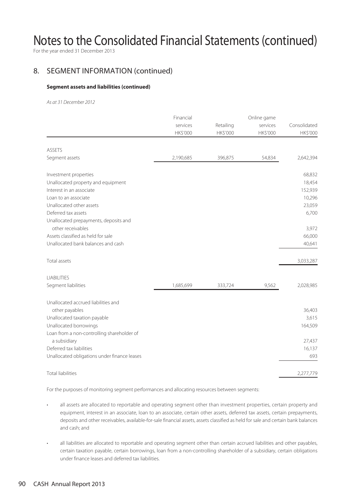For the year ended 31 December 2013

## 8. SEGMENT INFORMATION (continued)

### **Segment assets and liabilities (continued)**

As at 31 December 2012

|                                              | Financial |           | Online game |              |
|----------------------------------------------|-----------|-----------|-------------|--------------|
|                                              | services  | Retailing | services    | Consolidated |
|                                              | HK\$'000  | HK\$'000  | HK\$'000    | HK\$'000     |
| <b>ASSETS</b>                                |           |           |             |              |
| Segment assets                               | 2,190,685 | 396,875   | 54,834      | 2,642,394    |
| Investment properties                        |           |           |             | 68,832       |
| Unallocated property and equipment           |           |           |             | 18,454       |
| Interest in an associate                     |           |           |             | 152,939      |
| Loan to an associate                         |           |           |             | 10,296       |
| Unallocated other assets                     |           |           |             | 23,059       |
| Deferred tax assets                          |           |           |             | 6,700        |
| Unallocated prepayments, deposits and        |           |           |             |              |
| other receivables                            |           |           |             | 3,972        |
| Assets classified as held for sale           |           |           |             | 66,000       |
| Unallocated bank balances and cash           |           |           |             | 40,641       |
| Total assets                                 |           |           |             | 3,033,287    |
| <b>LIABILITIES</b>                           |           |           |             |              |
| Segment liabilities                          | 1,685,699 | 333,724   | 9,562       | 2,028,985    |
| Unallocated accrued liabilities and          |           |           |             |              |
| other payables                               |           |           |             | 36,403       |
| Unallocated taxation payable                 |           |           |             | 3,615        |
| Unallocated borrowings                       |           |           |             | 164,509      |
| Loan from a non-controlling shareholder of   |           |           |             |              |
| a subsidiary                                 |           |           |             | 27,437       |
| Deferred tax liabilities                     |           |           |             | 16,137       |
| Unallocated obligations under finance leases |           |           |             | 693          |
| <b>Total liabilities</b>                     |           |           |             | 2,277,779    |

For the purposes of monitoring segment performances and allocating resources between segments:

- all assets are allocated to reportable and operating segment other than investment properties, certain property and equipment, interest in an associate, loan to an associate, certain other assets, deferred tax assets, certain prepayments, deposits and other receivables, available-for-sale financial assets, assets classified as held for sale and certain bank balances and cash; and
- all liabilities are allocated to reportable and operating segment other than certain accrued liabilities and other payables, certain taxation payable, certain borrowings, loan from a non-controlling shareholder of a subsidiary, certain obligations under finance leases and deferred tax liabilities.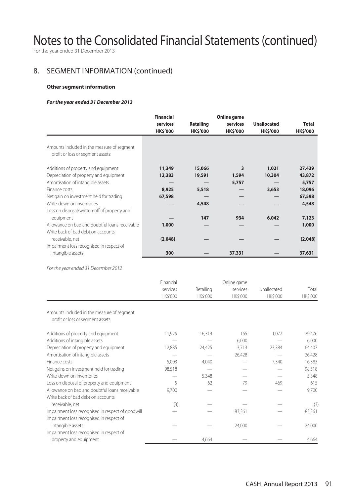For the year ended 31 December 2013

### 8. SEGMENT INFORMATION (continued)

### **Other segment information**

#### *For the year ended 31 December 2013*

|                                                                                 | <b>Financial</b><br>services<br><b>HK\$'000</b> | <b>Retailing</b><br><b>HK\$'000</b> | Online game<br>services<br><b>HK\$'000</b> | <b>Unallocated</b><br><b>HK\$'000</b> | <b>Total</b><br><b>HK\$'000</b> |
|---------------------------------------------------------------------------------|-------------------------------------------------|-------------------------------------|--------------------------------------------|---------------------------------------|---------------------------------|
| Amounts included in the measure of segment<br>profit or loss or segment assets: |                                                 |                                     |                                            |                                       |                                 |
| Additions of property and equipment                                             | 11,349                                          | 15,066                              | 3                                          | 1,021                                 | 27,439                          |
| Depreciation of property and equipment                                          | 12,383                                          | 19,591                              | 1,594                                      | 10,304                                | 43,872                          |
| Amortisation of intangible assets                                               |                                                 |                                     | 5,757                                      |                                       | 5,757                           |
| Finance costs                                                                   | 8,925                                           | 5,518                               |                                            | 3,653                                 | 18,096                          |
| Net gain on investment held for trading                                         | 67,598                                          |                                     |                                            |                                       | 67,598                          |
| Write-down on inventories                                                       |                                                 | 4,548                               |                                            |                                       | 4,548                           |
| Loss on disposal/written-off of property and                                    |                                                 |                                     |                                            |                                       |                                 |
| equipment                                                                       |                                                 | 147                                 | 934                                        | 6,042                                 | 7,123                           |
| Allowance on bad and doubtful loans receivable                                  | 1,000                                           |                                     |                                            |                                       | 1,000                           |
| Write back of bad debt on accounts                                              |                                                 |                                     |                                            |                                       |                                 |
| receivable, net                                                                 | (2,048)                                         |                                     |                                            |                                       | (2,048)                         |
| Impairment loss recognised in respect of                                        |                                                 |                                     |                                            |                                       |                                 |
| intangible assets                                                               | 300                                             |                                     | 37,331                                     |                                       | 37,631                          |

For the year ended 31 December 2012

|                                                   | Financial |           | Online game     |             |          |
|---------------------------------------------------|-----------|-----------|-----------------|-------------|----------|
|                                                   | services  | Retailing | services        | Unallocated | Total    |
|                                                   | HK\$'000  | HK\$'000  | <b>HK\$'000</b> | HK\$'000    | HK\$'000 |
| Amounts included in the measure of segment        |           |           |                 |             |          |
| profit or loss or segment assets:                 |           |           |                 |             |          |
| Additions of property and equipment               | 11,925    | 16,314    | 165             | 1,072       | 29,476   |
| Additions of intangible assets                    |           |           | 6,000           |             | 6,000    |
| Depreciation of property and equipment            | 12,885    | 24,425    | 3,713           | 23,384      | 64,407   |
| Amortisation of intangible assets                 |           |           | 26,428          |             | 26,428   |
| Finance costs                                     | 5,003     | 4,040     |                 | 7.340       | 16,383   |
| Net gains on investment held for trading          | 98,518    |           |                 |             | 98,518   |
| Write-down on inventories                         |           | 5,348     |                 |             | 5,348    |
| Loss on disposal of property and equipment        | 5         | 62        | 79              | 469         | 615      |
| Allowance on bad and doubtful loans receivable    | 9,700     |           |                 |             | 9,700    |
| Write back of bad debt on accounts                |           |           |                 |             |          |
| receivable, net                                   | (3)       |           |                 |             | (3)      |
| Impairment loss recognised in respect of goodwill |           |           | 83,361          |             | 83,361   |
| Impairment loss recognised in respect of          |           |           |                 |             |          |
| intangible assets                                 |           |           | 24,000          |             | 24,000   |
| Impairment loss recognised in respect of          |           |           |                 |             |          |
| property and equipment                            |           | 4,664     |                 |             | 4,664    |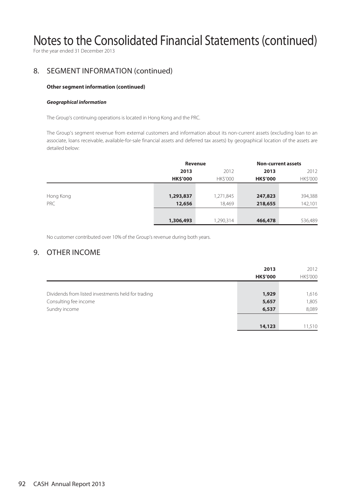For the year ended 31 December 2013

## 8. SEGMENT INFORMATION (continued)

### **Other segment information (continued)**

### *Geographical information*

The Group's continuing operations is located in Hong Kong and the PRC.

The Group's segment revenue from external customers and information about its non-current assets (excluding loan to an associate, loans receivable, available-for-sale financial assets and deferred tax assets) by geographical location of the assets are detailed below:

|           | <b>Revenue</b>  |                 |                 | <b>Non-current assets</b> |  |  |
|-----------|-----------------|-----------------|-----------------|---------------------------|--|--|
|           | 2012<br>2013    |                 | 2013            |                           |  |  |
|           | <b>HK\$'000</b> | <b>HK\$'000</b> | <b>HK\$'000</b> | HK\$'000                  |  |  |
|           |                 |                 |                 |                           |  |  |
| Hong Kong | 1,293,837       | 1,271,845       | 247,823         | 394,388                   |  |  |
| PRC.      | 12,656          | 18,469          | 218,655         | 142,101                   |  |  |
|           |                 |                 |                 |                           |  |  |
|           | 1,306,493       | 1,290,314       | 466,478         | 536,489                   |  |  |

No customer contributed over 10% of the Group's revenue during both years.

### 9. OTHER INCOME

|                                                    | 2013            | 2012     |
|----------------------------------------------------|-----------------|----------|
|                                                    | <b>HK\$'000</b> | HK\$'000 |
|                                                    |                 |          |
| Dividends from listed investments held for trading | 1,929           | 1,616    |
| Consulting fee income                              | 5,657           | 1,805    |
| Sundry income                                      | 6,537           | 8,089    |
|                                                    |                 |          |
|                                                    | 14,123          | 11,510   |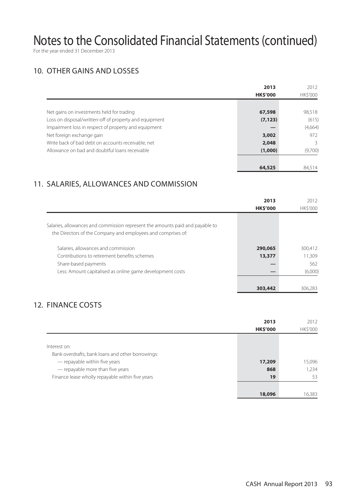For the year ended 31 December 2013

## 10. OTHER GAINS AND LOSSES

|                                                        | 2013            | 2012     |
|--------------------------------------------------------|-----------------|----------|
|                                                        | <b>HK\$'000</b> | HK\$'000 |
|                                                        |                 |          |
| Net gains on investments held for trading              | 67,598          | 98,518   |
| Loss on disposal/written-off of property and equipment | (7, 123)        | (615)    |
| Impairment loss in respect of property and equipment   |                 | (4,664)  |
| Net foreign exchange gain                              | 3,002           | 972      |
| Write back of bad debt on accounts receivable, net     | 2,048           | 3        |
| Allowance on bad and doubtful loans receivable         | (1,000)         | (9,700)  |
|                                                        |                 |          |
|                                                        | 64,525          | 84.514   |

## 11. SALARIES, ALLOWANCES AND COMMISSION

|                                                                               | 2013<br><b>HK\$'000</b> | 2012<br><b>HKS'000</b> |
|-------------------------------------------------------------------------------|-------------------------|------------------------|
|                                                                               |                         |                        |
| Salaries, allowances and commission represent the amounts paid and payable to |                         |                        |
| the Directors of the Company and employees and comprises of:                  |                         |                        |
| Salaries, allowances and commission                                           | 290,065                 | 300,412                |
| Contributions to retirement benefits schemes                                  | 13,377                  | 11.309                 |
| Share-based payments                                                          |                         | 562                    |
| Less: Amount capitalised as online game development costs                     |                         | (6,000)                |
|                                                                               |                         |                        |
|                                                                               | 303,442                 | 306.283                |

## 12. FINANCE COSTS

|                                                   | 2013<br><b>HK\$'000</b> | 2012<br>HK\$'000 |
|---------------------------------------------------|-------------------------|------------------|
|                                                   |                         |                  |
| Interest on:                                      |                         |                  |
| Bank overdrafts, bank loans and other borrowings: |                         |                  |
| — repayable within five years                     | 17,209                  | 15,096           |
| - repayable more than five years                  | 868                     | 1,234            |
| Finance lease wholly repayable within five years  | 19                      | 53               |
|                                                   |                         |                  |
|                                                   | 18,096                  | 16.383           |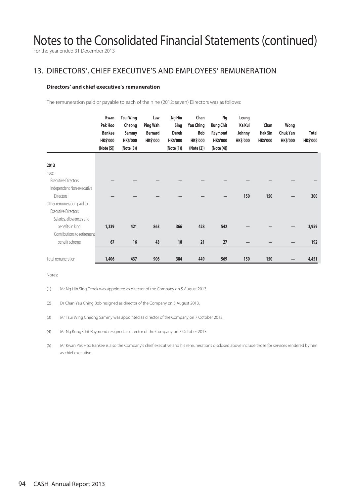For the year ended 31 December 2013

## 13. DIRECTORS', CHIEF EXECUTIVE'S AND EMPLOYEES' REMUNERATION

### **Directors' and chief executive's remuneration**

The remuneration paid or payable to each of the nine (2012: seven) Directors was as follows:

|                             | Kwan<br>Pak Hoo<br><b>Bankee</b><br><b>HK\$'000</b><br>(Note (5)) | <b>Tsui Wing</b><br>Cheong<br><b>Sammy</b><br><b>HK\$'000</b><br>(Note (3)) | Law<br><b>Ping Wah</b><br><b>Bernard</b><br><b>HK\$'000</b> | Ng Hin<br>Sing<br><b>Derek</b><br><b>HK\$'000</b><br>(Note (1)) | Chan<br><b>Yau Ching</b><br>Bob<br><b>HK\$'000</b><br>(Note (2)) | Ng<br><b>Kung Chit</b><br>Raymond<br><b>HK\$'000</b><br>(Note (4)) | Leung<br>Ka Kui<br>Johnny<br><b>HK\$'000</b> | Chan<br><b>Hak Sin</b><br><b>HK\$'000</b> | Wong<br><b>Chuk Yan</b><br><b>HK\$'000</b> | <b>Total</b><br><b>HK\$'000</b> |
|-----------------------------|-------------------------------------------------------------------|-----------------------------------------------------------------------------|-------------------------------------------------------------|-----------------------------------------------------------------|------------------------------------------------------------------|--------------------------------------------------------------------|----------------------------------------------|-------------------------------------------|--------------------------------------------|---------------------------------|
| 2013                        |                                                                   |                                                                             |                                                             |                                                                 |                                                                  |                                                                    |                                              |                                           |                                            |                                 |
| Fees:                       |                                                                   |                                                                             |                                                             |                                                                 |                                                                  |                                                                    |                                              |                                           |                                            |                                 |
| <b>Executive Directors</b>  |                                                                   |                                                                             |                                                             |                                                                 |                                                                  |                                                                    |                                              |                                           |                                            |                                 |
| Independent Non-executive   |                                                                   |                                                                             |                                                             |                                                                 |                                                                  |                                                                    |                                              |                                           |                                            |                                 |
| <b>Directors</b>            |                                                                   |                                                                             |                                                             |                                                                 |                                                                  |                                                                    | 150                                          | 150                                       |                                            | 300                             |
| Other remuneration paid to  |                                                                   |                                                                             |                                                             |                                                                 |                                                                  |                                                                    |                                              |                                           |                                            |                                 |
| <b>Executive Directors:</b> |                                                                   |                                                                             |                                                             |                                                                 |                                                                  |                                                                    |                                              |                                           |                                            |                                 |
| Salaries, allowances and    |                                                                   |                                                                             |                                                             |                                                                 |                                                                  |                                                                    |                                              |                                           |                                            |                                 |
| benefits in kind            | 1,339                                                             | 421                                                                         | 863                                                         | 366                                                             | 428                                                              | 542                                                                |                                              |                                           |                                            | 3,959                           |
| Contributions to retirement |                                                                   |                                                                             |                                                             |                                                                 |                                                                  |                                                                    |                                              |                                           |                                            |                                 |
| benefit scheme              | 67                                                                | 16                                                                          | 43                                                          | 18                                                              | 21                                                               | 27                                                                 |                                              |                                           |                                            | 192                             |
| Total remuneration          | 1,406                                                             | 437                                                                         | 906                                                         | 384                                                             | 449                                                              | 569                                                                | 150                                          | 150                                       |                                            | 4,451                           |

Notes:

(1) Mr Ng Hin Sing Derek was appointed as director of the Company on 5 August 2013.

(2) Dr Chan Yau Ching Bob resigned as director of the Company on 5 August 2013.

(3) Mr Tsui Wing Cheong Sammy was appointed as director of the Company on 7 October 2013.

(4) Mr Ng Kung Chit Raymond resigned as director of the Company on 7 October 2013.

(5) Mr Kwan Pak Hoo Bankee is also the Company's chief executive and his remunerations disclosed above include those for services rendered by him as chief executive.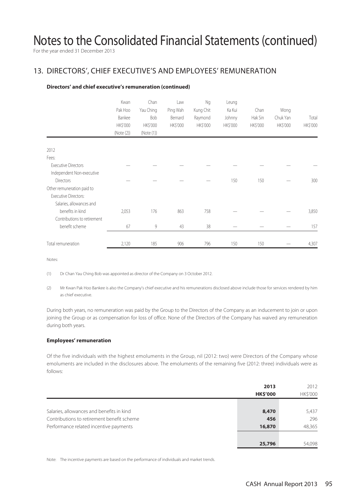For the year ended 31 December 2013

## 13. DIRECTORS', CHIEF EXECUTIVE'S AND EMPLOYEES' REMUNERATION

### **Directors' and chief executive's remuneration (continued)**

|                             | Kwan<br>Pak Hoo<br>Bankee<br>HK\$'000<br>(Note (2)) | Chan<br>Yau Ching<br>Bob<br><b>HK\$'000</b><br>(Note(1)) | Law<br>Ping Wah<br>Bernard<br>HK\$'000 | Ng<br>Kung Chit<br>Raymond<br>HK\$'000 | Leung<br>Ka Kui<br>Johnny<br>HK\$'000 | Chan<br>Hak Sin<br>HK\$'000 | Wong<br>Chuk Yan<br>HK\$'000 | Total<br>HK\$'000 |
|-----------------------------|-----------------------------------------------------|----------------------------------------------------------|----------------------------------------|----------------------------------------|---------------------------------------|-----------------------------|------------------------------|-------------------|
| 2012                        |                                                     |                                                          |                                        |                                        |                                       |                             |                              |                   |
| Fees:                       |                                                     |                                                          |                                        |                                        |                                       |                             |                              |                   |
| <b>Executive Directors</b>  |                                                     |                                                          |                                        |                                        |                                       |                             |                              |                   |
| Independent Non-executive   |                                                     |                                                          |                                        |                                        |                                       |                             |                              |                   |
| <b>Directors</b>            |                                                     |                                                          |                                        |                                        | 150                                   | 150                         |                              | 300               |
| Other remuneration paid to  |                                                     |                                                          |                                        |                                        |                                       |                             |                              |                   |
| <b>Executive Directors:</b> |                                                     |                                                          |                                        |                                        |                                       |                             |                              |                   |
| Salaries, allowances and    |                                                     |                                                          |                                        |                                        |                                       |                             |                              |                   |
| benefits in kind            | 2,053                                               | 176                                                      | 863                                    | 758                                    |                                       |                             |                              | 3,850             |
| Contributions to retirement |                                                     |                                                          |                                        |                                        |                                       |                             |                              |                   |
| benefit scheme              | 67                                                  | 9                                                        | 43                                     | 38                                     |                                       |                             |                              | 157               |
| Total remuneration          | 2,120                                               | 185                                                      | 906                                    | 796                                    | 150                                   | 150                         |                              | 4,307             |

Notes:

(1) Dr Chan Yau Ching Bob was appointed as director of the Company on 3 October 2012.

(2) Mr Kwan Pak Hoo Bankee is also the Company's chief executive and his remunerations disclosed above include those for services rendered by him as chief executive.

During both years, no remuneration was paid by the Group to the Directors of the Company as an inducement to join or upon joining the Group or as compensation for loss of office. None of the Directors of the Company has waived any remuneration during both years.

#### **Employees' remuneration**

Of the five individuals with the highest emoluments in the Group, nil (2012: two) were Directors of the Company whose emoluments are included in the disclosures above. The emoluments of the remaining five (2012: three) individuals were as follows:

|                                            | 2013<br><b>HK\$'000</b> | 2012<br>HK\$'000 |
|--------------------------------------------|-------------------------|------------------|
|                                            |                         |                  |
| Salaries, allowances and benefits in kind  | 8,470                   | 5,437            |
| Contributions to retirement benefit scheme | 456                     | 296              |
| Performance related incentive payments     | 16,870                  | 48,365           |
|                                            |                         |                  |
|                                            | 25,796                  | 54,098           |

Note: The incentive payments are based on the performance of individuals and market trends.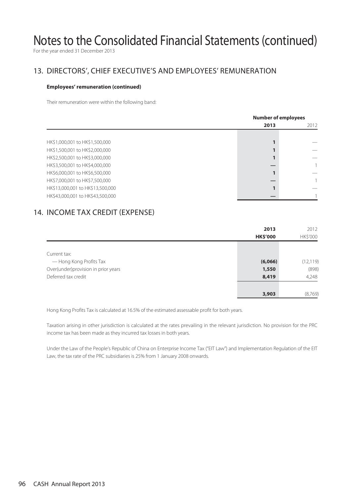For the year ended 31 December 2013

## 13. DIRECTORS', CHIEF EXECUTIVE'S AND EMPLOYEES' REMUNERATION

### **Employees' remuneration (continued)**

Their remuneration were within the following band:

|                                  |      | <b>Number of employees</b> |  |  |
|----------------------------------|------|----------------------------|--|--|
|                                  | 2013 | 2012                       |  |  |
|                                  |      |                            |  |  |
| HK\$1,000,001 to HK\$1,500,000   |      |                            |  |  |
| HK\$1,500,001 to HK\$2,000,000   |      |                            |  |  |
| HK\$2,500,001 to HK\$3,000,000   |      |                            |  |  |
| HK\$3,500,001 to HK\$4,000,000   |      |                            |  |  |
| HK\$6,000,001 to HK\$6,500,000   |      |                            |  |  |
| HK\$7,000,001 to HK\$7,500,000   |      |                            |  |  |
| HK\$13,000,001 to HK\$13,500,000 |      |                            |  |  |
| HK\$43,000,001 to HK\$43,500,000 |      |                            |  |  |

### 14. INCOME TAX CREDIT (EXPENSE)

|                                     | 2013<br><b>HK\$'000</b> | 2012<br>HK\$'000 |
|-------------------------------------|-------------------------|------------------|
|                                     |                         |                  |
| Current tax:                        |                         |                  |
| - Hong Kong Profits Tax             | (6,066)                 | (12, 119)        |
| Over(under)provision in prior years | 1,550                   | (898)            |
| Deferred tax credit                 | 8,419                   | 4,248            |
|                                     | 3,903                   | (8,769)          |

Hong Kong Profits Tax is calculated at 16.5% of the estimated assessable profit for both years.

Taxation arising in other jurisdiction is calculated at the rates prevailing in the relevant jurisdiction. No provision for the PRC income tax has been made as they incurred tax losses in both years.

Under the Law of the People's Republic of China on Enterprise Income Tax ("EIT Law") and Implementation Regulation of the EIT Law, the tax rate of the PRC subsidiaries is 25% from 1 January 2008 onwards.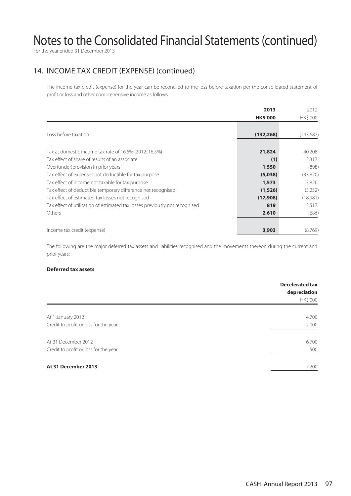For the year ended 31 December 2013

## 14. INCOME TAX CREDIT (EXPENSE) (continued)

The income tax credit (expense) for the year can be reconciled to the loss before taxation per the consolidated statement of profit or loss and other comprehensive income as follows:

|                                                                             | 2013            | 2012      |
|-----------------------------------------------------------------------------|-----------------|-----------|
|                                                                             | <b>HK\$'000</b> | HK\$'000  |
|                                                                             |                 |           |
| Loss before taxation                                                        | (132, 268)      | (243,687) |
|                                                                             |                 |           |
| Tax at domestic income tax rate of 16.5% (2012: 16.5%)                      | 21,824          | 40,208    |
| Tax effect of share of results of an associate                              | (1)             | 2,317     |
| Over(under) provision in prior years                                        | 1,550           | (898)     |
| Tax effect of expenses not deductible for tax purpose                       | (5,038)         | (33,820)  |
| Tax effect of income not taxable for tax purpose                            | 1,573           | 3,826     |
| Tax effect of deductible temporary difference not recognised                | (1,526)         | (3,252)   |
| Tax effect of estimated tax losses not recognised                           | (17,908)        | (18,981)  |
| Tax effect of utilisation of estimated tax losses previously not recognised | 819             | 2,517     |
| Others                                                                      | 2,610           | (686)     |
| Income tax credit (expense)                                                 | 3,903           | (8,769)   |

The following are the major deferred tax assets and liabilities recognised and the movements thereon during the current and prior years:

#### **Deferred tax assets**

|                                       | <b>Decelerated tax</b><br>depreciation |
|---------------------------------------|----------------------------------------|
|                                       | HK\$'000                               |
|                                       |                                        |
| At 1 January 2012                     | 4,700                                  |
| Credit to profit or loss for the year | 2,000                                  |
| At 31 December 2012                   | 6,700                                  |
| Credit to profit or loss for the year | 500                                    |
| At 31 December 2013                   | 7.200                                  |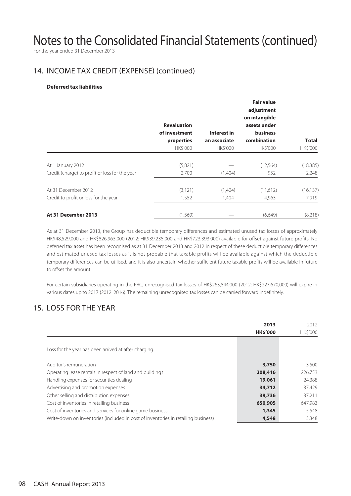For the year ended 31 December 2013

## 14. INCOME TAX CREDIT (EXPENSE) (continued)

### **Deferred tax liabilities**

|                                                | <b>Revaluation</b> |                 | <b>Fair value</b><br>adjustment<br>on intangible<br>assets under |              |
|------------------------------------------------|--------------------|-----------------|------------------------------------------------------------------|--------------|
|                                                | of investment      | Interest in     | <b>business</b>                                                  |              |
|                                                | properties         | an associate    | combination                                                      | <b>Total</b> |
|                                                | HK\$'000           | <b>HK\$'000</b> | HK\$'000                                                         | HK\$'000     |
|                                                |                    |                 |                                                                  |              |
| At 1 January 2012                              | (5,821)            |                 | (12, 564)                                                        | (18, 385)    |
| Credit (charge) to profit or loss for the year | 2,700              | (1,404)         | 952                                                              | 2,248        |
| At 31 December 2012                            | (3, 121)           | (1,404)         | (11,612)                                                         | (16, 137)    |
| Credit to profit or loss for the year          | 1,552              | 1,404           | 4,963                                                            | 7,919        |
| At 31 December 2013                            | (1, 569)           |                 | (6,649)                                                          | (8,218)      |

As at 31 December 2013, the Group has deductible temporary differences and estimated unused tax losses of approximately HK\$48,529,000 and HK\$826,963,000 (2012: HK\$39,235,000 and HK\$723,393,000) available for offset against future profits. No deferred tax asset has been recognised as at 31 December 2013 and 2012 in respect of these deductible temporary differences and estimated unused tax losses as it is not probable that taxable profits will be available against which the deductible temporary differences can be utilised, and it is also uncertain whether sufficient future taxable profits will be available in future to offset the amount.

For certain subsidiaries operating in the PRC, unrecognised tax losses of HK\$263,844,000 (2012: HK\$227,670,000) will expire in various dates up to 2017 (2012: 2016). The remaining unrecognised tax losses can be carried forward indefinitely.

## 15. LOSS FOR THE YEAR

|                                                                                   | 2013<br><b>HK\$'000</b> | 2012<br><b>HKS'000</b> |
|-----------------------------------------------------------------------------------|-------------------------|------------------------|
| Loss for the year has been arrived at after charging:                             |                         |                        |
| Auditor's remuneration                                                            | 3,750                   | 3,500                  |
| Operating lease rentals in respect of land and buildings                          | 208,416                 | 226,753                |
| Handling expenses for securities dealing                                          | 19,061                  | 24,388                 |
| Advertising and promotion expenses                                                | 34,712                  | 37,429                 |
| Other selling and distribution expenses                                           | 39,736                  | 37,211                 |
| Cost of inventories in retailing business                                         | 650,905                 | 647,983                |
| Cost of inventories and services for online game business                         | 1,345                   | 5,548                  |
| Write-down on inventories (included in cost of inventories in retailing business) | 4,548                   | 5,348                  |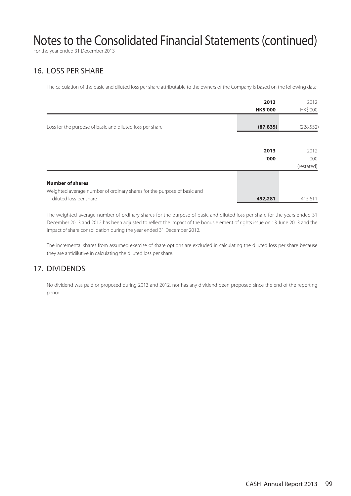For the year ended 31 December 2013

## 16. LOSS PER SHARE

The calculation of the basic and diluted loss per share attributable to the owners of the Company is based on the following data:

|                                                                                                                              | 2013<br><b>HK\$'000</b> | 2012<br>HK\$'000           |
|------------------------------------------------------------------------------------------------------------------------------|-------------------------|----------------------------|
| Loss for the purpose of basic and diluted loss per share                                                                     | (87, 835)               | (228, 552)                 |
|                                                                                                                              | 2013<br>'000            | 2012<br>'000<br>(restated) |
| <b>Number of shares</b><br>Weighted average number of ordinary shares for the purpose of basic and<br>diluted loss per share | 492,281                 | 415,611                    |

The weighted average number of ordinary shares for the purpose of basic and diluted loss per share for the years ended 31 December 2013 and 2012 has been adjusted to reflect the impact of the bonus element of rights issue on 13 June 2013 and the impact of share consolidation during the year ended 31 December 2012.

The incremental shares from assumed exercise of share options are excluded in calculating the diluted loss per share because they are antidilutive in calculating the diluted loss per share.

## 17. DIVIDENDS

No dividend was paid or proposed during 2013 and 2012, nor has any dividend been proposed since the end of the reporting period.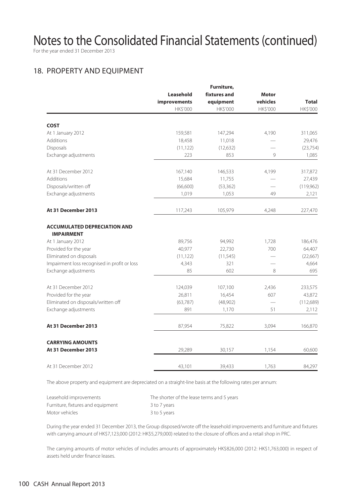For the year ended 31 December 2013

## 18. PROPERTY AND EQUIPMENT

|                                                          |              | Furniture, |          |              |              |  |
|----------------------------------------------------------|--------------|------------|----------|--------------|--------------|--|
|                                                          | Leasehold    |            |          | fixtures and | <b>Motor</b> |  |
|                                                          | improvements | equipment  | vehicles | <b>Total</b> |              |  |
|                                                          | HK\$'000     | HK\$'000   | HK\$'000 | HK\$'000     |              |  |
| <b>COST</b>                                              |              |            |          |              |              |  |
| At 1 January 2012                                        | 159,581      | 147,294    | 4,190    | 311,065      |              |  |
| Additions                                                | 18,458       | 11,018     |          | 29,476       |              |  |
| Disposals                                                | (11, 122)    | (12, 632)  |          | (23, 754)    |              |  |
| Exchange adjustments                                     | 223          | 853        | 9        | 1,085        |              |  |
| At 31 December 2012                                      | 167,140      | 146,533    | 4,199    | 317,872      |              |  |
| Additions                                                | 15,684       | 11,755     |          | 27,439       |              |  |
| Disposals/written off                                    | (66,600)     | (53, 362)  |          | (119,962)    |              |  |
| Exchange adjustments                                     | 1,019        | 1,053      | 49       | 2,121        |              |  |
| At 31 December 2013                                      | 117,243      | 105,979    | 4,248    | 227,470      |              |  |
| <b>ACCUMULATED DEPRECIATION AND</b><br><b>IMPAIRMENT</b> |              |            |          |              |              |  |
| At 1 January 2012                                        | 89,756       | 94,992     | 1,728    | 186,476      |              |  |
| Provided for the year                                    | 40,977       | 22,730     | 700      | 64,407       |              |  |
| Eliminated on disposals                                  | (11, 122)    | (11, 545)  |          | (22, 667)    |              |  |
| Impairment loss recognised in profit or loss             | 4,343        | 321        |          | 4,664        |              |  |
| Exchange adjustments                                     | 85           | 602        | 8        | 695          |              |  |
| At 31 December 2012                                      | 124,039      | 107,100    | 2,436    | 233,575      |              |  |
| Provided for the year                                    | 26,811       | 16,454     | 607      | 43,872       |              |  |
| Eliminated on disposals/written off                      | (63, 787)    | (48,902)   |          | (112, 689)   |              |  |
| Exchange adjustments                                     | 891          | 1,170      | 51       | 2,112        |              |  |
| At 31 December 2013                                      | 87,954       | 75,822     | 3,094    | 166,870      |              |  |
| <b>CARRYING AMOUNTS</b>                                  |              |            |          |              |              |  |
| At 31 December 2013                                      | 29,289       | 30,157     | 1,154    | 60,600       |              |  |
| At 31 December 2012                                      | 43,101       | 39,433     | 1,763    | 84,297       |              |  |

The above property and equipment are depreciated on a straight-line basis at the following rates per annum:

| Leasehold improvements            | The shorter of the lease terms and 5 years |
|-----------------------------------|--------------------------------------------|
| Furniture, fixtures and equipment | 3 to 7 years                               |
| Motor vehicles                    | 3 to 5 years                               |

During the year ended 31 December 2013, the Group disposed/wrote off the leasehold improvements and furniture and fixtures with carrying amount of HK\$7,123,000 (2012: HK\$5,279,000) related to the closure of offices and a retail shop in PRC.

The carrying amounts of motor vehicles of includes amounts of approximately HK\$826,000 (2012: HK\$1,763,000) in respect of assets held under finance leases.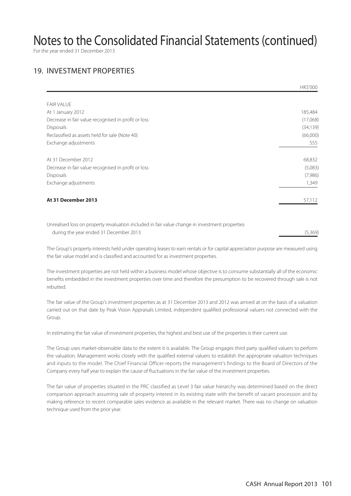For the year ended 31 December 2013

## 19. INVESTMENT PROPERTIES

|                                                     | HK\$'000  |
|-----------------------------------------------------|-----------|
|                                                     |           |
| <b>FAIR VALUE</b>                                   |           |
| At 1 January 2012                                   | 185,484   |
| Decrease in fair value recognised in profit or loss | (17,068)  |
| Disposals                                           | (34, 139) |
| Reclassified as assets held for sale (Note 40)      | (66,000)  |
| Exchange adjustments                                | 555       |
| At 31 December 2012                                 | 68,832    |
| Decrease in fair value recognised in profit or loss | (5,083)   |
| Disposals                                           | (7,986)   |
| Exchange adjustments                                | 1,349     |
| At 31 December 2013                                 | 57,112    |
|                                                     |           |

Unrealised loss on property revaluation included in fair value change in investment properties during the year ended 31 December 2013 (5,369)

The Group's property interests held under operating leases to earn rentals or for capital appreciation purpose are measured using the fair value model and is classified and accounted for as investment properties.

The investment properties are not held within a business model whose objective is to consume substantially all of the economic benefits embedded in the investment properties over time and therefore the presumption to be recovered through sale is not rebutted.

The fair value of the Group's investment properties as at 31 December 2013 and 2012 was arrived at on the basis of a valuation carried out on that date by Peak Vision Appraisals Limited, independent qualified professional valuers not connected with the Group.

In estimating the fair value of investment properties, the highest and best use of the properties is their current use.

The Group uses market-observable data to the extent it is available. The Group engages third party qualified valuers to perform the valuation. Management works closely with the qualified external valuers to establish the appropriate valuation techniques and inputs to the model. The Chief Financial Officer reports the management's findings to the Board of Directors of the Company every half year to explain the cause of fluctuations in the fair value of the investment properties.

The fair value of properties situated in the PRC classified as Level 3 fair value hierarchy was determined based on the direct comparison approach assuming sale of property interest in its existing state with the benefit of vacant procession and by making reference to recent comparable sales evidence as available in the relevant market. There was no change on valuation technique used from the prior year.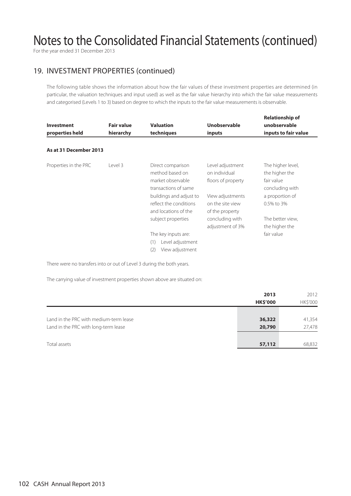For the year ended 31 December 2013

## 19. INVESTMENT PROPERTIES (continued)

The following table shows the information about how the fair values of these investment properties are determined (in particular, the valuation techniques and input used) as well as the fair value hierarchy into which the fair value measurements and categorised (Levels 1 to 3) based on degree to which the inputs to the fair value measurements is observable.

| Investment<br>properties held | <b>Fair value</b><br>hierarchy | <b>Valuation</b><br>techniques                                                                                                                                                                                                                                   | <b>Unobservable</b><br>inputs                                                                                                                             | <b>Relationship of</b><br>unobservable<br>inputs to fair value                                                                                            |
|-------------------------------|--------------------------------|------------------------------------------------------------------------------------------------------------------------------------------------------------------------------------------------------------------------------------------------------------------|-----------------------------------------------------------------------------------------------------------------------------------------------------------|-----------------------------------------------------------------------------------------------------------------------------------------------------------|
| As at 31 December 2013        |                                |                                                                                                                                                                                                                                                                  |                                                                                                                                                           |                                                                                                                                                           |
| Properties in the PRC         | Level 3                        | Direct comparison<br>method based on<br>market observable<br>transactions of same<br>buildings and adjust to<br>reflect the conditions<br>and locations of the<br>subject properties<br>The key inputs are:<br>Level adjustment<br>(1)<br>View adjustment<br>(2) | Level adjustment<br>on individual<br>floors of property<br>View adjustments<br>on the site view<br>of the property<br>concluding with<br>adjustment of 3% | The higher level,<br>the higher the<br>fair value<br>concluding with<br>a proportion of<br>0.5% to 3%<br>The better view,<br>the higher the<br>fair value |

There were no transfers into or out of Level 3 during the both years.

The carrying value of investment properties shown above are situated on:

|                                        | 2013            | 2012     |
|----------------------------------------|-----------------|----------|
|                                        | <b>HK\$'000</b> | HK\$'000 |
|                                        |                 |          |
| Land in the PRC with medium-term lease | 36,322          | 41,354   |
| Land in the PRC with long-term lease   | 20,790          | 27,478   |
|                                        |                 |          |
| Total assets                           | 57,112          | 68,832   |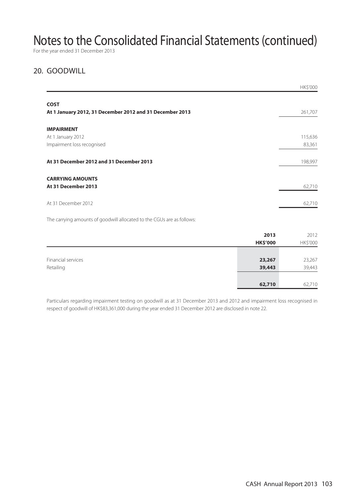For the year ended 31 December 2013

## 20. GOODWILL

|                                                          | HK\$'000 |
|----------------------------------------------------------|----------|
| <b>COST</b>                                              |          |
| At 1 January 2012, 31 December 2012 and 31 December 2013 | 261,707  |
| <b>IMPAIRMENT</b>                                        |          |
| At 1 January 2012                                        | 115,636  |
| Impairment loss recognised                               | 83,361   |
| At 31 December 2012 and 31 December 2013                 | 198,997  |
| <b>CARRYING AMOUNTS</b><br>At 31 December 2013           | 62,710   |
| At 31 December 2012                                      | 62,710   |

The carrying amounts of goodwill allocated to the CGUs are as follows:

|                                 | 2013<br><b>HK\$'000</b> | 2012<br>HK\$'000 |
|---------------------------------|-------------------------|------------------|
| Financial services<br>Retailing | 23,267<br>39,443        | 23,267<br>39,443 |
|                                 | 62,710                  | 62,710           |

Particulars regarding impairment testing on goodwill as at 31 December 2013 and 2012 and impairment loss recognised in respect of goodwill of HK\$83,361,000 during the year ended 31 December 2012 are disclosed in note 22.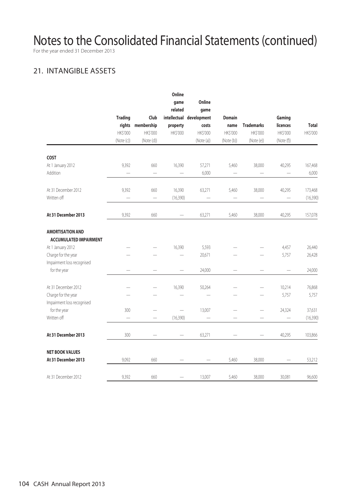For the year ended 31 December 2013

## 21. INTANGIBLE ASSETS

|                                                          |                |                          |           | Online<br>game                    | <b>Online</b>            |                          |                          |              |  |
|----------------------------------------------------------|----------------|--------------------------|-----------|-----------------------------------|--------------------------|--------------------------|--------------------------|--------------|--|
|                                                          | <b>Trading</b> | Club                     | related   | game                              | <b>Domain</b><br>name    |                          |                          |              |  |
|                                                          | rights         | membership               | property  | intellectual development<br>costs |                          | <b>Trademarks</b>        | Gaming<br>licences       | <b>Total</b> |  |
|                                                          | HK\$'000       | HK\$'000                 | HK\$'000  | HK\$'000                          | HK\$'000                 | HK\$'000                 | HK\$'000                 | HK\$'000     |  |
|                                                          | (Note(c))      |                          | (Note(d)) |                                   | (Note (a))               | (Note(b))                | (Note (e))               | (Note (f))   |  |
| <b>COST</b>                                              |                |                          |           |                                   |                          |                          |                          |              |  |
| At 1 January 2012                                        | 9,392          | 660                      | 16,390    | 57,271                            | 5,460                    | 38,000                   | 40,295                   | 167,468      |  |
| Addition                                                 |                | $\overline{\phantom{0}}$ |           | 6,000                             | $\overline{\phantom{0}}$ |                          | $\overline{\phantom{0}}$ | 6,000        |  |
|                                                          |                |                          |           |                                   |                          |                          |                          |              |  |
| At 31 December 2012                                      | 9,392          | 660                      | 16,390    | 63,271                            | 5,460                    | 38,000                   | 40,295                   | 173,468      |  |
| Written off                                              |                | $\overline{\phantom{0}}$ | (16, 390) |                                   |                          |                          |                          | (16, 390)    |  |
| At 31 December 2013                                      | 9,392          | 660                      |           | 63,271                            | 5,460                    | 38,000                   | 40,295                   | 157,078      |  |
| <b>AMORTISATION AND</b><br><b>ACCUMULATED IMPAIRMENT</b> |                |                          |           |                                   |                          |                          |                          |              |  |
| At 1 January 2012                                        |                |                          | 16,390    | 5,593                             |                          |                          | 4,457                    | 26,440       |  |
| Charge for the year                                      |                |                          |           | 20,671                            |                          |                          | 5,757                    | 26,428       |  |
| Impairment loss recognised                               |                |                          |           |                                   |                          |                          |                          |              |  |
| for the year                                             |                |                          |           | 24,000                            |                          |                          |                          | 24,000       |  |
| At 31 December 2012                                      |                |                          | 16,390    | 50,264                            |                          | $\overline{\phantom{0}}$ | 10,214                   | 76,868       |  |
| Charge for the year                                      |                |                          |           |                                   |                          |                          | 5,757                    | 5,757        |  |
| Impairment loss recognised                               |                |                          |           |                                   |                          |                          |                          |              |  |
| for the year                                             | 300            |                          |           | 13,007                            |                          | $\overline{\phantom{0}}$ | 24,324                   | 37,631       |  |
| Written off                                              |                |                          | (16, 390) |                                   | $\overline{\phantom{0}}$ | $\overline{\phantom{0}}$ | $\overline{\phantom{0}}$ | (16, 390)    |  |
| At 31 December 2013                                      | 300            |                          |           | 63,271                            |                          |                          | 40,295                   | 103,866      |  |
| <b>NET BOOK VALUES</b><br>At 31 December 2013            | 9,092          | 660                      |           |                                   | 5,460                    | 38,000                   |                          | 53,212       |  |
| At 31 December 2012                                      | 9,392          | 660                      |           | 13,007                            | 5,460                    | 38,000                   | 30,081                   | 96,600       |  |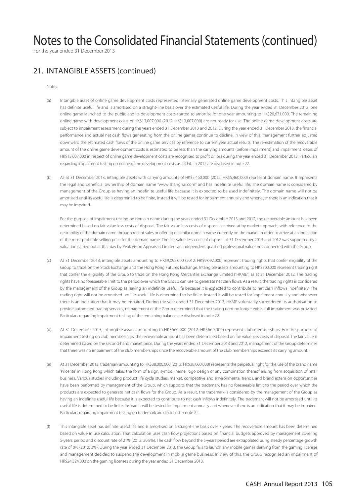For the year ended 31 December 2013

## 21. INTANGIBLE ASSETS (continued)

Notes:

- (a) Intangible asset of online game development costs represented internally generated online game development costs. This intangible asset has definite useful life and is amortised on a straight-line basis over the estimated useful life. During the year ended 31 December 2012, one online game launched to the public and its development costs started to amortise for one year amounting to HK\$20,671,000. The remaining online game with development costs of HK\$13,007,000 (2012: HK\$13,007,000) are not ready for use. The online game development costs are subject to impairment assessment during the years ended 31 December 2013 and 2012. During the year ended 31 December 2013, the financial performance and actual net cash flows generating from the online games continue to decline. In view of this, management further adjusted downward the estimated cash flows of the online game services by reference to current year actual results. The re-estimation of the recoverable amount of the online game development costs is estimated to be less than the carrying amounts (before impairment) and impairment losses of HK\$13,007,000 in respect of online game development costs are recognised to profit or loss during the year ended 31 December 2013. Particulars regarding impairment testing on online game development costs as a CGU in 2012 are disclosed in note 22.
- (b) As at 31 December 2013, intangible assets with carrying amounts of HK\$5,460,000 (2012: HK\$5,460,000) represent domain name. It represents the legal and beneficial ownership of domain name "www.shanghai.com" and has indefinite useful life. The domain name is considered by management of the Group as having an indefinite useful life because it is expected to be used indefinitely. The domain name will not be amortised until its useful life is determined to be finite, instead it will be tested for impairment annually and whenever there is an indication that it may be impaired.

 For the purpose of impairment testing on domain name during the years ended 31 December 2013 and 2012, the recoverable amount has been determined based on fair value less costs of disposal. The fair value less costs of disposal is arrived at by market approach, with reference to the desirability of the domain name through recent sales or offering of similar domain name currently on the market in order to arrive at an indication of the most probable selling price for the domain name. The fair value less costs of disposal at 31 December 2013 and 2012 was supported by a valuation carried out at that day by Peak Vision Appraisals Limited, an independent qualified professional valuer not connected with the Group.

- (c) At 31 December 2013, intangible assets amounting to HK\$9,092,000 (2012: HK\$9,092,000) represent trading rights that confer eligibility of the Group to trade on the Stock Exchange and the Hong Kong Futures Exchange. Intangible assets amounting to HK\$300,000 represent trading right that confer the eligibility of the Group to trade on the Hong Kong Mercantile Exchange Limited ("HKME") as at 31 December 2012. The trading rights have no foreseeable limit to the period over which the Group can use to generate net cash flows. As a result, the trading rights is considered by the management of the Group as having an indefinite useful life because it is expected to contribute to net cash inflows indefinitely. The trading right will not be amortised until its useful life is determined to be finite. Instead it will be tested for impairment annually and whenever there is an indication that it may be impaired. During the year ended 31 December 2013, HKME voluntarily surrendered its authorisation to provide automated trading services, management of the Group determined that the trading right no longer exists, full impairment was provided. Particulars regarding impairment testing of the remaining balance are disclosed in note 22.
- (d) At 31 December 2013, intangible assets amounting to HK\$660,000 (2012: HK\$660,000) represent club memberships. For the purpose of impairment testing on club memberships, the recoverable amount has been determined based on fair value less costs of disposal. The fair value is determined based on the second-hand market price. During the years ended 31 December 2013 and 2012, management of the Group determines that there was no impairment of the club memberships since the recoverable amount of the club memberships exceeds its carrying amount.
- (e) At 31 December 2013, trademark amounting to HK\$38,000,000 (2012: HK\$38,000,000) represents the perpetual right for the use of the brand name 'Pricerite' in Hong Kong which takes the form of a sign, symbol, name, logo design or any combination thereof arising from acquisition of retail business. Various studies including product life cycle studies, market, competitive and environmental trends, and brand extension opportunities have been performed by management of the Group, which supports that the trademark has no foreseeable limit to the period over which the products are expected to generate net cash flows for the Group. As a result, the trademark is considered by the management of the Group as having an indefinite useful life because it is expected to contribute to net cash inflows indefinitely. The trademark will not be amortised until its useful life is determined to be finite. Instead it will be tested for impairment annually and whenever there is an indication that it may be impaired. Particulars regarding impairment testing on trademark are disclosed in note 22.
- (f) This intangible asset has definite useful life and is amortised on a straight-line basis over 7 years. The recoverable amount has been determined based on value in use calculation. That calculation uses cash flow projections based on financial budgets approved by management covering 5-years period and discount rate of 21% (2012: 20.8%). The cash flow beyond the 5-years period are extrapolated using steady percentage growth rate of 0% (2012: 3%). During the year ended 31 December 2013, the Group fails to launch any mobile games deriving from the gaming licenses and management decided to suspend the development in mobile game business. In view of this, the Group recognised an impairment of HK\$24,324,000 on the gaming licenses during the year ended 31 December 2013.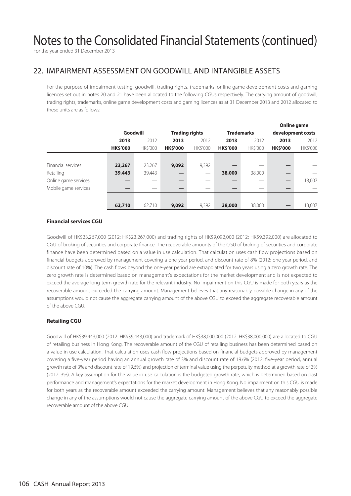For the year ended 31 December 2013

## 22. IMPAIRMENT ASSESSMENT ON GOODWILL AND INTANGIBLE ASSETS

For the purpose of impairment testing, goodwill, trading rights, trademarks, online game development costs and gaming licences set out in notes 20 and 21 have been allocated to the following CGUs respectively. The carrying amount of goodwill, trading rights, trademarks, online game development costs and gaming licences as at 31 December 2013 and 2012 allocated to these units are as follows:

|                      |                 |                |                       |                               |                   |          |                   | Online game |
|----------------------|-----------------|----------------|-----------------------|-------------------------------|-------------------|----------|-------------------|-------------|
|                      | Goodwill        |                | <b>Trading rights</b> |                               | <b>Trademarks</b> |          | development costs |             |
|                      | 2013            | 2012           | 2013                  | 2012                          | 2013              | 2012     | 2013              | 2012        |
|                      | <b>HK\$'000</b> | <b>HKS'000</b> | <b>HK\$'000</b>       | HK\$'000                      | <b>HK\$'000</b>   | HK\$'000 | <b>HK\$'000</b>   | HK\$'000    |
|                      |                 |                |                       |                               |                   |          |                   |             |
| Financial services   | 23,267          | 23,267         | 9,092                 | 9,392                         |                   |          |                   |             |
| Retailing            | 39,443          | 39,443         |                       | $\overbrace{\phantom{aaaaa}}$ | 38,000            | 38,000   |                   |             |
| Online game services |                 |                |                       | _                             |                   |          |                   | 13,007      |
| Mobile game services |                 |                |                       | _                             |                   |          |                   |             |
|                      |                 |                |                       |                               |                   |          |                   |             |
|                      | 62,710          | 62,710         | 9,092                 | 9,392                         | 38,000            | 38,000   |                   | 13,007      |

#### **Financial services CGU**

Goodwill of HK\$23,267,000 (2012: HK\$23,267,000) and trading rights of HK\$9,092,000 (2012: HK\$9,392,000) are allocated to CGU of broking of securities and corporate finance. The recoverable amounts of the CGU of broking of securities and corporate finance have been determined based on a value in use calculation. That calculation uses cash flow projections based on financial budgets approved by management covering a one-year period, and discount rate of 8% (2012: one-year period, and discount rate of 10%). The cash flows beyond the one-year period are extrapolated for two years using a zero growth rate. The zero growth rate is determined based on management's expectations for the market development and is not expected to exceed the average long-term growth rate for the relevant industry. No impairment on this CGU is made for both years as the recoverable amount exceeded the carrying amount. Management believes that any reasonably possible change in any of the assumptions would not cause the aggregate carrying amount of the above CGU to exceed the aggregate recoverable amount of the above CGU.

### **Retailing CGU**

Goodwill of HK\$39,443,000 (2012: HK\$39,443,000) and trademark of HK\$38,000,000 (2012: HK\$38,000,000) are allocated to CGU of retailing business in Hong Kong. The recoverable amount of the CGU of retailing business has been determined based on a value in use calculation. That calculation uses cash flow projections based on financial budgets approved by management covering a five-year period having an annual growth rate of 3% and discount rate of 19.6% (2012: five-year period, annual growth rate of 3% and discount rate of 19.6%) and projection of terminal value using the perpetuity method at a growth rate of 3% (2012: 3%). A key assumption for the value in use calculation is the budgeted growth rate, which is determined based on past performance and management's expectations for the market development in Hong Kong. No impairment on this CGU is made for both years as the recoverable amount exceeded the carrying amount. Management believes that any reasonably possible change in any of the assumptions would not cause the aggregate carrying amount of the above CGU to exceed the aggregate recoverable amount of the above CGU.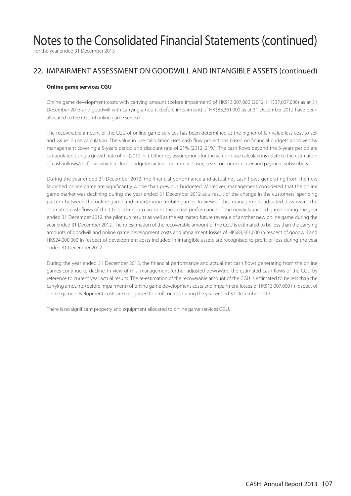For the year ended 31 December 2013

### 22. IMPAIRMENT ASSESSMENT ON GOODWILL AND INTANGIBLE ASSETS (continued)

#### **Online game services CGU**

Online game development costs with carrying amount (before impairment) of HK\$13,007,000 (2012: HK\$37,007,000) as at 31 December 2013 and goodwill with carrying amount (before impairment) of HK\$83,361,000 as at 31 December 2012 have been allocated to the CGU of online game service.

The recoverable amount of the CGU of online game services has been determined at the higher of fair value less cost to sell and value in use calculation. The value in use calculation uses cash flow projections based on financial budgets approved by management covering a 5-years period and discount rate of 21% (2012: 21%). The cash flows beyond the 5-years period are extrapolated using a growth rate of nil (2012: nil). Other key assumptions for the value in use calculations relate to the estimation of cash inflows/outflows which include budgeted active concurrence user, peak concurrence user and payment subscribers.

During the year ended 31 December 2012, the financial performance and actual net cash flows generating from the new launched online game are significantly worse than previous budgeted. Moreover, management considered that the online game market was declining during the year ended 31 December 2012 as a result of the change in the customers' spending pattern between the online game and smartphone mobile games. In view of this, management adjusted downward the estimated cash flows of the CGU, taking into account the actual performance of the newly launched game during the year ended 31 December 2012, the pilot run results as well as the estimated future revenue of another new online game during the year ended 31 December 2012. The re-estimation of the recoverable amount of the CGU is estimated to be less than the carrying amounts of goodwill and online game development costs and impairment losses of HK\$83,361,000 in respect of goodwill and HK\$24,000,000 in respect of development costs included in intangible assets are recognised to profit or loss during the year ended 31 December 2012.

During the year ended 31 December 2013, the financial performance and actual net cash flows generating from the online games continue to decline. In view of this, management further adjusted downward the estimated cash flows of the CGU by reference to current year actual results. The re-estimation of the recoverable amount of the CGU is estimated to be less than the carrying amounts (before impairment) of online game development costs and impairment losses of HK\$13,007,000 in respect of online game development costs are recognised to profit or loss during the year ended 31 December 2013.

There is no significant property and equipment allocated to online game services CGU.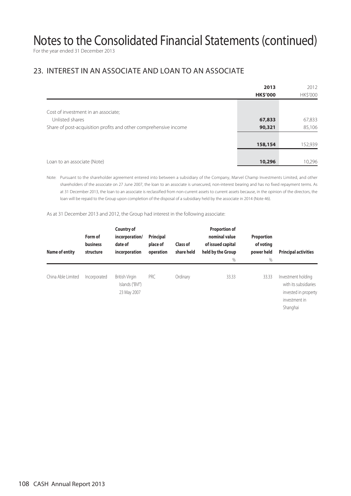For the year ended 31 December 2013

## 23. INTEREST IN AN ASSOCIATE AND LOAN TO AN ASSOCIATE

|                                                                  | 2013            | 2012     |
|------------------------------------------------------------------|-----------------|----------|
|                                                                  | <b>HK\$'000</b> | HK\$'000 |
|                                                                  |                 |          |
| Cost of investment in an associate;                              |                 |          |
| Unlisted shares                                                  | 67,833          | 67,833   |
| Share of post-acquisition profits and other comprehensive income | 90,321          | 85,106   |
|                                                                  |                 |          |
|                                                                  | 158,154         | 152,939  |
|                                                                  |                 |          |
| Loan to an associate (Note)                                      | 10,296          | 10,296   |

Note: Pursuant to the shareholder agreement entered into between a subsidiary of the Company, Marvel Champ Investments Limited, and other shareholders of the associate on 27 June 2007, the loan to an associate is unsecured, non-interest bearing and has no fixed repayment terms. As at 31 December 2013, the loan to an associate is reclassified from non-current assets to current assets because, in the opinion of the directors, the loan will be repaid to the Group upon completion of the disposal of a subsidiary held by the associate in 2014 (Note 46).

As at 31 December 2013 and 2012, the Group had interest in the following associate:

| <b>Name of entity</b> | Form of<br><b>business</b><br>structure | <b>Country of</b><br>incorporation/<br>date of<br>incorporation | Principal<br>place of<br>operation | <b>Class of</b><br>share held | <b>Proportion of</b><br>nominal value<br>of issued capital<br>held by the Group<br>% | Proportion<br>of voting<br>power held<br>% | <b>Principal activities</b>                                                                      |
|-----------------------|-----------------------------------------|-----------------------------------------------------------------|------------------------------------|-------------------------------|--------------------------------------------------------------------------------------|--------------------------------------------|--------------------------------------------------------------------------------------------------|
| China Able Limited    | Incorporated                            | <b>British Virgin</b><br>Islands ("BVI")<br>23 May 2007         | PRC                                | Ordinary                      | 33.33                                                                                | 33.33                                      | Investment holding<br>with its subsidiaries<br>invested in property<br>investment in<br>Shanghai |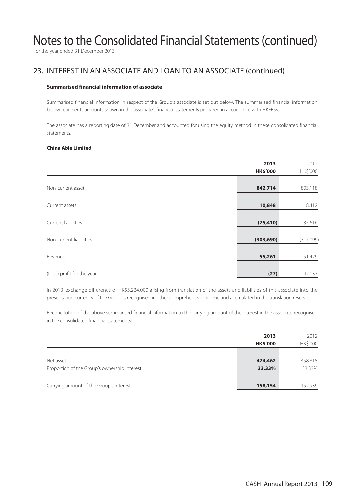For the year ended 31 December 2013

### 23. INTEREST IN AN ASSOCIATE AND LOAN TO AN ASSOCIATE (continued)

#### **Summarised financial information of associate**

Summarised financial information in respect of the Group's associate is set out below. The summarised financial information below represents amounts shown in the associate's financial statements prepared in accordance with HKFRSs.

The associate has a reporting date of 31 December and accounted for using the equity method in these consolidated financial statements.

#### **China Able Limited**

|                            | 2013<br><b>HK\$'000</b> | 2012<br>HK\$'000 |
|----------------------------|-------------------------|------------------|
|                            |                         |                  |
| Non-current asset          | 842,714                 | 803,118          |
| Current assets             | 10,848                  | 8,412            |
| Current liabilities        | (75, 410)               | 35,616           |
| Non-current liabilities    | (303, 690)              | (317,099)        |
| Revenue                    | 55,261                  | 51,429           |
| (Loss) profit for the year | (27)                    | 42,133           |

In 2013, exchange difference of HK\$5,224,000 arising from translation of the assets and liabilities of this associate into the presentation currency of the Group is recognised in other comprehensive income and accmulated in the translation reserve.

Reconciliation of the above summarised financial information to the carrying amount of the interest in the associate recognised in the consolidated financial statements:

|                                              | 2013           | 2012            |
|----------------------------------------------|----------------|-----------------|
|                                              | <b>HKS'000</b> | <b>HK\$'000</b> |
|                                              |                |                 |
| Net asset                                    | 474,462        | 458,815         |
| Proportion of the Group's ownership interest | 33.33%         | 33.33%          |
|                                              |                |                 |
| Carrying amount of the Group's interest      | 158,154        | 152,939         |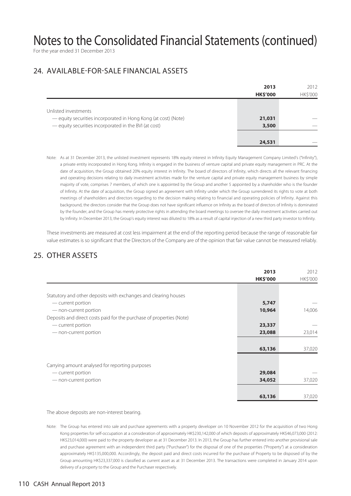For the year ended 31 December 2013

### 24. AVAILABLE-FOR-SALE FINANCIAL ASSETS

|                                                                                                                                                 | 2013<br><b>HK\$'000</b> | 2012<br>HK\$'000 |
|-------------------------------------------------------------------------------------------------------------------------------------------------|-------------------------|------------------|
| Unlisted investments<br>- equity securities incorporated in Hong Kong (at cost) (Note)<br>- equity securities incorporated in the BVI (at cost) | 21,031<br>3,500         |                  |
|                                                                                                                                                 | 24,531                  |                  |

Note: As at 31 December 2013, the unlisted investment represents 18% equity interest in Infinity Equity Management Company Limited's ("Infinity"), a private entity incorporated in Hong Kong. Infinity is engaged in the business of venture capital and private equity management in PRC. At the date of acquisition, the Group obtained 20% equity interest in Infinity. The board of directors of Infinity, which directs all the relevant financing and operating decisions relating to daily investment activities made for the venture capital and private equity management business by simple majority of vote, comprises 7 members, of which one is appointed by the Group and another 5 appointed by a shareholder who is the founder of Infinity. At the date of acquisition, the Group signed an agreement with Infinity under which the Group surrendered its rights to vote at both meetings of shareholders and directors regarding to the decision making relating to financial and operating policies of Infinity. Against this background, the directors consider that the Group does not have significant influence on Infinity as the board of directors of Infinity is dominated by the founder, and the Group has merely protective rights in attending the board meetings to oversee the daily investment activities carried out by Infinity. In December 2013, the Group's equity interest was diluted to 18% as a result of capital injection of a new third party investor to Infinity.

These investments are measured at cost less impairment at the end of the reporting period because the range of reasonable fair value estimates is so significant that the Directors of the Company are of the opinion that fair value cannot be measured reliably.

### 25. OTHER ASSETS

|                                                                      | 2013<br><b>HK\$'000</b> | 2012<br>HK\$'000 |
|----------------------------------------------------------------------|-------------------------|------------------|
|                                                                      |                         |                  |
| Statutory and other deposits with exchanges and clearing houses      |                         |                  |
| — current portion                                                    | 5,747                   |                  |
| - non-current portion                                                | 10,964                  | 14,006           |
| Deposits and direct costs paid for the purchase of properties (Note) |                         |                  |
| — current portion                                                    | 23,337                  |                  |
| - non-current portion                                                | 23,088                  | 23,014           |
|                                                                      |                         |                  |
|                                                                      | 63,136                  | 37,020           |
| Carrying amount analysed for reporting purposes                      |                         |                  |
| - current portion                                                    | 29,084                  |                  |
| - non-current portion                                                | 34,052                  | 37,020           |
|                                                                      |                         |                  |
|                                                                      | 63,136                  | 37,020           |

The above deposits are non-interest bearing.

Note: The Group has entered into sale and purchase agreements with a property developer on 10 November 2012 for the acquisition of two Hong Kong properties for self-occupation at a consideration of approximately HK\$230,142,000 of which deposits of approximately HK\$46,073,000 (2012: HK\$23,014,000) were paid to the property developer as at 31 December 2013. In 2013, the Group has further entered into another provisional sale and purchase agreement with an independent third party ("Purchaser") for the disposal of one of the properties ("Property") at a consideration approximately HK\$135,000,000. Accordingly, the deposit paid and direct costs incurred for the purchase of Property to be disposed of by the Group amounting HK\$23,337,000 is classified as current asset as at 31 December 2013. The transactions were completed in January 2014 upon delivery of a property to the Group and the Purchaser respectively.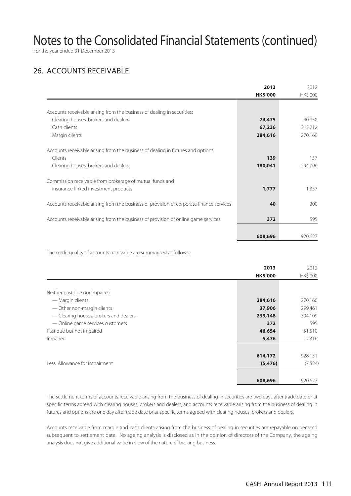For the year ended 31 December 2013

## 26. ACCOUNTS RECEIVABLE

|                                                                                          | 2013            | 2012     |
|------------------------------------------------------------------------------------------|-----------------|----------|
|                                                                                          | <b>HK\$'000</b> | HK\$'000 |
|                                                                                          |                 |          |
| Accounts receivable arising from the business of dealing in securities:                  |                 |          |
| Clearing houses, brokers and dealers                                                     | 74,475          | 40,050   |
| Cash clients                                                                             | 67,236          | 313,212  |
| Margin clients                                                                           | 284,616         | 270,160  |
|                                                                                          |                 |          |
| Accounts receivable arising from the business of dealing in futures and options:         |                 |          |
| Clients                                                                                  | 139             | 157      |
| Clearing houses, brokers and dealers                                                     | 180,041         | 294,796  |
|                                                                                          |                 |          |
| Commission receivable from brokerage of mutual funds and                                 |                 |          |
| insurance-linked investment products                                                     | 1,777           | 1,357    |
| Accounts receivable arising from the business of provision of corporate finance services | 40              | 300      |
|                                                                                          |                 |          |
| Accounts receivable arising from the business of provision of online game services       | 372             | 595      |
|                                                                                          |                 |          |
|                                                                                          | 608,696         | 920,627  |

The credit quality of accounts receivable are summarised as follows:

|                                        | 2013            | 2012     |
|----------------------------------------|-----------------|----------|
|                                        | <b>HK\$'000</b> | HK\$'000 |
|                                        |                 |          |
| Neither past due nor impaired:         |                 |          |
| - Margin clients                       | 284,616         | 270,160  |
| - Other non-margin clients             | 37,906          | 299,461  |
| - Clearing houses, brokers and dealers | 239,148         | 304,109  |
| - Online game services customers       | 372             | 595      |
| Past due but not impaired              | 46,654          | 51,510   |
| Impaired                               | 5,476           | 2,316    |
|                                        |                 |          |
|                                        | 614,172         | 928,151  |
| Less: Allowance for impairment         | (5, 476)        | (7,524)  |
|                                        |                 |          |
|                                        | 608,696         | 920,627  |

The settlement terms of accounts receivable arising from the business of dealing in securities are two days after trade date or at specific terms agreed with clearing houses, brokers and dealers, and accounts receivable arising from the business of dealing in futures and options are one day after trade date or at specific terms agreed with clearing houses, brokers and dealers.

Accounts receivable from margin and cash clients arising from the business of dealing in securities are repayable on demand subsequent to settlement date. No ageing analysis is disclosed as in the opinion of directors of the Company, the ageing analysis does not give additional value in view of the nature of broking business.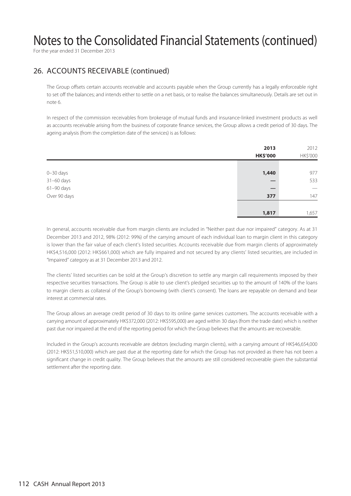For the year ended 31 December 2013

## 26. ACCOUNTS RECEIVABLE (continued)

The Group offsets certain accounts receivable and accounts payable when the Group currently has a legally enforceable right to set off the balances; and intends either to settle on a net basis, or to realise the balances simultaneously. Details are set out in note 6.

In respect of the commission receivables from brokerage of mutual funds and insurance-linked investment products as well as accounts receivable arising from the business of corporate finance services, the Group allows a credit period of 30 days. The ageing analysis (from the completion date of the services) is as follows:

|               | 2013            | 2012     |
|---------------|-----------------|----------|
|               | <b>HK\$'000</b> | HK\$'000 |
|               |                 |          |
| $0 - 30$ days | 1,440           | 977      |
| 31-60 days    |                 | 533      |
| 61-90 days    |                 |          |
| Over 90 days  | 377             | 147      |
|               |                 |          |
|               | 1,817           | 1,657    |

In general, accounts receivable due from margin clients are included in "Neither past due nor impaired" category. As at 31 December 2013 and 2012, 98% (2012: 99%) of the carrying amount of each individual loan to margin client in this category is lower than the fair value of each client's listed securities. Accounts receivable due from margin clients of approximately HK\$4,516,000 (2012: HK\$661,000) which are fully impaired and not secured by any clients' listed securities, are included in "Impaired" category as at 31 December 2013 and 2012.

The clients' listed securities can be sold at the Group's discretion to settle any margin call requirements imposed by their respective securities transactions. The Group is able to use client's pledged securities up to the amount of 140% of the loans to margin clients as collateral of the Group's borrowing (with client's consent). The loans are repayable on demand and bear interest at commercial rates.

The Group allows an average credit period of 30 days to its online game services customers. The accounts receivable with a carrying amount of approximately HK\$372,000 (2012: HK\$595,000) are aged within 30 days (from the trade date) which is neither past due nor impaired at the end of the reporting period for which the Group believes that the amounts are recoverable.

Included in the Group's accounts receivable are debtors (excluding margin clients), with a carrying amount of HK\$46,654,000 (2012: HK\$51,510,000) which are past due at the reporting date for which the Group has not provided as there has not been a significant change in credit quality. The Group believes that the amounts are still considered recoverable given the substantial settlement after the reporting date.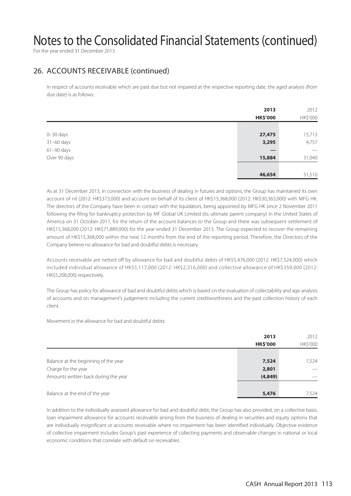For the year ended 31 December 2013

### 26. ACCOUNTS RECEIVABLE (continued)

In respect of accounts receivable which are past due but not impaired at the respective reporting date, the aged analysis (from due date) is as follows:

|               | 2013            | 2012     |  |
|---------------|-----------------|----------|--|
|               | <b>HK\$'000</b> | HK\$'000 |  |
|               |                 |          |  |
| $0 - 30$ days | 27,475          | 15,713   |  |
| 31-60 days    | 3,295           | 4,757    |  |
| 61-90 days    |                 |          |  |
| Over 90 days  | 15,884          | 31,040   |  |
|               |                 |          |  |
|               | 46,654          | 51,510   |  |

As at 31 December 2013, in connection with the business of dealing in futures and options, the Group has maintained its own account of nil (2012: HK\$373,000) and account on behalf of its client of HK\$15,368,000 (2012: HK\$30,363,000) with MFG HK. The directors of the Company have been in contact with the liquidators, being appointed by MFG HK since 2 November 2011 following the filing for bankruptcy protection by MF Global UK Limited (its ultimate parent company) in the United States of America on 31 October 2011, for the return of the account balances to the Group and there was subsequent settlement of HK\$15,368,000 (2012: HK\$71,889,000) for the year ended 31 December 2013. The Group expected to recover the remaining amount of HK\$15,368,000 within the next 12 months from the end of the reporting period. Therefore, the Directors of the Company believe no allowance for bad and doubtful debts is necessary.

Accounts receivable are netted off by allowance for bad and doubtful debts of HK\$5,476,000 (2012: HK\$7,524,000) which included individual allowance of HK\$5,117,000 (2012: HK\$2,316,000) and collective allowance of HK\$359,000 (2012: HK\$5,208,000) respectively.

The Group has policy for allowance of bad and doubtful debts which is based on the evaluation of collectability and age analysis of accounts and on management's judgement including the current creditworthiness and the past collection history of each client.

Movement in the allowance for bad and doubtful debts:

|                                      | 2013            | 2012     |
|--------------------------------------|-----------------|----------|
|                                      | <b>HK\$'000</b> | HK\$'000 |
|                                      |                 |          |
| Balance at the beginning of the year | 7,524           | 7,524    |
| Charge for the year                  | 2,801           |          |
| Amounts written back during the year | (4,849)         |          |
|                                      |                 |          |
| Balance at the end of the year       | 5,476           | 7,524    |

In addition to the individually assessed allowance for bad and doubtful debt, the Group has also provided, on a collective basis, loan impairment allowance for accounts receivable arising from the business of dealing in securities and equity options that are individually insignificant or accounts receivable where no impairment has been identified individually. Objective evidence of collective impairment includes Group's past experience of collecting payments and observable changes in national or local economic conditions that correlate with default on receivables.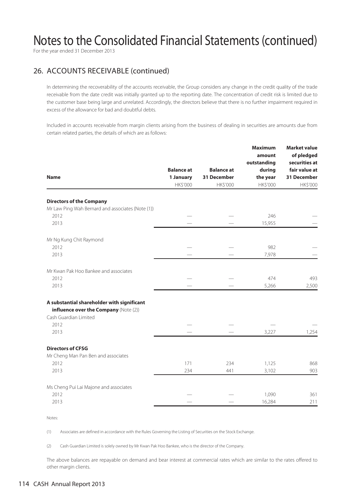For the year ended 31 December 2013

### 26. ACCOUNTS RECEIVABLE (continued)

In determining the recoverability of the accounts receivable, the Group considers any change in the credit quality of the trade receivable from the date credit was initially granted up to the reporting date. The concentration of credit risk is limited due to the customer base being large and unrelated. Accordingly, the directors believe that there is no further impairment required in excess of the allowance for bad and doubtful debts.

Included in accounts receivable from margin clients arising from the business of dealing in securities are amounts due from certain related parties, the details of which are as follows:

|                                                   |                   |                   | <b>Maximum</b><br>amount<br>outstanding | <b>Market value</b><br>of pledged<br>securities at |
|---------------------------------------------------|-------------------|-------------------|-----------------------------------------|----------------------------------------------------|
|                                                   | <b>Balance at</b> | <b>Balance at</b> | during                                  | fair value at                                      |
| <b>Name</b>                                       | 1 January         | 31 December       | the year                                | 31 December                                        |
|                                                   | HK\$'000          | HK\$'000          | HK\$'000                                | HK\$'000                                           |
| <b>Directors of the Company</b>                   |                   |                   |                                         |                                                    |
| Mr Law Ping Wah Bernard and associates (Note (1)) |                   |                   |                                         |                                                    |
| 2012                                              |                   |                   | 246                                     |                                                    |
| 2013                                              |                   |                   | 15,955                                  |                                                    |
| Mr Ng Kung Chit Raymond                           |                   |                   |                                         |                                                    |
| 2012                                              |                   |                   | 982                                     |                                                    |
| 2013                                              |                   |                   | 7,978                                   |                                                    |
| Mr Kwan Pak Hoo Bankee and associates             |                   |                   |                                         |                                                    |
| 2012                                              |                   |                   | 474                                     | 493                                                |
| 2013                                              |                   |                   | 5,266                                   | 2,500                                              |
| A substantial shareholder with significant        |                   |                   |                                         |                                                    |
| influence over the Company (Note (2))             |                   |                   |                                         |                                                    |
| Cash Guardian Limited                             |                   |                   |                                         |                                                    |
| 2012                                              |                   |                   |                                         |                                                    |
| 2013                                              |                   |                   | 3,227                                   | 1,254                                              |
| <b>Directors of CFSG</b>                          |                   |                   |                                         |                                                    |
| Mr Cheng Man Pan Ben and associates               |                   |                   |                                         |                                                    |
| 2012                                              | 171               | 234               | 1,125                                   | 868                                                |
| 2013                                              | 234               | 441               | 3,102                                   | 903                                                |
| Ms Cheng Pui Lai Majone and associates            |                   |                   |                                         |                                                    |
| 2012                                              |                   |                   | 1,090                                   | 361                                                |
| 2013                                              |                   |                   | 16,284                                  | 211                                                |

Notes:

(1) Associates are defined in accordance with the Rules Governing the Listing of Securities on the Stock Exchange.

(2) Cash Guardian Limited is solely owned by Mr Kwan Pak Hoo Bankee, who is the director of the Company.

The above balances are repayable on demand and bear interest at commercial rates which are similar to the rates offered to other margin clients.

#### 114 CASH Annual Report 2013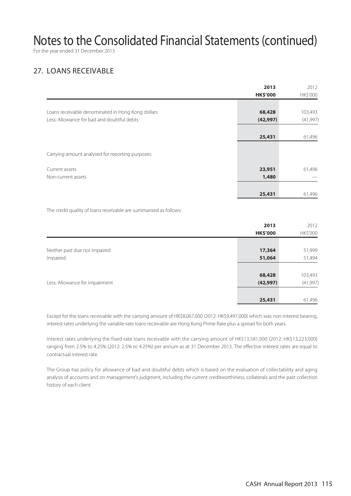For the year ended 31 December 2013

## 27. LOANS RECEIVABLE

|                                                   | 2013            | 2012      |
|---------------------------------------------------|-----------------|-----------|
|                                                   | <b>HK\$'000</b> | HK\$'000  |
|                                                   |                 |           |
| Loans receivable denominated in Hong Kong dollars | 68,428          | 103,493   |
| Less: Allowance for bad and doubtful debts        | (42, 997)       | (41, 997) |
|                                                   |                 |           |
|                                                   | 25,431          | 61,496    |
|                                                   |                 |           |
| Carrying amount analysed for reporting purposes:  |                 |           |
|                                                   |                 |           |
| Current assets                                    | 23,951          | 61,496    |
| Non-current assets                                | 1,480           |           |
|                                                   |                 |           |
|                                                   | 25,431          | 61,496    |

The credit quality of loans receivable are summarised as follows:

|                                | 2013            | 2012      |
|--------------------------------|-----------------|-----------|
|                                | <b>HK\$'000</b> | HK\$'000  |
|                                |                 |           |
| Neither past due nor impaired  | 17,364          | 51,999    |
| Impaired                       | 51,064          | 51,494    |
|                                |                 |           |
|                                | 68,428          | 103,493   |
| Less: Allowance for impairment | (42, 997)       | (41, 997) |
|                                |                 |           |
|                                | 25,431          | 61,496    |

Except for the loans receivable with the carrying amount of HK\$8,067,000 (2012: HK\$9,497,000) which was non-interest bearing, interest rates underlying the variable-rate loans receivable are Hong Kong Prime Rate plus a spread for both years.

Interest rates underlying the fixed-rate loans receivable with the carrying amount of HK\$13,581,000 (2012: HK\$13,223,000) ranging from 2.5% to 4.25% (2012: 2.5% to 4.25%) per annum as at 31 December 2013. The effective interest rates are equal to contractual interest rate.

The Group has policy for allowance of bad and doubtful debts which is based on the evaluation of collectability and aging analysis of accounts and on management's judgment, including the current creditworthiness, collaterals and the past collection history of each client.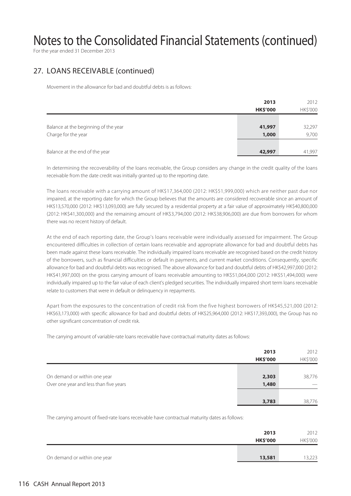For the year ended 31 December 2013

## 27. LOANS RECEIVABLE (continued)

Movement in the allowance for bad and doubtful debts is as follows:

|                                      | 2013            | 2012     |
|--------------------------------------|-----------------|----------|
|                                      | <b>HK\$'000</b> | HK\$'000 |
|                                      |                 |          |
| Balance at the beginning of the year | 41,997          | 32,297   |
| Charge for the year                  | 1,000           | 9,700    |
|                                      |                 |          |
| Balance at the end of the year       | 42,997          | 41,997   |

In determining the recoverability of the loans receivable, the Group considers any change in the credit quality of the loans receivable from the date credit was initially granted up to the reporting date.

The loans receivable with a carrying amount of HK\$17,364,000 (2012: HK\$51,999,000) which are neither past due nor impaired, at the reporting date for which the Group believes that the amounts are considered recoverable since an amount of HK\$13,570,000 (2012: HK\$13,093,000) are fully secured by a residential property at a fair value of approximately HK\$40,800,000 (2012: HK\$41,300,000) and the remaining amount of HK\$3,794,000 (2012: HK\$38,906,000) are due from borrowers for whom there was no recent history of default.

At the end of each reporting date, the Group's loans receivable were individually assessed for impairment. The Group encountered difficulties in collection of certain loans receivable and appropriate allowance for bad and doubtful debts has been made against these loans receivable. The individually impaired loans receivable are recognised based on the credit history of the borrowers, such as financial difficulties or default in payments, and current market conditions. Consequently, specific allowance for bad and doubtful debts was recognised. The above allowance for bad and doubtful debts of HK\$42,997,000 (2012: HK\$41,997,000) on the gross carrying amount of loans receivable amounting to HK\$51,064,000 (2012: HK\$51,494,000) were individually impaired up to the fair value of each client's pledged securities. The individually impaired short term loans receivable relate to customers that were in default or delinquency in repayments.

Apart from the exposures to the concentration of credit risk from the five highest borrowers of HK\$45,521,000 (2012: HK\$63,173,000) with specific allowance for bad and doubtful debts of HK\$25,964,000 (2012: HK\$17,393,000), the Group has no other significant concentration of credit risk.

The carrying amount of variable-rate loans receivable have contractual maturity dates as follows:

|                                        | 2013            | 2012     |
|----------------------------------------|-----------------|----------|
|                                        | <b>HK\$'000</b> | HK\$'000 |
|                                        |                 |          |
| On demand or within one year           | 2,303           | 38,776   |
| Over one year and less than five years | 1,480           |          |
|                                        |                 |          |
|                                        | 3,783           | 38,776   |

The carrying amount of fixed-rate loans receivable have contractual maturity dates as follows:

|                              | 2013<br><b>HK\$'000</b> | 2012<br>HK\$'000 |
|------------------------------|-------------------------|------------------|
| On demand or within one year | 13,581                  | 3,223            |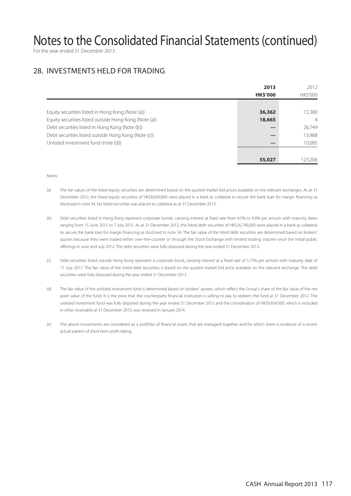For the year ended 31 December 2013

## 28. INVESTMENTS HELD FOR TRADING

|                                                       | 2013            | 2012           |
|-------------------------------------------------------|-----------------|----------------|
|                                                       | <b>HK\$'000</b> | <b>HKS'000</b> |
|                                                       |                 |                |
| Equity securities listed in Hong Kong (Note (a))      | 36,362          | 72,380         |
| Equity securities listed outside Hong Kong (Note (a)) | 18,665          | $\overline{4}$ |
| Debt securities listed in Hong Kong (Note (b))        |                 | 26,749         |
| Debt securities listed outside Hong Kong (Note (c))   |                 | 13,988         |
| Unlisted investment fund (note (d))                   |                 | 10,085         |
|                                                       |                 |                |
|                                                       | 55,027          | 123,206        |

#### Notes:

- (a) The fair values of the listed equity securities are determined based on the quoted market bid prices available on the relevant exchanges. As at 31 December 2012, the listed equity securities of HK\$8,830,000 were placed in a bank as collateral to secure the bank loan for margin financing as disclosed in note 34. No listed securities was placed as collateral as at 31 December 2013.
- (b) Debt securities listed in Hong Kong represent corporate bonds, carrying interest at fixed rate from 4.5% to 4.8% per annum with maturity dates ranging from 15 June 2015 to 7 July 2015. As at 31 December 2012, the listed debt securities of HK\$26,749,000 were placed in a bank as collateral to secure the bank loan for margin financing as disclosed in note 34. The fair value of the listed debt securities are determined based on brokers' quotes because they were traded either over-the-counter or through the Stock Exchange with limited trading volume since the initial public offerings in June and July 2012. The debt securities were fully disposed during the year ended 31 December 2013.
- (c) Debt securities listed outside Hong Kong represent a corporate bond, carrying interest at a fixed rate of 5.75% per annum with maturity date of 11 July 2017. The fair value of the listed debt securities is based on the quoted market bid price available on the relevant exchange. The debt securities were fully disposed during the year ended 31 December 2013.
- (d) The fair value of the unlisted investment fund is determined based on brokers' quotes, which reflect the Group's share of the fair value of the net asset value of the fund. It is the price that the counterparty financial institution is willing to pay to redeem the fund at 31 December 2012. The unlisted investment fund was fully disposed during the year ended 31 December 2013 and the consideration of HK\$9,854,000, which is included in other receivable at 31 December 2013, was received in January 2014.
- (e) The above investments are considered as a portfolio of financial assets that are managed together and for which there is evidence of a recent actual pattern of short term profit-taking.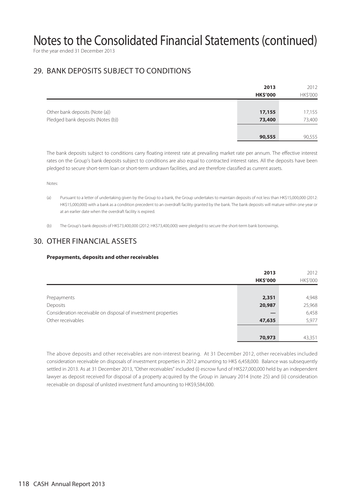For the year ended 31 December 2013

### 29. BANK DEPOSITS SUBJECT TO CONDITIONS

|                                   | 2013<br><b>HK\$'000</b> | 2012<br>HK\$'000 |
|-----------------------------------|-------------------------|------------------|
|                                   |                         |                  |
| Other bank deposits (Note (a))    | 17,155                  | 17,155           |
| Pledged bank deposits (Notes (b)) | 73,400                  | 73,400           |
|                                   |                         |                  |
|                                   | 90,555                  | 90,555           |

The bank deposits subject to conditions carry floating interest rate at prevailing market rate per annum. The effective interest rates on the Group's bank deposits subject to conditions are also equal to contracted interest rates. All the deposits have been pledged to secure short-term loan or short-term undrawn facilities, and are therefore classified as current assets.

Notes:

- (a) Pursuant to a letter of undertaking given by the Group to a bank, the Group undertakes to maintain deposits of not less than HK\$15,000,000 (2012: HK\$15,000,000) with a bank as a condition precedent to an overdraft facility granted by the bank. The bank deposits will mature within one year or at an earlier date when the overdraft facility is expired.
- (b) The Group's bank deposits of HK\$73,400,000 (2012: HK\$73,400,000) were pledged to secure the short-term bank borrowings.

### 30. OTHER FINANCIAL ASSETS

#### **Prepayments, deposits and other receivables**

|                                                               | 2013            | 2012     |
|---------------------------------------------------------------|-----------------|----------|
|                                                               | <b>HK\$'000</b> | HK\$'000 |
|                                                               |                 |          |
| Prepayments                                                   | 2,351           | 4,948    |
| Deposits                                                      | 20,987          | 25,968   |
| Consideration receivable on disposal of investment properties |                 | 6,458    |
| Other receivables                                             | 47,635          | 5,977    |
|                                                               |                 |          |
|                                                               | 70,973          | 43,351   |

The above deposits and other receivables are non-interest bearing. At 31 December 2012, other receivables included consideration receivable on disposals of investment properties in 2012 amounting to HK\$ 6,458,000. Balance was subsequently settled in 2013. As at 31 December 2013, "Other receivables" included (i) escrow fund of HK\$27,000,000 held by an independent lawyer as deposit received for disposal of a property acquired by the Group in January 2014 (note 25) and (ii) consideration receivable on disposal of unlisted investment fund amounting to HK\$9,584,000.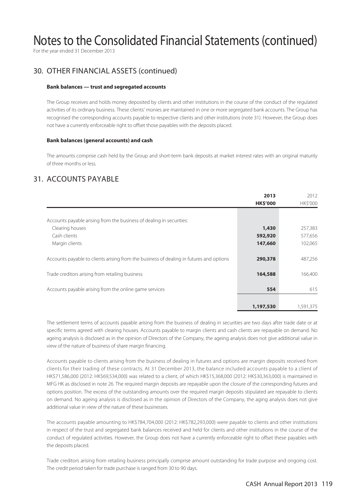For the year ended 31 December 2013

### 30. OTHER FINANCIAL ASSETS (continued)

#### **Bank balances — trust and segregated accounts**

The Group receives and holds money deposited by clients and other institutions in the course of the conduct of the regulated activities of its ordinary business. These clients' monies are maintained in one or more segregated bank accounts. The Group has recognised the corresponding accounts payable to respective clients and other institutions (note 31). However, the Group does not have a currently enforceable right to offset those payables with the deposits placed.

#### **Bank balances (general accounts) and cash**

The amounts comprise cash held by the Group and short-term bank deposits at market interest rates with an original maturity of three months or less.

### 31. ACCOUNTS PAYABLE

|                                                                                         | 2013<br><b>HK\$'000</b> | 2012<br>HK\$'000 |
|-----------------------------------------------------------------------------------------|-------------------------|------------------|
|                                                                                         |                         |                  |
| Accounts payable arising from the business of dealing in securities:                    |                         |                  |
| Clearing houses                                                                         | 1,430                   | 257,383          |
| Cash clients                                                                            | 592,920                 | 577,656          |
| Margin clients                                                                          | 147,660                 | 102,065          |
| Accounts payable to clients arising from the business of dealing in futures and options | 290,378                 | 487,256          |
| Trade creditors arising from retailing business                                         | 164,588                 | 166,400          |
| Accounts payable arising from the online game services                                  | 554                     | 615              |
|                                                                                         | 1,197,530               | 1,591,375        |

The settlement terms of accounts payable arising from the business of dealing in securities are two days after trade date or at specific terms agreed with clearing houses. Accounts payable to margin clients and cash clients are repayable on demand. No ageing analysis is disclosed as in the opinion of Directors of the Company, the ageing analysis does not give additional value in view of the nature of business of share margin financing.

Accounts payable to clients arising from the business of dealing in futures and options are margin deposits received from clients for their trading of these contracts. At 31 December 2013, the balance included accounts payable to a client of HK\$71,586,000 (2012: HK\$69,534,000) was related to a client, of which HK\$15,368,000 (2012: HK\$30,363,000) is maintained in MFG HK as disclosed in note 26. The required margin deposits are repayable upon the closure of the corresponding futures and options position. The excess of the outstanding amounts over the required margin deposits stipulated are repayable to clients on demand. No ageing analysis is disclosed as in the opinion of Directors of the Company, the aging analysis does not give additional value in view of the nature of these businesses.

The accounts payable amounting to HK\$784,704,000 (2012: HK\$782,293,000) were payable to clients and other institutions in respect of the trust and segregated bank balances received and held for clients and other institutions in the course of the conduct of regulated activities. However, the Group does not have a currently enforceable right to offset these payables with the deposits placed.

Trade creditors arising from retailing business principally comprise amount outstanding for trade purpose and ongoing cost. The credit period taken for trade purchase is ranged from 30 to 90 days.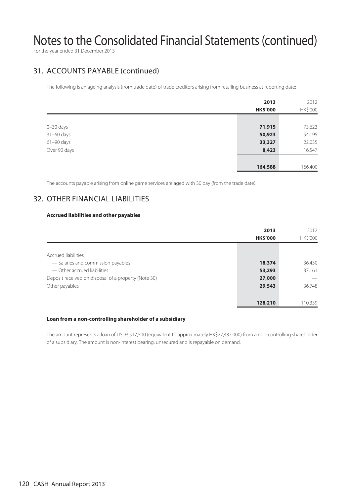For the year ended 31 December 2013

## 31. ACCOUNTS PAYABLE (continued)

The following is an ageing analysis (from trade date) of trade creditors arising from retailing business at reporting date:

|                | 2013            | 2012     |
|----------------|-----------------|----------|
|                | <b>HK\$'000</b> | HK\$'000 |
|                |                 |          |
| $0 - 30$ days  | 71,915          | 73,623   |
| 31-60 days     | 50,923          | 54,195   |
| $61 - 90$ days | 33,327          | 22,035   |
| Over 90 days   | 8,423           | 16,547   |
|                |                 |          |
|                | 164,588         | 166,400  |

The accounts payable arising from online game services are aged with 30 day (from the trade date).

### 32. OTHER FINANCIAL LIABILITIES

#### **Accrued liabilities and other payables**

|                                                      | 2013            | 2012     |
|------------------------------------------------------|-----------------|----------|
|                                                      | <b>HK\$'000</b> | HK\$'000 |
|                                                      |                 |          |
| Accrued liabilities                                  |                 |          |
| -Salaries and commission payables                    | 18,374          | 36,430   |
| - Other accrued liabilities                          | 53,293          | 37,161   |
| Deposit received on disposal of a property (Note 30) | 27,000          |          |
| Other payables                                       | 29,543          | 36,748   |
|                                                      | 128,210         | 110.339  |

#### **Loan from a non-controlling shareholder of a subsidiary**

The amount represents a loan of USD3,517,500 (equivalent to approximately HK\$27,437,000) from a non-controlling shareholder of a subsidiary. The amount is non-interest bearing, unsecured and is repayable on demand.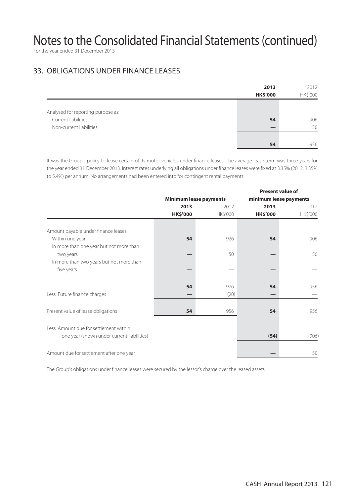For the year ended 31 December 2013

## 33. OBLIGATIONS UNDER FINANCE LEASES

|                                    | 2013            | 2012     |
|------------------------------------|-----------------|----------|
|                                    | <b>HK\$'000</b> | HK\$'000 |
|                                    |                 |          |
| Analysed for reporting purpose as: |                 |          |
| Current liabilities                | 54              | 906      |
| Non-current liabilities            |                 | 50       |
|                                    |                 |          |
|                                    | 54              | 956      |

It was the Group's policy to lease certain of its motor vehicles under finance leases. The average lease term was three years for the year ended 31 December 2013. Interest rates underlying all obligations under finance leases were fixed at 3.35% (2012: 3.35% to 5.4%) per annum. No arrangements had been entered into for contingent rental payments.

|                                            |                 |                               |                        | <b>Present value of</b> |  |
|--------------------------------------------|-----------------|-------------------------------|------------------------|-------------------------|--|
|                                            |                 | <b>Minimum lease payments</b> | minimum lease payments |                         |  |
|                                            | 2013            | 2012                          | 2013                   | 2012                    |  |
|                                            | <b>HK\$'000</b> | HK\$'000                      | <b>HK\$'000</b>        | HK\$'000                |  |
|                                            |                 |                               |                        |                         |  |
| Amount payable under finance leases        |                 |                               |                        |                         |  |
| Within one year                            | 54              | 926                           | 54                     | 906                     |  |
| In more than one year but not more than    |                 |                               |                        |                         |  |
| two years                                  |                 | 50                            |                        | 50                      |  |
| In more than two years but not more than   |                 |                               |                        |                         |  |
| five years                                 |                 |                               |                        |                         |  |
|                                            |                 |                               |                        |                         |  |
|                                            | 54              | 976                           | 54                     | 956                     |  |
| Less: Future finance charges               |                 | (20)                          |                        |                         |  |
|                                            |                 |                               |                        |                         |  |
| Present value of lease obligations         | 54              | 956                           | 54                     | 956                     |  |
|                                            |                 |                               |                        |                         |  |
| Less: Amount due for settlement within     |                 |                               |                        |                         |  |
| one year (shown under current liabilities) |                 |                               | (54)                   | (906)                   |  |
| Amount due for settlement after one year   |                 |                               |                        | 50                      |  |
|                                            |                 |                               |                        |                         |  |

The Group's obligations under finance leases were secured by the lessor's charge over the leased assets.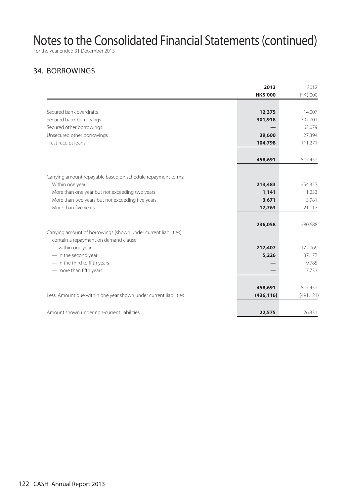For the year ended 31 December 2013

## 34. BORROWINGS

|                                                                  | 2013            | 2012       |
|------------------------------------------------------------------|-----------------|------------|
|                                                                  | <b>HK\$'000</b> | HK\$'000   |
|                                                                  |                 |            |
| Secured bank overdrafts                                          | 12,375          | 14,007     |
| Secured bank borrowings                                          | 301,918         | 302,701    |
| Secured other borrowings                                         |                 | 62,079     |
| Unsecured other borrowings                                       | 39,600          | 27,394     |
| Trust receipt loans                                              | 104,798         | 111,271    |
|                                                                  |                 |            |
|                                                                  | 458,691         | 517,452    |
|                                                                  |                 |            |
| Carrying amount repayable based on schedule repayment terms:     |                 |            |
| Within one year                                                  | 213,483         | 254,357    |
| More than one year but not exceeding two years                   | 1,141           | 1,233      |
| More than two years but not exceeding five years                 | 3,671           | 3,981      |
| More than five years                                             | 17,763          | 21,117     |
|                                                                  |                 |            |
|                                                                  | 236,058         | 280,688    |
| Carrying amount of borrowings (shown under current liabilities)  |                 |            |
| contain a repayment on demand clause:                            |                 |            |
| - within one year                                                | 217,407         | 172,069    |
| - in the second year                                             | 5,226           | 37,177     |
| - in the third to fifth years                                    |                 | 9,785      |
| - more than fifth years                                          |                 | 17,733     |
|                                                                  |                 |            |
|                                                                  | 458,691         | 517,452    |
| Less: Amount due within one year shown under current liabilities | (436, 116)      | (491, 121) |
|                                                                  |                 |            |
| Amount shown under non-current liabilities                       | 22,575          | 26,331     |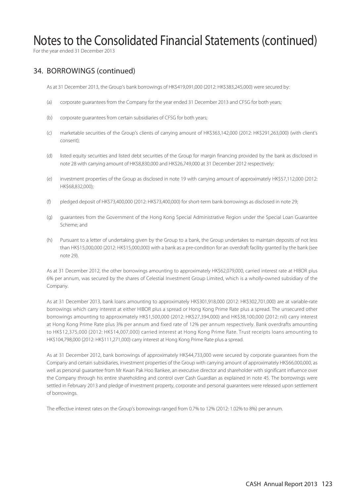For the year ended 31 December 2013

## 34. BORROWINGS (continued)

As at 31 December 2013, the Group's bank borrowings of HK\$419,091,000 (2012: HK\$383,245,000) were secured by:

- (a) corporate guarantees from the Company for the year ended 31 December 2013 and CFSG for both years;
- (b) corporate guarantees from certain subsidiaries of CFSG for both years;
- (c) marketable securities of the Group's clients of carrying amount of HK\$363,142,000 (2012: HK\$291,263,000) (with client's consent);
- (d) listed equity securities and listed debt securities of the Group for margin financing provided by the bank as disclosed in note 28 with carrying amount of HK\$8,830,000 and HK\$26,749,000 at 31 December 2012 respectively;
- (e) investment properties of the Group as disclosed in note 19 with carrying amount of approximately HK\$57,112,000 (2012: HK\$68,832,000);
- (f) pledged deposit of HK\$73,400,000 (2012: HK\$73,400,000) for short-term bank borrowings as disclosed in note 29;
- (g) guarantees from the Government of the Hong Kong Special Administrative Region under the Special Loan Guarantee Scheme; and
- (h) Pursuant to a letter of undertaking given by the Group to a bank, the Group undertakes to maintain deposits of not less than HK\$15,000,000 (2012: HK\$15,000,000) with a bank as a pre-condition for an overdraft facility granted by the bank (see note 29).

As at 31 December 2012, the other borrowings amounting to approximately HK\$62,079,000, carried interest rate at HIBOR plus 6% per annum, was secured by the shares of Celestial Investment Group Limited, which is a wholly-owned subsidiary of the Company.

As at 31 December 2013, bank loans amounting to approximately HK\$301,918,000 (2012: HK\$302,701,000) are at variable-rate borrowings which carry interest at either HIBOR plus a spread or Hong Kong Prime Rate plus a spread. The unsecured other borrowings amounting to approximately HK\$1,500,000 (2012: HK\$27,394,000) and HK\$38,100,000 (2012: nil) carry interest at Hong Kong Prime Rate plus 3% per annum and fixed rate of 12% per annum respectively. Bank overdrafts amounting to HK\$12,375,000 (2012: HK\$14,007,000) carried interest at Hong Kong Prime Rate. Trust receipts loans amounting to HK\$104,798,000 (2012: HK\$111,271,000) carry interest at Hong Kong Prime Rate plus a spread.

As at 31 December 2012, bank borrowings of approximately HK\$44,733,000 were secured by corporate guarantees from the Company and certain subsidiaries, investment properties of the Group with carrying amount of approximately HK\$66,000,000, as well as personal guarantee from Mr Kwan Pak Hoo Bankee, an executive director and shareholder with significant influence over the Company through his entire shareholding and control over Cash Guardian as explained in note 45. The borrowings were settled in February 2013 and pledge of investment property, corporate and personal guarantees were released upon settlement of borrowings.

The effective interest rates on the Group's borrowings ranged from 0.7% to 12% (2012: 1.02% to 8%) per annum.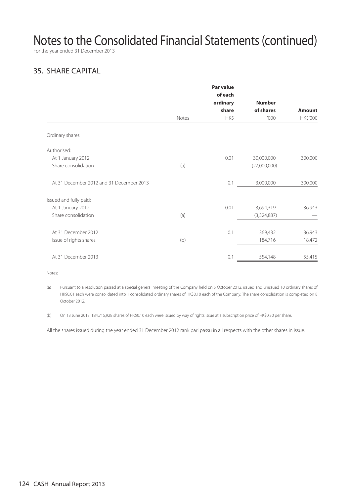For the year ended 31 December 2013

## 35. SHARE CAPITAL

|                                          | Notes | <b>Par value</b><br>of each<br>ordinary<br>share<br>HK\$ | <b>Number</b><br>of shares<br>'000 | <b>Amount</b><br>HK\$'000 |
|------------------------------------------|-------|----------------------------------------------------------|------------------------------------|---------------------------|
| Ordinary shares                          |       |                                                          |                                    |                           |
| Authorised:                              |       |                                                          |                                    |                           |
| At 1 January 2012                        |       | 0.01                                                     | 30,000,000                         | 300,000                   |
| Share consolidation                      | (a)   |                                                          | (27,000,000)                       |                           |
|                                          |       |                                                          |                                    |                           |
| At 31 December 2012 and 31 December 2013 |       | 0.1                                                      | 3,000,000                          | 300,000                   |
| Issued and fully paid:                   |       |                                                          |                                    |                           |
| At 1 January 2012                        |       | 0.01                                                     | 3,694,319                          | 36,943                    |
| Share consolidation                      | (a)   |                                                          | (3,324,887)                        |                           |
|                                          |       |                                                          |                                    |                           |
| At 31 December 2012                      |       | 0.1                                                      | 369,432                            | 36,943                    |
| Issue of rights shares                   | (b)   |                                                          | 184,716                            | 18,472                    |
|                                          |       |                                                          |                                    |                           |
| At 31 December 2013                      |       | 0.1                                                      | 554,148                            | 55,415                    |

Notes:

(a) Pursuant to a resolution passed at a special general meeting of the Company held on 5 October 2012, issued and unissued 10 ordinary shares of HK\$0.01 each were consolidated into 1 consolidated ordinary shares of HK\$0.10 each of the Company. The share consolidation is completed on 8 October 2012.

(b) On 13 June 2013, 184,715,928 shares of HK\$0.10 each were issued by way of rights issue at a subscription price of HK\$0.30 per share.

All the shares issued during the year ended 31 December 2012 rank pari passu in all respects with the other shares in issue.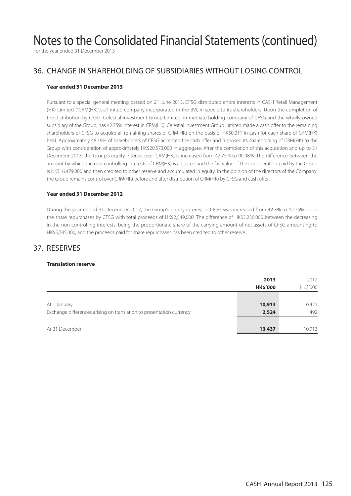For the year ended 31 December 2013

### 36. CHANGE IN SHAREHOLDING OF SUBSIDIARIES WITHOUT LOSING CONTROL

#### **Year ended 31 December 2013**

Pursuant to a special general meeting passed on 21 June 2013, CFSG distributed entire interests in CASH Retail Management (HK) Limited ("CRM(HK)"), a limited company incorporated in the BVI, in specie to its shareholders. Upon the completion of the distribution by CFSG, Celestial Investment Group Limited, immediate holding company of CFSG and the wholly-owned subsidiary of the Group, has 42.75% interest in CRM(HK). Celestial Investment Group Limited made a cash offer to the remaining shareholders of CFSG to acquire all remaining shares of CRM(HK) on the basis of HK\$0.011 in cash for each share of CRM(HK) held. Approximately 48.19% of shareholders of CFSG accepted the cash offer and disposed its shareholding of CRM(HK) to the Group with consideration of approximately HK\$20,573,000 in aggregate. After the completion of this acquisition and up to 31 December 2013, the Group's equity interest over CRM(HK) is increased from 42.75% to 90.98%. The difference between the amount by which the non-controlling interests of CRM(HK) is adjusted and the fair value of the consideration paid by the Group is HK\$16,479,000 and then credited to other reserve and accumulated in equity. In the opinion of the directors of the Company, the Group remains control over CRM(HK) before and after distribution of CRM(HK) by CFSG and cash offer.

#### **Year ended 31 December 2012**

During the year ended 31 December 2012, the Group's equity interest in CFSG was increased from 42.3% to 42.75% upon the share repurchases by CFSG with total proceeds of HK\$2,549,000. The difference of HK\$3,236,000 between the decreasing in the non-controlling interests, being the proportionate share of the carrying amount of net assets of CFSG amounting to HK\$5,785,000, and the proceeds paid for share repurchases has been credited to other reserve.

### 37. RESERVES

#### **Translation reserve**

|                                                                                      | 2013<br><b>HK\$'000</b> | 2012<br>HK\$'000 |
|--------------------------------------------------------------------------------------|-------------------------|------------------|
| At 1 January<br>Exchange differences arising on translation to presentation currency | 10,913<br>2,524         | 10,421<br>492    |
| At 31 December                                                                       | 13,437                  | 10,913           |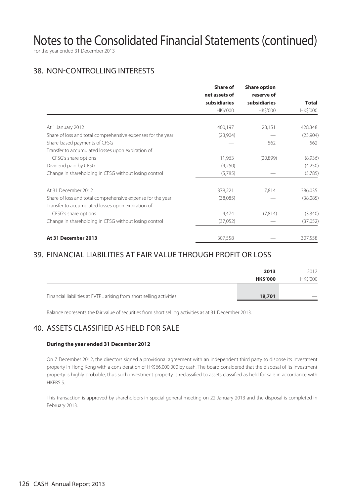For the year ended 31 December 2013

### 38. NON-CONTROLLING INTERESTS

|                                                             | Share of        | <b>Share option</b> |              |
|-------------------------------------------------------------|-----------------|---------------------|--------------|
|                                                             | net assets of   | reserve of          |              |
|                                                             | subsidiaries    | subsidiaries        | <b>Total</b> |
|                                                             | <b>HK\$'000</b> | HK\$'000            | HK\$'000     |
| At 1 January 2012                                           | 400,197         | 28,151              | 428,348      |
| Share of loss and total comprehensive expenses for the year | (23,904)        |                     | (23,904)     |
| Share-based payments of CFSG                                |                 | 562                 | 562          |
| Transfer to accumulated losses upon expiration of           |                 |                     |              |
| CFSG's share options                                        | 11,963          | (20,899)            | (8,936)      |
| Dividend paid by CFSG                                       | (4,250)         |                     | (4,250)      |
| Change in shareholding in CFSG without losing control       | (5,785)         |                     | (5,785)      |
| At 31 December 2012                                         | 378,221         | 7,814               | 386,035      |
| Share of loss and total comprehensive expense for the year  | (38,085)        |                     | (38,085)     |
| Transfer to accumulated losses upon expiration of           |                 |                     |              |
| CFSG's share options                                        | 4,474           | (7,814)             | (3,340)      |
| Change in shareholding in CFSG without losing control       | (37,052)        |                     | (37,052)     |
| At 31 December 2013                                         | 307,558         |                     | 307,558      |

### 39. FINANCIAL LIABILITIES AT FAIR VALUE THROUGH PROFIT OR LOSS

|                                                                      | 2013<br><b>HKS'000</b> | 2012<br><b>HKS'000</b> |
|----------------------------------------------------------------------|------------------------|------------------------|
| Financial liabilities at FVTPL arising from short selling activities | 19,701                 | $-$                    |

Balance represents the fair value of securities from short selling activities as at 31 December 2013.

### 40. ASSETS CLASSIFIED AS HELD FOR SALE

#### **During the year ended 31 December 2012**

On 7 December 2012, the directors signed a provisional agreement with an independent third party to dispose its investment property in Hong Kong with a consideration of HK\$66,000,000 by cash. The board considered that the disposal of its investment property is highly probable, thus such investment property is reclassified to assets classified as held for sale in accordance with HKFRS 5.

This transaction is approved by shareholders in special general meeting on 22 January 2013 and the disposal is completed in February 2013.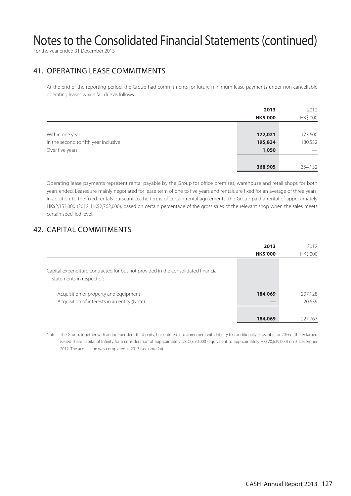For the year ended 31 December 2013

## 41. OPERATING LEASE COMMITMENTS

At the end of the reporting period, the Group had commitments for future minimum lease payments under non-cancellable operating leases which fall due as follows:

|                                       | 2013            | 2012     |
|---------------------------------------|-----------------|----------|
|                                       | <b>HK\$'000</b> | HK\$'000 |
|                                       |                 |          |
| Within one year                       | 172,021         | 173,600  |
| In the second to fifth year inclusive | 195,834         | 180,532  |
| Over five years                       | 1,050           |          |
|                                       |                 |          |
|                                       | 368,905         | 354,132  |

Operating lease payments represent rental payable by the Group for office premises, warehouse and retail shops for both years ended. Leases are mainly negotiated for lease term of one to five years and rentals are fixed for an average of three years. In addition to the fixed rentals pursuant to the terms of certain rental agreements, the Group paid a rental of approximately HK\$2,353,000 (2012: HK\$2,762,000), based on certain percentage of the gross sales of the relevant shop when the sales meets certain specified level.

### 42. CAPITAL COMMITMENTS

| <b>HK\$'000</b> |                |
|-----------------|----------------|
|                 | <b>HKS'000</b> |
|                 |                |
|                 |                |
|                 |                |
|                 |                |
| 184,069         | 207,128        |
|                 | 20,639         |
|                 |                |
| 184,069         | 227,767        |
|                 |                |

Note: The Group, together with an independent third party, has entered into agreement with Infinity to conditionally subscribe for 20% of the enlarged issued share capital of Infinity for a consideration of approximately USD2,670,000 (equivalent to approximately HK\$20,639,000) on 3 December 2012. The acquisition was completed in 2013 (see note 24).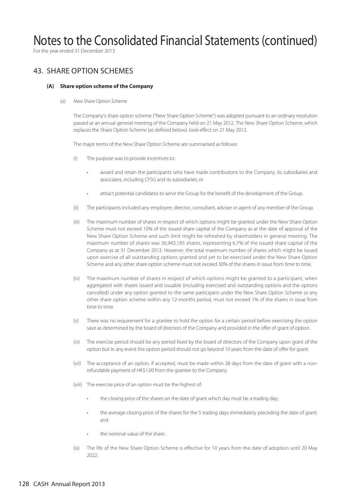For the year ended 31 December 2013

### 43. SHARE OPTION SCHEMES

#### **(A) Share option scheme of the Company**

(a) New Share Option Scheme

The Company's share option scheme ("New Share Option Scheme") was adopted pursuant to an ordinary resolution passed at an annual general meeting of the Company held on 21 May 2012. The New Share Option Scheme, which replaces the Share Option Scheme (as defined below), took effect on 21 May 2012.

The major terms of the New Share Option Scheme are summarised as follows:

- (i) The purpose was to provide incentives to:
	- award and retain the participants who have made contributions to the Company, its subsidiaries and associates, including CFSG and its subsidiaries; or
	- attract potential candidates to serve the Group for the benefit of the development of the Group.
- (ii) The participants included any employee, director, consultant, adviser or agent of any member of the Group.
- (iii) The maximum number of shares in respect of which options might be granted under the New Share Option Scheme must not exceed 10% of the issued share capital of the Company as at the date of approval of the New Share Option Scheme and such limit might be refreshed by shareholders in general meeting. The maximum number of shares was 36,943,185 shares, representing 6.7% of the issued share capital of the Company as at 31 December 2013. However, the total maximum number of shares which might be issued upon exercise of all outstanding options granted and yet to be exercised under the New Share Option Scheme and any other share option scheme must not exceed 30% of the shares in issue from time to time.
- (iv) The maximum number of shares in respect of which options might be granted to a participant, when aggregated with shares issued and issuable (including exercised and outstanding options and the options cancelled) under any option granted to the same participant under the New Share Option Scheme or any other share option scheme within any 12-months period, must not exceed 1% of the shares in issue from time to time.
- (v) There was no requirement for a grantee to hold the option for a certain period before exercising the option save as determined by the board of directors of the Company and provided in the offer of grant of option.
- (vi) The exercise period should be any period fixed by the board of directors of the Company upon grant of the option but in any event the option period should not go beyond 10 years from the date of offer for grant.
- (vii) The acceptance of an option, if accepted, must be made within 28 days from the date of grant with a nonrefundable payment of HK\$1.00 from the grantee to the Company.
- (viii) The exercise price of an option must be the highest of:
	- the closing price of the shares on the date of grant which day must be a trading day;
	- the average closing price of the shares for the 5 trading days immediately preceding the date of grant; and
	- the nominal value of the share.
- (ix) The life of the New Share Option Scheme is effective for 10 years from the date of adoption until 20 May 2022.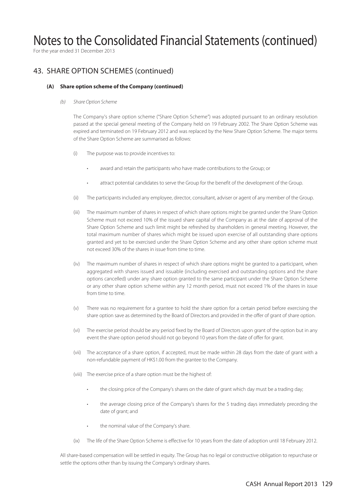For the year ended 31 December 2013

## 43. SHARE OPTION SCHEMES (continued)

#### **(A) Share option scheme of the Company (continued)**

(b) Share Option Scheme

The Company's share option scheme ("Share Option Scheme") was adopted pursuant to an ordinary resolution passed at the special general meeting of the Company held on 19 February 2002. The Share Option Scheme was expired and terminated on 19 February 2012 and was replaced by the New Share Option Scheme. The major terms of the Share Option Scheme are summarised as follows:

- (i) The purpose was to provide incentives to:
	- award and retain the participants who have made contributions to the Group; or
	- attract potential candidates to serve the Group for the benefit of the development of the Group.
- (ii) The participants included any employee, director, consultant, adviser or agent of any member of the Group.
- (iii) The maximum number of shares in respect of which share options might be granted under the Share Option Scheme must not exceed 10% of the issued share capital of the Company as at the date of approval of the Share Option Scheme and such limit might be refreshed by shareholders in general meeting. However, the total maximum number of shares which might be issued upon exercise of all outstanding share options granted and yet to be exercised under the Share Option Scheme and any other share option scheme must not exceed 30% of the shares in issue from time to time.
- (iv) The maximum number of shares in respect of which share options might be granted to a participant, when aggregated with shares issued and issuable (including exercised and outstanding options and the share options cancelled) under any share option granted to the same participant under the Share Option Scheme or any other share option scheme within any 12 month period, must not exceed 1% of the shares in issue from time to time.
- (v) There was no requirement for a grantee to hold the share option for a certain period before exercising the share option save as determined by the Board of Directors and provided in the offer of grant of share option.
- (vi) The exercise period should be any period fixed by the Board of Directors upon grant of the option but in any event the share option period should not go beyond 10 years from the date of offer for grant.
- (vii) The acceptance of a share option, if accepted, must be made within 28 days from the date of grant with a non-refundable payment of HK\$1.00 from the grantee to the Company.
- (viii) The exercise price of a share option must be the highest of:
	- the closing price of the Company's shares on the date of grant which day must be a trading day;
	- the average closing price of the Company's shares for the 5 trading days immediately preceding the date of grant; and
	- the nominal value of the Company's share.
- (ix) The life of the Share Option Scheme is effective for 10 years from the date of adoption until 18 February 2012.

All share-based compensation will be settled in equity. The Group has no legal or constructive obligation to repurchase or settle the options other than by issuing the Company's ordinary shares.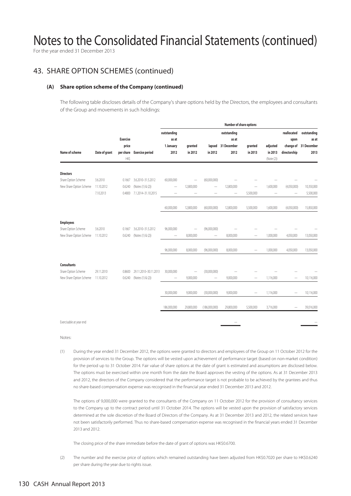For the year ended 31 December 2013

### 43. SHARE OPTION SCHEMES (continued)

#### **(A) Share option scheme of the Company (continued)**

The following table discloses details of the Company's share options held by the Directors, the employees and consultants of the Group and movements in such holdings:

|                         |               |                 |                           | Number of share options          |                          |                          |                          |                                  |                          |                          |                       |
|-------------------------|---------------|-----------------|---------------------------|----------------------------------|--------------------------|--------------------------|--------------------------|----------------------------------|--------------------------|--------------------------|-----------------------|
|                         |               |                 |                           | outstanding                      |                          |                          | outstanding              |                                  |                          | reallocated              | outstanding           |
|                         |               | <b>Exercise</b> |                           | as at                            |                          |                          | as at                    |                                  |                          | upon                     | as at                 |
|                         |               | price           |                           | 1 January                        | qranted                  | lapsed                   | 31 December              | granted                          | adjusted                 |                          | change of 31 December |
| Name of scheme          | Date of grant |                 | per share Exercise period | 2012                             | in 2012                  | in 2012                  | 2012                     | in 2013                          | in 2013                  | directorship             | 2013                  |
|                         |               | HK\$            |                           |                                  |                          |                          |                          |                                  | (Note (2))               |                          |                       |
| <b>Directors</b>        |               |                 |                           |                                  |                          |                          |                          |                                  |                          |                          |                       |
| Share Option Scheme     | 3.6.2010      | 0.1667          | 3.6.2010-31.5.2012        | 60,000,000                       | $\overline{\phantom{0}}$ | (60,000,000)             |                          |                                  |                          |                          |                       |
| New Share Option Scheme | 11.10.2012    | 0.6240          | (Notes (1) & (2))         | $\overbrace{\phantom{12322111}}$ | 12,800,000               | $\overline{\phantom{0}}$ | 12,800,000               | $\overbrace{\phantom{12322111}}$ | 1,600,000                | (4,050,000)              | 10,350,000            |
|                         | 7.10.2013     | 0.4800          | 7.1.2014-31.10.2015       | $\overline{\phantom{0}}$         | $\overline{\phantom{0}}$ | $\overline{\phantom{0}}$ | $\overline{\phantom{0}}$ | 5,500,000                        | $\overline{\phantom{0}}$ | $\overline{\phantom{0}}$ | 5,500,000             |
|                         |               |                 |                           | 60,000,000                       | 12,800,000               | (60,000,000)             | 12,800,000               | 5,500,000                        | 1,600,000                | (4,050,000)              | 15,850,000            |
| <b>Employees</b>        |               |                 |                           |                                  |                          |                          |                          |                                  |                          |                          |                       |
| Share Option Scheme     | 3.6.2010      | 0.1667          | 3.6.2010-31.5.2012        | 96,000,000                       |                          | (96,000,000)             |                          |                                  |                          |                          |                       |
| New Share Option Scheme | 11.10.2012    | 0.6240          | (Notes (1) & (2))         | $\overline{\phantom{0}}$         | 8,000,000                | $\qquad \qquad -$        | 8,000,000                | $\qquad \qquad -$                | 1,000,000                | 4,050,000                | 13,050,000            |
|                         |               |                 |                           | 96,000,000                       | 8,000,000                | (96,000,000)             | 8,000,000                | $\overline{\phantom{m}}$         | 1,000,000                | 4,050,000                | 13,050,000            |
| <b>Consultants</b>      |               |                 |                           |                                  |                          |                          |                          |                                  |                          |                          |                       |
| Share Option Scheme     | 29.11.2010    | 0.8600          | 29.11.2010-30.11.2013     | 30,000,000                       | $\overline{\phantom{0}}$ | (30,000,000)             |                          |                                  |                          |                          |                       |
| New Share Option Scheme | 11.10.2012    | 0.6240          | (Notes (1) & (2))         | $\overline{\phantom{0}}$         | 9,000,000                | $\overline{\phantom{0}}$ | 9,000,000                | $\overline{\phantom{0}}$         | 1,116,000                | $\overline{\phantom{0}}$ | 10,116,000            |
|                         |               |                 |                           | 30,000,000                       | 9,000,000                | (30,000,000)             | 9,000,000                | $\overbrace{\phantom{12322111}}$ | 1,116,000                | $\overline{\phantom{m}}$ | 10,116,000            |
|                         |               |                 |                           | 186,000,000                      | 29,800,000               | (186,000,000)            | 29,800,000               | 5,500,000                        | 3,716,000                | $\overline{\phantom{m}}$ | 39,016,000            |
|                         |               |                 |                           |                                  |                          |                          |                          |                                  |                          |                          |                       |
| Exercisable at year end |               |                 |                           |                                  |                          |                          |                          |                                  |                          |                          |                       |

Notes:

(1) During the year ended 31 December 2012, the options were granted to directors and employees of the Group on 11 October 2012 for the provision of services to the Group. The options will be vested upon achievement of performance target (based on non-market condition) for the period up to 31 October 2014. Fair value of share options at the date of grant is estimated and assumptions are disclosed below. The options must be exercised within one month from the date the Board approves the vesting of the options. As at 31 December 2013 and 2012, the directors of the Company considered that the performance target is not probable to be achieved by the grantees and thus no share-based compensation expense was recognised in the financial year ended 31 December 2013 and 2012.

 The options of 9,000,000 were granted to the consultants of the Company on 11 October 2012 for the provision of consultancy services to the Company up to the contract period until 31 October 2014. The options will be vested upon the provision of satisfactory services determined at the sole discretion of the Board of Directors of the Company. As at 31 December 2013 and 2012, the related services have not been satisfactorily performed. Thus no share-based compensation expense was recognised in the financial years ended 31 December 2013 and 2012.

The closing price of the share immediate before the date of grant of options was HK\$0.6700.

(2) The number and the exercise price of options which remained outstanding have been adjusted from HK\$0.7020 per share to HK\$0.6240 per share during the year due to rights issue.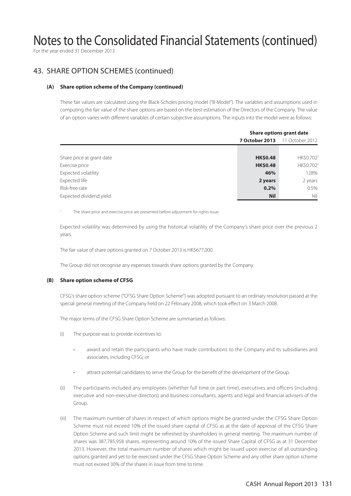For the year ended 31 December 2013

### 43. SHARE OPTION SCHEMES (continued)

#### **(A) Share option scheme of the Company (continued)**

These fair values are calculated using the Black-Scholes pricing model ("B-Model"). The variables and assumptions used in computing the fair value of the share options are based on the best estimation of the Directors of the Company. The value of an option varies with different variables of certain subjective assumptions. The inputs into the model were as follows:

|                           | Share options grant date |                        |  |
|---------------------------|--------------------------|------------------------|--|
|                           | <b>7 October 2013</b>    | 11 October 2012        |  |
|                           |                          |                        |  |
| Share price at grant date | <b>HK\$0.48</b>          | HK\$0.7021             |  |
| Exercise price            | <b>HK\$0.48</b>          | HK\$0.702 <sup>1</sup> |  |
| Expected volatility       | 46%                      | 128%                   |  |
| Expected life             | 2 years                  | 2 years                |  |
| Risk-free rate            | 0.2%                     | 0.5%                   |  |
| Expected dividend yield   | <b>Nil</b>               | Nil                    |  |

The share price and exercise price are presented before adjustment for rights issue.

Expected volatility was determined by using the historical volatility of the Company's share price over the previous 2 years.

The fair value of share options granted on 7 October 2013 is HK\$677,000.

The Group did not recognise any expenses towards share options granted by the Company.

#### **(B) Share option scheme of CFSG**

CFSG's share option scheme ("CFSG Share Option Scheme") was adopted pursuant to an ordinary resolution passed at the special general meeting of the Company held on 22 February 2008, which took effect on 3 March 2008.

The major terms of the CFSG Share Option Scheme are summarised as follows:

- (i) The purpose was to provide incentives to:
	- award and retain the participants who have made contributions to the Company and its subsidiaries and associates, including CFSG; or
	- attract potential candidates to serve the Group for the benefit of the development of the Group.
- (ii) The participants included any employees (whether full time or part time), executives and officers (including executive and non-executive directors) and business consultants, agents and legal and financial advisers of the Group.
- (iii) The maximum number of shares in respect of which options might be granted under the CFSG Share Option Scheme must not exceed 10% of the issued share capital of CFSG as at the date of approval of the CFSG Share Option Scheme and such limit might be refreshed by shareholders in general meeting. The maximum number of shares was 387,785,958 shares, representing around 10% of the issued Share Capital of CFSG as at 31 December 2013. However, the total maximum number of shares which might be issued upon exercise of all outstanding options granted and yet to be exercised under the CFSG Share Option Scheme and any other share option scheme must not exceed 30% of the shares in issue from time to time.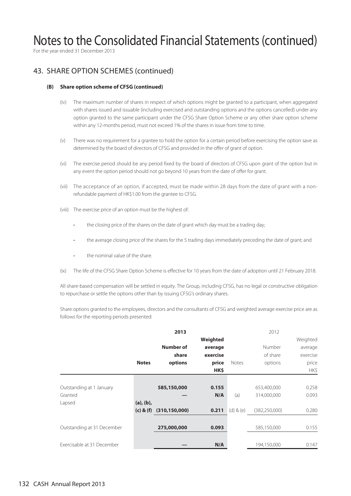For the year ended 31 December 2013

### 43. SHARE OPTION SCHEMES (continued)

#### **(B) Share option scheme of CFSG (continued)**

- (iv) The maximum number of shares in respect of which options might be granted to a participant, when aggregated with shares issued and issuable (including exercised and outstanding options and the options cancelled) under any option granted to the same participant under the CFSG Share Option Scheme or any other share option scheme within any 12-months period, must not exceed 1% of the shares in issue from time to time.
- (v) There was no requirement for a grantee to hold the option for a certain period before exercising the option save as determined by the board of directors of CFSG and provided in the offer of grant of option.
- (vi) The exercise period should be any period fixed by the board of directors of CFSG upon grant of the option but in any event the option period should not go beyond 10 years from the date of offer for grant.
- (vii) The acceptance of an option, if accepted, must be made within 28 days from the date of grant with a nonrefundable payment of HK\$1.00 from the grantee to CFSG.
- (viii) The exercise price of an option must be the highest of:
	- the closing price of the shares on the date of grant which day must be a trading day;
	- the average closing price of the shares for the 5 trading days immediately preceding the date of grant; and
	- the nominal value of the share.
- (ix) The life of the CFSG Share Option Scheme is effective for 10 years from the date of adoption until 21 February 2018.

All share-based compensation will be settled in equity. The Group, including CFSG, has no legal or constructive obligation to repurchase or settle the options other than by issuing CFSG's ordinary shares.

Share options granted to the employees, directors and the consultants of CFSG and weighted average exercise price are as follows for the reporting periods presented:

|                            |              | 2013                        |          |              | 2012            |          |
|----------------------------|--------------|-----------------------------|----------|--------------|-----------------|----------|
|                            |              |                             | Weighted |              |                 | Weighted |
|                            |              | Number of                   | average  |              | Number          | average  |
|                            |              | share                       | exercise |              | of share        | exercise |
|                            | <b>Notes</b> | options                     | price    | <b>Notes</b> | options         | price    |
|                            |              |                             | HK\$     |              |                 | HK\$     |
|                            |              |                             |          |              |                 |          |
| Outstanding at 1 January   |              | 585,150,000                 | 0.155    |              | 653,400,000     | 0.258    |
| Granted                    |              |                             | N/A      | (a)          | 314,000,000     | 0.093    |
| Lapsed                     | (a), (b),    |                             |          |              |                 |          |
|                            |              | (c) & (f) $(310, 150, 000)$ | 0.211    | (d) & (e)    | (382, 250, 000) | 0.280    |
|                            |              |                             |          |              |                 |          |
| Outstanding at 31 December |              | 275,000,000                 | 0.093    |              | 585,150,000     | 0.155    |
|                            |              |                             |          |              |                 |          |
| Exercisable at 31 December |              |                             | N/A      |              | 194,150,000     | 0.147    |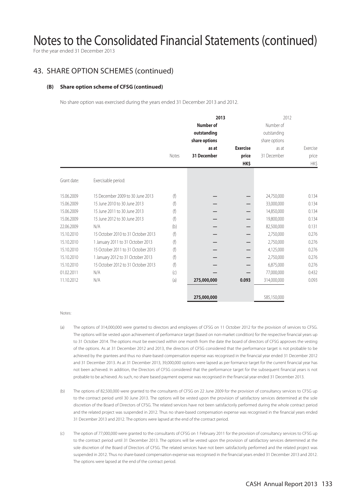For the year ended 31 December 2013

### 43. SHARE OPTION SCHEMES (continued)

#### **(B) Share option scheme of CFSG (continued)**

No share option was exercised during the years ended 31 December 2013 and 2012.

|             |                                    | 2013<br><b>Number of</b><br>outstanding<br>share options |                      |                          | 2012<br>Number of<br>outstanding<br>share options |                   |  |
|-------------|------------------------------------|----------------------------------------------------------|----------------------|--------------------------|---------------------------------------------------|-------------------|--|
|             |                                    | Notes                                                    | as at<br>31 December | <b>Exercise</b><br>price | as at<br>31 December                              | Exercise<br>price |  |
|             |                                    |                                                          |                      | HK\$                     |                                                   | HK\$              |  |
| Grant date: | Exercisable period:                |                                                          |                      |                          |                                                   |                   |  |
| 15.06.2009  | 15 December 2009 to 30 June 2013   | (f)                                                      |                      |                          | 24,750,000                                        | 0.134             |  |
| 15.06.2009  | 15 June 2010 to 30 June 2013       | (f)                                                      |                      |                          | 33,000,000                                        | 0.134             |  |
| 15.06.2009  | 15 June 2011 to 30 June 2013       | (f)                                                      |                      |                          | 14,850,000                                        | 0.134             |  |
| 15.06.2009  | 15 June 2012 to 30 June 2013       | (f)                                                      |                      |                          | 19,800,000                                        | 0.134             |  |
| 22.06.2009  | N/A                                | (b)                                                      |                      |                          | 82,500,000                                        | 0.131             |  |
| 15.10.2010  | 15 October 2010 to 31 October 2013 | (f)                                                      |                      |                          | 2,750,000                                         | 0.276             |  |
| 15.10.2010  | 1 January 2011 to 31 October 2013  | (f)                                                      |                      |                          | 2,750,000                                         | 0.276             |  |
| 15.10.2010  | 15 October 2011 to 31 October 2013 | (f)                                                      |                      |                          | 4,125,000                                         | 0.276             |  |
| 15.10.2010  | 1 January 2012 to 31 October 2013  | (f)                                                      |                      |                          | 2,750,000                                         | 0.276             |  |
| 15.10.2010  | 15 October 2012 to 31 October 2013 | (f)                                                      |                      |                          | 6,875,000                                         | 0.276             |  |
| 01.02.2011  | N/A                                | (c)                                                      |                      |                          | 77,000,000                                        | 0.432             |  |
| 11.10.2012  | N/A                                | (a)                                                      | 275,000,000          | 0.093                    | 314,000,000                                       | 0.093             |  |
|             |                                    |                                                          | 275,000,000          |                          | 585,150,000                                       |                   |  |

#### Notes:

- (a) The options of 314,000,000 were granted to directors and employees of CFSG on 11 October 2012 for the provision of services to CFSG. The options will be vested upon achievement of performance target (based on non-market condition) for the respective financial years up to 31 October 2014. The options must be exercised within one month from the date the board of directors of CFSG approves the vesting of the options. As at 31 December 2012 and 2013, the directors of CFSG considered that the performance target is not probable to be achieved by the grantees and thus no share-based compensation expense was recognised in the financial year ended 31 December 2012 and 31 December 2013. As at 31 December 2013, 39,000,000 options were lapsed as per formance target for the current financial year has not been achieved. In addition, the Directors of CFSG considered that the performance target for the subsequent financial years is not probable to be achieved. As such, no share based payment expense was recognised in the financial year ended 31 December 2013.
- (b) The options of 82,500,000 were granted to the consultants of CFSG on 22 June 2009 for the provision of consultancy services to CFSG up to the contract period until 30 June 2013. The options will be vested upon the provision of satisfactory services determined at the sole discretion of the Board of Directors of CFSG. The related services have not been satisfactorily performed during the whole contract period and the related project was suspended in 2012. Thus no share-based compensation expense was recognised in the financial years ended 31 December 2013 and 2012. The options were lapsed at the end of the contract period.
- (c) The option of 77,000,000 were granted to the consultants of CFSG on 1 February 2011 for the provision of consultancy services to CFSG up to the contract period until 31 December 2013. The options will be vested upon the provision of satisfactory services determined at the sole discretion of the Board of Directors of CFSG. The related services have not been satisfactorily performed and the related project was suspended in 2012. Thus no share-based compensation expense was recognised in the financial years ended 31 December 2013 and 2012. The options were lapsed at the end of the contract period.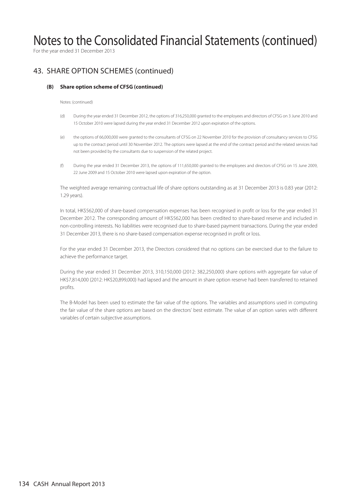For the year ended 31 December 2013

## 43. SHARE OPTION SCHEMES (continued)

#### **(B) Share option scheme of CFSG (continued)**

Notes: (continued)

- (d) During the year ended 31 December 2012, the options of 316,250,000 granted to the employees and directors of CFSG on 3 June 2010 and 15 October 2010 were lapsed during the year ended 31 December 2012 upon expiration of the options.
- (e) the options of 66,000,000 were granted to the consultants of CFSG on 22 November 2010 for the provision of consultancy services to CFSG up to the contract period until 30 November 2012. The options were lapsed at the end of the contract period and the related services had not been provided by the consultants due to suspension of the related project.
- (f) During the year ended 31 December 2013, the options of 111,650,000 granted to the employees and directors of CFSG on 15 June 2009, 22 June 2009 and 15 October 2010 were lapsed upon expiration of the option.

The weighted average remaining contractual life of share options outstanding as at 31 December 2013 is 0.83 year (2012: 1.29 years).

In total, HK\$562,000 of share-based compensation expenses has been recognised in profit or loss for the year ended 31 December 2012. The corresponding amount of HK\$562,000 has been credited to share-based reserve and included in non-controlling interests. No liabilities were recognised due to share-based payment transactions. During the year ended 31 December 2013, there is no share-based compensation expense recognised in profit or loss.

For the year ended 31 December 2013, the Directors considered that no options can be exercised due to the failure to achieve the performance target.

During the year ended 31 December 2013, 310,150,000 (2012: 382,250,000) share options with aggregate fair value of HK\$7,814,000 (2012: HK\$20,899,000) had lapsed and the amount in share option reserve had been transferred to retained profits.

The B-Model has been used to estimate the fair value of the options. The variables and assumptions used in computing the fair value of the share options are based on the directors' best estimate. The value of an option varies with different variables of certain subjective assumptions.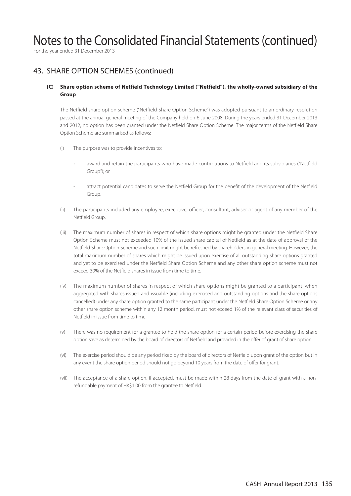For the year ended 31 December 2013

### 43. SHARE OPTION SCHEMES (continued)

#### **(C) Share option scheme of Netfield Technology Limited ("Netfield"), the wholly-owned subsidiary of the Group**

The Netfield share option scheme ("Netfield Share Option Scheme") was adopted pursuant to an ordinary resolution passed at the annual general meeting of the Company held on 6 June 2008. During the years ended 31 December 2013 and 2012, no option has been granted under the Netfield Share Option Scheme. The major terms of the Netfield Share Option Scheme are summarised as follows:

- (i) The purpose was to provide incentives to:
	- award and retain the participants who have made contributions to Netfield and its subsidiaries ("Netfield Group"); or
	- attract potential candidates to serve the Netfield Group for the benefit of the development of the Netfield Group.
- (ii) The participants included any employee, executive, officer, consultant, adviser or agent of any member of the Netfield Group.
- (iii) The maximum number of shares in respect of which share options might be granted under the Netfield Share Option Scheme must not exceeded 10% of the issued share capital of Netfield as at the date of approval of the Netfield Share Option Scheme and such limit might be refreshed by shareholders in general meeting. However, the total maximum number of shares which might be issued upon exercise of all outstanding share options granted and yet to be exercised under the Netfield Share Option Scheme and any other share option scheme must not exceed 30% of the Netfield shares in issue from time to time.
- (iv) The maximum number of shares in respect of which share options might be granted to a participant, when aggregated with shares issued and issuable (including exercised and outstanding options and the share options cancelled) under any share option granted to the same participant under the Netfield Share Option Scheme or any other share option scheme within any 12 month period, must not exceed 1% of the relevant class of securities of Netfield in issue from time to time.
- (v) There was no requirement for a grantee to hold the share option for a certain period before exercising the share option save as determined by the board of directors of Netfield and provided in the offer of grant of share option.
- (vi) The exercise period should be any period fixed by the board of directors of Netfield upon grant of the option but in any event the share option period should not go beyond 10 years from the date of offer for grant.
- (vii) The acceptance of a share option, if accepted, must be made within 28 days from the date of grant with a nonrefundable payment of HK\$1.00 from the grantee to Netfield.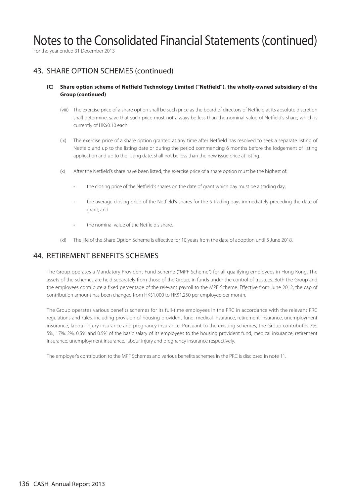For the year ended 31 December 2013

### 43. SHARE OPTION SCHEMES (continued)

- **(C) Share option scheme of Netfield Technology Limited ("Netfield"), the wholly-owned subsidiary of the Group (continued)**
	- (viii) The exercise price of a share option shall be such price as the board of directors of Netfield at its absolute discretion shall determine, save that such price must not always be less than the nominal value of Netfield's share, which is currently of HK\$0.10 each.
	- (ix) The exercise price of a share option granted at any time after Netfield has resolved to seek a separate listing of Netfield and up to the listing date or during the period commencing 6 months before the lodgement of listing application and up to the listing date, shall not be less than the new issue price at listing.
	- (x) After the Netfield's share have been listed, the exercise price of a share option must be the highest of:
		- the closing price of the Netfield's shares on the date of grant which day must be a trading day;
		- the average closing price of the Netfield's shares for the 5 trading days immediately preceding the date of grant; and
		- the nominal value of the Netfield's share.
	- (xi) The life of the Share Option Scheme is effective for 10 years from the date of adoption until 5 June 2018.

### 44. RETIREMENT BENEFITS SCHEMES

The Group operates a Mandatory Provident Fund Scheme ("MPF Scheme") for all qualifying employees in Hong Kong. The assets of the schemes are held separately from those of the Group, in funds under the control of trustees. Both the Group and the employees contribute a fixed percentage of the relevant payroll to the MPF Scheme. Effective from June 2012, the cap of contribution amount has been changed from HK\$1,000 to HK\$1,250 per employee per month.

The Group operates various benefits schemes for its full-time employees in the PRC in accordance with the relevant PRC regulations and rules, including provision of housing provident fund, medical insurance, retirement insurance, unemployment insurance, labour injury insurance and pregnancy insurance. Pursuant to the existing schemes, the Group contributes 7%, 5%, 17%, 2%, 0.5% and 0.5% of the basic salary of its employees to the housing provident fund, medical insurance, retirement insurance, unemployment insurance, labour injury and pregnancy insurance respectively.

The employer's contribution to the MPF Schemes and various benefits schemes in the PRC is disclosed in note 11.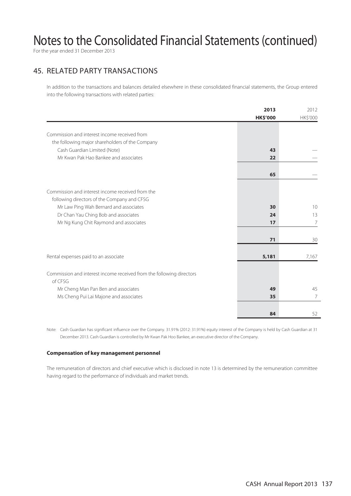For the year ended 31 December 2013

## 45. RELATED PARTY TRANSACTIONS

In addition to the transactions and balances detailed elsewhere in these consolidated financial statements, the Group entered into the following transactions with related parties:

| <b>HK\$'000</b>                                                                 |          |
|---------------------------------------------------------------------------------|----------|
|                                                                                 | HK\$'000 |
|                                                                                 |          |
| Commission and interest income received from                                    |          |
| the following major shareholders of the Company                                 |          |
| Cash Guardian Limited (Note)<br>43                                              |          |
| Mr Kwan Pak Hao Bankee and associates<br>22                                     |          |
|                                                                                 |          |
| 65                                                                              |          |
|                                                                                 |          |
| Commission and interest income received from the                                |          |
| following directors of the Company and CFSG                                     |          |
| Mr Law Ping Wah Bernard and associates<br>30                                    | 10       |
| Dr Chan Yau Ching Bob and associates<br>24                                      | 13       |
| Mr Ng Kung Chit Raymond and associates<br>17                                    | 7        |
|                                                                                 |          |
| 71                                                                              | 30       |
|                                                                                 |          |
| 5,181<br>Rental expenses paid to an associate                                   | 7,167    |
|                                                                                 |          |
| Commission and interest income received from the following directors<br>of CFSG |          |
| Mr Cheng Man Pan Ben and associates<br>49                                       | 45       |
| Ms Cheng Pui Lai Majone and associates<br>35                                    | 7        |
|                                                                                 |          |
| 84                                                                              | 52       |

Note: Cash Guardian has significant influence over the Company. 31.91% (2012: 31.91%) equity interest of the Company is held by Cash Guardian at 31 December 2013. Cash Guardian is controlled by Mr Kwan Pak Hoo Bankee, an executive director of the Company.

#### **Compensation of key management personnel**

The remuneration of directors and chief executive which is disclosed in note 13 is determined by the remuneration committee having regard to the performance of individuals and market trends.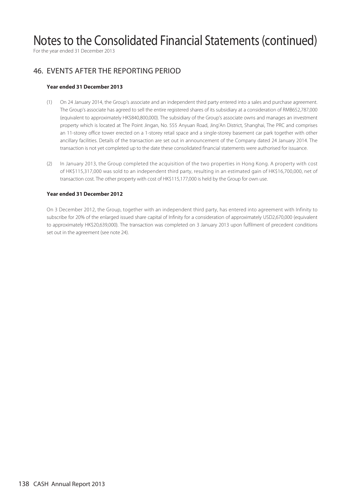For the year ended 31 December 2013

### 46. EVENTS AFTER THE REPORTING PERIOD

#### **Year ended 31 December 2013**

- (1) On 24 January 2014, the Group's associate and an independent third party entered into a sales and purchase agreement. The Group's associate has agreed to sell the entire registered shares of its subsidiary at a consideration of RMB652,787,000 (equivalent to approximately HK\$840,800,000). The subsidiary of the Group's associate owns and manages an investment property which is located at The Point Jingan, No. 555 Anyuan Road, Jing'An District, Shanghai, The PRC and comprises an 11-storey office tower erected on a 1-storey retail space and a single-storey basement car park together with other ancillary facilities. Details of the transaction are set out in announcement of the Company dated 24 January 2014. The transaction is not yet completed up to the date these consolidated financial statements were authorised for issuance.
- (2) In January 2013, the Group completed the acquisition of the two properties in Hong Kong. A property with cost of HK\$115,317,000 was sold to an independent third party, resulting in an estimated gain of HK\$16,700,000, net of transaction cost. The other property with cost of HK\$115,177,000 is held by the Group for own use.

#### **Year ended 31 December 2012**

On 3 December 2012, the Group, together with an independent third party, has entered into agreement with Infinity to subscribe for 20% of the enlarged issued share capital of Infinity for a consideration of approximately USD2,670,000 (equivalent to approximately HK\$20,639,000). The transaction was completed on 3 January 2013 upon fulfilment of precedent conditions set out in the agreement (see note 24).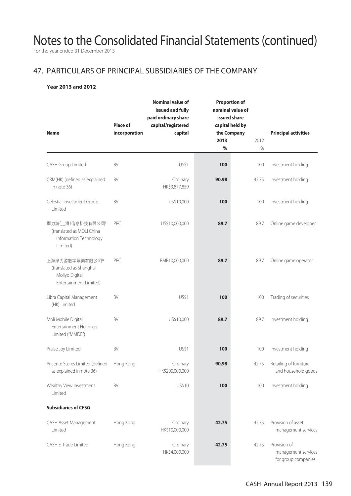For the year ended 31 December 2013

### 47. PARTICULARS OF PRINCIPAL SUBSIDIARIES OF THE COMPANY

#### **Year 2013 and 2012**

| <b>Name</b>                                                                           | <b>Place of</b><br>incorporation | <b>Nominal value of</b><br>issued and fully<br>paid ordinary share<br>capital/registered<br>capital | <b>Proportion of</b><br>nominal value of<br>issued share<br>capital held by<br>the Company<br>2013<br>% | 2012<br>$\%$ | <b>Principal activities</b>                                |  |
|---------------------------------------------------------------------------------------|----------------------------------|-----------------------------------------------------------------------------------------------------|---------------------------------------------------------------------------------------------------------|--------------|------------------------------------------------------------|--|
| CASH Group Limited                                                                    | <b>BVI</b>                       | US\$1                                                                                               | 100                                                                                                     | 100          | Investment holding                                         |  |
| CRM(HK) (defined as explained<br>in note 36)                                          | <b>BVI</b>                       | Ordinary<br>HK\$3,877,859                                                                           | 90.98                                                                                                   | 42.75        | Investment holding                                         |  |
| Celestial Investment Group<br>Limited                                                 | <b>BVI</b>                       | US\$10,000                                                                                          | 100                                                                                                     | 100          | Investment holding                                         |  |
| 摩力游(上海)信息科技有限公司#<br>(translated as MOLI China<br>Information Technology<br>Limited)   | PRC                              | US\$10,000,000                                                                                      | 89.7                                                                                                    | 89.7         | Online game developer                                      |  |
| 上海摩力游數字娛樂有限公司#<br>(translated as Shanghai<br>Moliyo Digital<br>Entertainment Limited) | PRC                              | RMB10,000,000                                                                                       | 89.7                                                                                                    | 89.7         | Online game operator                                       |  |
| Libra Capital Management<br>(HK) Limited                                              | <b>BVI</b>                       | <b>US\$1</b>                                                                                        | 100                                                                                                     | 100          | Trading of securities                                      |  |
| Moli Mobile Digital<br>Entertainment Holdings<br>Limited ("MMDE")                     | <b>BVI</b>                       | US\$10,000                                                                                          | 89.7                                                                                                    | 89.7         | Investment holding                                         |  |
| Praise Joy Limited                                                                    | <b>BVI</b>                       | <b>US\$1</b>                                                                                        | 100                                                                                                     | 100          | Investment holding                                         |  |
| Pricerite Stores Limited (defined<br>as explained in note 36)                         | Hong Kong                        | Ordinary<br>HK\$200,000,000                                                                         | 90.98                                                                                                   | 42.75        | Retailing of furniture<br>and household goods              |  |
| Wealthy View Investment<br>Limited                                                    | <b>BVI</b>                       | US\$10                                                                                              | 100                                                                                                     | 100          | Investment holding                                         |  |
| <b>Subsidiaries of CFSG</b>                                                           |                                  |                                                                                                     |                                                                                                         |              |                                                            |  |
| CASH Asset Management<br>Limited                                                      | Hong Kong                        | Ordinary<br>HK\$10,000,000                                                                          | 42.75                                                                                                   | 42.75        | Provision of asset<br>management services                  |  |
| CASH E-Trade Limited                                                                  | Hong Kong                        | Ordinary<br>HK\$4,000,000                                                                           | 42.75                                                                                                   | 42.75        | Provision of<br>management services<br>for group companies |  |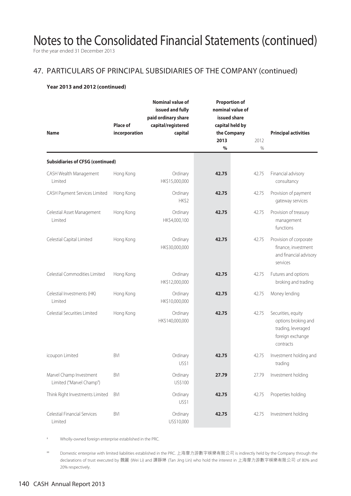For the year ended 31 December 2013

### 47. PARTICULARS OF PRINCIPAL SUBSIDIARIES OF THE COMPANY (continued)

#### **Year 2013 and 2012 (continued)**

| <b>Name</b>                                         | Place of<br>incorporation | <b>Nominal value of</b><br>issued and fully<br>paid ordinary share<br>capital/registered<br>capital | <b>Proportion of</b><br>nominal value of<br>issued share<br>capital held by<br>the Company<br>2013<br>$\%$ | 2012<br>% | <b>Principal activities</b>                                                                      |
|-----------------------------------------------------|---------------------------|-----------------------------------------------------------------------------------------------------|------------------------------------------------------------------------------------------------------------|-----------|--------------------------------------------------------------------------------------------------|
| <b>Subsidiaries of CFSG (continued)</b>             |                           |                                                                                                     |                                                                                                            |           |                                                                                                  |
| CASH Wealth Management<br>I imited                  | Hong Kong                 | Ordinary<br>HK\$15,000,000                                                                          | 42.75                                                                                                      | 42.75     | Financial advisory<br>consultancy                                                                |
| CASH Payment Services Limited                       | Hong Kong                 | Ordinary<br>HK\$2                                                                                   | 42.75                                                                                                      | 42.75     | Provision of payment<br>gateway services                                                         |
| Celestial Asset Management<br>Limited               | Hong Kong                 | Ordinary<br>HK\$4,000,100                                                                           | 42.75                                                                                                      | 42.75     | Provision of treasury<br>management<br>functions                                                 |
| Celestial Capital Limited                           | Hong Kong                 | Ordinary<br>HK\$30,000,000                                                                          | 42.75                                                                                                      | 42.75     | Provision of corporate<br>finance, investment<br>and financial advisory<br>services              |
| Celestial Commodities Limited                       | Hong Kong                 | Ordinary<br>HK\$12,000,000                                                                          | 42.75                                                                                                      | 42.75     | Futures and options<br>broking and trading                                                       |
| Celestial Investments (HK)<br>Limited               | Hong Kong                 | Ordinary<br>HK\$10,000,000                                                                          | 42.75                                                                                                      | 42.75     | Money lending                                                                                    |
| Celestial Securities Limited                        | Hong Kong                 | Ordinary<br>HK\$140,000,000                                                                         | 42.75                                                                                                      | 42.75     | Securities, equity<br>options broking and<br>trading, leveraged<br>foreign exchange<br>contracts |
| icoupon Limited                                     | <b>BVI</b>                | Ordinary<br>US\$1                                                                                   | 42.75                                                                                                      | 42.75     | Investment holding and<br>trading                                                                |
| Marvel Champ Investment<br>Limited ("Marvel Champ") | <b>BVI</b>                | Ordinary<br>US\$100                                                                                 | 27.79                                                                                                      | 27.79     | Investment holding                                                                               |
| Think Right Investments Limited                     | <b>BVI</b>                | Ordinary<br>US\$1                                                                                   | 42.75                                                                                                      | 42.75     | Properties holding                                                                               |
| <b>Celestial Financial Services</b><br>Limited      | <b>BVI</b>                | Ordinary<br>US\$10,000                                                                              | 42.75                                                                                                      | 42.75     | Investment holding                                                                               |

# Wholly-owned foreign enterprise established in the PRC.

## Domestic enterprise with limited liabilities established in the PRC. 上海摩力游數字娛樂有限公司 is indirectly held by the Company through the declarations of trust executed by 魏麗 (Wei Li) and 譚靜琳 (Tan Jing Lin) who hold the interest in 上海摩力游數字娛樂有限公司 of 80% and 20% respectively.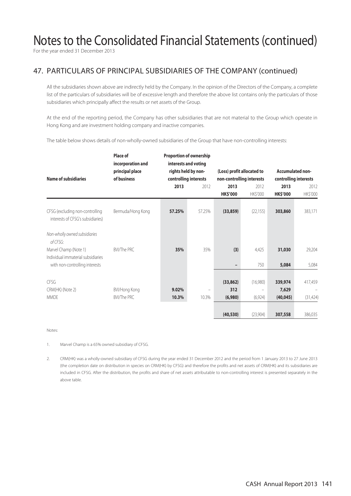For the year ended 31 December 2013

### 47. PARTICULARS OF PRINCIPAL SUBSIDIARIES OF THE COMPANY (continued)

All the subsidiaries shown above are indirectly held by the Company. In the opinion of the Directors of the Company, a complete list of the particulars of subsidiaries will be of excessive length and therefore the above list contains only the particulars of those subsidiaries which principally affect the results or net assets of the Group.

At the end of the reporting period, the Company has other subsidiaries that are not material to the Group which operate in Hong Kong and are investment holding company and inactive companies.

The table below shows details of non-wholly-owned subsidiaries of the Group that have non-controlling interests:

| <b>Name of subsidiaries</b>                                          | <b>Place of</b><br>incorporation and<br>principal place<br>of business | <b>Proportion of ownership</b><br>interests and voting<br>rights held by non-<br>controlling interests |        | (Loss) profit allocated to<br>non-controlling interests |                          | <b>Accumulated non-</b><br>controlling interests |                  |
|----------------------------------------------------------------------|------------------------------------------------------------------------|--------------------------------------------------------------------------------------------------------|--------|---------------------------------------------------------|--------------------------|--------------------------------------------------|------------------|
|                                                                      |                                                                        | 2013                                                                                                   | 2012   | 2013<br><b>HK\$'000</b>                                 | 2012<br><b>HK\$'000</b>  | 2013<br><b>HK\$'000</b>                          | 2012<br>HK\$'000 |
|                                                                      |                                                                        |                                                                                                        |        |                                                         |                          |                                                  |                  |
| CFSG (excluding non-controlling<br>interests of CFSG's subsidiaries) | Bermuda/Hong Kong                                                      | 57.25%                                                                                                 | 57.25% | (33, 859)                                               | (22, 155)                | 303,860                                          | 383,171          |
| Non-wholly owned subsidiaries<br>of CFSG:                            |                                                                        |                                                                                                        |        |                                                         |                          |                                                  |                  |
| Marvel Champ (Note 1)<br>Individual immaterial subsidiaries          | BVI/The PRC                                                            | 35%                                                                                                    | 35%    | (3)                                                     | 4,425                    | 31,030                                           | 29,204           |
| with non-controlling interests                                       |                                                                        |                                                                                                        |        | -                                                       | 750                      | 5,084                                            | 5,084            |
| CESG                                                                 |                                                                        |                                                                                                        |        | (33, 862)                                               | (16,980)                 | 339,974                                          | 417,459          |
| CRM(HK) (Note 2)                                                     | BVI/Hong Kong                                                          | 9.02%                                                                                                  |        | 312                                                     | $\overline{\phantom{0}}$ | 7,629                                            |                  |
| <b>MMDE</b>                                                          | <b>BVI/The PRC</b>                                                     | 10.3%                                                                                                  | 10.3%  | (6,980)                                                 | (6,924)                  | (40, 045)                                        | (31, 424)        |
|                                                                      |                                                                        |                                                                                                        |        |                                                         |                          |                                                  |                  |
|                                                                      |                                                                        |                                                                                                        |        | (40, 530)                                               | (23,904)                 | 307,558                                          | 386,035          |

Notes:

2. CRM(HK) was a wholly-owned subsidiary of CFSG during the year ended 31 December 2012 and the period from 1 January 2013 to 27 June 2013 (the completion date on distribution in species on CRM(HK) by CFSG) and therefore the profits and net assets of CRM(HK) and its subsidiaries are included in CFSG. After the distribution, the profits and share of net assets attributable to non-controlling interest is presented separately in the above table.

<sup>1.</sup> Marvel Champ is a 65% owned subsidiary of CFSG.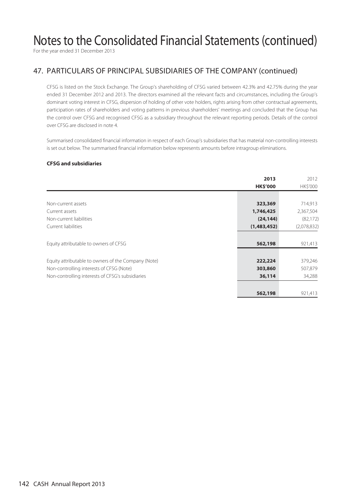For the year ended 31 December 2013

### 47. PARTICULARS OF PRINCIPAL SUBSIDIARIES OF THE COMPANY (continued)

CFSG is listed on the Stock Exchange. The Group's shareholding of CFSG varied between 42.3% and 42.75% during the year ended 31 December 2012 and 2013. The directors examined all the relevant facts and circumstances, including the Group's dominant voting interest in CFSG, dispersion of holding of other vote holders, rights arising from other contractual agreements, participation rates of shareholders and voting patterns in previous shareholders' meetings and concluded that the Group has the control over CFSG and recognised CFSG as a subsidiary throughout the relevant reporting periods. Details of the control over CFSG are disclosed in note 4.

Summarised consolidated financial information in respect of each Group's subsidiaries that has material non-controlling interests is set out below. The summarised financial information below represents amounts before intragroup eliminations.

#### **CFSG and subsidiaries**

|                                                     | 2013            | 2012        |
|-----------------------------------------------------|-----------------|-------------|
|                                                     | <b>HK\$'000</b> | HK\$'000    |
|                                                     |                 |             |
| Non-current assets                                  | 323,369         | 714,913     |
| Current assets                                      | 1,746,425       | 2,367,504   |
| Non-current liabilities                             | (24, 144)       | (82, 172)   |
| Current liabilities                                 | (1,483,452)     | (2,078,832) |
| Equity attributable to owners of CFSG               | 562,198         | 921,413     |
| Equity attributable to owners of the Company (Note) | 222,224         | 379,246     |
| Non-controlling interests of CFSG (Note)            | 303,860         | 507,879     |
| Non-controlling interests of CFSG's subsidiaries    | 36,114          | 34,288      |
|                                                     |                 |             |
|                                                     | 562,198         | 921,413     |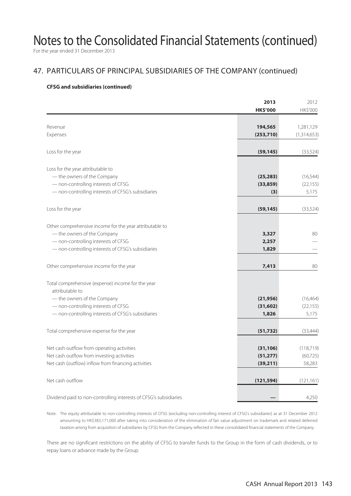For the year ended 31 December 2013

### 47. PARTICULARS OF PRINCIPAL SUBSIDIARIES OF THE COMPANY (continued)

#### **CFSG and subsidiaries (continued)**

|                                                                      | 2013<br><b>HK\$'000</b> | 2012<br>HK\$'000 |
|----------------------------------------------------------------------|-------------------------|------------------|
|                                                                      |                         |                  |
| Revenue                                                              | 194,565                 | 1,281,129        |
| Expenses                                                             | (253, 710)              | (1,314,653)      |
| Loss for the year                                                    | (59, 145)               | (33,524)         |
| Loss for the year attributable to                                    |                         |                  |
| - the owners of the Company                                          | (25, 283)               | (16, 544)        |
| - non-controlling interests of CFSG                                  | (33, 859)               | (22, 155)        |
| - non-controlling interests of CFSG's subsidiaries                   | (3)                     | 5,175            |
| Loss for the year                                                    | (59, 145)               | (33,524)         |
|                                                                      |                         |                  |
| Other comprehensive income for the year attributable to              |                         |                  |
| - the owners of the Company                                          | 3,327                   | 80               |
| - non-controlling interests of CFSG                                  | 2,257                   |                  |
| - non-controlling interests of CFSG's subsidiaries                   | 1,829                   |                  |
| Other comprehensive income for the year                              | 7,413                   | 80               |
| Total comprehensive (expense) income for the year<br>attributable to |                         |                  |
| - the owners of the Company                                          | (21, 956)               | (16,464)         |
| - non-controlling interests of CFSG                                  | (31, 602)               | (22, 155)        |
| - non-controlling interests of CFSG's subsidiaries                   | 1,826                   | 5,175            |
| Total comprehensive expense for the year                             | (51, 732)               | (33, 444)        |
| Net cash outflow from operating activities                           | (31, 106)               | (118, 719)       |
| Net cash outflow from investing activities                           | (51, 277)               | (60, 725)        |
| Net cash (outflow) inflow from financing activities                  | (39, 211)               | 58,283           |
| Net cash outflow                                                     | (121, 594)              | (121, 161)       |
| Dividend paid to non-controlling interests of CFSG's subsidiaries    |                         | 4,250            |

Note: The equity attributable to non-controlling interests of CFSG (excluding non-controlling interest of CFSG's subsidiaries) as at 31 December 2012 amounting to HK\$383,171,000 after taking into consideration of the elimination of fair value adjustment on trademark and related deferred taxation arising from acquisition of subsidiaries by CFSG from the Company reflected in these consolidated financial statements of the Company.

There are no significant restrictions on the ability of CFSG to transfer funds to the Group in the form of cash dividends, or to repay loans or advance made by the Group.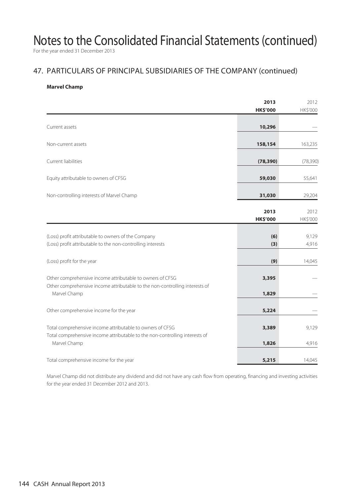For the year ended 31 December 2013

## 47. PARTICULARS OF PRINCIPAL SUBSIDIARIES OF THE COMPANY (continued)

### **Marvel Champ**

|                                                                                                                                          | 2013<br><b>HK\$'000</b> | 2012<br>HK\$'000 |
|------------------------------------------------------------------------------------------------------------------------------------------|-------------------------|------------------|
|                                                                                                                                          |                         |                  |
| Current assets                                                                                                                           | 10,296                  |                  |
| Non-current assets                                                                                                                       | 158,154                 | 163,235          |
| Current liabilities                                                                                                                      | (78, 390)               | (78, 390)        |
| Equity attributable to owners of CFSG                                                                                                    | 59,030                  | 55,641           |
| Non-controlling interests of Marvel Champ                                                                                                | 31,030                  | 29,204           |
|                                                                                                                                          | 2013<br><b>HK\$'000</b> | 2012<br>HK\$'000 |
| (Loss) profit attributable to owners of the Company<br>(Loss) profit attributable to the non-controlling interests                       | (6)<br>(3)              | 9,129<br>4,916   |
| (Loss) profit for the year                                                                                                               | (9)                     | 14,045           |
| Other comprehensive income attributable to owners of CFSG<br>Other comprehensive income attributable to the non-controlling interests of | 3,395                   |                  |
| Marvel Champ                                                                                                                             | 1,829                   |                  |
| Other comprehensive income for the year                                                                                                  | 5,224                   |                  |
| Total comprehensive income attributable to owners of CFSG<br>Total comprehensive income attributable to the non-controlling interests of | 3,389                   | 9,129            |
| Marvel Champ                                                                                                                             | 1,826                   | 4,916            |
| Total comprehensive income for the year                                                                                                  | 5,215                   | 14,045           |

Marvel Champ did not distribute any dividend and did not have any cash flow from operating, financing and investing activities for the year ended 31 December 2012 and 2013.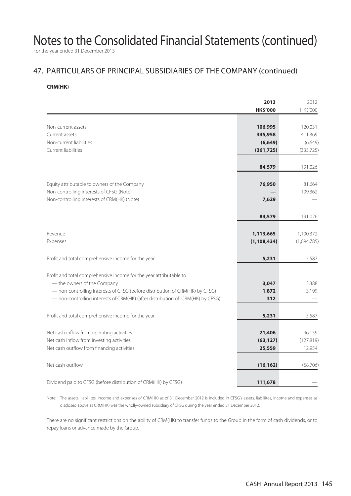For the year ended 31 December 2013

### 47. PARTICULARS OF PRINCIPAL SUBSIDIARIES OF THE COMPANY (continued)

### **CRM(HK)**

|                                                                                | 2013<br><b>HK\$'000</b> | 2012<br>HK\$'000 |
|--------------------------------------------------------------------------------|-------------------------|------------------|
|                                                                                |                         |                  |
| Non-current assets                                                             | 106,995                 | 120,031          |
| Current assets                                                                 | 345,958                 | 411,369          |
| Non-current liabilities                                                        | (6, 649)                | (6,649)          |
| Current liabilities                                                            | (361, 725)              | (333, 725)       |
|                                                                                | 84,579                  | 191,026          |
| Equity attributable to owners of the Company                                   | 76,950                  | 81,664           |
| Non-controlling interests of CFSG (Note)                                       |                         | 109,362          |
| Non-controlling interests of CRM(HK) (Note)                                    | 7,629                   |                  |
|                                                                                | 84,579                  | 191,026          |
|                                                                                |                         |                  |
| Revenue                                                                        | 1,113,665               | 1,100,372        |
| Expenses                                                                       | (1, 108, 434)           | (1,094,785)      |
| Profit and total comprehensive income for the year                             | 5,231                   | 5,587            |
|                                                                                |                         |                  |
| Profit and total comprehensive income for the year attributable to             |                         |                  |
| - the owners of the Company                                                    | 3,047                   | 2,388            |
| - non-controlling interests of CFSG (before distribution of CRM(HK) by CFSG)   | 1,872                   | 3,199            |
| - non-controlling interests of CRM(HK) (after distribution of CRM(HK) by CFSG) | 312                     |                  |
| Profit and total comprehensive income for the year                             | 5,231                   | 5,587            |
| Net cash inflow from operating activities                                      | 21,406                  | 46,159           |
| Net cash inflow from investing activities                                      | (63, 127)               | (127, 819)       |
| Net cash outflow from financing activities                                     | 25,559                  | 12,954           |
|                                                                                |                         |                  |
| Net cash outflow                                                               | (16, 162)               | (68, 706)        |
| Dividend paid to CFSG (before distribution of CRM(HK) by CFSG)                 | 111,678                 |                  |

Note: The assets, liabiliites, income and expenses of CRM(HK) as of 31 December 2012 is included in CFSG's assets, liabiliites, income and expenses as disclosed above as CRM(HK) was the wholly-owned subsidiary of CFSG during the year ended 31 December 2012.

There are no significant restrictions on the ability of CRM(HK) to transfer funds to the Group in the form of cash dividends, or to repay loans or advance made by the Group.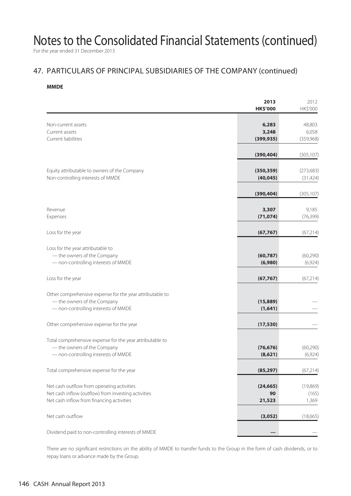For the year ended 31 December 2013

### 47. PARTICULARS OF PRINCIPAL SUBSIDIARIES OF THE COMPANY (continued)

#### **MMDE**

|                                                          | 2013<br><b>HK\$'000</b> | 2012<br>HK\$'000 |
|----------------------------------------------------------|-------------------------|------------------|
|                                                          |                         |                  |
| Non-current assets                                       | 6,283                   | 48,803           |
| Current assets                                           | 3,248                   | 6,058            |
| Current liabilities                                      | (399, 935)              | (359,968)        |
|                                                          | (390, 404)              | (305, 107)       |
| Equity attributable to owners of the Company             | (350, 359)              | (273, 683)       |
| Non-controlling interests of MMDE                        | (40, 045)               | (31, 424)        |
|                                                          | (390, 404)              | (305, 107)       |
|                                                          |                         |                  |
| Revenue                                                  | 3,307                   | 9,185            |
| Expenses                                                 | (71, 074)               | (76, 399)        |
| Loss for the year                                        | (67, 767)               | (67, 214)        |
| Loss for the year attributable to                        |                         |                  |
| - the owners of the Company                              | (60, 787)               | (60, 290)        |
| - non-controlling interests of MMDE                      | (6,980)                 | (6,924)          |
| Loss for the year                                        | (67, 767)               | (67,214)         |
| Other comprehensive expense for the year attributable to |                         |                  |
| - the owners of the Company                              | (15, 889)               |                  |
| - non-controlling interests of MMDE                      | (1,641)                 |                  |
| Other comprehensive expense for the year                 | (17, 530)               |                  |
| Total comprehensive expense for the year attributable to |                         |                  |
| - the owners of the Company                              | (76, 676)               | (60, 290)        |
| - non-controlling interests of MMDE                      | (8,621)                 | (6,924)          |
| Total comprehensive expense for the year                 | (85, 297)               | (67, 214)        |
| Net cash outflow from operating activities               | (24, 665)               | (19,869)         |
| Net cash inflow (outflow) from investing activities      | 90                      | (165)            |
| Net cash inflow from financing activities                | 21,523                  | 1,369            |
| Net cash outflow                                         | (3,052)                 | (18,665)         |
| Dividend paid to non-controlling interests of MMDE       |                         |                  |
|                                                          |                         |                  |

There are no significant restrictions on the ability of MMDE to transfer funds to the Group in the form of cash dividends, or to repay loans or advance made by the Group.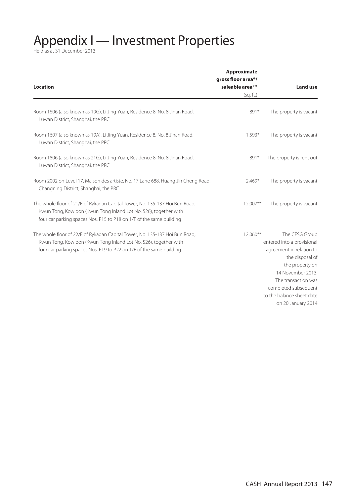# Appendix I — Investment Properties

Held as at 31 December 2013

| <b>Location</b>                                                                                                                                                                                                        | <b>Approximate</b><br>gross floor area*/<br>saleable area**<br>(sq. ft.) | <b>Land use</b>                                                                                                                                                                                                                       |
|------------------------------------------------------------------------------------------------------------------------------------------------------------------------------------------------------------------------|--------------------------------------------------------------------------|---------------------------------------------------------------------------------------------------------------------------------------------------------------------------------------------------------------------------------------|
| Room 1606 (also known as 19G), Li Jing Yuan, Residence 8, No. 8 Jinan Road,<br>Luwan District, Shanghai, the PRC                                                                                                       | 891*                                                                     | The property is vacant                                                                                                                                                                                                                |
| Room 1607 (also known as 19A), Li Jing Yuan, Residence 8, No. 8 Jinan Road,<br>Luwan District, Shanghai, the PRC                                                                                                       | $1,593*$                                                                 | The property is vacant                                                                                                                                                                                                                |
| Room 1806 (also known as 21G), Li Jing Yuan, Residence 8, No. 8 Jinan Road,<br>Luwan District, Shanghai, the PRC                                                                                                       | 891*                                                                     | The property is rent out                                                                                                                                                                                                              |
| Room 2002 on Level 17, Maison des artiste, No. 17 Lane 688, Huang Jin Cheng Road,<br>Changning District, Shanghai, the PRC                                                                                             | 2,469*                                                                   | The property is vacant                                                                                                                                                                                                                |
| The whole floor of 21/F of Rykadan Capital Tower, No. 135-137 Hoi Bun Road,<br>Kwun Tong, Kowloon (Kwun Tong Inland Lot No. 526), together with<br>four car parking spaces Nos. P15 to P18 on 1/F of the same building | $12.007**$                                                               | The property is vacant                                                                                                                                                                                                                |
| The whole floor of 22/F of Rykadan Capital Tower, No. 135-137 Hoi Bun Road,<br>Kwun Tong, Kowloon (Kwun Tong Inland Lot No. 526), together with<br>four car parking spaces Nos. P19 to P22 on 1/F of the same building | 12,060**                                                                 | The CFSG Group<br>entered into a provisional<br>agreement in relation to<br>the disposal of<br>the property on<br>14 November 2013.<br>The transaction was<br>completed subsequent<br>to the balance sheet date<br>on 20 January 2014 |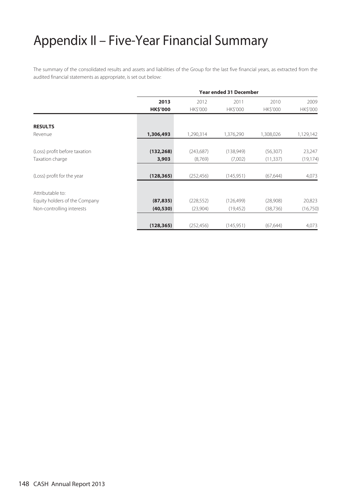# Appendix II – Five-Year Financial Summary

The summary of the consolidated results and assets and liabilities of the Group for the last five financial years, as extracted from the audited financial statements as appropriate, is set out below:

|                               |                 | <b>Year ended 31 December</b> |            |           |           |
|-------------------------------|-----------------|-------------------------------|------------|-----------|-----------|
|                               | 2013            | 2012                          | 2011       | 2010      | 2009      |
|                               | <b>HK\$'000</b> | <b>HK\$'000</b>               | HK\$'000   | HK\$'000  | HK\$'000  |
| <b>RESULTS</b>                |                 |                               |            |           |           |
| Revenue                       | 1,306,493       | 1,290,314                     | 1,376,290  | 1,308,026 | 1,129,142 |
| (Loss) profit before taxation | (132, 268)      | (243, 687)                    | (138,949)  | (56, 307) | 23,247    |
| Taxation charge               | 3,903           | (8,769)                       | (7,002)    | (11, 337) | (19, 174) |
| (Loss) profit for the year    | (128, 365)      | (252, 456)                    | (145, 951) | (67, 644) | 4,073     |
| Attributable to:              |                 |                               |            |           |           |
| Equity holders of the Company | (87, 835)       | (228, 552)                    | (126, 499) | (28,908)  | 20,823    |
| Non-controlling interests     | (40, 530)       | (23,904)                      | (19,452)   | (38, 736) | (16,750)  |
|                               | (128, 365)      | (252, 456)                    | (145, 951) | (67, 644) | 4,073     |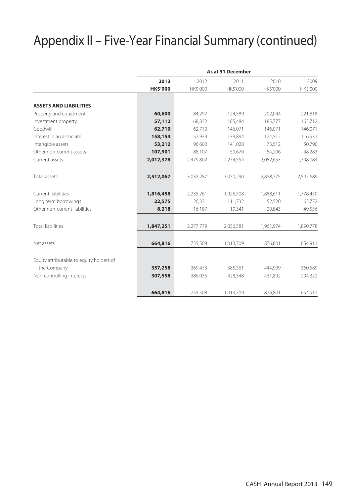# Appendix II – Five-Year Financial Summary (continued)

|                                          | As at 31 December |           |           |           |           |
|------------------------------------------|-------------------|-----------|-----------|-----------|-----------|
|                                          | 2013              | 2012      | 2011      | 2010      | 2009      |
|                                          | <b>HK\$'000</b>   | HK\$'000  | HK\$'000  | HK\$'000  | HK\$'000  |
|                                          |                   |           |           |           |           |
| <b>ASSETS AND LIABILITIES</b>            |                   |           |           |           |           |
| Property and equipment                   | 60,600            | 84,297    | 124,589   | 202,044   | 221,818   |
| Investment property                      | 57,112            | 68,832    | 185,484   | 185,777   | 163,712   |
| Goodwill                                 | 62,710            | 62,710    | 146,071   | 146,071   | 146,071   |
| Interest in an associate                 | 158,154           | 152,939   | 138,894   | 124,512   | 116,931   |
| Intangible assets                        | 53,212            | 96,600    | 141,028   | 73,512    | 50,790    |
| Other non-current assets                 | 107,901           | 88,107    | 59,670    | 54,206    | 48,283    |
| Current assets                           | 2,012,378         | 2,479,802 | 2,274,554 | 2,052,653 | 1,798,084 |
| Total assets                             |                   |           |           |           |           |
|                                          | 2,512,067         | 3,033,287 | 3,070,290 | 2,838,775 | 2,545,689 |
| Current liabilities                      | 1,816,458         | 2,235,261 | 1,925,508 | 1,888,611 | 1,778,450 |
| Long term borrowings                     | 22,575            | 26,331    | 111,732   | 52,520    | 62,772    |
| Other non-current liabilities            | 8,218             | 16,187    | 19,341    | 20,843    | 49,556    |
| <b>Total liabilities</b>                 | 1,847,251         | 2,277,779 | 2,056,581 | 1,961,974 | 1,890,778 |
| Net assets                               | 664,816           | 755,508   | 1,013,709 | 876,801   | 654,911   |
| Equity attributable to equity holders of |                   |           |           |           |           |
| the Company                              | 357,258           | 369,473   | 585,361   | 444,909   | 360,589   |
| Non-controlling interests                | 307,558           | 386,035   | 428,348   | 431,892   | 294,322   |
|                                          | 664,816           | 755,508   | 1,013,709 | 876,801   | 654,911   |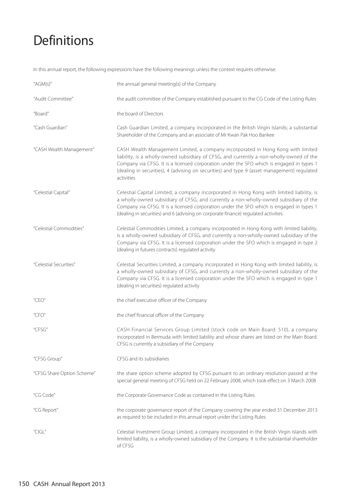## **Definitions**

In this annual report, the following expressions have the following meanings unless the context requires otherwise:

| " $AGM(s)$ "                            | the annual general meeting(s) of the Company                                                                                                                                                                                                                                                                                                                                          |
|-----------------------------------------|---------------------------------------------------------------------------------------------------------------------------------------------------------------------------------------------------------------------------------------------------------------------------------------------------------------------------------------------------------------------------------------|
| "Audit Committee"                       | the audit committee of the Company established pursuant to the CG Code of the Listing Rules                                                                                                                                                                                                                                                                                           |
| "Board"                                 | the board of Directors                                                                                                                                                                                                                                                                                                                                                                |
| "Cash Guardian"                         | Cash Guardian Limited, a company incorporated in the British Virgin Islands; a substantial<br>Shareholder of the Company and an associate of Mr Kwan Pak Hoo Bankee                                                                                                                                                                                                                   |
| "CASH Wealth Management"                | CASH Wealth Management Limited, a company incorporated in Hong Kong with limited<br>liability, is a wholly-owned subsidiary of CFSG, and currently a non-wholly-owned of the<br>Company via CFSG. It is a licensed corporation under the SFO which is engaged in types 1<br>(dealing in securities), 4 (advising on securities) and type 9 (asset management) regulated<br>activities |
| "Celestial Capital"                     | Celestial Capital Limited, a company incorporated in Hong Kong with limited liability, is<br>a wholly-owned subsidiary of CFSG, and currently a non-wholly-owned subsidiary of the<br>Company via CFSG. It is a licensed corporation under the SFO which is engaged in types 1<br>(dealing in securities) and 6 (advising on corporate finance) regulated activities                  |
| "Celestial Commodities"                 | Celestial Commodities Limited, a company incorporated in Hong Kong with limited liability,<br>is a wholly-owned subsidiary of CFSG, and currently a non-wholly-owned subsidiary of the<br>Company via CFSG. It is a licensed corporation under the SFO which is engaged in type 2<br>(dealing in futures contracts) regulated activity                                                |
| "Celestial Securities"                  | Celestial Securities Limited, a company incorporated in Hong Kong with limited liability, is<br>a wholly-owned subsidiary of CFSG, and currently a non-wholly-owned subsidiary of the<br>Company via CFSG. It is a licensed corporation under the SFO which is engaged in type 1<br>(dealing in securities) regulated activity                                                        |
| $^{\prime\prime}$ CEO $^{\prime\prime}$ | the chief executive officer of the Company                                                                                                                                                                                                                                                                                                                                            |
| $^{\prime\prime}$ CFO $^{\prime\prime}$ | the chief financial officer of the Company                                                                                                                                                                                                                                                                                                                                            |
| "CFSG"                                  | CASH Financial Services Group Limited (stock code on Main Board: 510), a company<br>incorporated in Bermuda with limited liability and whose shares are listed on the Main Board.<br>CFSG is currently a subsidiary of the Company                                                                                                                                                    |
| "CFSG Group"                            | CFSG and its subsidiaries                                                                                                                                                                                                                                                                                                                                                             |
| "CFSG Share Option Scheme"              | the share option scheme adopted by CFSG pursuant to an ordinary resolution passed at the<br>special general meeting of CFSG held on 22 February 2008, which took effect on 3 March 2008                                                                                                                                                                                               |
| "CG Code"                               | the Corporate Governance Code as contained in the Listing Rules                                                                                                                                                                                                                                                                                                                       |
| "CG Report"                             | the corporate governance report of the Company covering the year ended 31 December 2013<br>as required to be included in this annual report under the Listing Rules                                                                                                                                                                                                                   |
| "CIGL"                                  | Celestial Investment Group Limited, a company incorporated in the British Virgin Islands with<br>limited liability, is a wholly-owned subsidiary of the Company. It is the substantial shareholder<br>of CFSG                                                                                                                                                                         |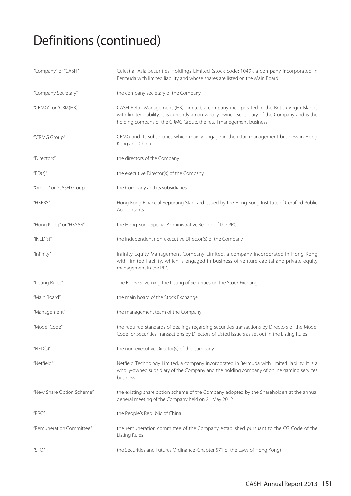# Definitions (continued)

| "Company" or "CASH"                     | Celestial Asia Securities Holdings Limited (stock code: 1049), a company incorporated in<br>Bermuda with limited liability and whose shares are listed on the Main Board                                                                                          |
|-----------------------------------------|-------------------------------------------------------------------------------------------------------------------------------------------------------------------------------------------------------------------------------------------------------------------|
| "Company Secretary"                     | the company secretary of the Company                                                                                                                                                                                                                              |
| "CRMG" or "CRM(HK)"                     | CASH Retail Management (HK) Limited, a company incorporated in the British Virgin Islands<br>with limited liability. It is currently a non-wholly-owned subsidiary of the Company and is the<br>holding company of the CRMG Group, the retail manegement business |
| "CRMG Group"                            | CRMG and its subsidiaries which mainly engage in the retail management business in Hong<br>Kong and China                                                                                                                                                         |
| "Directors"                             | the directors of the Company                                                                                                                                                                                                                                      |
| "ED(s)"                                 | the executive Director(s) of the Company                                                                                                                                                                                                                          |
| "Group" or "CASH Group"                 | the Company and its subsidiaries                                                                                                                                                                                                                                  |
| "HKFRS"                                 | Hong Kong Financial Reporting Standard issued by the Hong Kong Institute of Certified Public<br>Accountants                                                                                                                                                       |
| "Hong Kong" or "HKSAR"                  | the Hong Kong Special Administrative Region of the PRC                                                                                                                                                                                                            |
| "INED $(s)$ "                           | the independent non-executive Director(s) of the Company                                                                                                                                                                                                          |
| "Infinity"                              | Infinity Equity Management Company Limited, a company incorporated in Hong Kong<br>with limited liability, which is engaged in business of venture capital and private equity<br>management in the PRC                                                            |
| "Listing Rules"                         | The Rules Governing the Listing of Securities on the Stock Exchange                                                                                                                                                                                               |
| "Main Board"                            | the main board of the Stock Exchange                                                                                                                                                                                                                              |
| "Management"                            | the management team of the Company                                                                                                                                                                                                                                |
| "Model Code"                            | the required standards of dealings regarding securities transactions by Directors or the Model<br>Code for Securities Transactions by Directors of Listed Issuers as set out in the Listing Rules                                                                 |
| " $NED(s)$ "                            | the non-executive Director(s) of the Company                                                                                                                                                                                                                      |
| "Netfield"                              | Netfield Technology Limited, a company incorporated in Bermuda with limited liability. It is a<br>wholly-owned subsidiary of the Company and the holding company of online gaming services<br>business                                                            |
| "New Share Option Scheme"               | the existing share option scheme of the Company adopted by the Shareholders at the annual<br>general meeting of the Company held on 21 May 2012                                                                                                                   |
| "PRC"                                   | the People's Republic of China                                                                                                                                                                                                                                    |
| "Remuneration Committee"                | the remuneration committee of the Company established pursuant to the CG Code of the<br><b>Listing Rules</b>                                                                                                                                                      |
| $^{\prime\prime}$ SFO $^{\prime\prime}$ | the Securities and Futures Ordinance (Chapter 571 of the Laws of Hong Kong)                                                                                                                                                                                       |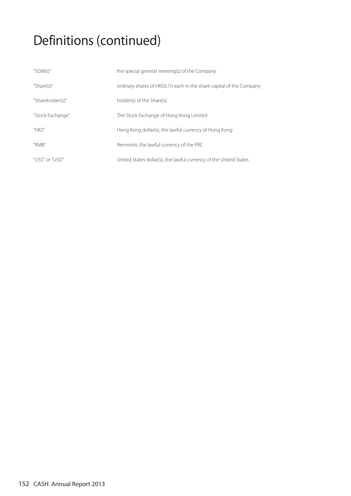# Definitions (continued)

| "SGM $(s)$ "     | the special general meeting(s) of the Company                        |
|------------------|----------------------------------------------------------------------|
| "Share(s)"       | ordinary shares of HK\$0.10 each in the share capital of the Company |
| "Shareholder(s)" | holder(s) of the Share(s)                                            |
| "Stock Exchange" | The Stock Exchange of Hong Kong Limited                              |
| "HKS"            | Hong Kong dollar(s), the lawful currency of Hong Kong                |
| "RMB"            | Renminbi, the lawful currency of the PRC                             |
| "US\$" or "USD"  | United States dollar(s), the lawful currency of the United States    |